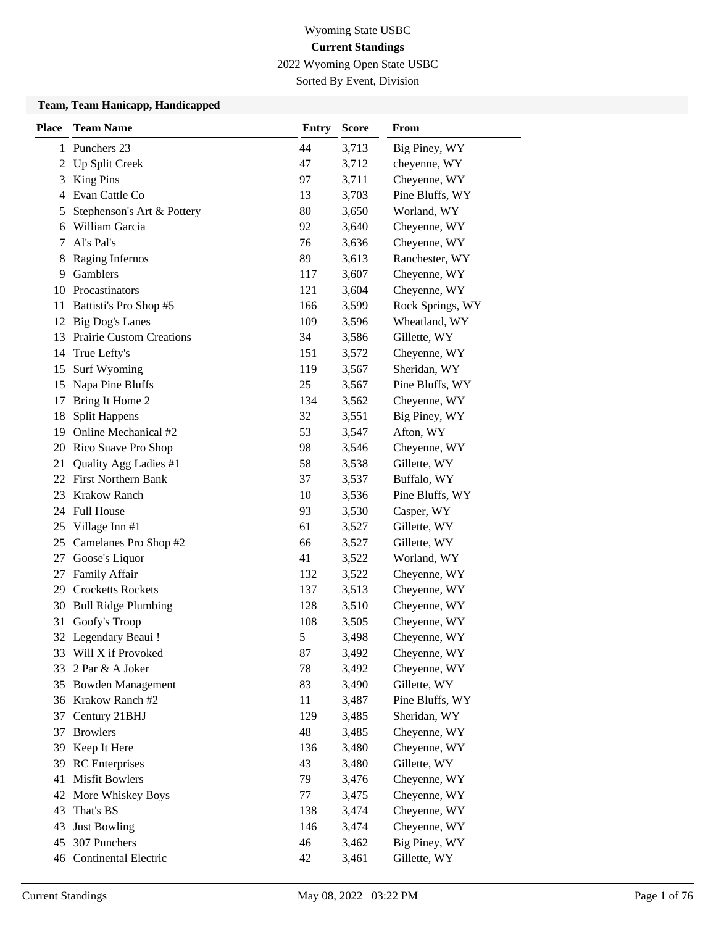2022 Wyoming Open State USBC

Sorted By Event, Division

#### **Team, Team Hanicapp, Handicapped**

| <b>Place</b> | <b>Team Name</b>                | <b>Entry</b>  | <b>Score</b> | From             |
|--------------|---------------------------------|---------------|--------------|------------------|
| 1            | Punchers 23                     | 44            | 3,713        | Big Piney, WY    |
| 2            | Up Split Creek                  | 47            | 3,712        | cheyenne, WY     |
| 3            | <b>King Pins</b>                | 97            | 3,711        | Cheyenne, WY     |
| 4            | Evan Cattle Co                  | 13            | 3,703        | Pine Bluffs, WY  |
| 5            | Stephenson's Art & Pottery      | 80            | 3,650        | Worland, WY      |
| 6            | William Garcia                  | 92            | 3,640        | Cheyenne, WY     |
| 7            | Al's Pal's                      | 76            | 3,636        | Cheyenne, WY     |
| 8            | Raging Infernos                 | 89            | 3,613        | Ranchester, WY   |
| 9            | Gamblers                        | 117           | 3,607        | Cheyenne, WY     |
| 10           | Procastinators                  | 121           | 3,604        | Cheyenne, WY     |
| 11           | Battisti's Pro Shop #5          | 166           | 3,599        | Rock Springs, WY |
| 12           | <b>Big Dog's Lanes</b>          | 109           | 3,596        | Wheatland, WY    |
| 13           | <b>Prairie Custom Creations</b> | 34            | 3,586        | Gillette, WY     |
| 14           | True Lefty's                    | 151           | 3,572        | Cheyenne, WY     |
| 15           | Surf Wyoming                    | 119           | 3,567        | Sheridan, WY     |
| 15           | Napa Pine Bluffs                | 25            | 3,567        | Pine Bluffs, WY  |
| 17           | Bring It Home 2                 | 134           | 3,562        | Cheyenne, WY     |
| 18           | <b>Split Happens</b>            | 32            | 3,551        | Big Piney, WY    |
| 19           | Online Mechanical #2            | 53            | 3,547        | Afton, WY        |
| 20           | Rico Suave Pro Shop             | 98            | 3,546        | Cheyenne, WY     |
| 21           | Quality Agg Ladies #1           | 58            | 3,538        | Gillette, WY     |
|              | 22 First Northern Bank          | 37            | 3,537        | Buffalo, WY      |
| 23           | <b>Krakow Ranch</b>             | 10            | 3,536        | Pine Bluffs, WY  |
|              | 24 Full House                   | 93            | 3,530        | Casper, WY       |
| 25           | Village Inn #1                  | 61            | 3,527        | Gillette, WY     |
| 25           | Camelanes Pro Shop #2           | 66            | 3,527        | Gillette, WY     |
| 27           | Goose's Liquor                  | 41            | 3,522        | Worland, WY      |
| 27           | Family Affair                   | 132           | 3,522        | Cheyenne, WY     |
| 29           | <b>Crocketts Rockets</b>        | 137           | 3,513        | Cheyenne, WY     |
| 30           | <b>Bull Ridge Plumbing</b>      | 128           | 3,510        | Cheyenne, WY     |
| 31           | Goofy's Troop                   | 108           | 3,505        | Cheyenne, WY     |
|              | 32 Legendary Beaui !            | $\mathfrak s$ | 3,498        | Cheyenne, WY     |
|              | 33 Will X if Provoked           | 87            | 3,492        | Cheyenne, WY     |
| 33           | 2 Par & A Joker                 | 78            | 3,492        | Cheyenne, WY     |
| 35           | <b>Bowden Management</b>        | 83            | 3,490        | Gillette, WY     |
|              | 36 Krakow Ranch #2              | 11            | 3,487        | Pine Bluffs, WY  |
| 37           | Century 21BHJ                   | 129           | 3,485        | Sheridan, WY     |
| 37           | <b>Browlers</b>                 | 48            | 3,485        | Cheyenne, WY     |
| 39           | Keep It Here                    | 136           | 3,480        | Cheyenne, WY     |
| 39           | <b>RC</b> Enterprises           | 43            | 3,480        | Gillette, WY     |
| 41           | <b>Misfit Bowlers</b>           | 79            | 3,476        | Cheyenne, WY     |
| 42           | More Whiskey Boys               | 77            | 3,475        | Cheyenne, WY     |
| 43           | That's BS                       | 138           | 3,474        | Cheyenne, WY     |
| 43           | <b>Just Bowling</b>             | 146           | 3,474        | Cheyenne, WY     |
| 45           | 307 Punchers                    | 46            | 3,462        | Big Piney, WY    |
|              | 46 Continental Electric         | 42            | 3,461        | Gillette, WY     |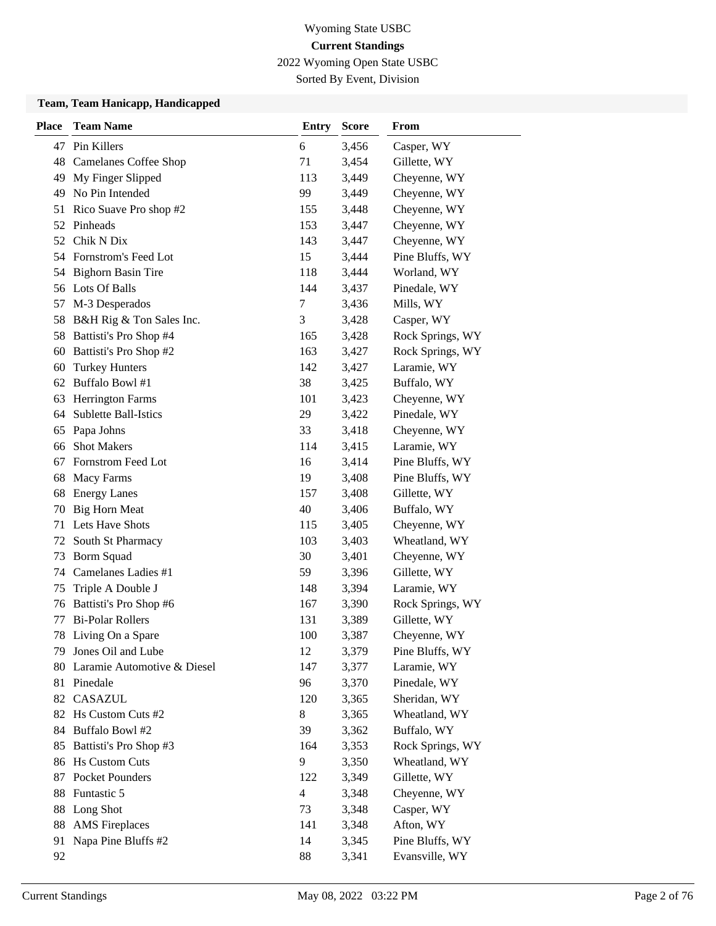2022 Wyoming Open State USBC

Sorted By Event, Division

#### **Team, Team Hanicapp, Handicapped**

| <b>Place</b> | <b>Team Name</b>             | <b>Entry</b>   | <b>Score</b> | From             |
|--------------|------------------------------|----------------|--------------|------------------|
|              | 47 Pin Killers               | 6              | 3,456        | Casper, WY       |
| 48           | <b>Camelanes Coffee Shop</b> | 71             | 3,454        | Gillette, WY     |
| 49           | My Finger Slipped            | 113            | 3,449        | Cheyenne, WY     |
| 49           | No Pin Intended              | 99             | 3,449        | Cheyenne, WY     |
| 51           | Rico Suave Pro shop #2       | 155            | 3,448        | Cheyenne, WY     |
|              | 52 Pinheads                  | 153            | 3,447        | Cheyenne, WY     |
|              | 52 Chik N Dix                | 143            | 3,447        | Cheyenne, WY     |
|              | 54 Fornstrom's Feed Lot      | 15             | 3,444        | Pine Bluffs, WY  |
| 54           | <b>Bighorn Basin Tire</b>    | 118            | 3,444        | Worland, WY      |
|              | 56 Lots Of Balls             | 144            | 3,437        | Pinedale, WY     |
| 57           | M-3 Desperados               | 7              | 3,436        | Mills, WY        |
| 58           | B&H Rig & Ton Sales Inc.     | 3              | 3,428        | Casper, WY       |
| 58           | Battisti's Pro Shop #4       | 165            | 3,428        | Rock Springs, WY |
| 60           | Battisti's Pro Shop #2       | 163            | 3,427        | Rock Springs, WY |
| 60           | <b>Turkey Hunters</b>        | 142            | 3,427        | Laramie, WY      |
|              | 62 Buffalo Bowl #1           | 38             | 3,425        | Buffalo, WY      |
| 63           | <b>Herrington Farms</b>      | 101            | 3,423        | Cheyenne, WY     |
| 64           | <b>Sublette Ball-Istics</b>  | 29             | 3,422        | Pinedale, WY     |
| 65           | Papa Johns                   | 33             | 3,418        | Cheyenne, WY     |
| 66           | <b>Shot Makers</b>           | 114            | 3,415        | Laramie, WY      |
| 67           | Fornstrom Feed Lot           | 16             | 3,414        | Pine Bluffs, WY  |
| 68           | Macy Farms                   | 19             | 3,408        | Pine Bluffs, WY  |
| 68           | <b>Energy Lanes</b>          | 157            | 3,408        | Gillette, WY     |
| 70           | <b>Big Horn Meat</b>         | 40             | 3,406        | Buffalo, WY      |
| 71           | Lets Have Shots              | 115            | 3,405        | Cheyenne, WY     |
| 72           | South St Pharmacy            | 103            | 3,403        | Wheatland, WY    |
| 73           | <b>Borm Squad</b>            | 30             | 3,401        | Cheyenne, WY     |
|              | 74 Camelanes Ladies #1       | 59             | 3,396        | Gillette, WY     |
| 75           | Triple A Double J            | 148            | 3,394        | Laramie, WY      |
| 76           | Battisti's Pro Shop #6       | 167            | 3,390        | Rock Springs, WY |
| 77           | <b>Bi-Polar Rollers</b>      | 131            | 3,389        | Gillette, WY     |
| 78           | Living On a Spare            | 100            | 3,387        | Cheyenne, WY     |
| 79           | Jones Oil and Lube           | 12             | 3,379        | Pine Bluffs, WY  |
| 80           | Laramie Automotive & Diesel  | 147            | 3,377        | Laramie, WY      |
| 81           | Pinedale                     | 96             | 3,370        | Pinedale, WY     |
|              | 82 CASAZUL                   | 120            | 3,365        | Sheridan, WY     |
| 82           | Hs Custom Cuts #2            | $8\,$          | 3,365        | Wheatland, WY    |
| 84           | Buffalo Bowl #2              | 39             | 3,362        | Buffalo, WY      |
| 85           | Battisti's Pro Shop #3       | 164            | 3,353        | Rock Springs, WY |
| 86           | <b>Hs Custom Cuts</b>        | 9              | 3,350        | Wheatland, WY    |
| 87           | Pocket Pounders              | 122            | 3,349        | Gillette, WY     |
| 88           | Funtastic 5                  | $\overline{4}$ | 3,348        | Cheyenne, WY     |
| 88           | Long Shot                    | 73             | 3,348        | Casper, WY       |
| 88           | <b>AMS</b> Fireplaces        | 141            | 3,348        | Afton, WY        |
| 91           | Napa Pine Bluffs #2          | 14             | 3,345        | Pine Bluffs, WY  |
| 92           |                              | 88             | 3,341        | Evansville, WY   |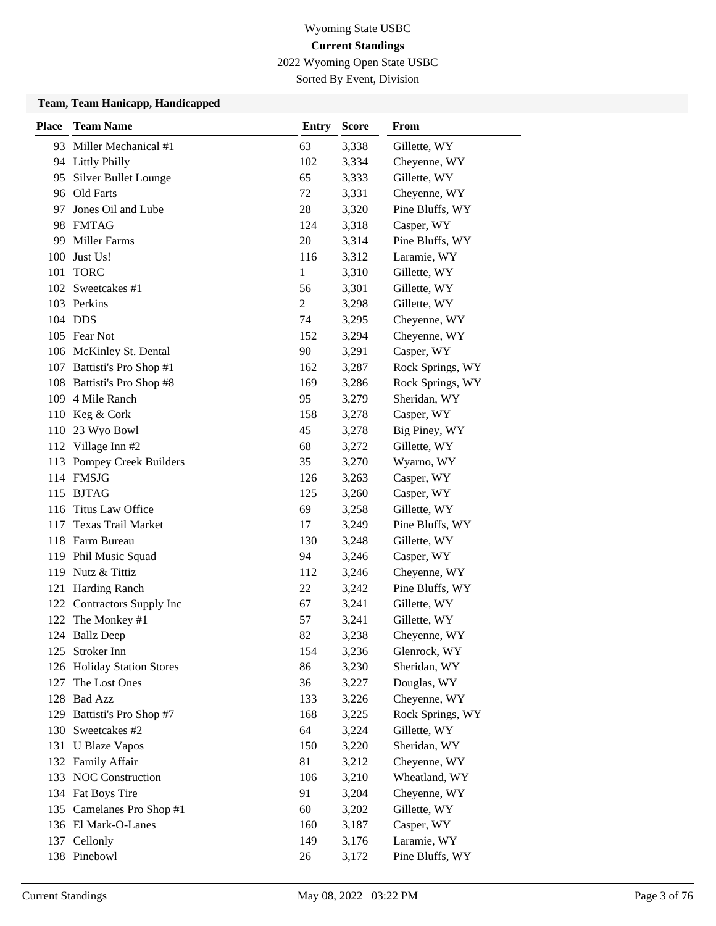2022 Wyoming Open State USBC

Sorted By Event, Division

#### **Team, Team Hanicapp, Handicapped**

| <b>Place</b> | <b>Team Name</b>            | <b>Entry</b>   | <b>Score</b> | From             |
|--------------|-----------------------------|----------------|--------------|------------------|
|              | 93 Miller Mechanical #1     | 63             | 3,338        | Gillette, WY     |
| 94           | <b>Littly Philly</b>        | 102            | 3,334        | Cheyenne, WY     |
| 95           | <b>Silver Bullet Lounge</b> | 65             | 3,333        | Gillette, WY     |
|              | 96 Old Farts                | 72             | 3,331        | Cheyenne, WY     |
| 97           | Jones Oil and Lube          | 28             | 3,320        | Pine Bluffs, WY  |
|              | 98 FMTAG                    | 124            | 3,318        | Casper, WY       |
| 99           | <b>Miller Farms</b>         | 20             | 3,314        | Pine Bluffs, WY  |
| 100          | Just Us!                    | 116            | 3,312        | Laramie, WY      |
| 101          | <b>TORC</b>                 | $\mathbf{1}$   | 3,310        | Gillette, WY     |
|              | 102 Sweetcakes #1           | 56             | 3,301        | Gillette, WY     |
|              | 103 Perkins                 | $\overline{c}$ | 3,298        | Gillette, WY     |
|              | 104 DDS                     | 74             | 3,295        | Cheyenne, WY     |
|              | 105 Fear Not                | 152            | 3,294        | Cheyenne, WY     |
|              | 106 McKinley St. Dental     | 90             | 3,291        | Casper, WY       |
|              | 107 Battisti's Pro Shop #1  | 162            | 3,287        | Rock Springs, WY |
|              | 108 Battisti's Pro Shop #8  | 169            | 3,286        | Rock Springs, WY |
|              | 109 4 Mile Ranch            | 95             | 3,279        | Sheridan, WY     |
|              | 110 Keg & Cork              | 158            | 3,278        | Casper, WY       |
| 110          | 23 Wyo Bowl                 | 45             | 3,278        | Big Piney, WY    |
| 112          | Village Inn #2              | 68             | 3,272        | Gillette, WY     |
|              | 113 Pompey Creek Builders   | 35             | 3,270        | Wyarno, WY       |
|              | 114 FMSJG                   | 126            | 3,263        | Casper, WY       |
|              | 115 BJTAG                   | 125            | 3,260        | Casper, WY       |
|              | 116 Titus Law Office        | 69             | 3,258        | Gillette, WY     |
| 117          | <b>Texas Trail Market</b>   | 17             | 3,249        | Pine Bluffs, WY  |
|              | 118 Farm Bureau             | 130            | 3,248        | Gillette, WY     |
|              | 119 Phil Music Squad        | 94             | 3,246        | Casper, WY       |
|              | 119 Nutz & Tittiz           | 112            | 3,246        | Cheyenne, WY     |
| 121          | <b>Harding Ranch</b>        | 22             | 3,242        | Pine Bluffs, WY  |
|              | 122 Contractors Supply Inc  | 67             | 3,241        | Gillette, WY     |
| 122          | The Monkey #1               | 57             | 3,241        | Gillette, WY     |
|              | 124 Ballz Deep              | 82             | 3,238        | Cheyenne, WY     |
|              | 125 Stroker Inn             | 154            | 3,236        | Glenrock, WY     |
|              | 126 Holiday Station Stores  | 86             | 3,230        | Sheridan, WY     |
| 127          | The Lost Ones               | 36             | 3,227        | Douglas, WY      |
|              | 128 Bad Azz                 | 133            | 3,226        | Cheyenne, WY     |
|              | 129 Battisti's Pro Shop #7  | 168            | 3,225        | Rock Springs, WY |
|              | 130 Sweetcakes #2           | 64             | 3,224        | Gillette, WY     |
|              | 131 U Blaze Vapos           | 150            | 3,220        | Sheridan, WY     |
|              | 132 Family Affair           | 81             | 3,212        | Cheyenne, WY     |
|              | 133 NOC Construction        | 106            | 3,210        | Wheatland, WY    |
|              | 134 Fat Boys Tire           | 91             | 3,204        | Cheyenne, WY     |
| 135          | Camelanes Pro Shop #1       | 60             | 3,202        | Gillette, WY     |
|              | 136 El Mark-O-Lanes         | 160            | 3,187        | Casper, WY       |
|              | 137 Cellonly                | 149            | 3,176        | Laramie, WY      |
|              | 138 Pinebowl                | 26             | 3,172        | Pine Bluffs, WY  |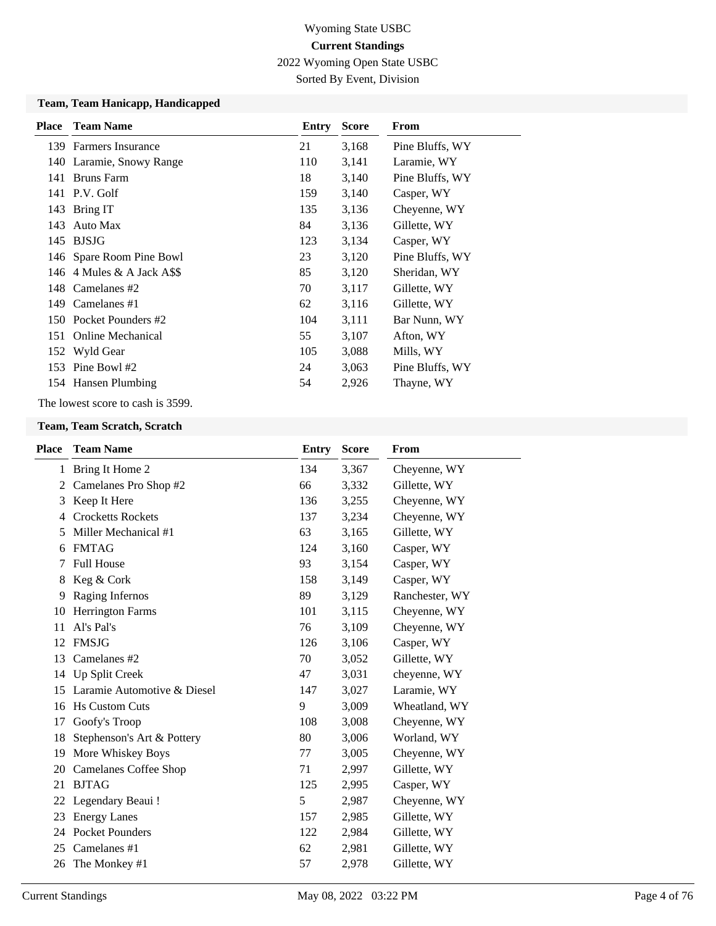2022 Wyoming Open State USBC

Sorted By Event, Division

#### **Team, Team Hanicapp, Handicapped**

| <b>Place</b> | <b>Team Name</b>         | Entry | <b>Score</b> | From            |
|--------------|--------------------------|-------|--------------|-----------------|
|              | 139 Farmers Insurance    | 21    | 3,168        | Pine Bluffs, WY |
|              | 140 Laramie, Snowy Range | 110   | 3,141        | Laramie, WY     |
| 141          | Bruns Farm               | 18    | 3,140        | Pine Bluffs, WY |
|              | 141 P.V. Golf            | 159   | 3,140        | Casper, WY      |
|              | 143 Bring IT             | 135   | 3,136        | Cheyenne, WY    |
| 143          | Auto Max                 | 84    | 3,136        | Gillette, WY    |
|              | 145 BJSJG                | 123   | 3,134        | Casper, WY      |
|              | 146 Spare Room Pine Bowl | 23    | 3,120        | Pine Bluffs, WY |
| 146          | 4 Mules & A Jack A\$\$   | 85    | 3,120        | Sheridan, WY    |
|              | 148 Camelanes #2         | 70    | 3,117        | Gillette, WY    |
|              | 149 Camelanes #1         | 62    | 3,116        | Gillette, WY    |
|              | 150 Pocket Pounders #2   | 104   | 3,111        | Bar Nunn, WY    |
| 151          | <b>Online Mechanical</b> | 55    | 3,107        | Afton, WY       |
|              | 152 Wyld Gear            | 105   | 3,088        | Mills, WY       |
|              | 153 Pine Bowl $#2$       | 24    | 3,063        | Pine Bluffs, WY |
|              | 154 Hansen Plumbing      | 54    | 2,926        | Thayne, WY      |

The lowest score to cash is 3599.

#### **Team, Team Scratch, Scratch**

| Place | <b>Team Name</b>             | <b>Entry</b> | <b>Score</b> | From           |
|-------|------------------------------|--------------|--------------|----------------|
|       | 1 Bring It Home 2            | 134          | 3,367        | Cheyenne, WY   |
| 2     | Camelanes Pro Shop #2        | 66           | 3,332        | Gillette, WY   |
| 3     | Keep It Here                 | 136          | 3,255        | Cheyenne, WY   |
| 4     | <b>Crocketts Rockets</b>     | 137          | 3,234        | Cheyenne, WY   |
| 5     | Miller Mechanical #1         | 63           | 3,165        | Gillette, WY   |
| 6     | <b>FMTAG</b>                 | 124          | 3,160        | Casper, WY     |
| 7     | <b>Full House</b>            | 93           | 3,154        | Casper, WY     |
| 8     | Keg & Cork                   | 158          | 3,149        | Casper, WY     |
| 9     | Raging Infernos              | 89           | 3,129        | Ranchester, WY |
| 10    | Herrington Farms             | 101          | 3,115        | Cheyenne, WY   |
| 11    | Al's Pal's                   | 76           | 3,109        | Cheyenne, WY   |
| 12    | <b>FMSJG</b>                 | 126          | 3,106        | Casper, WY     |
| 13    | Camelanes #2                 | 70           | 3,052        | Gillette, WY   |
| 14    | Up Split Creek               | 47           | 3,031        | cheyenne, WY   |
| 15    | Laramie Automotive & Diesel  | 147          | 3,027        | Laramie, WY    |
| 16    | <b>Hs Custom Cuts</b>        | 9            | 3,009        | Wheatland, WY  |
| 17    | Goofy's Troop                | 108          | 3,008        | Cheyenne, WY   |
| 18    | Stephenson's Art & Pottery   | 80           | 3,006        | Worland, WY    |
| 19    | More Whiskey Boys            | 77           | 3,005        | Cheyenne, WY   |
| 20    | <b>Camelanes Coffee Shop</b> | 71           | 2,997        | Gillette, WY   |
| 21    | <b>BJTAG</b>                 | 125          | 2,995        | Casper, WY     |
| 22    | Legendary Beaui !            | 5            | 2,987        | Cheyenne, WY   |
| 23    | <b>Energy Lanes</b>          | 157          | 2,985        | Gillette, WY   |
| 24    | <b>Pocket Pounders</b>       | 122          | 2,984        | Gillette, WY   |
| 25    | Camelanes #1                 | 62           | 2,981        | Gillette, WY   |
| 26    | The Monkey #1                | 57           | 2,978        | Gillette, WY   |
|       |                              |              |              |                |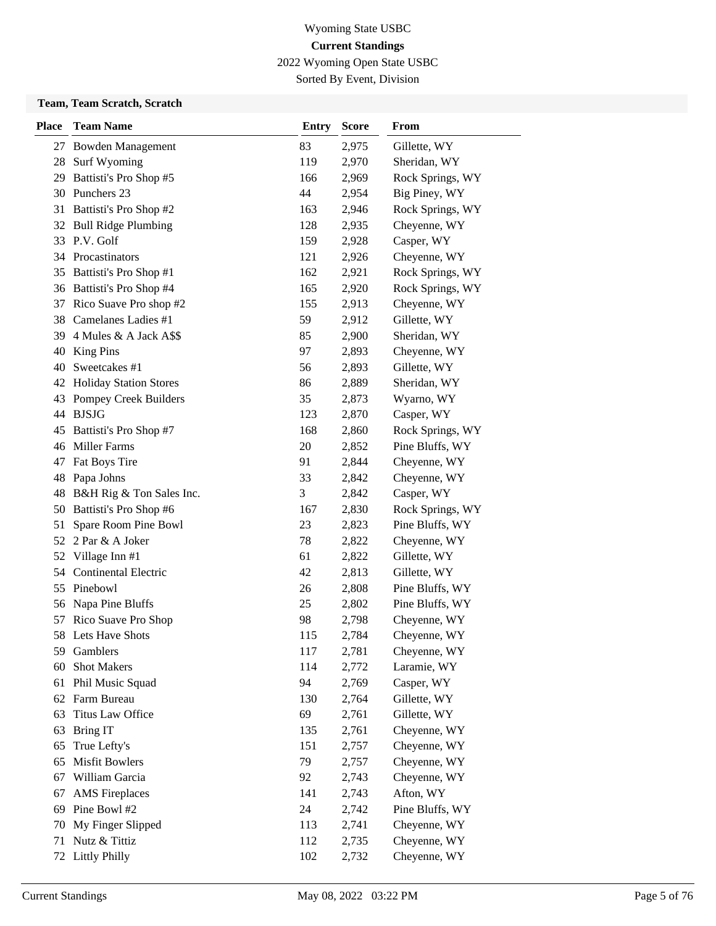2022 Wyoming Open State USBC

Sorted By Event, Division

### **Team, Team Scratch, Scratch**

| <b>Place</b> | <b>Team Name</b>                               | <b>Entry</b> | <b>Score</b>   | From                                |
|--------------|------------------------------------------------|--------------|----------------|-------------------------------------|
|              | 27 Bowden Management                           | 83           | 2,975          | Gillette, WY                        |
| 28           | Surf Wyoming                                   | 119          | 2,970          | Sheridan, WY                        |
| 29           | Battisti's Pro Shop #5                         | 166          | 2,969          | Rock Springs, WY                    |
|              | 30 Punchers 23                                 | 44           | 2,954          | Big Piney, WY                       |
|              | 31 Battisti's Pro Shop #2                      | 163          | 2,946          | Rock Springs, WY                    |
| 32           | <b>Bull Ridge Plumbing</b>                     | 128          | 2,935          | Cheyenne, WY                        |
|              | 33 P.V. Golf                                   | 159          | 2,928          | Casper, WY                          |
|              | 34 Procastinators                              | 121          | 2,926          | Cheyenne, WY                        |
| 35           | Battisti's Pro Shop #1                         | 162          | 2,921          | Rock Springs, WY                    |
|              | 36 Battisti's Pro Shop #4                      | 165          | 2,920          | Rock Springs, WY                    |
| 37           | Rico Suave Pro shop #2                         | 155          | 2,913          | Cheyenne, WY                        |
|              | 38 Camelanes Ladies #1                         | 59           | 2,912          | Gillette, WY                        |
| 39           | 4 Mules & A Jack A\$\$                         | 85           | 2,900          | Sheridan, WY                        |
| 40           | <b>King Pins</b>                               | 97           | 2,893          | Cheyenne, WY                        |
| 40           | Sweetcakes #1                                  | 56           | 2,893          | Gillette, WY                        |
| 42           | <b>Holiday Station Stores</b>                  | 86           | 2,889          | Sheridan, WY                        |
| 43           | Pompey Creek Builders                          | 35           | 2,873          | Wyarno, WY                          |
|              | 44 BJSJG                                       | 123          | 2,870          | Casper, WY                          |
| 45           | Battisti's Pro Shop #7                         | 168          | 2,860          | Rock Springs, WY                    |
|              | 46 Miller Farms                                | 20           | 2,852          | Pine Bluffs, WY                     |
| 47           | Fat Boys Tire                                  | 91           | 2,844          | Cheyenne, WY                        |
| 48           | Papa Johns                                     | 33           | 2,842          | Cheyenne, WY                        |
| 48           | B&H Rig & Ton Sales Inc.                       | 3<br>167     | 2,842          | Casper, WY                          |
| 50<br>51     | Battisti's Pro Shop #6<br>Spare Room Pine Bowl | 23           | 2,830<br>2,823 | Rock Springs, WY<br>Pine Bluffs, WY |
| 52           | 2 Par & A Joker                                | 78           | 2,822          | Cheyenne, WY                        |
| 52           | Village Inn #1                                 | 61           | 2,822          | Gillette, WY                        |
| 54           | Continental Electric                           | 42           | 2,813          | Gillette, WY                        |
| 55           | Pinebowl                                       | 26           | 2,808          | Pine Bluffs, WY                     |
| 56           | Napa Pine Bluffs                               | 25           | 2,802          | Pine Bluffs, WY                     |
| 57           | Rico Suave Pro Shop                            | 98           | 2,798          | Cheyenne, WY                        |
|              | 58 Lets Have Shots                             | 115          | 2,784          | Cheyenne, WY                        |
| 59           | Gamblers                                       | 117          | 2,781          | Cheyenne, WY                        |
| 60           | <b>Shot Makers</b>                             | 114          | 2,772          | Laramie, WY                         |
| 61           | Phil Music Squad                               | 94           | 2,769          | Casper, WY                          |
|              | 62 Farm Bureau                                 | 130          | 2,764          | Gillette, WY                        |
| 63           | Titus Law Office                               | 69           | 2,761          | Gillette, WY                        |
| 63           | <b>Bring IT</b>                                | 135          | 2,761          | Cheyenne, WY                        |
| 65           | True Lefty's                                   | 151          | 2,757          | Cheyenne, WY                        |
| 65           | <b>Misfit Bowlers</b>                          | 79           | 2,757          | Cheyenne, WY                        |
| 67           | William Garcia                                 | 92           | 2,743          | Cheyenne, WY                        |
| 67           | <b>AMS</b> Fireplaces                          | 141          | 2,743          | Afton, WY                           |
| 69           | Pine Bowl #2                                   | 24           | 2,742          | Pine Bluffs, WY                     |
| 70           | My Finger Slipped                              | 113          | 2,741          | Cheyenne, WY                        |
| 71           | Nutz & Tittiz                                  | 112          | 2,735          | Cheyenne, WY                        |
| 72           | <b>Littly Philly</b>                           | 102          | 2,732          | Cheyenne, WY                        |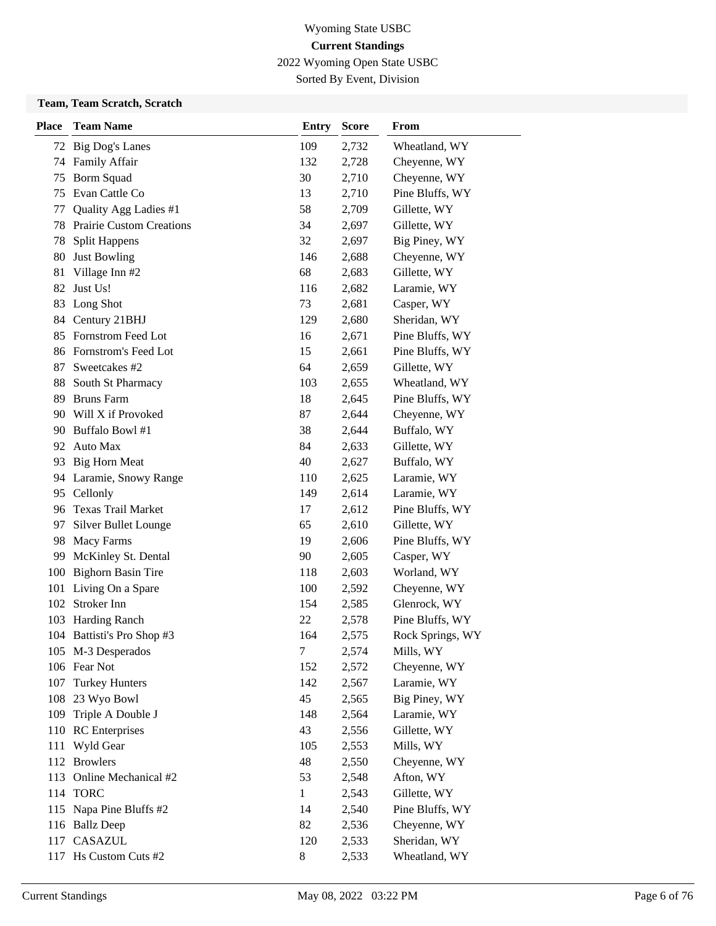2022 Wyoming Open State USBC

Sorted By Event, Division

### **Team, Team Scratch, Scratch**

| <b>Place</b> | <b>Team Name</b>                | <b>Entry</b> | <b>Score</b> | <b>From</b>      |
|--------------|---------------------------------|--------------|--------------|------------------|
| 72           | <b>Big Dog's Lanes</b>          | 109          | 2,732        | Wheatland, WY    |
| 74           | <b>Family Affair</b>            | 132          | 2,728        | Cheyenne, WY     |
| 75           | <b>Borm Squad</b>               | 30           | 2,710        | Cheyenne, WY     |
| 75           | Evan Cattle Co                  | 13           | 2,710        | Pine Bluffs, WY  |
| 77           | Quality Agg Ladies #1           | 58           | 2,709        | Gillette, WY     |
| 78           | <b>Prairie Custom Creations</b> | 34           | 2,697        | Gillette, WY     |
| 78           | <b>Split Happens</b>            | 32           | 2,697        | Big Piney, WY    |
| 80           | <b>Just Bowling</b>             | 146          | 2,688        | Cheyenne, WY     |
| 81           | Village Inn #2                  | 68           | 2,683        | Gillette, WY     |
| 82           | Just Us!                        | 116          | 2,682        | Laramie, WY      |
| 83           | Long Shot                       | 73           | 2,681        | Casper, WY       |
|              | 84 Century 21BHJ                | 129          | 2,680        | Sheridan, WY     |
| 85           | Fornstrom Feed Lot              | 16           | 2,671        | Pine Bluffs, WY  |
|              | 86 Fornstrom's Feed Lot         | 15           | 2,661        | Pine Bluffs, WY  |
| 87           | Sweetcakes #2                   | 64           | 2,659        | Gillette, WY     |
| 88           | South St Pharmacy               | 103          | 2,655        | Wheatland, WY    |
| 89           | <b>Bruns Farm</b>               | 18           | 2,645        | Pine Bluffs, WY  |
| 90           | Will X if Provoked              | 87           | 2,644        | Cheyenne, WY     |
| 90           | Buffalo Bowl #1                 | 38           | 2,644        | Buffalo, WY      |
|              | 92 Auto Max                     | 84           | 2,633        | Gillette, WY     |
| 93           | <b>Big Horn Meat</b>            | 40           | 2,627        | Buffalo, WY      |
| 94           | Laramie, Snowy Range            | 110          | 2,625        | Laramie, WY      |
| 95           | Cellonly                        | 149          | 2,614        | Laramie, WY      |
| 96           | Texas Trail Market              | 17           | 2,612        | Pine Bluffs, WY  |
| 97           | <b>Silver Bullet Lounge</b>     | 65           | 2,610        | Gillette, WY     |
| 98           | Macy Farms                      | 19           | 2,606        | Pine Bluffs, WY  |
| 99           | McKinley St. Dental             | 90           | 2,605        | Casper, WY       |
| 100          | <b>Bighorn Basin Tire</b>       | 118          | 2,603        | Worland, WY      |
| 101          | Living On a Spare               | 100          | 2,592        | Cheyenne, WY     |
| 102          | <b>Stroker Inn</b>              | 154          | 2,585        | Glenrock, WY     |
| 103          | Harding Ranch                   | 22           | 2,578        | Pine Bluffs, WY  |
|              | 104 Battisti's Pro Shop #3      | 164          | 2,575        | Rock Springs, WY |
|              | 105 M-3 Desperados              | $\tau$       | 2,574        | Mills, WY        |
|              | 106 Fear Not                    | 152          | 2,572        | Cheyenne, WY     |
| 107          | <b>Turkey Hunters</b>           | 142          | 2,567        | Laramie, WY      |
|              | 108 23 Wyo Bowl                 | 45           | 2,565        | Big Piney, WY    |
| 109          | Triple A Double J               | 148          | 2,564        | Laramie, WY      |
|              | 110 RC Enterprises              | 43           | 2,556        | Gillette, WY     |
| 111          | Wyld Gear                       | 105          | 2,553        | Mills, WY        |
| 112          | <b>Browlers</b>                 | 48           | 2,550        | Cheyenne, WY     |
| 113          | Online Mechanical #2            | 53           | 2,548        | Afton, WY        |
|              | 114 TORC                        | $\mathbf{1}$ | 2,543        | Gillette, WY     |
|              | 115 Napa Pine Bluffs #2         | 14           | 2,540        | Pine Bluffs, WY  |
|              | 116 Ballz Deep                  | 82           | 2,536        | Cheyenne, WY     |
|              | 117 CASAZUL                     | 120          | 2,533        | Sheridan, WY     |
|              | 117 Hs Custom Cuts #2           | 8            | 2,533        | Wheatland, WY    |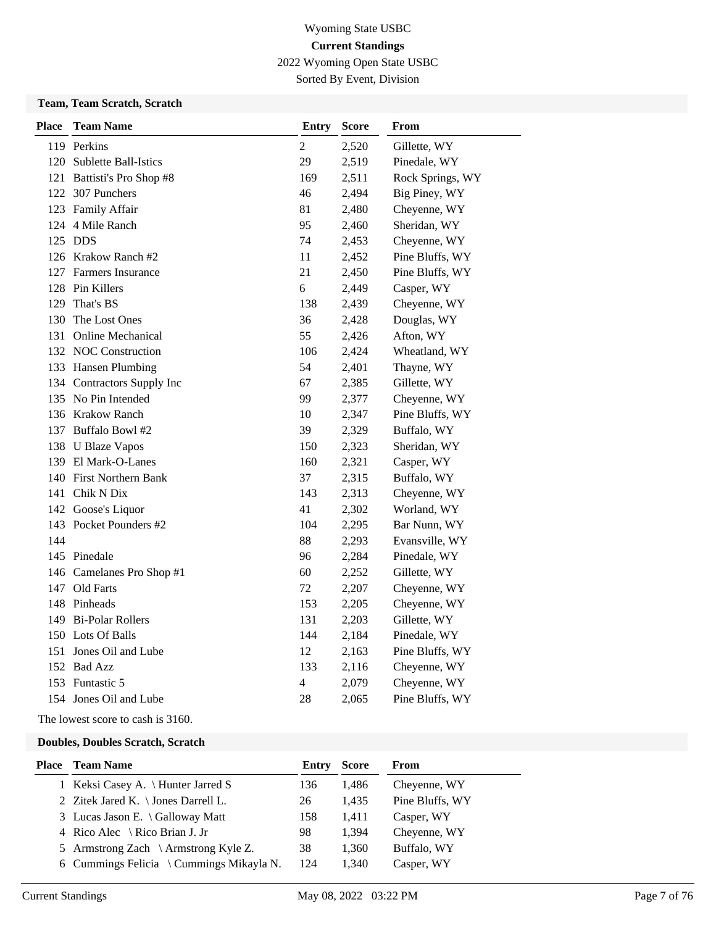2022 Wyoming Open State USBC

Sorted By Event, Division

### **Team, Team Scratch, Scratch**

| <b>Place</b> | <b>Team Name</b>           | <b>Entry</b>   | Score | From             |
|--------------|----------------------------|----------------|-------|------------------|
|              | 119 Perkins                | $\overline{2}$ | 2,520 | Gillette, WY     |
|              | 120 Sublette Ball-Istics   | 29             | 2,519 | Pinedale, WY     |
|              | 121 Battisti's Pro Shop #8 | 169            | 2,511 | Rock Springs, WY |
|              | 122 307 Punchers           | 46             | 2,494 | Big Piney, WY    |
|              | 123 Family Affair          | 81             | 2,480 | Cheyenne, WY     |
|              | 124 4 Mile Ranch           | 95             | 2,460 | Sheridan, WY     |
|              | 125 DDS                    | 74             | 2,453 | Cheyenne, WY     |
|              | 126 Krakow Ranch #2        | 11             | 2,452 | Pine Bluffs, WY  |
|              | 127 Farmers Insurance      | 21             | 2,450 | Pine Bluffs, WY  |
|              | 128 Pin Killers            | 6              | 2,449 | Casper, WY       |
| 129          | That's BS                  | 138            | 2,439 | Cheyenne, WY     |
| 130          | The Lost Ones              | 36             | 2,428 | Douglas, WY      |
|              | 131 Online Mechanical      | 55             | 2,426 | Afton, WY        |
|              | 132 NOC Construction       | 106            | 2,424 | Wheatland, WY    |
|              | 133 Hansen Plumbing        | 54             | 2,401 | Thayne, WY       |
|              | 134 Contractors Supply Inc | 67             | 2,385 | Gillette, WY     |
|              | 135 No Pin Intended        | 99             | 2,377 | Cheyenne, WY     |
|              | 136 Krakow Ranch           | 10             | 2,347 | Pine Bluffs, WY  |
|              | 137 Buffalo Bowl #2        | 39             | 2,329 | Buffalo, WY      |
|              | 138 U Blaze Vapos          | 150            | 2,323 | Sheridan, WY     |
|              | 139 El Mark-O-Lanes        | 160            | 2,321 | Casper, WY       |
|              | 140 First Northern Bank    | 37             | 2,315 | Buffalo, WY      |
|              | 141 Chik N Dix             | 143            | 2,313 | Cheyenne, WY     |
|              | 142 Goose's Liquor         | 41             | 2,302 | Worland, WY      |
|              | 143 Pocket Pounders #2     | 104            | 2,295 | Bar Nunn, WY     |
| 144          |                            | 88             | 2,293 | Evansville, WY   |
|              | 145 Pinedale               | 96             | 2,284 | Pinedale, WY     |
|              | 146 Camelanes Pro Shop #1  | 60             | 2,252 | Gillette, WY     |
|              | 147 Old Farts              | 72             | 2,207 | Cheyenne, WY     |
|              | 148 Pinheads               | 153            | 2,205 | Cheyenne, WY     |
|              | 149 Bi-Polar Rollers       | 131            | 2,203 | Gillette, WY     |
|              | 150 Lots Of Balls          | 144            | 2,184 | Pinedale, WY     |
|              | 151 Jones Oil and Lube     | 12             | 2,163 | Pine Bluffs, WY  |
|              | 152 Bad Azz                | 133            | 2,116 | Cheyenne, WY     |
|              | 153 Funtastic 5            | 4              | 2,079 | Cheyenne, WY     |
|              | 154 Jones Oil and Lube     | 28             | 2,065 | Pine Bluffs, WY  |

The lowest score to cash is 3160.

| <b>Place</b> Team Name                         | Entry | <b>Score</b> | From            |
|------------------------------------------------|-------|--------------|-----------------|
| 1 Keksi Casey A. \ Hunter Jarred S             | 136   | 1,486        | Cheyenne, WY    |
| 2 Zitek Jared K. $\setminus$ Jones Darrell L.  | 26    | 1,435        | Pine Bluffs, WY |
| 3 Lucas Jason E. \ Galloway Matt               | 158   | 1.411        | Casper, WY      |
| 4 Rico Alec $\setminus$ Rico Brian J. Jr       | 98    | 1.394        | Cheyenne, WY    |
| 5 Armstrong Zach $\setminus$ Armstrong Kyle Z. | 38    | 1,360        | Buffalo, WY     |
| 6 Cummings Felicia \ Cummings Mikayla N.       | 124   | 1,340        | Casper, WY      |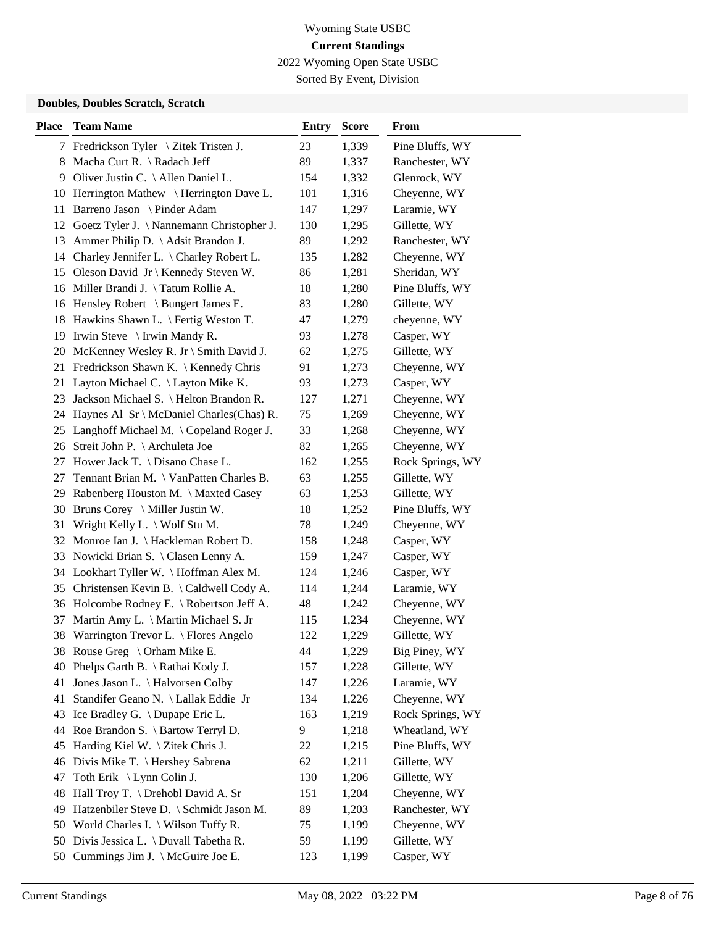2022 Wyoming Open State USBC

Sorted By Event, Division

| <b>Place</b> | <b>Team Name</b>                                   | <b>Entry</b> | <b>Score</b> | From             |
|--------------|----------------------------------------------------|--------------|--------------|------------------|
|              | 7 Fredrickson Tyler \ Zitek Tristen J.             | 23           | 1,339        | Pine Bluffs, WY  |
| 8            | Macha Curt R. \ Radach Jeff                        | 89           | 1,337        | Ranchester, WY   |
| 9            | Oliver Justin C. \ Allen Daniel L.                 | 154          | 1,332        | Glenrock, WY     |
| 10           | Herrington Mathew \ Herrington Dave L.             | 101          | 1,316        | Cheyenne, WY     |
| 11           | Barreno Jason \ Pinder Adam                        | 147          | 1,297        | Laramie, WY      |
| 12           | Goetz Tyler J. \ Nannemann Christopher J.          | 130          | 1,295        | Gillette, WY     |
| 13           | Ammer Philip D. \ Adsit Brandon J.                 | 89           | 1,292        | Ranchester, WY   |
|              | 14 Charley Jennifer L. \ Charley Robert L.         | 135          | 1,282        | Cheyenne, WY     |
|              | 15 Oleson David Jr \ Kennedy Steven W.             | 86           | 1,281        | Sheridan, WY     |
|              | 16 Miller Brandi J. \Tatum Rollie A.               | 18           | 1,280        | Pine Bluffs, WY  |
| 16           | Hensley Robert \ Bungert James E.                  | 83           | 1,280        | Gillette, WY     |
| 18           | Hawkins Shawn L. \ Fertig Weston T.                | 47           | 1,279        | cheyenne, WY     |
| 19           | Irwin Steve $\langle$ Irwin Mandy R.               | 93           | 1,278        | Casper, WY       |
| 20           | McKenney Wesley R. Jr \ Smith David J.             | 62           | 1,275        | Gillette, WY     |
| 21           | Fredrickson Shawn K. \ Kennedy Chris               | 91           | 1,273        | Cheyenne, WY     |
| 21           | Layton Michael C. \ Layton Mike K.                 | 93           | 1,273        | Casper, WY       |
|              | 23 Jackson Michael S. \ Helton Brandon R.          | 127          | 1,271        | Cheyenne, WY     |
| 24           | Haynes Al $Sr \n\Lambda$ CDaniel Charles (Chas) R. | 75           | 1,269        | Cheyenne, WY     |
| 25           | Langhoff Michael M. \Copeland Roger J.             | 33           | 1,268        | Cheyenne, WY     |
| 26           | Streit John P. \ Archuleta Joe                     | 82           | 1,265        | Cheyenne, WY     |
| 27           | Hower Jack T. \ Disano Chase L.                    | 162          | 1,255        | Rock Springs, WY |
| 27           | Tennant Brian M. \ VanPatten Charles B.            | 63           | 1,255        | Gillette, WY     |
| 29           | Rabenberg Houston M. \ Maxted Casey                | 63           | 1,253        | Gillette, WY     |
| 30           | Bruns Corey \ Miller Justin W.                     | 18           | 1,252        | Pine Bluffs, WY  |
| 31           | Wright Kelly L. \ Wolf Stu M.                      | 78           | 1,249        | Cheyenne, WY     |
| 32           | Monroe Ian J. \ Hackleman Robert D.                | 158          | 1,248        | Casper, WY       |
| 33           | Nowicki Brian S. \ Clasen Lenny A.                 | 159          | 1,247        | Casper, WY       |
|              | 34 Lookhart Tyller W. \Hoffman Alex M.             | 124          | 1,246        | Casper, WY       |
| 35           | Christensen Kevin B. \Caldwell Cody A.             | 114          | 1,244        | Laramie, WY      |
|              | 36 Holcombe Rodney E. \ Robertson Jeff A.          | 48           | 1,242        | Cheyenne, WY     |
| 37           | Martin Amy L. \ Martin Michael S. Jr               | 115          | 1,234        | Cheyenne, WY     |
| 38           | Warrington Trevor L. \ Flores Angelo               | 122          | 1,229        | Gillette, WY     |
|              | 38 Rouse Greg \ Orham Mike E.                      | 44           | 1,229        | Big Piney, WY    |
| 40           | Phelps Garth B. \ Rathai Kody J.                   | 157          | 1,228        | Gillette, WY     |
| 41           | Jones Jason L. \ Halvorsen Colby                   | 147          | 1,226        | Laramie, WY      |
| 41           | Standifer Geano N. \ Lallak Eddie Jr               | 134          | 1,226        | Cheyenne, WY     |
|              | 43 Ice Bradley G. \ Dupape Eric L.                 | 163          | 1,219        | Rock Springs, WY |
|              | 44 Roe Brandon S. \ Bartow Terryl D.               | 9            | 1,218        | Wheatland, WY    |
| 45           | Harding Kiel W. $\setminus$ Zitek Chris J.         | 22           | 1,215        | Pine Bluffs, WY  |
|              | 46 Divis Mike T. \ Hershey Sabrena                 | 62           | 1,211        | Gillette, WY     |
| 47           | Toth Erik \ Lynn Colin J.                          | 130          | 1,206        | Gillette, WY     |
| 48           | Hall Troy T. \ Drehobl David A. Sr                 | 151          | 1,204        | Cheyenne, WY     |
| 49           | Hatzenbiler Steve D. \ Schmidt Jason M.            | 89           | 1,203        | Ranchester, WY   |
|              | 50 World Charles I. \ Wilson Tuffy R.              | 75           | 1,199        | Cheyenne, WY     |
| 50           | Divis Jessica L. \ Duvall Tabetha R.               | 59           | 1,199        | Gillette, WY     |
|              | 50 Cummings Jim J. \ McGuire Joe E.                | 123          | 1,199        | Casper, WY       |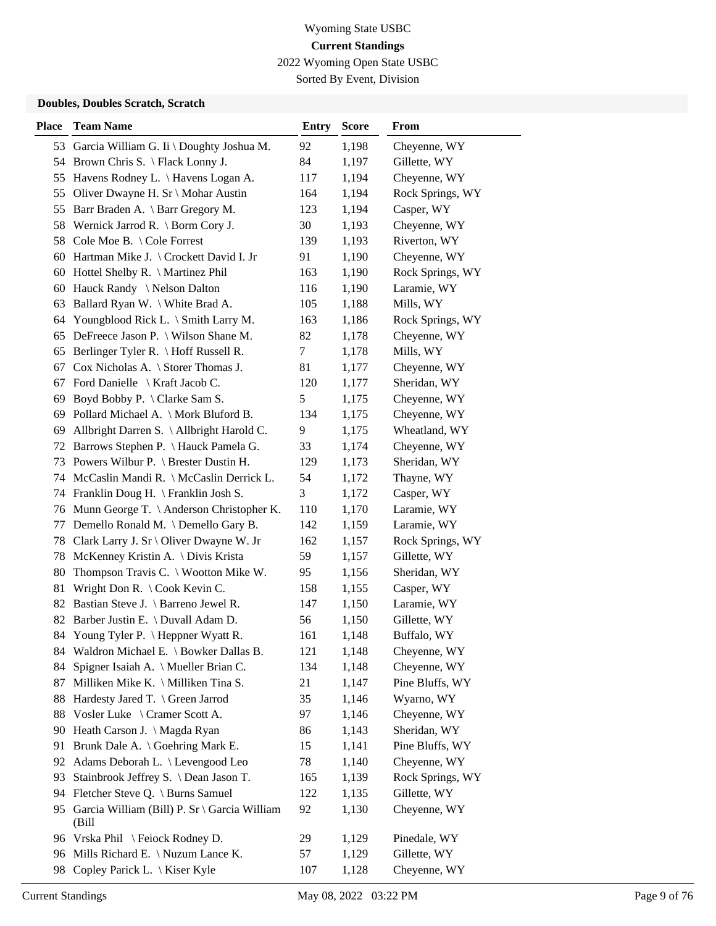2022 Wyoming Open State USBC

Sorted By Event, Division

| <b>Place</b> | <b>Team Name</b>                               | <b>Entry</b>  | <b>Score</b> | From             |
|--------------|------------------------------------------------|---------------|--------------|------------------|
|              | 53 Garcia William G. Ii \ Doughty Joshua M.    | 92            | 1,198        | Cheyenne, WY     |
|              | 54 Brown Chris S. \ Flack Lonny J.             | 84            | 1,197        | Gillette, WY     |
| 55           | Havens Rodney L. \ Havens Logan A.             | 117           | 1,194        | Cheyenne, WY     |
| 55           | Oliver Dwayne H. Sr \ Mohar Austin             | 164           | 1,194        | Rock Springs, WY |
| 55           | Barr Braden A. \ Barr Gregory M.               | 123           | 1,194        | Casper, WY       |
| 58           | Wernick Jarrod R. $\Gamma$ Borm Cory J.        | 30            | 1,193        | Cheyenne, WY     |
| 58           | Cole Moe B. \ Cole Forrest                     | 139           | 1,193        | Riverton, WY     |
| 60           | Hartman Mike J. \ Crockett David I. Jr         | 91            | 1,190        | Cheyenne, WY     |
|              | 60 Hottel Shelby R. \ Martinez Phil            | 163           | 1,190        | Rock Springs, WY |
| 60           | Hauck Randy \ Nelson Dalton                    | 116           | 1,190        | Laramie, WY      |
| 63           | Ballard Ryan W. \ White Brad A.                | 105           | 1,188        | Mills, WY        |
| 64           | Youngblood Rick L. \ Smith Larry M.            | 163           | 1,186        | Rock Springs, WY |
| 65           | DeFreece Jason P. \ Wilson Shane M.            | 82            | 1,178        | Cheyenne, WY     |
| 65           | Berlinger Tyler R. \ Hoff Russell R.           | 7             | 1,178        | Mills, WY        |
| 67           | Cox Nicholas A. \ Storer Thomas J.             | 81            | 1,177        | Cheyenne, WY     |
| 67           | Ford Danielle \ Kraft Jacob C.                 | 120           | 1,177        | Sheridan, WY     |
| 69           | Boyd Bobby P. \ Clarke Sam S.                  | $\mathfrak s$ | 1,175        | Cheyenne, WY     |
| 69           | Pollard Michael A. \ Mork Bluford B.           | 134           | 1,175        | Cheyenne, WY     |
| 69           | Allbright Darren S. \ Allbright Harold C.      | 9             | 1,175        | Wheatland, WY    |
| 72           | Barrows Stephen P. \ Hauck Pamela G.           | 33            | 1,174        | Cheyenne, WY     |
| 73           | Powers Wilbur P. \ Brester Dustin H.           | 129           | 1,173        | Sheridan, WY     |
| 74           | McCaslin Mandi R. \ McCaslin Derrick L.        | 54            | 1,172        | Thayne, WY       |
|              | 74 Franklin Doug H. \ Franklin Josh S.         | 3             | 1,172        | Casper, WY       |
|              | 76 Munn George T. \ Anderson Christopher K.    | 110           | 1,170        | Laramie, WY      |
| 77           | Demello Ronald M. \ Demello Gary B.            | 142           | 1,159        | Laramie, WY      |
| 78           | Clark Larry J. Sr \ Oliver Dwayne W. Jr        | 162           | 1,157        | Rock Springs, WY |
| 78           | McKenney Kristin A. \ Divis Krista             | 59            | 1,157        | Gillette, WY     |
| 80           | Thompson Travis C. $\setminus$ Wootton Mike W. | 95            | 1,156        | Sheridan, WY     |
| 81           | Wright Don R. $\setminus$ Cook Kevin C.        | 158           | 1,155        | Casper, WY       |
| 82           | Bastian Steve J. \ Barreno Jewel R.            | 147           | 1,150        | Laramie, WY      |
| 82           | Barber Justin E. \ Duvall Adam D.              | 56            | 1,150        | Gillette, WY     |
|              | 84 Young Tyler P. \ Heppner Wyatt R.           | 161           | 1,148        | Buffalo, WY      |
|              | 84 Waldron Michael E. \ Bowker Dallas B.       | 121           | 1,148        | Cheyenne, WY     |
| 84           | Spigner Isaiah A. \ Mueller Brian C.           | 134           | 1,148        | Cheyenne, WY     |
| 87           | Milliken Mike K. \ Milliken Tina S.            | 21            | 1,147        | Pine Bluffs, WY  |
| 88           | Hardesty Jared T. \ Green Jarrod               | 35            | 1,146        | Wyarno, WY       |
| 88           | Vosler Luke \ Cramer Scott A.                  | 97            | 1,146        | Cheyenne, WY     |
| 90           | Heath Carson J. \ Magda Ryan                   | 86            | 1,143        | Sheridan, WY     |
| 91           | Brunk Dale A. \ Goehring Mark E.               | 15            | 1,141        | Pine Bluffs, WY  |
| 92           | Adams Deborah L. \ Levengood Leo               | 78            | 1,140        | Cheyenne, WY     |
| 93           | Stainbrook Jeffrey S. \ Dean Jason T.          | 165           | 1,139        | Rock Springs, WY |
| 94           | Fletcher Steve Q. \ Burns Samuel               | 122           | 1,135        | Gillette, WY     |
| 95           | Garcia William (Bill) P. Sr \ Garcia William   | 92            | 1,130        | Cheyenne, WY     |
|              | (Bill                                          |               |              |                  |
|              | 96 Vrska Phil \ Feiock Rodney D.               | 29            | 1,129        | Pinedale, WY     |
|              | 96 Mills Richard E. \ Nuzum Lance K.           | 57            | 1,129        | Gillette, WY     |
| 98           | Copley Parick L. \ Kiser Kyle                  | 107           | 1,128        | Cheyenne, WY     |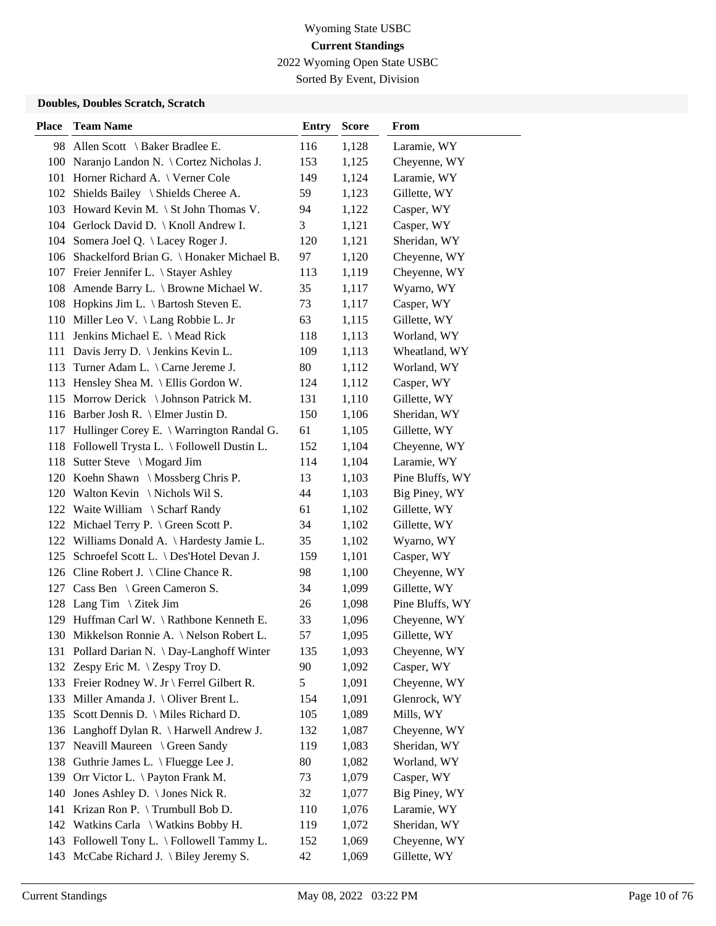2022 Wyoming Open State USBC

Sorted By Event, Division

| <b>Place</b> | <b>Team Name</b>                              | <b>Entry</b> | <b>Score</b> | From            |
|--------------|-----------------------------------------------|--------------|--------------|-----------------|
|              | 98 Allen Scott \ Baker Bradlee E.             | 116          | 1,128        | Laramie, WY     |
|              | 100 Naranjo Landon N. \ Cortez Nicholas J.    | 153          | 1,125        | Cheyenne, WY    |
|              | 101 Horner Richard A. \ Verner Cole           | 149          | 1,124        | Laramie, WY     |
|              | 102 Shields Bailey \ Shields Cheree A.        | 59           | 1,123        | Gillette, WY    |
|              | 103 Howard Kevin M. \ St John Thomas V.       | 94           | 1,122        | Casper, WY      |
|              | 104 Gerlock David D.   Knoll Andrew I.        | 3            | 1,121        | Casper, WY      |
|              | 104 Somera Joel Q. \ Lacey Roger J.           | 120          | 1,121        | Sheridan, WY    |
|              | 106 Shackelford Brian G. \ Honaker Michael B. | 97           | 1,120        | Cheyenne, WY    |
|              | 107 Freier Jennifer L. \ Stayer Ashley        | 113          | 1,119        | Cheyenne, WY    |
|              | 108 Amende Barry L. \ Browne Michael W.       | 35           | 1,117        | Wyarno, WY      |
|              | 108 Hopkins Jim L. \ Bartosh Steven E.        | 73           | 1,117        | Casper, WY      |
|              | 110 Miller Leo V. \ Lang Robbie L. Jr         | 63           | 1,115        | Gillette, WY    |
| 111          | Jenkins Michael E. \ Mead Rick                | 118          | 1,113        | Worland, WY     |
|              | 111 Davis Jerry D. \ Jenkins Kevin L.         | 109          | 1,113        | Wheatland, WY   |
|              | 113 Turner Adam L. \ Carne Jereme J.          | 80           | 1,112        | Worland, WY     |
|              | 113 Hensley Shea M. \ Ellis Gordon W.         | 124          | 1,112        | Casper, WY      |
|              | 115 Morrow Derick \ Johnson Patrick M.        | 131          | 1,110        | Gillette, WY    |
|              | 116 Barber Josh R. \ Elmer Justin D.          | 150          | 1,106        | Sheridan, WY    |
|              | 117 Hullinger Corey E. \ Warrington Randal G. | 61           | 1,105        | Gillette, WY    |
|              | 118 Followell Trysta L. \ Followell Dustin L. | 152          | 1,104        | Cheyenne, WY    |
|              | 118 Sutter Steve \ Mogard Jim                 | 114          | 1,104        | Laramie, WY     |
|              | 120 Koehn Shawn \ Mossberg Chris P.           | 13           | 1,103        | Pine Bluffs, WY |
|              | 120 Walton Kevin \ Nichols Wil S.             | 44           | 1,103        | Big Piney, WY   |
|              | 122 Waite William \ Scharf Randy              | 61           | 1,102        | Gillette, WY    |
|              | 122 Michael Terry P. \ Green Scott P.         | 34           | 1,102        | Gillette, WY    |
| 122          | Williams Donald A. \ Hardesty Jamie L.        | 35           | 1,102        | Wyarno, WY      |
|              | 125 Schroefel Scott L. \ Des'Hotel Devan J.   | 159          | 1,101        | Casper, WY      |
| 126          | Cline Robert J. $\backslash$ Cline Chance R.  | 98           | 1,100        | Cheyenne, WY    |
|              | 127 Cass Ben \ Green Cameron S.               | 34           | 1,099        | Gillette, WY    |
|              | 128 Lang Tim \ Zitek Jim                      | 26           | 1,098        | Pine Bluffs, WY |
|              | 129 Huffman Carl W. \Rathbone Kenneth E.      | 33           | 1,096        | Cheyenne, WY    |
|              | 130 Mikkelson Ronnie A. \ Nelson Robert L.    | 57           | 1,095        | Gillette, WY    |
|              | 131 Pollard Darian N. \ Day-Langhoff Winter   | 135          | 1,093        | Cheyenne, WY    |
|              | 132 Zespy Eric M. \ Zespy Troy D.             | 90           | 1,092        | Casper, WY      |
|              | 133 Freier Rodney W. Jr \ Ferrel Gilbert R.   | 5            | 1,091        | Cheyenne, WY    |
| 133          | Miller Amanda J. $\setminus$ Oliver Brent L.  | 154          | 1,091        | Glenrock, WY    |
|              | 135 Scott Dennis D. \ Miles Richard D.        | 105          | 1,089        | Mills, WY       |
| 136          | Langhoff Dylan R. \ Harwell Andrew J.         | 132          | 1,087        | Cheyenne, WY    |
| 137          | Neavill Maureen \ Green Sandy                 | 119          | 1,083        | Sheridan, WY    |
| 138          | Guthrie James L. \ Fluegge Lee J.             | 80           | 1,082        | Worland, WY     |
| 139          | Orr Victor L. \ Payton Frank M.               | 73           | 1,079        | Casper, WY      |
| 140          | Jones Ashley D. \ Jones Nick R.               | 32           | 1,077        | Big Piney, WY   |
| 141          | Krizan Ron P. \Trumbull Bob D.                | 110          | 1,076        | Laramie, WY     |
|              | 142 Watkins Carla \ Watkins Bobby H.          | 119          | 1,072        | Sheridan, WY    |
|              | 143 Followell Tony L. \ Followell Tammy L.    | 152          | 1,069        | Cheyenne, WY    |
| 143          | McCabe Richard J. $\langle$ Biley Jeremy S.   | 42           | 1,069        | Gillette, WY    |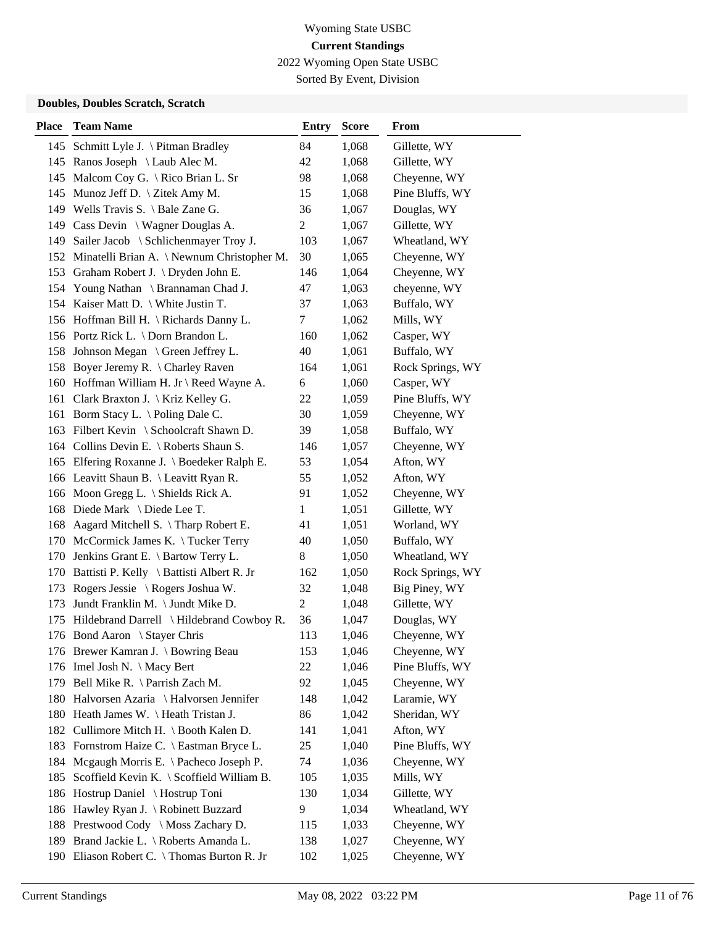2022 Wyoming Open State USBC

Sorted By Event, Division

| <b>Place</b> | <b>Team Name</b>                              | <b>Entry</b> | <b>Score</b> | From             |
|--------------|-----------------------------------------------|--------------|--------------|------------------|
|              | 145 Schmitt Lyle J. \ Pitman Bradley          | 84           | 1,068        | Gillette, WY     |
|              | 145 Ranos Joseph \ Laub Alec M.               | 42           | 1,068        | Gillette, WY     |
|              | 145 Malcom Coy G. \ Rico Brian L. Sr          | 98           | 1,068        | Cheyenne, WY     |
|              | 145 Munoz Jeff D. \ Zitek Amy M.              | 15           | 1,068        | Pine Bluffs, WY  |
|              | 149 Wells Travis S. \ Bale Zane G.            | 36           | 1,067        | Douglas, WY      |
|              | 149 Cass Devin \ Wagner Douglas A.            | 2            | 1,067        | Gillette, WY     |
|              | 149 Sailer Jacob \ Schlichenmayer Troy J.     | 103          | 1,067        | Wheatland, WY    |
|              | 152 Minatelli Brian A. \Newnum Christopher M. | 30           | 1,065        | Cheyenne, WY     |
|              | 153 Graham Robert J. \ Dryden John E.         | 146          | 1,064        | Cheyenne, WY     |
|              | 154 Young Nathan \ Brannaman Chad J.          | 47           | 1,063        | cheyenne, WY     |
|              | 154 Kaiser Matt D. \ White Justin T.          | 37           | 1,063        | Buffalo, WY      |
|              | 156 Hoffman Bill H. \ Richards Danny L.       | 7            | 1,062        | Mills, WY        |
|              | 156 Portz Rick L. \ Dorn Brandon L.           | 160          | 1,062        | Casper, WY       |
|              | 158 Johnson Megan \ Green Jeffrey L.          | 40           | 1,061        | Buffalo, WY      |
|              | 158 Boyer Jeremy R. \ Charley Raven           | 164          | 1,061        | Rock Springs, WY |
|              | 160 Hoffman William H. Jr \ Reed Wayne A.     | 6            | 1,060        | Casper, WY       |
| 161          | Clark Braxton J. $\overline{K}$ riz Kelley G. | 22           | 1,059        | Pine Bluffs, WY  |
|              | 161 Borm Stacy L. \Poling Dale C.             | 30           | 1,059        | Cheyenne, WY     |
| 163          | Filbert Kevin \ Schoolcraft Shawn D.          | 39           | 1,058        | Buffalo, WY      |
|              | 164 Collins Devin E. \ Roberts Shaun S.       | 146          | 1,057        | Cheyenne, WY     |
|              | 165 Elfering Roxanne J. \ Boedeker Ralph E.   | 53           | 1,054        | Afton, WY        |
|              | 166 Leavitt Shaun B. \ Leavitt Ryan R.        | 55           | 1,052        | Afton, WY        |
|              | 166 Moon Gregg L. \ Shields Rick A.           | 91           | 1,052        | Cheyenne, WY     |
|              | 168 Diede Mark \ Diede Lee T.                 | 1            | 1,051        | Gillette, WY     |
|              | 168 Aagard Mitchell S. \Tharp Robert E.       | 41           | 1,051        | Worland, WY      |
|              | 170 McCormick James K. \Tucker Terry          | 40           | 1,050        | Buffalo, WY      |
| 170          | Jenkins Grant E. \ Bartow Terry L.            | 8            | 1,050        | Wheatland, WY    |
|              | 170 Battisti P. Kelly \ Battisti Albert R. Jr | 162          | 1,050        | Rock Springs, WY |
| 173          | Rogers Jessie \ Rogers Joshua W.              | 32           | 1,048        | Big Piney, WY    |
| 173          | Jundt Franklin M. \ Jundt Mike D.             | 2            | 1,048        | Gillette, WY     |
| 175          | Hildebrand Darrell \ Hildebrand Cowboy R.     | 36           | 1,047        | Douglas, WY      |
|              | 176 Bond Aaron \ Stayer Chris                 | 113          | 1,046        | Cheyenne, WY     |
|              | 176 Brewer Kamran J. \ Bowring Beau           | 153          | 1,046        | Cheyenne, WY     |
|              | 176 Imel Josh N. \ Macy Bert                  | 22           | 1,046        | Pine Bluffs, WY  |
|              | 179 Bell Mike R. \ Parrish Zach M.            | 92           | 1,045        | Cheyenne, WY     |
|              | 180 Halvorsen Azaria \ Halvorsen Jennifer     | 148          | 1,042        | Laramie, WY      |
|              | 180 Heath James W. \Heath Tristan J.          | 86           | 1,042        | Sheridan, WY     |
| 182          | Cullimore Mitch H. \ Booth Kalen D.           | 141          | 1,041        | Afton, WY        |
| 183          | Fornstrom Haize C. \ Eastman Bryce L.         | 25           | 1,040        | Pine Bluffs, WY  |
| 184          | Mcgaugh Morris E. \ Pacheco Joseph P.         | 74           | 1,036        | Cheyenne, WY     |
| 185          | Scoffield Kevin K. \ Scoffield William B.     | 105          | 1,035        | Mills, WY        |
| 186          | Hostrup Daniel \ Hostrup Toni                 | 130          | 1,034        | Gillette, WY     |
| 186          | Hawley Ryan J. \ Robinett Buzzard             | 9            | 1,034        | Wheatland, WY    |
| 188          | Prestwood Cody \ Moss Zachary D.              | 115          | 1,033        | Cheyenne, WY     |
|              | 189 Brand Jackie L. \ Roberts Amanda L.       | 138          | 1,027        | Cheyenne, WY     |
|              | 190 Eliason Robert C. \Thomas Burton R. Jr    | 102          | 1,025        | Cheyenne, WY     |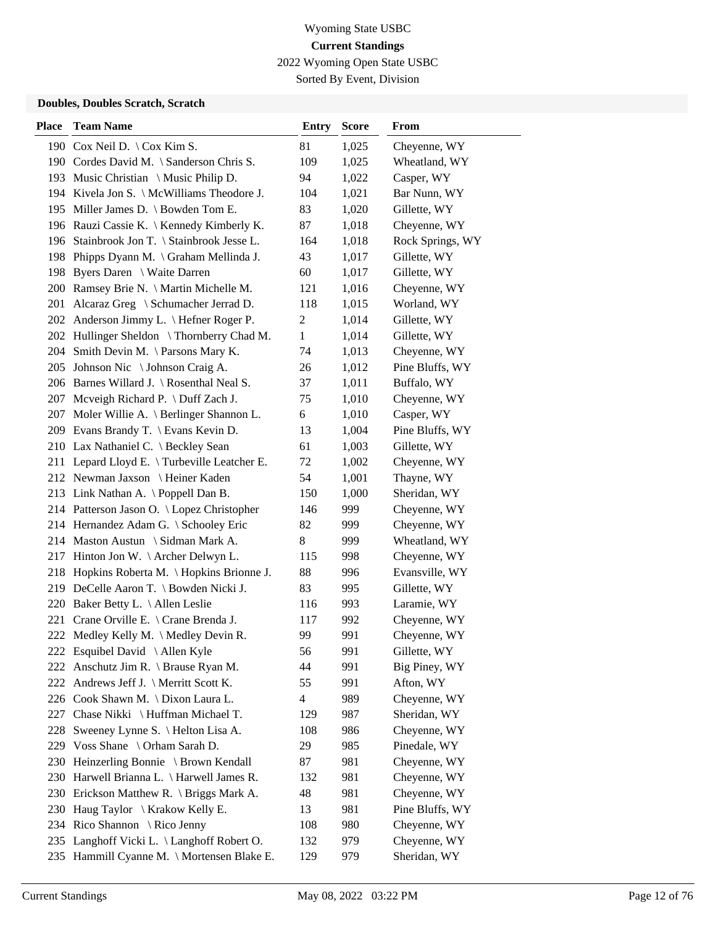2022 Wyoming Open State USBC

Sorted By Event, Division

| <b>Place</b> | <b>Team Name</b>                            | <b>Entry</b>   | <b>Score</b> | From             |
|--------------|---------------------------------------------|----------------|--------------|------------------|
|              | 190 Cox Neil D. \ Cox Kim S.                | 81             | 1,025        | Cheyenne, WY     |
|              | 190 Cordes David M. \ Sanderson Chris S.    | 109            | 1,025        | Wheatland, WY    |
|              | 193 Music Christian \ Music Philip D.       | 94             | 1,022        | Casper, WY       |
|              | 194 Kivela Jon S. \ McWilliams Theodore J.  | 104            | 1,021        | Bar Nunn, WY     |
|              | 195 Miller James D. \ Bowden Tom E.         | 83             | 1,020        | Gillette, WY     |
|              | 196 Rauzi Cassie K.   Kennedy Kimberly K.   | 87             | 1,018        | Cheyenne, WY     |
|              | 196 Stainbrook Jon T. \ Stainbrook Jesse L. | 164            | 1,018        | Rock Springs, WY |
|              | 198 Phipps Dyann M. \ Graham Mellinda J.    | 43             | 1,017        | Gillette, WY     |
|              | 198 Byers Daren \ Waite Darren              | 60             | 1,017        | Gillette, WY     |
|              | 200 Ramsey Brie N. \ Martin Michelle M.     | 121            | 1,016        | Cheyenne, WY     |
|              | 201 Alcaraz Greg \ Schumacher Jerrad D.     | 118            | 1,015        | Worland, WY      |
|              | 202 Anderson Jimmy L. \ Hefner Roger P.     | $\overline{c}$ | 1,014        | Gillette, WY     |
|              | 202 Hullinger Sheldon \Thornberry Chad M.   | 1              | 1,014        | Gillette, WY     |
| 204          | Smith Devin M. \ Parsons Mary K.            | 74             | 1,013        | Cheyenne, WY     |
|              | 205 Johnson Nic \ Johnson Craig A.          | 26             | 1,012        | Pine Bluffs, WY  |
|              | 206 Barnes Willard J. \ Rosenthal Neal S.   | 37             | 1,011        | Buffalo, WY      |
|              | 207 Mcveigh Richard P. \ Duff Zach J.       | 75             | 1,010        | Cheyenne, WY     |
| 207          | Moler Willie A. \ Berlinger Shannon L.      | 6              | 1,010        | Casper, WY       |
|              | 209 Evans Brandy T. \ Evans Kevin D.        | 13             | 1,004        | Pine Bluffs, WY  |
|              | 210 Lax Nathaniel C. \ Beckley Sean         | 61             | 1,003        | Gillette, WY     |
|              | 211 Lepard Lloyd E. \Turbeville Leatcher E. | 72             | 1,002        | Cheyenne, WY     |
|              | 212 Newman Jaxson \ Heiner Kaden            | 54             | 1,001        | Thayne, WY       |
|              | 213 Link Nathan A. \Poppell Dan B.          | 150            | 1,000        | Sheridan, WY     |
|              | 214 Patterson Jason O. \ Lopez Christopher  | 146            | 999          | Cheyenne, WY     |
|              | 214 Hernandez Adam G. \ Schooley Eric       | 82             | 999          | Cheyenne, WY     |
|              | 214 Maston Austun \ Sidman Mark A.          | 8              | 999          | Wheatland, WY    |
| 217          | Hinton Jon W. $\ \$ Archer Delwyn L.        | 115            | 998          | Cheyenne, WY     |
| 218          | Hopkins Roberta M. \Hopkins Brionne J.      | 88             | 996          | Evansville, WY   |
|              | 219 DeCelle Aaron T. \ Bowden Nicki J.      | 83             | 995          | Gillette, WY     |
| 220          | Baker Betty L. \ Allen Leslie               | 116            | 993          | Laramie, WY      |
|              | 221 Crane Orville E. \ Crane Brenda J.      | 117            | 992          | Cheyenne, WY     |
|              | 222 Medley Kelly M. \ Medley Devin R.       | 99             | 991          | Cheyenne, WY     |
|              | 222 Esquibel David \ Allen Kyle             | 56             | 991          | Gillette, WY     |
| 222          | Anschutz Jim R. $\langle$ Brause Ryan M.    | 44             | 991          | Big Piney, WY    |
| 222          | Andrews Jeff J. $\$ Merritt Scott K.        | 55             | 991          | Afton, WY        |
|              | 226 Cook Shawn M. \ Dixon Laura L.          | $\overline{4}$ | 989          | Cheyenne, WY     |
| 227          | Chase Nikki \ Huffman Michael T.            | 129            | 987          | Sheridan, WY     |
| 228          | Sweeney Lynne S. \ Helton Lisa A.           | 108            | 986          | Cheyenne, WY     |
| 229          | Voss Shane $\setminus$ Orham Sarah D.       | 29             | 985          | Pinedale, WY     |
| 230          | Heinzerling Bonnie \ Brown Kendall          | 87             | 981          | Cheyenne, WY     |
| 230          | Harwell Brianna L. \ Harwell James R.       | 132            | 981          | Cheyenne, WY     |
|              | 230 Erickson Matthew R. \ Briggs Mark A.    | 48             | 981          | Cheyenne, WY     |
|              | 230 Haug Taylor \ Krakow Kelly E.           | 13             | 981          | Pine Bluffs, WY  |
|              | 234 Rico Shannon \ Rico Jenny               | 108            | 980          | Cheyenne, WY     |
|              | 235 Langhoff Vicki L. \ Langhoff Robert O.  | 132            | 979          | Cheyenne, WY     |
|              | 235 Hammill Cyanne M. \ Mortensen Blake E.  | 129            | 979          | Sheridan, WY     |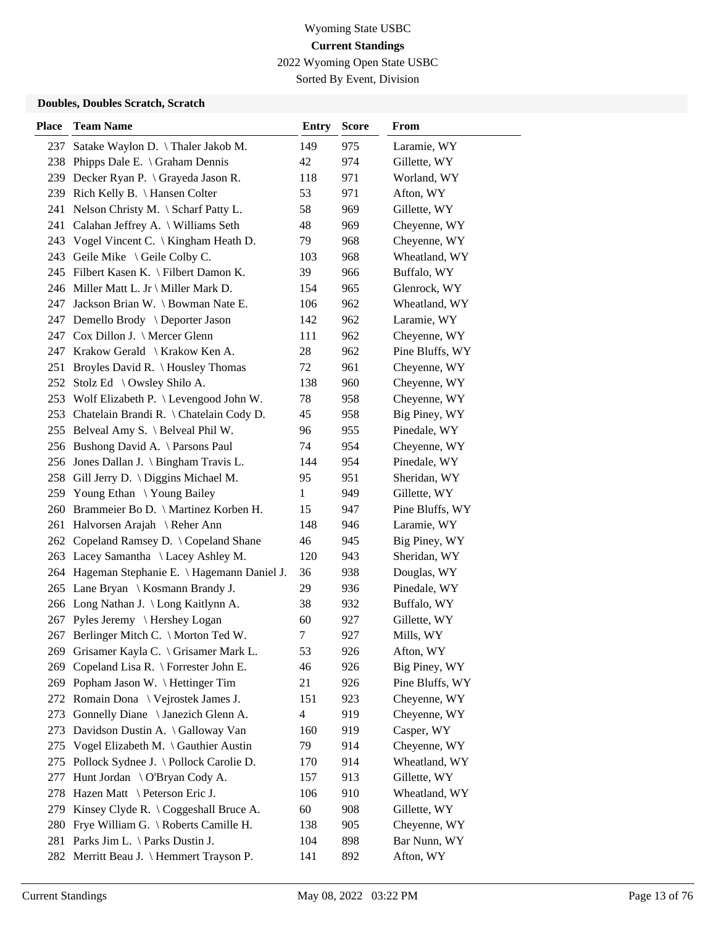2022 Wyoming Open State USBC

Sorted By Event, Division

| <b>Place</b> | <b>Team Name</b>                                | <b>Entry</b>             | <b>Score</b> | From            |
|--------------|-------------------------------------------------|--------------------------|--------------|-----------------|
| 237          | Satake Waylon D. \Thaler Jakob M.               | 149                      | 975          | Laramie, WY     |
|              | 238 Phipps Dale E. \ Graham Dennis              | 42                       | 974          | Gillette, WY    |
|              | 239 Decker Ryan P. \ Grayeda Jason R.           | 118                      | 971          | Worland, WY     |
|              | 239 Rich Kelly B. \ Hansen Colter               | 53                       | 971          | Afton, WY       |
|              | 241 Nelson Christy M. \ Scharf Patty L.         | 58                       | 969          | Gillette, WY    |
| 241          | Calahan Jeffrey A. \ Williams Seth              | 48                       | 969          | Cheyenne, WY    |
|              | 243 Vogel Vincent C. \ Kingham Heath D.         | 79                       | 968          | Cheyenne, WY    |
|              | 243 Geile Mike \ Geile Colby C.                 | 103                      | 968          | Wheatland, WY   |
|              | 245 Filbert Kasen K. \ Filbert Damon K.         | 39                       | 966          | Buffalo, WY     |
|              | 246 Miller Matt L. Jr \ Miller Mark D.          | 154                      | 965          | Glenrock, WY    |
| 247          | Jackson Brian W. \ Bowman Nate E.               | 106                      | 962          | Wheatland, WY   |
|              | 247 Demello Brody \ Deporter Jason              | 142                      | 962          | Laramie, WY     |
|              | 247 Cox Dillon J. \ Mercer Glenn                | 111                      | 962          | Cheyenne, WY    |
|              | 247 Krakow Gerald \ Krakow Ken A.               | 28                       | 962          | Pine Bluffs, WY |
|              | 251 Broyles David R. \ Housley Thomas           | 72                       | 961          | Cheyenne, WY    |
|              | 252 Stolz Ed \ Owsley Shilo A.                  | 138                      | 960          | Cheyenne, WY    |
|              | 253 Wolf Elizabeth P. \ Levengood John W.       | 78                       | 958          | Cheyenne, WY    |
|              | 253 Chatelain Brandi R. \ Chatelain Cody D.     | 45                       | 958          | Big Piney, WY   |
|              | 255 Belveal Amy S. \ Belveal Phil W.            | 96                       | 955          | Pinedale, WY    |
|              | 256 Bushong David A. \ Parsons Paul             | 74                       | 954          | Cheyenne, WY    |
|              | 256 Jones Dallan J. \ Bingham Travis L.         | 144                      | 954          | Pinedale, WY    |
|              | 258 Gill Jerry D. \ Diggins Michael M.          | 95                       | 951          | Sheridan, WY    |
|              | 259 Young Ethan \Young Bailey                   | 1                        | 949          | Gillette, WY    |
|              | 260 Brammeier Bo D. \ Martinez Korben H.        | 15                       | 947          | Pine Bluffs, WY |
|              | 261 Halvorsen Arajah \ Reher Ann                | 148                      | 946          | Laramie, WY     |
| 262          | Copeland Ramsey D. \ Copeland Shane             | 46                       | 945          | Big Piney, WY   |
|              | 263 Lacey Samantha \ Lacey Ashley M.            | 120                      | 943          | Sheridan, WY    |
|              | 264 Hageman Stephanie E. \ Hagemann Daniel J.   | 36                       | 938          | Douglas, WY     |
|              | 265 Lane Bryan \ Kosmann Brandy J.              | 29                       | 936          | Pinedale, WY    |
|              | 266 Long Nathan J. \Long Kaitlynn A.            | 38                       | 932          | Buffalo, WY     |
|              | 267 Pyles Jeremy \ Hershey Logan                | 60                       | 927          | Gillette, WY    |
|              | 267 Berlinger Mitch C. \ Morton Ted W.          | 7                        | 927          | Mills, WY       |
| 269          | Grisamer Kayla C. \ Grisamer Mark L.            | 53                       | 926          | Afton, WY       |
| 269          | Copeland Lisa R. $\backslash$ Forrester John E. | 46                       | 926          | Big Piney, WY   |
|              | 269 Popham Jason W. \ Hettinger Tim             | 21                       | 926          | Pine Bluffs, WY |
|              | 272 Romain Dona \ Vejrostek James J.            | 151                      | 923          | Cheyenne, WY    |
| 273          | Gonnelly Diane \ Janezich Glenn A.              | $\overline{\mathcal{L}}$ | 919          | Cheyenne, WY    |
| 273          | Davidson Dustin A. \ Galloway Van               | 160                      | 919          | Casper, WY      |
| 275          | Vogel Elizabeth M. \ Gauthier Austin            | 79                       | 914          | Cheyenne, WY    |
| 275          | Pollock Sydnee J. \ Pollock Carolie D.          | 170                      | 914          | Wheatland, WY   |
| 277          | Hunt Jordan \ O'Bryan Cody A.                   | 157                      | 913          | Gillette, WY    |
| 278          | Hazen Matt \ Peterson Eric J.                   | 106                      | 910          | Wheatland, WY   |
|              | 279 Kinsey Clyde R. \ Coggeshall Bruce A.       | 60                       | 908          | Gillette, WY    |
| 280          | Frye William G. \ Roberts Camille H.            | 138                      | 905          | Cheyenne, WY    |
|              | 281 Parks Jim L. \ Parks Dustin J.              | 104                      | 898          | Bar Nunn, WY    |
|              | 282 Merritt Beau J. \ Hemmert Trayson P.        | 141                      | 892          | Afton, WY       |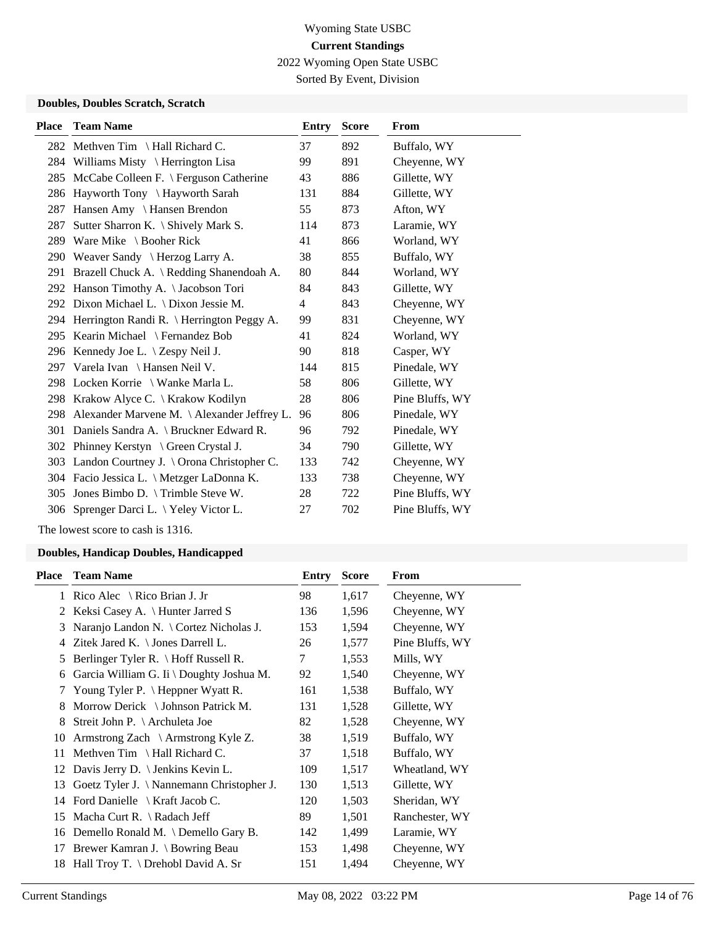2022 Wyoming Open State USBC

Sorted By Event, Division

### **Doubles, Doubles Scratch, Scratch**

| <b>Place</b> | <b>Team Name</b>                               | Entry          | <b>Score</b> | From            |
|--------------|------------------------------------------------|----------------|--------------|-----------------|
|              | 282 Methven Tim \ Hall Richard C.              | 37             | 892          | Buffalo, WY     |
|              | 284 Williams Misty \ Herrington Lisa           | 99             | 891          | Cheyenne, WY    |
| 285          | McCabe Colleen F. \ Ferguson Catherine         | 43             | 886          | Gillette, WY    |
| 286          | Hayworth Tony \ Hayworth Sarah                 | 131            | 884          | Gillette, WY    |
| 287          | Hansen Amy \ Hansen Brendon                    | 55             | 873          | Afton, WY       |
| 287          | Sutter Sharron K. \ Shively Mark S.            | 114            | 873          | Laramie, WY     |
| 289          | Ware Mike $\setminus$ Booher Rick              | 41             | 866          | Worland, WY     |
| 290          | Weaver Sandy $\langle$ Herzog Larry A.         | 38             | 855          | Buffalo, WY     |
| 291          | Brazell Chuck A. \ Redding Shanendoah A.       | 80             | 844          | Worland, WY     |
|              | 292 Hanson Timothy A. \Jacobson Tori           | 84             | 843          | Gillette, WY    |
|              | 292 Dixon Michael L. \ Dixon Jessie M.         | $\overline{4}$ | 843          | Cheyenne, WY    |
|              | 294 Herrington Randi R. \ Herrington Peggy A.  | 99             | 831          | Cheyenne, WY    |
| 295          | Kearin Michael \ Fernandez Bob                 | 41             | 824          | Worland, WY     |
|              | 296 Kennedy Joe L. \ Zespy Neil J.             | 90             | 818          | Casper, WY      |
| 297          | Varela Ivan \ Hansen Neil V.                   | 144            | 815          | Pinedale, WY    |
|              | 298 Locken Korrie \ Wanke Marla L.             | 58             | 806          | Gillette, WY    |
|              | 298 Krakow Alyce C. \ Krakow Kodilyn           | 28             | 806          | Pine Bluffs, WY |
|              | 298 Alexander Marvene M. \Alexander Jeffrey L. | 96             | 806          | Pinedale, WY    |
| 301          | Daniels Sandra A. \ Bruckner Edward R.         | 96             | 792          | Pinedale, WY    |
|              | 302 Phinney Kerstyn \ Green Crystal J.         | 34             | 790          | Gillette, WY    |
| 303          | Landon Courtney J. \ Orona Christopher C.      | 133            | 742          | Cheyenne, WY    |
|              | 304 Facio Jessica L. \ Metzger LaDonna K.      | 133            | 738          | Cheyenne, WY    |
| 305          | Jones Bimbo D. \ Trimble Steve W.              | 28             | 722          | Pine Bluffs, WY |
|              | 306 Sprenger Darci L. \ Yeley Victor L.        | 27             | 702          | Pine Bluffs, WY |
|              |                                                |                |              |                 |

The lowest score to cash is 1316.

| <b>Place</b> | <b>Team Name</b>                             | Entry | <b>Score</b> | <b>From</b>     |
|--------------|----------------------------------------------|-------|--------------|-----------------|
|              | 1 Rico Alec $\setminus$ Rico Brian J. Jr     | 98    | 1,617        | Cheyenne, WY    |
| 2            | Keksi Casey A. $\{$ Hunter Jarred S          | 136   | 1,596        | Cheyenne, WY    |
| 3            | Naranjo Landon N. \ Cortez Nicholas J.       | 153   | 1,594        | Cheyenne, WY    |
| 4            | Zitek Jared K. $\setminus$ Jones Darrell L.  | 26    | 1,577        | Pine Bluffs, WY |
| 5            | Berlinger Tyler R. \ Hoff Russell R.         | 7     | 1,553        | Mills, WY       |
| 6            | Garcia William G. Ii \ Doughty Joshua M.     | 92    | 1,540        | Cheyenne, WY    |
| 7            | Young Tyler P. \ Heppner Wyatt R.            | 161   | 1,538        | Buffalo, WY     |
| 8            | Morrow Derick $\setminus$ Johnson Patrick M. | 131   | 1,528        | Gillette, WY    |
| 8            | Streit John P. \ Archuleta Joe               | 82    | 1,528        | Cheyenne, WY    |
| 10           | Armstrong Zach $\setminus$ Armstrong Kyle Z. | 38    | 1,519        | Buffalo, WY     |
| 11           | Methven Tim $\ \$ Hall Richard C.            | 37    | 1,518        | Buffalo, WY     |
|              | 12 Davis Jerry D. \ Jenkins Kevin L.         | 109   | 1,517        | Wheatland, WY   |
| 13           | Goetz Tyler J. \ Nannemann Christopher J.    | 130   | 1,513        | Gillette, WY    |
|              | 14 Ford Danielle \ Kraft Jacob C.            | 120   | 1,503        | Sheridan, WY    |
| 15           | Macha Curt R. $\setminus$ Radach Jeff        | 89    | 1,501        | Ranchester, WY  |
| 16           | Demello Ronald M. $\Delta$ Demello Gary B.   | 142   | 1,499        | Laramie, WY     |
| 17           | Brewer Kamran J. \ Bowring Beau              | 153   | 1,498        | Cheyenne, WY    |
| 18           | Hall Troy T. $\Delta$ Drehobl David A. Sr    | 151   | 1,494        | Cheyenne, WY    |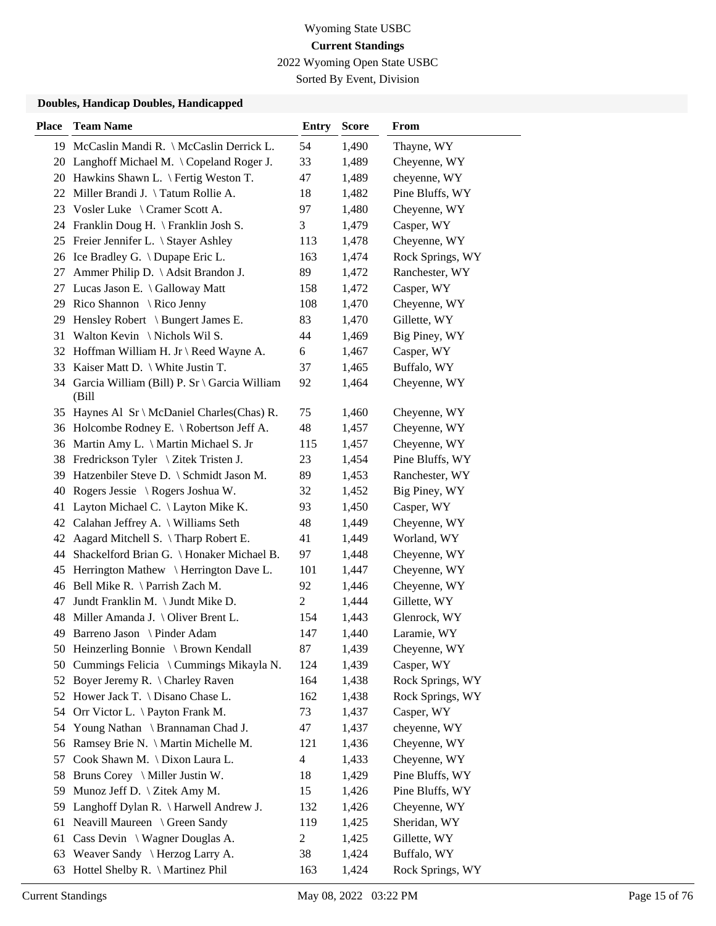2022 Wyoming Open State USBC

Sorted By Event, Division

| <b>Place</b> | <b>Team Name</b>                                         | <b>Entry</b>   | <b>Score</b> | From             |
|--------------|----------------------------------------------------------|----------------|--------------|------------------|
|              | 19 McCaslin Mandi R. \ McCaslin Derrick L.               | 54             | 1,490        | Thayne, WY       |
|              | 20 Langhoff Michael M. \Copeland Roger J.                | 33             | 1,489        | Cheyenne, WY     |
|              | 20 Hawkins Shawn L. \ Fertig Weston T.                   | 47             | 1,489        | cheyenne, WY     |
|              | 22 Miller Brandi J. \Tatum Rollie A.                     | 18             | 1,482        | Pine Bluffs, WY  |
|              | 23 Vosler Luke \ Cramer Scott A.                         | 97             | 1,480        | Cheyenne, WY     |
|              | 24 Franklin Doug H. \ Franklin Josh S.                   | 3              | 1,479        | Casper, WY       |
|              | 25 Freier Jennifer L. \ Stayer Ashley                    | 113            | 1,478        | Cheyenne, WY     |
|              | 26 Ice Bradley G. \Dupape Eric L.                        | 163            | 1,474        | Rock Springs, WY |
| 27           | Ammer Philip D. \ Adsit Brandon J.                       | 89             | 1,472        | Ranchester, WY   |
| 27           | Lucas Jason E. \ Galloway Matt                           | 158            | 1,472        | Casper, WY       |
| 29           | Rico Shannon \ Rico Jenny                                | 108            | 1,470        | Cheyenne, WY     |
|              | 29 Hensley Robert \ Bungert James E.                     | 83             | 1,470        | Gillette, WY     |
| 31           | Walton Kevin \ Nichols Wil S.                            | 44             | 1,469        | Big Piney, WY    |
| 32           | Hoffman William H. Jr \ Reed Wayne A.                    | 6              | 1,467        | Casper, WY       |
| 33           | Kaiser Matt D. $\backslash$ White Justin T.              | 37             | 1,465        | Buffalo, WY      |
|              | 34 Garcia William (Bill) P. Sr \ Garcia William<br>(Bill | 92             | 1,464        | Cheyenne, WY     |
|              | 35 Haynes Al Sr \ McDaniel Charles (Chas) R.             | 75             | 1,460        | Cheyenne, WY     |
|              | 36 Holcombe Rodney E. \ Robertson Jeff A.                | 48             | 1,457        | Cheyenne, WY     |
|              | 36 Martin Amy L. \ Martin Michael S. Jr                  | 115            | 1,457        | Cheyenne, WY     |
|              | 38 Fredrickson Tyler \ Zitek Tristen J.                  | 23             | 1,454        | Pine Bluffs, WY  |
| 39           | Hatzenbiler Steve D. \ Schmidt Jason M.                  | 89             | 1,453        | Ranchester, WY   |
| 40           | Rogers Jessie \ Rogers Joshua W.                         | 32             | 1,452        | Big Piney, WY    |
| 41           | Layton Michael C. \ Layton Mike K.                       | 93             | 1,450        | Casper, WY       |
| 42           | Calahan Jeffrey A. \ Williams Seth                       | 48             | 1,449        | Cheyenne, WY     |
| 42           | Aagard Mitchell S. \Tharp Robert E.                      | 41             | 1,449        | Worland, WY      |
| 44           | Shackelford Brian G. \ Honaker Michael B.                | 97             | 1,448        | Cheyenne, WY     |
| 45           | Herrington Mathew \ Herrington Dave L.                   | 101            | 1,447        | Cheyenne, WY     |
| 46           | Bell Mike R. \ Parrish Zach M.                           | 92             | 1,446        | Cheyenne, WY     |
| 47           | Jundt Franklin M. \ Jundt Mike D.                        | $\overline{c}$ | 1,444        | Gillette, WY     |
| 48           | Miller Amanda J. $\setminus$ Oliver Brent L.             | 154            | 1,443        | Glenrock, WY     |
|              | 49 Barreno Jason \ Pinder Adam                           | 147            | 1,440        | Laramie, WY      |
|              | 50 Heinzerling Bonnie \ Brown Kendall                    | 87             | 1,439        | Cheyenne, WY     |
|              | 50 Cummings Felicia \ Cummings Mikayla N.                | 124            | 1,439        | Casper, WY       |
| 52           | Boyer Jeremy R. \ Charley Raven                          | 164            | 1,438        | Rock Springs, WY |
|              | 52 Hower Jack T. \ Disano Chase L.                       | 162            | 1,438        | Rock Springs, WY |
|              | 54 Orr Victor L. \ Payton Frank M.                       | 73             | 1,437        | Casper, WY       |
| 54           | Young Nathan \ Brannaman Chad J.                         | 47             | 1,437        | cheyenne, WY     |
| 56           | Ramsey Brie N. \ Martin Michelle M.                      | 121            | 1,436        | Cheyenne, WY     |
| 57           | Cook Shawn M. \ Dixon Laura L.                           | $\overline{4}$ | 1,433        | Cheyenne, WY     |
| 58           | Bruns Corey \ Miller Justin W.                           | 18             | 1,429        | Pine Bluffs, WY  |
| 59           | Munoz Jeff D. \ Zitek Amy M.                             | 15             | 1,426        | Pine Bluffs, WY  |
| 59           | Langhoff Dylan R. \ Harwell Andrew J.                    | 132            | 1,426        | Cheyenne, WY     |
| 61           | Neavill Maureen \ Green Sandy                            | 119            | 1,425        | Sheridan, WY     |
| 61           | Cass Devin $\setminus$ Wagner Douglas A.                 | $\mathbf{2}$   | 1,425        | Gillette, WY     |
| 63           | Weaver Sandy \ Herzog Larry A.                           | 38             | 1,424        | Buffalo, WY      |
| 63           | Hottel Shelby R. \ Martinez Phil                         | 163            | 1,424        | Rock Springs, WY |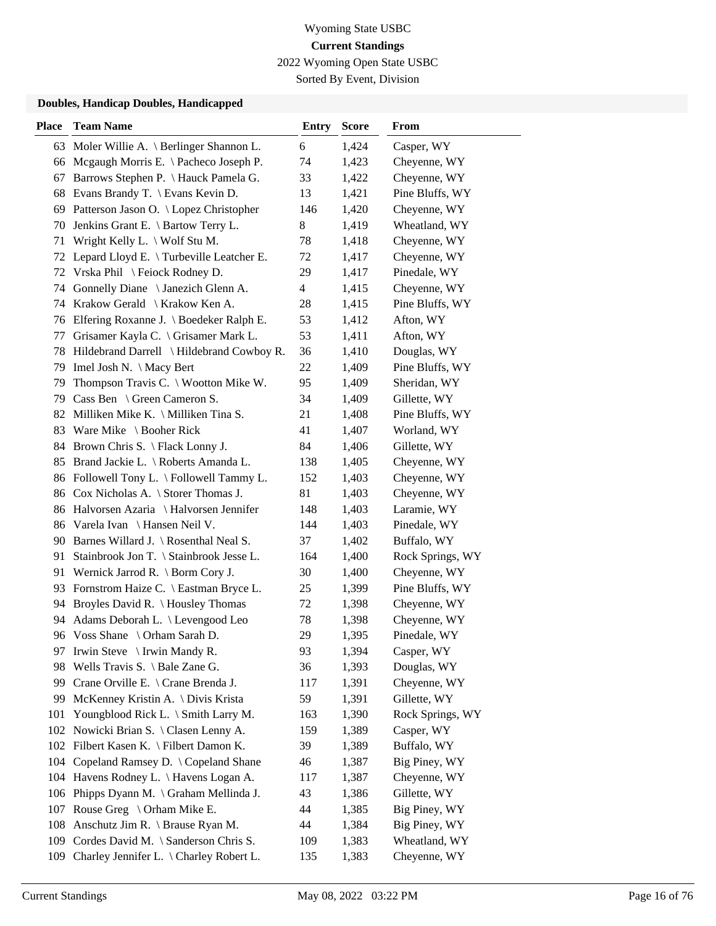2022 Wyoming Open State USBC

Sorted By Event, Division

| <b>Place</b> | <b>Team Name</b>                               | <b>Entry</b> | <b>Score</b> | From             |
|--------------|------------------------------------------------|--------------|--------------|------------------|
|              | 63 Moler Willie A. \ Berlinger Shannon L.      | 6            | 1,424        | Casper, WY       |
| 66           | Mcgaugh Morris E. \ Pacheco Joseph P.          | 74           | 1,423        | Cheyenne, WY     |
| 67           | Barrows Stephen P. \ Hauck Pamela G.           | 33           | 1,422        | Cheyenne, WY     |
| 68           | Evans Brandy T. \ Evans Kevin D.               | 13           | 1,421        | Pine Bluffs, WY  |
|              | 69 Patterson Jason O. \ Lopez Christopher      | 146          | 1,420        | Cheyenne, WY     |
| 70           | Jenkins Grant E. \ Bartow Terry L.             | 8            | 1,419        | Wheatland, WY    |
| 71           | Wright Kelly L. $\setminus$ Wolf Stu M.        | 78           | 1,418        | Cheyenne, WY     |
| 72           | Lepard Lloyd E. \Turbeville Leatcher E.        | 72           | 1,417        | Cheyenne, WY     |
| 72           | Vrska Phil \ Feiock Rodney D.                  | 29           | 1,417        | Pinedale, WY     |
| 74           | Gonnelly Diane \ Janezich Glenn A.             | 4            | 1,415        | Cheyenne, WY     |
| 74           | Krakow Gerald \ Krakow Ken A.                  | 28           | 1,415        | Pine Bluffs, WY  |
|              | 76 Elfering Roxanne J. \ Boedeker Ralph E.     | 53           | 1,412        | Afton, WY        |
| 77           | Grisamer Kayla C. \ Grisamer Mark L.           | 53           | 1,411        | Afton, WY        |
| 78           | Hildebrand Darrell \ Hildebrand Cowboy R.      | 36           | 1,410        | Douglas, WY      |
| 79           | Imel Josh N. \ Macy Bert                       | 22           | 1,409        | Pine Bluffs, WY  |
| 79           | Thompson Travis C. $\setminus$ Wootton Mike W. | 95           | 1,409        | Sheridan, WY     |
| 79           | Cass Ben \ Green Cameron S.                    | 34           | 1,409        | Gillette, WY     |
| 82           | Milliken Mike K. \ Milliken Tina S.            | 21           | 1,408        | Pine Bluffs, WY  |
| 83           | Ware Mike \ Booher Rick                        | 41           | 1,407        | Worland, WY      |
| 84           | Brown Chris S. \ Flack Lonny J.                | 84           | 1,406        | Gillette, WY     |
| 85           | Brand Jackie L. \ Roberts Amanda L.            | 138          | 1,405        | Cheyenne, WY     |
| 86           | Followell Tony L. \ Followell Tammy L.         | 152          | 1,403        | Cheyenne, WY     |
|              | 86 Cox Nicholas A. \ Storer Thomas J.          | 81           | 1,403        | Cheyenne, WY     |
|              | 86 Halvorsen Azaria \ Halvorsen Jennifer       | 148          | 1,403        | Laramie, WY      |
|              | 86 Varela Ivan \ Hansen Neil V.                | 144          | 1,403        | Pinedale, WY     |
| 90           | Barnes Willard J. \ Rosenthal Neal S.          | 37           | 1,402        | Buffalo, WY      |
| 91           | Stainbrook Jon T. \ Stainbrook Jesse L.        | 164          | 1,400        | Rock Springs, WY |
| 91           | Wernick Jarrod R. \ Borm Cory J.               | 30           | 1,400        | Cheyenne, WY     |
| 93           | Fornstrom Haize C. \ Eastman Bryce L.          | 25           | 1,399        | Pine Bluffs, WY  |
| 94           | Broyles David R. \ Housley Thomas              | 72           | 1,398        | Cheyenne, WY     |
|              | 94 Adams Deborah L. \ Levengood Leo            | 78           | 1,398        | Cheyenne, WY     |
|              | 96 Voss Shane \ Orham Sarah D.                 | 29           | 1,395        | Pinedale, WY     |
| 97           | Irwin Steve $\setminus$ Irwin Mandy R.         | 93           | 1,394        | Casper, WY       |
| 98           | Wells Travis S. $\setminus$ Bale Zane G.       | 36           | 1,393        | Douglas, WY      |
| 99           | Crane Orville E. \ Crane Brenda J.             | 117          | 1,391        | Cheyenne, WY     |
| 99           | McKenney Kristin A. \ Divis Krista             | 59           | 1,391        | Gillette, WY     |
| 101          | Youngblood Rick L. \ Smith Larry M.            | 163          | 1,390        | Rock Springs, WY |
| 102          | Nowicki Brian S. \ Clasen Lenny A.             | 159          | 1,389        | Casper, WY       |
|              | 102 Filbert Kasen K. \ Filbert Damon K.        | 39           | 1,389        | Buffalo, WY      |
| 104          | Copeland Ramsey D. \ Copeland Shane            | 46           | 1,387        | Big Piney, WY    |
| 104          | Havens Rodney L. \ Havens Logan A.             | 117          | 1,387        | Cheyenne, WY     |
| 106          | Phipps Dyann M. \ Graham Mellinda J.           | 43           | 1,386        | Gillette, WY     |
| 107          | Rouse Greg $\setminus$ Orham Mike E.           | 44           | 1,385        | Big Piney, WY    |
| 108          | Anschutz Jim R. \ Brause Ryan M.               | 44           | 1,384        | Big Piney, WY    |
| 109          | Cordes David M. \ Sanderson Chris S.           | 109          | 1,383        | Wheatland, WY    |
| 109          | Charley Jennifer L. \ Charley Robert L.        | 135          | 1,383        | Cheyenne, WY     |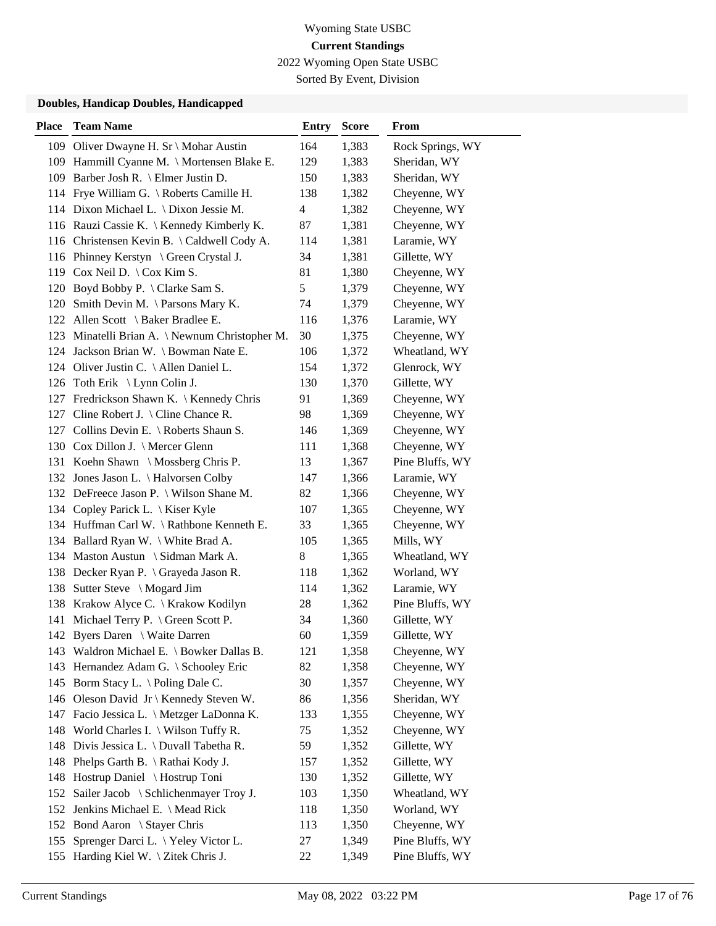2022 Wyoming Open State USBC

Sorted By Event, Division

| <b>Place</b> | <b>Team Name</b>                               | <b>Entry</b> | <b>Score</b> | From             |
|--------------|------------------------------------------------|--------------|--------------|------------------|
| 109          | Oliver Dwayne H. Sr \ Mohar Austin             | 164          | 1,383        | Rock Springs, WY |
|              | 109 Hammill Cyanne M. \ Mortensen Blake E.     | 129          | 1,383        | Sheridan, WY     |
|              | 109 Barber Josh R. \ Elmer Justin D.           | 150          | 1,383        | Sheridan, WY     |
|              | 114 Frye William G. \ Roberts Camille H.       | 138          | 1,382        | Cheyenne, WY     |
|              | 114 Dixon Michael L. \ Dixon Jessie M.         | 4            | 1,382        | Cheyenne, WY     |
|              | 116 Rauzi Cassie K.   Kennedy Kimberly K.      | 87           | 1,381        | Cheyenne, WY     |
|              | 116 Christensen Kevin B. \Caldwell Cody A.     | 114          | 1,381        | Laramie, WY      |
|              | 116 Phinney Kerstyn \ Green Crystal J.         | 34           | 1,381        | Gillette, WY     |
|              | 119 Cox Neil D. \ Cox Kim S.                   | 81           | 1,380        | Cheyenne, WY     |
| 120          | Boyd Bobby P. \ Clarke Sam S.                  | 5            | 1,379        | Cheyenne, WY     |
| 120          | Smith Devin M. $\Gamma$ Parsons Mary K.        | 74           | 1,379        | Cheyenne, WY     |
|              | 122 Allen Scott \ Baker Bradlee E.             | 116          | 1,376        | Laramie, WY      |
|              | 123 Minatelli Brian A. \Newnum Christopher M.  | 30           | 1,375        | Cheyenne, WY     |
|              | 124 Jackson Brian W. \ Bowman Nate E.          | 106          | 1,372        | Wheatland, WY    |
|              | 124 Oliver Justin C. \Allen Daniel L.          | 154          | 1,372        | Glenrock, WY     |
|              | 126 Toth Erik \ Lynn Colin J.                  | 130          | 1,370        | Gillette, WY     |
|              | 127 Fredrickson Shawn K. \ Kennedy Chris       | 91           | 1,369        | Cheyenne, WY     |
| 127          | Cline Robert J. $\backslash$ Cline Chance R.   | 98           | 1,369        | Cheyenne, WY     |
| 127          | Collins Devin E. $\backslash$ Roberts Shaun S. | 146          | 1,369        | Cheyenne, WY     |
|              | 130 Cox Dillon J. \ Mercer Glenn               | 111          | 1,368        | Cheyenne, WY     |
|              | 131 Koehn Shawn \ Mossberg Chris P.            | 13           | 1,367        | Pine Bluffs, WY  |
|              | 132 Jones Jason L. \ Halvorsen Colby           | 147          | 1,366        | Laramie, WY      |
|              | 132 DeFreece Jason P. \ Wilson Shane M.        | 82           | 1,366        | Cheyenne, WY     |
|              | 134 Copley Parick L. \ Kiser Kyle              | 107          | 1,365        | Cheyenne, WY     |
|              | 134 Huffman Carl W. \Rathbone Kenneth E.       | 33           | 1,365        | Cheyenne, WY     |
|              | 134 Ballard Ryan W. \ White Brad A.            | 105          | 1,365        | Mills, WY        |
|              | 134 Maston Austun \ Sidman Mark A.             | 8            | 1,365        | Wheatland, WY    |
|              | 138 Decker Ryan P. \ Grayeda Jason R.          | 118          | 1,362        | Worland, WY      |
| 138          | Sutter Steve \ Mogard Jim                      | 114          | 1,362        | Laramie, WY      |
|              | 138 Krakow Alyce C. \ Krakow Kodilyn           | 28           | 1,362        | Pine Bluffs, WY  |
|              | 141 Michael Terry P. \ Green Scott P.          | 34           | 1,360        | Gillette, WY     |
|              | 142 Byers Daren \ Waite Darren                 | 60           | 1,359        | Gillette, WY     |
|              | 143 Waldron Michael E. \ Bowker Dallas B.      | 121          | 1,358        | Cheyenne, WY     |
|              | 143 Hernandez Adam G. \ Schooley Eric          | 82           | 1,358        | Cheyenne, WY     |
| 145          | Borm Stacy L. \Poling Dale C.                  | 30           | 1,357        | Cheyenne, WY     |
| 146          | Oleson David Jr \ Kennedy Steven W.            | 86           | 1,356        | Sheridan, WY     |
| 147          | Facio Jessica L. \ Metzger LaDonna K.          | 133          | 1,355        | Cheyenne, WY     |
| 148          | World Charles I. \ Wilson Tuffy R.             | 75           | 1,352        | Cheyenne, WY     |
| 148          | Divis Jessica L. \ Duvall Tabetha R.           | 59           | 1,352        | Gillette, WY     |
| 148          | Phelps Garth B. \ Rathai Kody J.               | 157          | 1,352        | Gillette, WY     |
| 148          | Hostrup Daniel \ Hostrup Toni                  | 130          | 1,352        | Gillette, WY     |
| 152          | Sailer Jacob \ Schlichenmayer Troy J.          | 103          | 1,350        | Wheatland, WY    |
| 152          | Jenkins Michael E. \ Mead Rick                 | 118          | 1,350        | Worland, WY      |
|              | 152 Bond Aaron \ Stayer Chris                  | 113          | 1,350        | Cheyenne, WY     |
| 155          | Sprenger Darci L. \ Yeley Victor L.            | 27           | 1,349        | Pine Bluffs, WY  |
|              | 155 Harding Kiel W. \ Zitek Chris J.           | 22           | 1,349        | Pine Bluffs, WY  |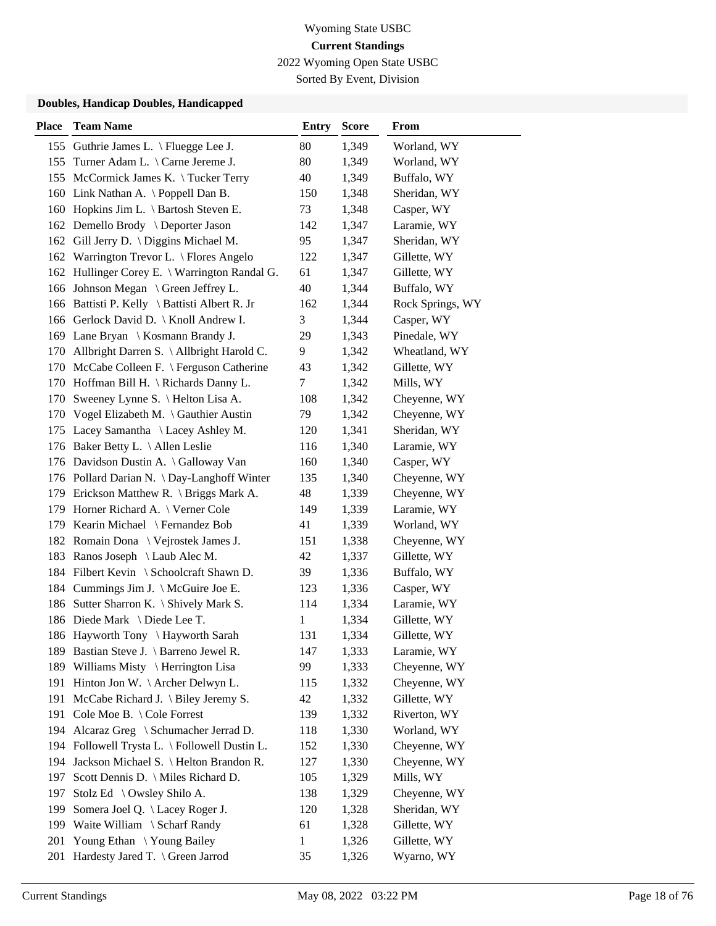2022 Wyoming Open State USBC

Sorted By Event, Division

| <b>Place</b> | <b>Team Name</b>                              | <b>Entry</b> | <b>Score</b> | From             |
|--------------|-----------------------------------------------|--------------|--------------|------------------|
|              | 155 Guthrie James L. \ Fluegge Lee J.         | 80           | 1,349        | Worland, WY      |
|              | 155 Turner Adam L. \ Carne Jereme J.          | 80           | 1,349        | Worland, WY      |
|              | 155 McCormick James K. \Tucker Terry          | 40           | 1,349        | Buffalo, WY      |
|              | 160 Link Nathan A. \Poppell Dan B.            | 150          | 1,348        | Sheridan, WY     |
|              | 160 Hopkins Jim L. \ Bartosh Steven E.        | 73           | 1,348        | Casper, WY       |
|              | 162 Demello Brody \ Deporter Jason            | 142          | 1,347        | Laramie, WY      |
|              | 162 Gill Jerry D. \ Diggins Michael M.        | 95           | 1,347        | Sheridan, WY     |
|              | 162 Warrington Trevor L. \ Flores Angelo      | 122          | 1,347        | Gillette, WY     |
|              | 162 Hullinger Corey E. \ Warrington Randal G. | 61           | 1,347        | Gillette, WY     |
|              | 166 Johnson Megan \ Green Jeffrey L.          | 40           | 1,344        | Buffalo, WY      |
|              | 166 Battisti P. Kelly \ Battisti Albert R. Jr | 162          | 1,344        | Rock Springs, WY |
|              | 166 Gerlock David D. \ Knoll Andrew I.        | 3            | 1,344        | Casper, WY       |
|              | 169 Lane Bryan \ Kosmann Brandy J.            | 29           | 1,343        | Pinedale, WY     |
|              | 170 Allbright Darren S. \ Allbright Harold C. | 9            | 1,342        | Wheatland, WY    |
|              | 170 McCabe Colleen F. \ Ferguson Catherine    | 43           | 1,342        | Gillette, WY     |
|              | 170 Hoffman Bill H. \ Richards Danny L.       | 7            | 1,342        | Mills, WY        |
| 170          | Sweeney Lynne S. \ Helton Lisa A.             | 108          | 1,342        | Cheyenne, WY     |
|              | 170 Vogel Elizabeth M. \ Gauthier Austin      | 79           | 1,342        | Cheyenne, WY     |
|              | 175 Lacey Samantha \ Lacey Ashley M.          | 120          | 1,341        | Sheridan, WY     |
| 176          | Baker Betty L. \ Allen Leslie                 | 116          | 1,340        | Laramie, WY      |
|              | 176 Davidson Dustin A. \Galloway Van          | 160          | 1,340        | Casper, WY       |
|              | 176 Pollard Darian N. \Day-Langhoff Winter    | 135          | 1,340        | Cheyenne, WY     |
|              | 179 Erickson Matthew R. \ Briggs Mark A.      | 48           | 1,339        | Cheyenne, WY     |
|              | 179 Horner Richard A. \ Verner Cole           | 149          | 1,339        | Laramie, WY      |
|              | 179 Kearin Michael \ Fernandez Bob            | 41           | 1,339        | Worland, WY      |
|              | 182 Romain Dona \ Vejrostek James J.          | 151          | 1,338        | Cheyenne, WY     |
|              | 183 Ranos Joseph \ Laub Alec M.               | 42           | 1,337        | Gillette, WY     |
|              | 184 Filbert Kevin \ Schoolcraft Shawn D.      | 39           | 1,336        | Buffalo, WY      |
|              | 184 Cummings Jim J. \ McGuire Joe E.          | 123          | 1,336        | Casper, WY       |
|              | 186 Sutter Sharron K. \ Shively Mark S.       | 114          | 1,334        | Laramie, WY      |
|              | 186 Diede Mark \ Diede Lee T.                 | $\mathbf{1}$ | 1,334        | Gillette, WY     |
|              | 186 Hayworth Tony \ Hayworth Sarah            | 131          | 1,334        | Gillette, WY     |
|              | 189 Bastian Steve J. \ Barreno Jewel R.       | 147          | 1,333        | Laramie, WY      |
| 189          | Williams Misty \ Herrington Lisa              | 99           | 1,333        | Cheyenne, WY     |
| 191          | Hinton Jon W. \ Archer Delwyn L.              | 115          | 1,332        | Cheyenne, WY     |
| 191          | McCabe Richard J. $\langle$ Biley Jeremy S.   | 42           | 1,332        | Gillette, WY     |
| 191          | Cole Moe B. \ Cole Forrest                    | 139          | 1,332        | Riverton, WY     |
| 194          | Alcaraz Greg \ Schumacher Jerrad D.           | 118          | 1,330        | Worland, WY      |
| 194          | Followell Trysta L. \ Followell Dustin L.     | 152          | 1,330        | Cheyenne, WY     |
| 194          | Jackson Michael S. \ Helton Brandon R.        | 127          | 1,330        | Cheyenne, WY     |
| 197          | Scott Dennis D. \ Miles Richard D.            | 105          | 1,329        | Mills, WY        |
| 197          | Stolz Ed \ Owsley Shilo A.                    | 138          | 1,329        | Cheyenne, WY     |
| 199          | Somera Joel Q. \ Lacey Roger J.               | 120          | 1,328        | Sheridan, WY     |
| 199          | Waite William \ Scharf Randy                  | 61           | 1,328        | Gillette, WY     |
| 201          | Young Ethan \Young Bailey                     | $\mathbf{1}$ | 1,326        | Gillette, WY     |
| 201          | Hardesty Jared T. \ Green Jarrod              | 35           | 1,326        | Wyarno, WY       |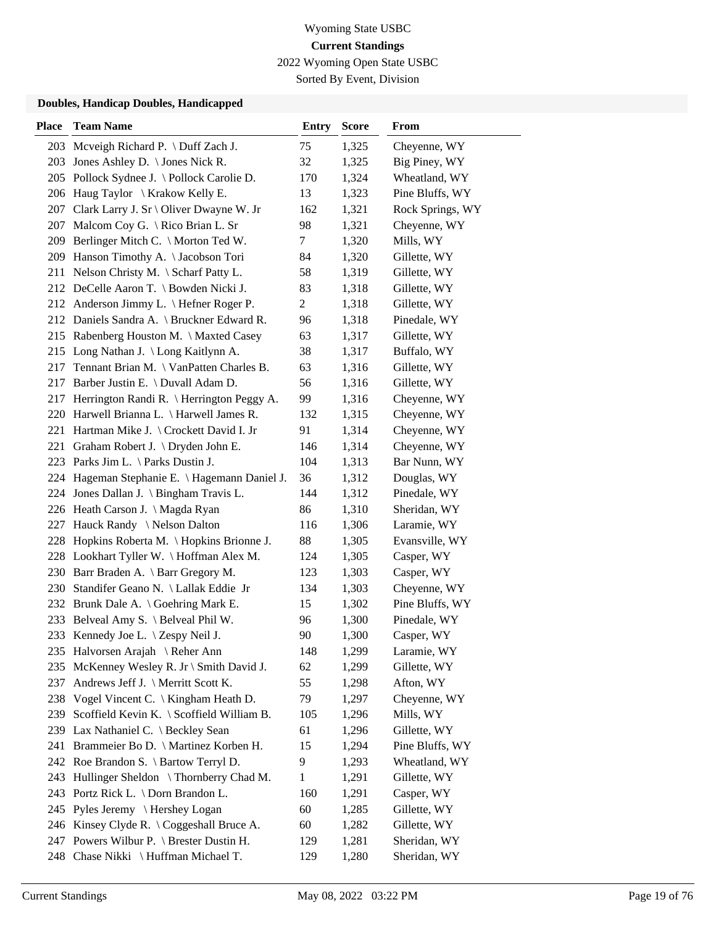2022 Wyoming Open State USBC

Sorted By Event, Division

| <b>Place</b> | <b>Team Name</b>                              | <b>Entry</b>   | <b>Score</b> | From             |
|--------------|-----------------------------------------------|----------------|--------------|------------------|
| 203          | Mcveigh Richard P. \ Duff Zach J.             | 75             | 1,325        | Cheyenne, WY     |
| 203          | Jones Ashley D. \ Jones Nick R.               | 32             | 1,325        | Big Piney, WY    |
| 205          | Pollock Sydnee J. \ Pollock Carolie D.        | 170            | 1,324        | Wheatland, WY    |
| 206          | Haug Taylor \ Krakow Kelly E.                 | 13             | 1,323        | Pine Bluffs, WY  |
| 207          | Clark Larry J. Sr \ Oliver Dwayne W. Jr       | 162            | 1,321        | Rock Springs, WY |
| 207          | Malcom Coy G. \ Rico Brian L. Sr              | 98             | 1,321        | Cheyenne, WY     |
|              | 209 Berlinger Mitch C. \ Morton Ted W.        | 7              | 1,320        | Mills, WY        |
| 209          | Hanson Timothy A. \Jacobson Tori              | 84             | 1,320        | Gillette, WY     |
|              | 211 Nelson Christy M. \ Scharf Patty L.       | 58             | 1,319        | Gillette, WY     |
|              | 212 DeCelle Aaron T. \ Bowden Nicki J.        | 83             | 1,318        | Gillette, WY     |
|              | 212 Anderson Jimmy L. \ Hefner Roger P.       | $\overline{c}$ | 1,318        | Gillette, WY     |
|              | 212 Daniels Sandra A. \ Bruckner Edward R.    | 96             | 1,318        | Pinedale, WY     |
|              | 215 Rabenberg Houston M. \ Maxted Casey       | 63             | 1,317        | Gillette, WY     |
|              | 215 Long Nathan J. \ Long Kaitlynn A.         | 38             | 1,317        | Buffalo, WY      |
| 217          | Tennant Brian M. \ VanPatten Charles B.       | 63             | 1,316        | Gillette, WY     |
| 217          | Barber Justin E. \ Duvall Adam D.             | 56             | 1,316        | Gillette, WY     |
| 217          | Herrington Randi R. \ Herrington Peggy A.     | 99             | 1,316        | Cheyenne, WY     |
| 220          | Harwell Brianna L. \ Harwell James R.         | 132            | 1,315        | Cheyenne, WY     |
| 221          | Hartman Mike J. \ Crockett David I. Jr        | 91             | 1,314        | Cheyenne, WY     |
| 221          | Graham Robert J. \ Dryden John E.             | 146            | 1,314        | Cheyenne, WY     |
|              | 223 Parks Jim L. \ Parks Dustin J.            | 104            | 1,313        | Bar Nunn, WY     |
|              | 224 Hageman Stephanie E. \ Hagemann Daniel J. | 36             | 1,312        | Douglas, WY      |
|              | 224 Jones Dallan J. \ Bingham Travis L.       | 144            | 1,312        | Pinedale, WY     |
|              | 226 Heath Carson J. \ Magda Ryan              | 86             | 1,310        | Sheridan, WY     |
| 227          | Hauck Randy \ Nelson Dalton                   | 116            | 1,306        | Laramie, WY      |
| 228          | Hopkins Roberta M. \Hopkins Brionne J.        | 88             | 1,305        | Evansville, WY   |
|              | 228 Lookhart Tyller W. \Hoffman Alex M.       | 124            | 1,305        | Casper, WY       |
| 230          | Barr Braden A. \ Barr Gregory M.              | 123            | 1,303        | Casper, WY       |
| 230          | Standifer Geano N. \ Lallak Eddie Jr          | 134            | 1,303        | Cheyenne, WY     |
|              | 232 Brunk Dale A. \ Goehring Mark E.          | 15             | 1,302        | Pine Bluffs, WY  |
| 233          | Belveal Amy S. \ Belveal Phil W.              | 96             | 1,300        | Pinedale, WY     |
| 233          | Kennedy Joe L. $\ \ \$ Zespy Neil J.          | 90             | 1,300        | Casper, WY       |
|              | 235 Halvorsen Arajah \ Reher Ann              | 148            | 1,299        | Laramie, WY      |
| 235          | McKenney Wesley R. Jr \ Smith David J.        | 62             | 1,299        | Gillette, WY     |
| 237          | Andrews Jeff J. \ Merritt Scott K.            | 55             | 1,298        | Afton, WY        |
| 238          | Vogel Vincent C. \ Kingham Heath D.           | 79             | 1,297        | Cheyenne, WY     |
| 239          | Scoffield Kevin K. \ Scoffield William B.     | 105            | 1,296        | Mills, WY        |
| 239          | Lax Nathaniel C. \ Beckley Sean               | 61             | 1,296        | Gillette, WY     |
| 241          | Brammeier Bo D. \ Martinez Korben H.          | 15             | 1,294        | Pine Bluffs, WY  |
|              | 242 Roe Brandon S. \ Bartow Terryl D.         | 9              | 1,293        | Wheatland, WY    |
| 243          | Hullinger Sheldon \Thornberry Chad M.         | 1              | 1,291        | Gillette, WY     |
| 243          | Portz Rick L. \ Dorn Brandon L.               | 160            | 1,291        | Casper, WY       |
| 245          | Pyles Jeremy \ Hershey Logan                  | 60             | 1,285        | Gillette, WY     |
| 246          | Kinsey Clyde R. \ Coggeshall Bruce A.         | 60             | 1,282        | Gillette, WY     |
|              | 247 Powers Wilbur P. \ Brester Dustin H.      | 129            | 1,281        | Sheridan, WY     |
| 248          | Chase Nikki \ Huffman Michael T.              | 129            | 1,280        | Sheridan, WY     |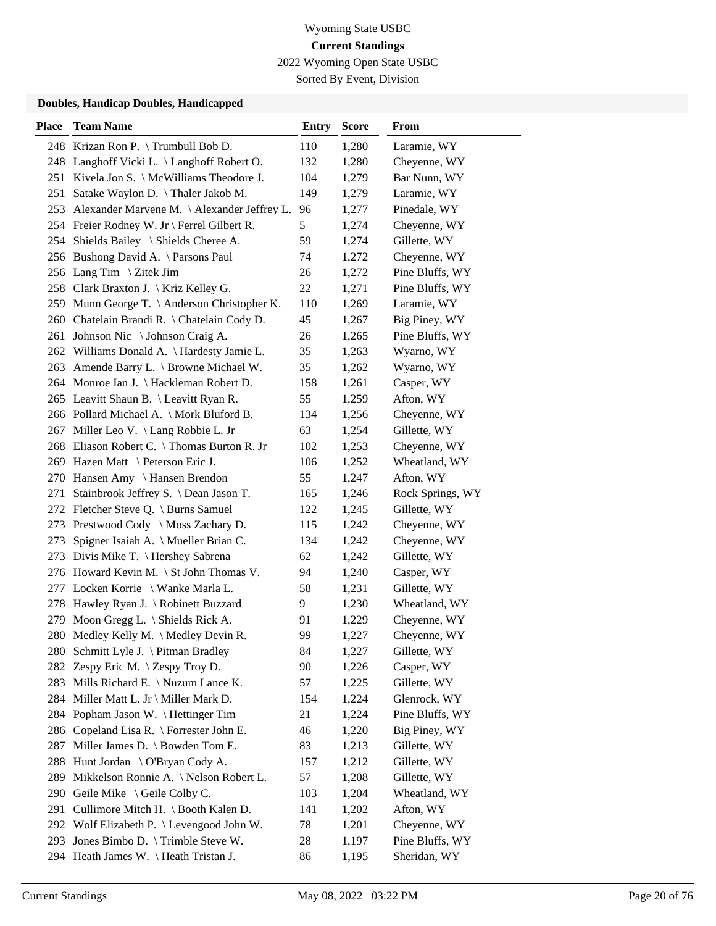2022 Wyoming Open State USBC

Sorted By Event, Division

| <b>Place</b> | <b>Team Name</b>                                | <b>Entry</b> | <b>Score</b> | From             |
|--------------|-------------------------------------------------|--------------|--------------|------------------|
|              | 248 Krizan Ron P. \Trumbull Bob D.              | 110          | 1,280        | Laramie, WY      |
|              | 248 Langhoff Vicki L. \ Langhoff Robert O.      | 132          | 1,280        | Cheyenne, WY     |
| 251          | Kivela Jon S. \ McWilliams Theodore J.          | 104          | 1,279        | Bar Nunn, WY     |
| 251          | Satake Waylon D. \Thaler Jakob M.               | 149          | 1,279        | Laramie, WY      |
| 253          | Alexander Marvene M. \Alexander Jeffrey L.      | 96           | 1,277        | Pinedale, WY     |
|              | 254 Freier Rodney W. Jr \ Ferrel Gilbert R.     | 5            | 1,274        | Cheyenne, WY     |
|              | 254 Shields Bailey \ Shields Cheree A.          | 59           | 1,274        | Gillette, WY     |
|              | 256 Bushong David A. \ Parsons Paul             | 74           | 1,272        | Cheyenne, WY     |
|              | 256 Lang Tim \ Zitek Jim                        | 26           | 1,272        | Pine Bluffs, WY  |
| 258          | Clark Braxton J. \ Kriz Kelley G.               | 22           | 1,271        | Pine Bluffs, WY  |
|              | 259 Munn George T. \ Anderson Christopher K.    | 110          | 1,269        | Laramie, WY      |
| 260          | Chatelain Brandi R. \ Chatelain Cody D.         | 45           | 1,267        | Big Piney, WY    |
| 261          | Johnson Nic \ Johnson Craig A.                  | 26           | 1,265        | Pine Bluffs, WY  |
|              | 262 Williams Donald A. \ Hardesty Jamie L.      | 35           | 1,263        | Wyarno, WY       |
|              | 263 Amende Barry L. \ Browne Michael W.         | 35           | 1,262        | Wyarno, WY       |
|              | 264 Monroe Ian J. \ Hackleman Robert D.         | 158          | 1,261        | Casper, WY       |
|              | 265 Leavitt Shaun B. \ Leavitt Ryan R.          | 55           | 1,259        | Afton, WY        |
|              | 266 Pollard Michael A. \ Mork Bluford B.        | 134          | 1,256        | Cheyenne, WY     |
|              | 267 Miller Leo V. \ Lang Robbie L. Jr           | 63           | 1,254        | Gillette, WY     |
|              | 268 Eliason Robert C. \Thomas Burton R. Jr      | 102          | 1,253        | Cheyenne, WY     |
|              | 269 Hazen Matt \ Peterson Eric J.               | 106          | 1,252        | Wheatland, WY    |
| 270          | Hansen Amy \ Hansen Brendon                     | 55           | 1,247        | Afton, WY        |
| 271          | Stainbrook Jeffrey S. \ Dean Jason T.           | 165          | 1,246        | Rock Springs, WY |
|              | 272 Fletcher Steve Q. \ Burns Samuel            | 122          | 1,245        | Gillette, WY     |
| 273          | Prestwood Cody \ Moss Zachary D.                | 115          | 1,242        | Cheyenne, WY     |
| 273          | Spigner Isaiah A. \ Mueller Brian C.            | 134          | 1,242        | Cheyenne, WY     |
| 273          | Divis Mike T. \ Hershey Sabrena                 | 62           | 1,242        | Gillette, WY     |
| 276          | Howard Kevin M. $\setminus$ St John Thomas V.   | 94           | 1,240        | Casper, WY       |
| 277          | Locken Korrie \ Wanke Marla L.                  | 58           | 1,231        | Gillette, WY     |
| 278          | Hawley Ryan J. \ Robinett Buzzard               | 9            | 1,230        | Wheatland, WY    |
|              | 279 Moon Gregg L. \ Shields Rick A.             | 91           | 1,229        | Cheyenne, WY     |
|              | 280 Medley Kelly M. \ Medley Devin R.           | 99           | 1,227        | Cheyenne, WY     |
| 280 -        | Schmitt Lyle J. \ Pitman Bradley                | 84           | 1,227        | Gillette, WY     |
| 282          | Zespy Eric M. $\ \ \$ Zespy Troy D.             | 90           | 1,226        | Casper, WY       |
| 283          | Mills Richard E. $\setminus$ Nuzum Lance K.     | 57           | 1,225        | Gillette, WY     |
|              | 284 Miller Matt L. Jr \ Miller Mark D.          | 154          | 1,224        | Glenrock, WY     |
| 284          | Popham Jason W. \ Hettinger Tim                 | 21           | 1,224        | Pine Bluffs, WY  |
| 286          | Copeland Lisa R. $\backslash$ Forrester John E. | 46           | 1,220        | Big Piney, WY    |
| 287          | Miller James D. \ Bowden Tom E.                 | 83           | 1,213        | Gillette, WY     |
| 288          | Hunt Jordan \ O'Bryan Cody A.                   | 157          | 1,212        | Gillette, WY     |
| 289          | Mikkelson Ronnie A. \Nelson Robert L.           | 57           | 1,208        | Gillette, WY     |
| 290          | Geile Mike $\setminus$ Geile Colby C.           | 103          | 1,204        | Wheatland, WY    |
| 291          | Cullimore Mitch H. \ Booth Kalen D.             | 141          | 1,202        | Afton, WY        |
|              | 292 Wolf Elizabeth P. \ Levengood John W.       | 78           | 1,201        | Cheyenne, WY     |
| 293          | Jones Bimbo D. \ Trimble Steve W.               | 28           | 1,197        | Pine Bluffs, WY  |
|              | 294 Heath James W. \Heath Tristan J.            | 86           | 1,195        | Sheridan, WY     |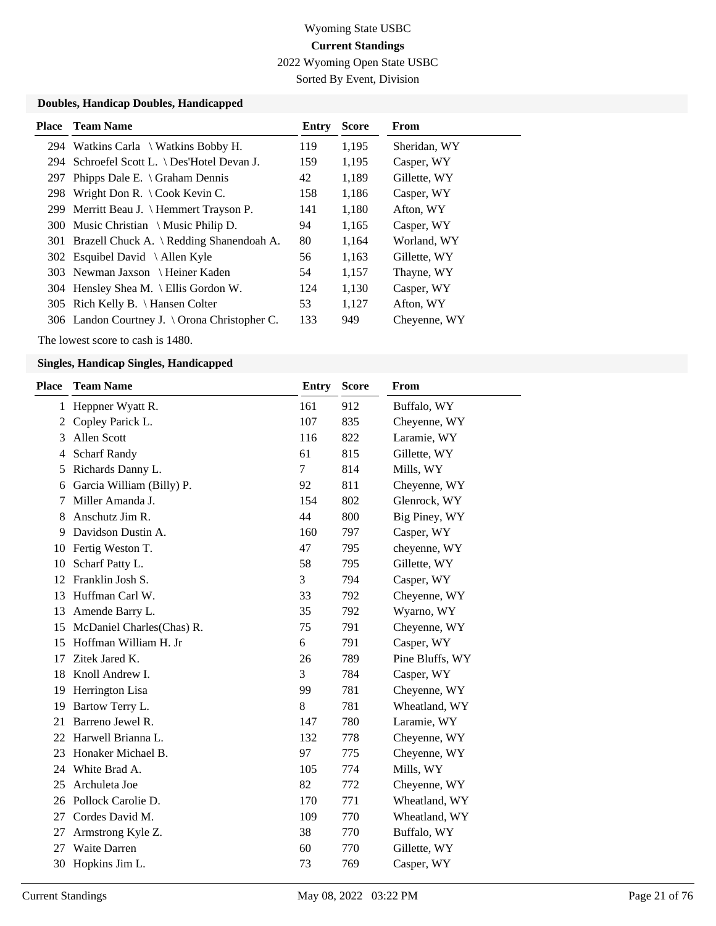2022 Wyoming Open State USBC

Sorted By Event, Division

### **Doubles, Handicap Doubles, Handicapped**

|     | <b>Place</b> Team Name                        | Entry | <b>Score</b> | <b>From</b>  |
|-----|-----------------------------------------------|-------|--------------|--------------|
|     | 294 Watkins Carla \ Watkins Bobby H.          | 119   | 1,195        | Sheridan, WY |
|     | 294 Schroefel Scott L. \ Des'Hotel Devan J.   | 159   | 1,195        | Casper, WY   |
| 297 | Phipps Dale E. $\setminus$ Graham Dennis      | 42    | 1,189        | Gillette, WY |
|     | 298 Wright Don R. \ Cook Kevin C.             | 158   | 1,186        | Casper, WY   |
|     | 299 Merritt Beau J. \ Hemmert Trayson P.      | 141   | 1,180        | Afton, WY    |
|     | 300 Music Christian \ Music Philip D.         | 94    | 1,165        | Casper, WY   |
|     | 301 Brazell Chuck A. \ Redding Shanendoah A.  | 80    | 1,164        | Worland, WY  |
|     | 302 Esquibel David \ Allen Kyle               | 56    | 1,163        | Gillette, WY |
|     | 303 Newman Jaxson \ Heiner Kaden              | 54    | 1,157        | Thayne, WY   |
|     | 304 Hensley Shea M. \ Ellis Gordon W.         | 124   | 1,130        | Casper, WY   |
|     | 305 Rich Kelly B. \ Hansen Colter             | 53    | 1,127        | Afton, WY    |
|     | 306 Landon Courtney J. \ Orona Christopher C. | 133   | 949          | Chevenne, WY |

The lowest score to cash is 1480.

| <b>Place</b> | <b>Team Name</b>          | <b>Entry</b> | <b>Score</b> | From            |
|--------------|---------------------------|--------------|--------------|-----------------|
| $\mathbf{1}$ | Heppner Wyatt R.          | 161          | 912          | Buffalo, WY     |
| 2            | Copley Parick L.          | 107          | 835          | Cheyenne, WY    |
| 3            | Allen Scott               | 116          | 822          | Laramie, WY     |
| 4            | <b>Scharf Randy</b>       | 61           | 815          | Gillette, WY    |
| 5            | Richards Danny L.         | $\tau$       | 814          | Mills, WY       |
| 6            | Garcia William (Billy) P. | 92           | 811          | Cheyenne, WY    |
| 7            | Miller Amanda J.          | 154          | 802          | Glenrock, WY    |
| 8            | Anschutz Jim R.           | 44           | 800          | Big Piney, WY   |
| 9            | Davidson Dustin A.        | 160          | 797          | Casper, WY      |
| 10           | Fertig Weston T.          | 47           | 795          | cheyenne, WY    |
| 10           | Scharf Patty L.           | 58           | 795          | Gillette, WY    |
| 12           | Franklin Josh S.          | 3            | 794          | Casper, WY      |
| 13           | Huffman Carl W.           | 33           | 792          | Cheyenne, WY    |
| 13           | Amende Barry L.           | 35           | 792          | Wyarno, WY      |
| 15           | McDaniel Charles(Chas) R. | 75           | 791          | Cheyenne, WY    |
| 15           | Hoffman William H. Jr     | 6            | 791          | Casper, WY      |
| 17           | Zitek Jared K.            | 26           | 789          | Pine Bluffs, WY |
| 18           | Knoll Andrew I.           | 3            | 784          | Casper, WY      |
| 19           | Herrington Lisa           | 99           | 781          | Cheyenne, WY    |
| 19           | Bartow Terry L.           | 8            | 781          | Wheatland, WY   |
| 21           | Barreno Jewel R.          | 147          | 780          | Laramie, WY     |
| 22           | Harwell Brianna L.        | 132          | 778          | Cheyenne, WY    |
| 23           | Honaker Michael B.        | 97           | 775          | Cheyenne, WY    |
| 24           | White Brad A.             | 105          | 774          | Mills, WY       |
| 25           | Archuleta Joe             | 82           | 772          | Cheyenne, WY    |
| 26           | Pollock Carolie D.        | 170          | 771          | Wheatland, WY   |
| 27           | Cordes David M.           | 109          | 770          | Wheatland, WY   |
| 27           | Armstrong Kyle Z.         | 38           | 770          | Buffalo, WY     |
| 27           | Waite Darren              | 60           | 770          | Gillette, WY    |
| 30           | Hopkins Jim L.            | 73           | 769          | Casper, WY      |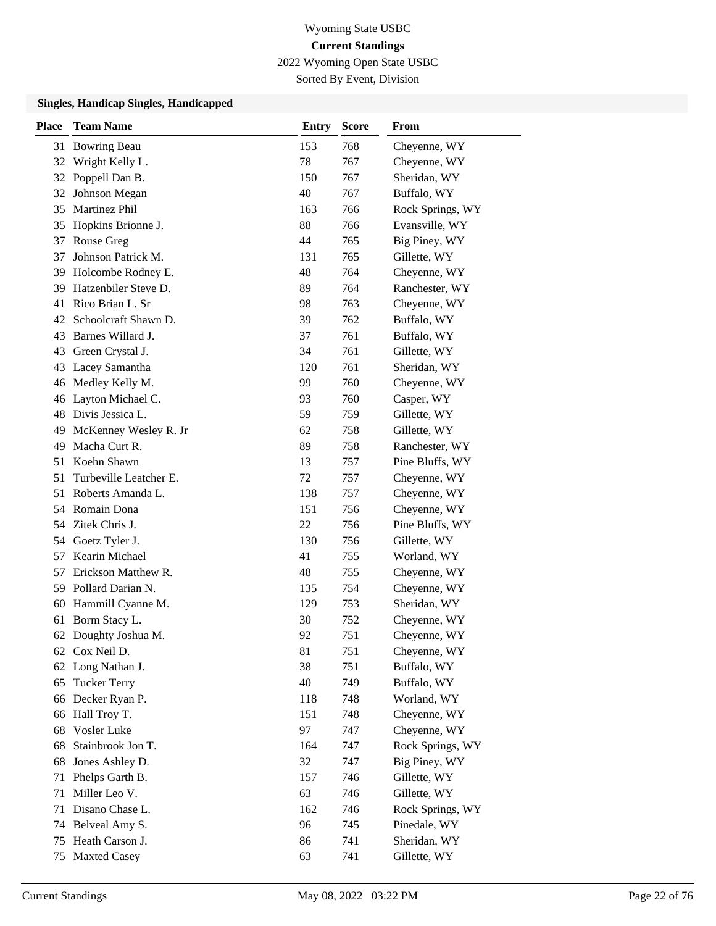2022 Wyoming Open State USBC

Sorted By Event, Division

| <b>Place</b> | <b>Team Name</b>       | <b>Entry</b> | <b>Score</b> | From             |
|--------------|------------------------|--------------|--------------|------------------|
| 31           | <b>Bowring Beau</b>    | 153          | 768          | Cheyenne, WY     |
| 32           | Wright Kelly L.        | 78           | 767          | Cheyenne, WY     |
| 32           | Poppell Dan B.         | 150          | 767          | Sheridan, WY     |
| 32           | Johnson Megan          | 40           | 767          | Buffalo, WY      |
| 35           | Martinez Phil          | 163          | 766          | Rock Springs, WY |
| 35           | Hopkins Brionne J.     | 88           | 766          | Evansville, WY   |
| 37           | Rouse Greg             | 44           | 765          | Big Piney, WY    |
| 37           | Johnson Patrick M.     | 131          | 765          | Gillette, WY     |
| 39           | Holcombe Rodney E.     | 48           | 764          | Cheyenne, WY     |
| 39           | Hatzenbiler Steve D.   | 89           | 764          | Ranchester, WY   |
| 41           | Rico Brian L. Sr       | 98           | 763          | Cheyenne, WY     |
| 42           | Schoolcraft Shawn D.   | 39           | 762          | Buffalo, WY      |
| 43           | Barnes Willard J.      | 37           | 761          | Buffalo, WY      |
| 43           | Green Crystal J.       | 34           | 761          | Gillette, WY     |
| 43           | Lacey Samantha         | 120          | 761          | Sheridan, WY     |
| 46           | Medley Kelly M.        | 99           | 760          | Cheyenne, WY     |
| 46           | Layton Michael C.      | 93           | 760          | Casper, WY       |
| 48           | Divis Jessica L.       | 59           | 759          | Gillette, WY     |
| 49           | McKenney Wesley R. Jr  | 62           | 758          | Gillette, WY     |
| 49           | Macha Curt R.          | 89           | 758          | Ranchester, WY   |
| 51           | Koehn Shawn            | 13           | 757          | Pine Bluffs, WY  |
| 51           | Turbeville Leatcher E. | 72           | 757          | Cheyenne, WY     |
| 51           | Roberts Amanda L.      | 138          | 757          | Cheyenne, WY     |
|              | 54 Romain Dona         | 151          | 756          | Cheyenne, WY     |
|              | 54 Zitek Chris J.      | 22           | 756          | Pine Bluffs, WY  |
| 54           | Goetz Tyler J.         | 130          | 756          | Gillette, WY     |
| 57           | Kearin Michael         | 41           | 755          | Worland, WY      |
|              | 57 Erickson Matthew R. | 48           | 755          | Cheyenne, WY     |
| 59           | Pollard Darian N.      | 135          | 754          | Cheyenne, WY     |
| 60           | Hammill Cyanne M.      | 129          | 753          | Sheridan, WY     |
| 61           | Borm Stacy L.          | 30           | 752          | Cheyenne, WY     |
|              | 62 Doughty Joshua M.   | 92           | 751          | Cheyenne, WY     |
|              | 62 Cox Neil D.         | 81           | 751          | Cheyenne, WY     |
| 62           | Long Nathan J.         | 38           | 751          | Buffalo, WY      |
| 65           | <b>Tucker Terry</b>    | 40           | 749          | Buffalo, WY      |
|              | 66 Decker Ryan P.      | 118          | 748          | Worland, WY      |
| 66           | Hall Troy T.           | 151          | 748          | Cheyenne, WY     |
| 68           | Vosler Luke            | 97           | 747          | Cheyenne, WY     |
| 68           | Stainbrook Jon T.      | 164          | 747          | Rock Springs, WY |
| 68           | Jones Ashley D.        | 32           | 747          | Big Piney, WY    |
| 71           | Phelps Garth B.        | 157          | 746          | Gillette, WY     |
| 71           | Miller Leo V.          | 63           | 746          | Gillette, WY     |
| 71           | Disano Chase L.        | 162          | 746          | Rock Springs, WY |
| 74           | Belveal Amy S.         | 96           | 745          | Pinedale, WY     |
| 75           | Heath Carson J.        | 86           | 741          | Sheridan, WY     |
| 75           | <b>Maxted Casey</b>    | 63           | 741          | Gillette, WY     |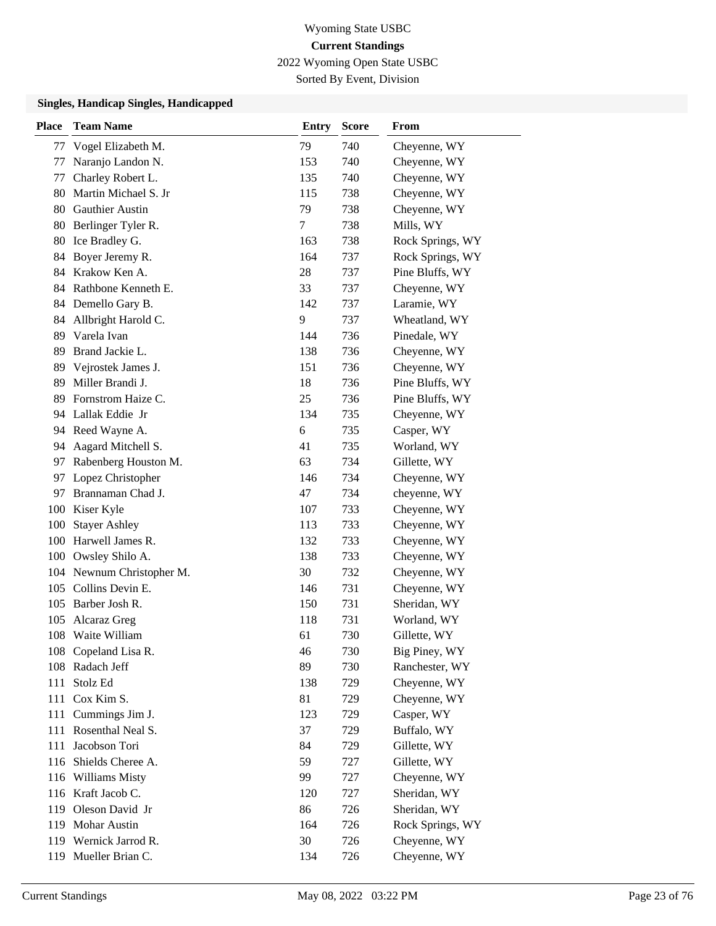2022 Wyoming Open State USBC

Sorted By Event, Division

| <b>Place</b> | <b>Team Name</b>      | <b>Entry</b> | <b>Score</b> | <b>From</b>      |
|--------------|-----------------------|--------------|--------------|------------------|
| 77           | Vogel Elizabeth M.    | 79           | 740          | Cheyenne, WY     |
| 77           | Naranjo Landon N.     | 153          | 740          | Cheyenne, WY     |
| 77           | Charley Robert L.     | 135          | 740          | Cheyenne, WY     |
| 80           | Martin Michael S. Jr  | 115          | 738          | Cheyenne, WY     |
| 80           | Gauthier Austin       | 79           | 738          | Cheyenne, WY     |
| 80           | Berlinger Tyler R.    | 7            | 738          | Mills, WY        |
| 80           | Ice Bradley G.        | 163          | 738          | Rock Springs, WY |
| 84           | Boyer Jeremy R.       | 164          | 737          | Rock Springs, WY |
| 84           | Krakow Ken A.         | 28           | 737          | Pine Bluffs, WY  |
| 84           | Rathbone Kenneth E.   | 33           | 737          | Cheyenne, WY     |
| 84           | Demello Gary B.       | 142          | 737          | Laramie, WY      |
| 84           | Allbright Harold C.   | 9            | 737          | Wheatland, WY    |
| 89           | Varela Ivan           | 144          | 736          | Pinedale, WY     |
| 89           | Brand Jackie L.       | 138          | 736          | Cheyenne, WY     |
| 89           | Vejrostek James J.    | 151          | 736          | Cheyenne, WY     |
| 89           | Miller Brandi J.      | 18           | 736          | Pine Bluffs, WY  |
| 89           | Fornstrom Haize C.    | 25           | 736          | Pine Bluffs, WY  |
| 94           | Lallak Eddie Jr       | 134          | 735          | Cheyenne, WY     |
| 94           | Reed Wayne A.         | 6            | 735          | Casper, WY       |
| 94           | Aagard Mitchell S.    | 41           | 735          | Worland, WY      |
| 97           | Rabenberg Houston M.  | 63           | 734          | Gillette, WY     |
| 97           | Lopez Christopher     | 146          | 734          | Cheyenne, WY     |
| 97           | Brannaman Chad J.     | 47           | 734          | cheyenne, WY     |
| 100          | Kiser Kyle            | 107          | 733          | Cheyenne, WY     |
| 100          | <b>Stayer Ashley</b>  | 113          | 733          | Cheyenne, WY     |
| 100          | Harwell James R.      | 132          | 733          | Cheyenne, WY     |
| 100          | Owsley Shilo A.       | 138          | 733          | Cheyenne, WY     |
| 104          | Newnum Christopher M. | 30           | 732          | Cheyenne, WY     |
| 105          | Collins Devin E.      | 146          | 731          | Cheyenne, WY     |
|              | 105 Barber Josh R.    | 150          | 731          | Sheridan, WY     |
| 105          | Alcaraz Greg          | 118          | 731          | Worland, WY      |
| 108          | Waite William         | 61           | 730          | Gillette, WY     |
|              | 108 Copeland Lisa R.  | 46           | 730          | Big Piney, WY    |
|              | 108 Radach Jeff       | 89           | 730          | Ranchester, WY   |
| 111          | Stolz Ed              | 138          | 729          | Cheyenne, WY     |
| 111          | Cox Kim S.            | 81           | 729          | Cheyenne, WY     |
| 111          | Cummings Jim J.       | 123          | 729          | Casper, WY       |
|              | 111 Rosenthal Neal S. | 37           | 729          | Buffalo, WY      |
| 111          | Jacobson Tori         | 84           | 729          | Gillette, WY     |
|              | 116 Shields Cheree A. | 59           | 727          | Gillette, WY     |
| 116          | <b>Williams Misty</b> | 99           | 727          | Cheyenne, WY     |
|              | 116 Kraft Jacob C.    | 120          | 727          | Sheridan, WY     |
| 119          | Oleson David Jr       | 86           | 726          | Sheridan, WY     |
|              | 119 Mohar Austin      | 164          | 726          | Rock Springs, WY |
|              | 119 Wernick Jarrod R. | 30           | 726          | Cheyenne, WY     |
| 119          | Mueller Brian C.      | 134          | 726          | Cheyenne, WY     |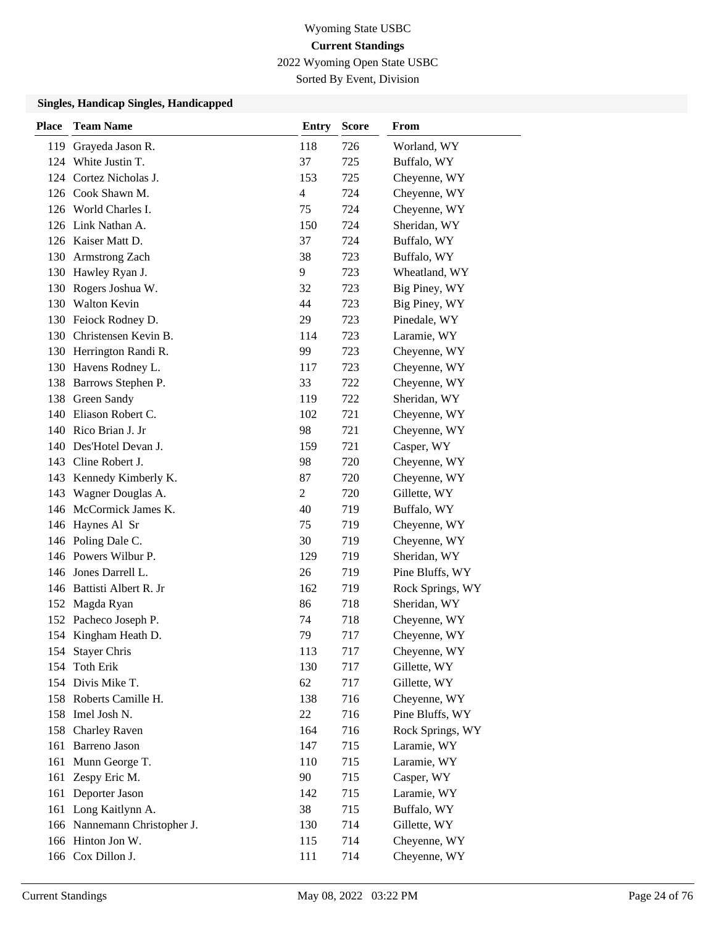2022 Wyoming Open State USBC

Sorted By Event, Division

| <b>Place</b> | <b>Team Name</b>             | <b>Entry</b>   | <b>Score</b> | From             |
|--------------|------------------------------|----------------|--------------|------------------|
| 119          | Grayeda Jason R.             | 118            | 726          | Worland, WY      |
|              | 124 White Justin T.          | 37             | 725          | Buffalo, WY      |
|              | 124 Cortez Nicholas J.       | 153            | 725          | Cheyenne, WY     |
|              | 126 Cook Shawn M.            | $\overline{4}$ | 724          | Cheyenne, WY     |
|              | 126 World Charles I.         | 75             | 724          | Cheyenne, WY     |
|              | 126 Link Nathan A.           | 150            | 724          | Sheridan, WY     |
|              | 126 Kaiser Matt D.           | 37             | 724          | Buffalo, WY      |
|              | 130 Armstrong Zach           | 38             | 723          | Buffalo, WY      |
|              | 130 Hawley Ryan J.           | 9              | 723          | Wheatland, WY    |
| 130          | Rogers Joshua W.             | 32             | 723          | Big Piney, WY    |
| 130          | <b>Walton Kevin</b>          | 44             | 723          | Big Piney, WY    |
|              | 130 Feiock Rodney D.         | 29             | 723          | Pinedale, WY     |
| 130          | Christensen Kevin B.         | 114            | 723          | Laramie, WY      |
|              | 130 Herrington Randi R.      | 99             | 723          | Cheyenne, WY     |
| 130          | Havens Rodney L.             | 117            | 723          | Cheyenne, WY     |
|              | 138 Barrows Stephen P.       | 33             | 722          | Cheyenne, WY     |
| 138          | Green Sandy                  | 119            | 722          | Sheridan, WY     |
| 140          | Eliason Robert C.            | 102            | 721          | Cheyenne, WY     |
| 140          | Rico Brian J. Jr             | 98             | 721          | Cheyenne, WY     |
| 140          | Des'Hotel Devan J.           | 159            | 721          | Casper, WY       |
| 143          | Cline Robert J.              | 98             | 720          | Cheyenne, WY     |
| 143          | Kennedy Kimberly K.          | 87             | 720          | Cheyenne, WY     |
| 143          | Wagner Douglas A.            | 2              | 720          | Gillette, WY     |
|              | 146 McCormick James K.       | 40             | 719          | Buffalo, WY      |
| 146          | Haynes Al Sr                 | 75             | 719          | Cheyenne, WY     |
|              | 146 Poling Dale C.           | 30             | 719          | Cheyenne, WY     |
|              | 146 Powers Wilbur P.         | 129            | 719          | Sheridan, WY     |
|              | 146 Jones Darrell L.         | 26             | 719          | Pine Bluffs, WY  |
| 146          | Battisti Albert R. Jr        | 162            | 719          | Rock Springs, WY |
| 152          | Magda Ryan                   | 86             | 718          | Sheridan, WY     |
|              | 152 Pacheco Joseph P.        | 74             | 718          | Cheyenne, WY     |
|              | 154 Kingham Heath D.         | 79             | 717          | Cheyenne, WY     |
|              | 154 Stayer Chris             | 113            | 717          | Cheyenne, WY     |
| 154          | <b>Toth Erik</b>             | 130            | 717          | Gillette, WY     |
|              | 154 Divis Mike T.            | 62             | 717          | Gillette, WY     |
|              | 158 Roberts Camille H.       | 138            | 716          | Cheyenne, WY     |
| 158          | Imel Josh N.                 | 22             | 716          | Pine Bluffs, WY  |
| 158          | <b>Charley Raven</b>         | 164            | 716          | Rock Springs, WY |
| 161          | Barreno Jason                | 147            | 715          | Laramie, WY      |
| 161          | Munn George T.               | 110            | 715          | Laramie, WY      |
| 161          | Zespy Eric M.                | 90             | 715          | Casper, WY       |
| 161          | Deporter Jason               | 142            | 715          | Laramie, WY      |
|              | 161 Long Kaitlynn A.         | 38             | 715          | Buffalo, WY      |
|              | 166 Nannemann Christopher J. | 130            | 714          | Gillette, WY     |
|              | 166 Hinton Jon W.            | 115            | 714          | Cheyenne, WY     |
|              | 166 Cox Dillon J.            | 111            | 714          | Cheyenne, WY     |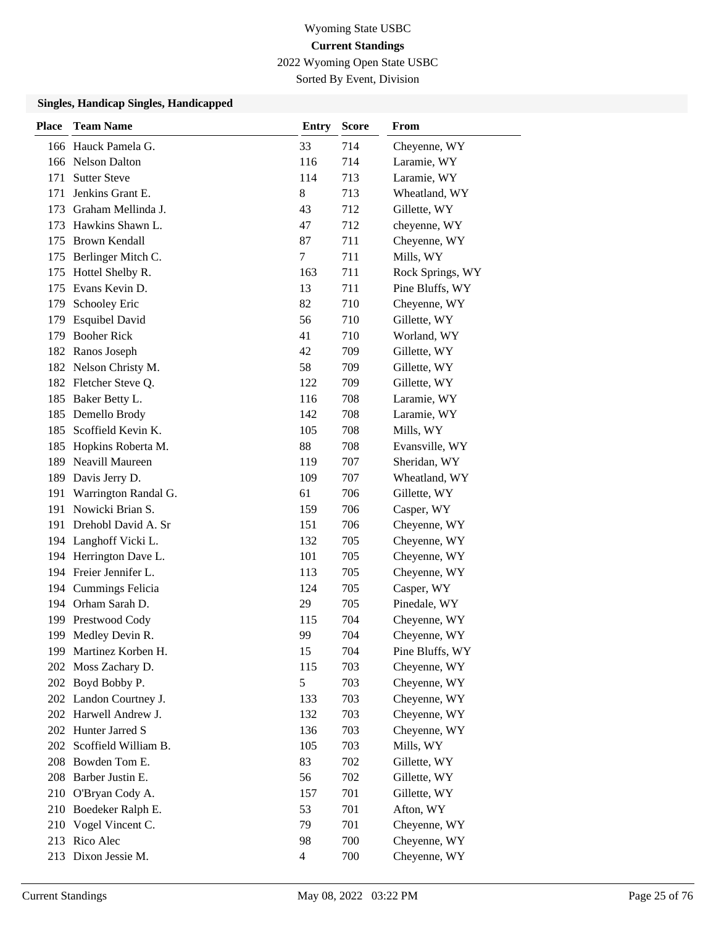2022 Wyoming Open State USBC

Sorted By Event, Division

| <b>Place</b> | <b>Team Name</b>        | <b>Entry</b>   | <b>Score</b> | From             |
|--------------|-------------------------|----------------|--------------|------------------|
|              | 166 Hauck Pamela G.     | 33             | 714          | Cheyenne, WY     |
|              | 166 Nelson Dalton       | 116            | 714          | Laramie, WY      |
| 171          | <b>Sutter Steve</b>     | 114            | 713          | Laramie, WY      |
| 171          | Jenkins Grant E.        | 8              | 713          | Wheatland, WY    |
|              | 173 Graham Mellinda J.  | 43             | 712          | Gillette, WY     |
|              | 173 Hawkins Shawn L.    | 47             | 712          | cheyenne, WY     |
|              | 175 Brown Kendall       | 87             | 711          | Cheyenne, WY     |
|              | 175 Berlinger Mitch C.  | 7              | 711          | Mills, WY        |
| 175          | Hottel Shelby R.        | 163            | 711          | Rock Springs, WY |
|              | 175 Evans Kevin D.      | 13             | 711          | Pine Bluffs, WY  |
| 179          | Schooley Eric           | 82             | 710          | Cheyenne, WY     |
|              | 179 Esquibel David      | 56             | 710          | Gillette, WY     |
| 179          | <b>Booher Rick</b>      | 41             | 710          | Worland, WY      |
|              | 182 Ranos Joseph        | 42             | 709          | Gillette, WY     |
|              | 182 Nelson Christy M.   | 58             | 709          | Gillette, WY     |
|              | 182 Fletcher Steve Q.   | 122            | 709          | Gillette, WY     |
|              | 185 Baker Betty L.      | 116            | 708          | Laramie, WY      |
| 185          | Demello Brody           | 142            | 708          | Laramie, WY      |
| 185          | Scoffield Kevin K.      | 105            | 708          | Mills, WY        |
| 185          | Hopkins Roberta M.      | 88             | 708          | Evansville, WY   |
| 189          | Neavill Maureen         | 119            | 707          | Sheridan, WY     |
|              | 189 Davis Jerry D.      | 109            | 707          | Wheatland, WY    |
| 191          | Warrington Randal G.    | 61             | 706          | Gillette, WY     |
|              | 191 Nowicki Brian S.    | 159            | 706          | Casper, WY       |
|              | 191 Drehobl David A. Sr | 151            | 706          | Cheyenne, WY     |
|              | 194 Langhoff Vicki L.   | 132            | 705          | Cheyenne, WY     |
|              | 194 Herrington Dave L.  | 101            | 705          | Cheyenne, WY     |
|              | 194 Freier Jennifer L.  | 113            | 705          | Cheyenne, WY     |
|              | 194 Cummings Felicia    | 124            | 705          | Casper, WY       |
|              | 194 Orham Sarah D.      | 29             | 705          | Pinedale, WY     |
|              | 199 Prestwood Cody      | 115            | 704          | Cheyenne, WY     |
|              | 199 Medley Devin R.     | 99             | 704          | Cheyenne, WY     |
|              | 199 Martinez Korben H.  | 15             | 704          | Pine Bluffs, WY  |
| 202          | Moss Zachary D.         | 115            | 703          | Cheyenne, WY     |
|              | 202 Boyd Bobby P.       | 5              | 703          | Cheyenne, WY     |
|              | 202 Landon Courtney J.  | 133            | 703          | Cheyenne, WY     |
|              | 202 Harwell Andrew J.   | 132            | 703          | Cheyenne, WY     |
|              | 202 Hunter Jarred S     | 136            | 703          | Cheyenne, WY     |
| 202          | Scoffield William B.    | 105            | 703          | Mills, WY        |
|              | 208 Bowden Tom E.       | 83             | 702          | Gillette, WY     |
| 208          | Barber Justin E.        | 56             | 702          | Gillette, WY     |
|              | 210 O'Bryan Cody A.     | 157            | 701          | Gillette, WY     |
|              | 210 Boedeker Ralph E.   | 53             | 701          | Afton, WY        |
|              | 210 Vogel Vincent C.    | 79             | 701          | Cheyenne, WY     |
|              | 213 Rico Alec           | 98             | 700          | Cheyenne, WY     |
|              | 213 Dixon Jessie M.     | $\overline{4}$ | 700          | Cheyenne, WY     |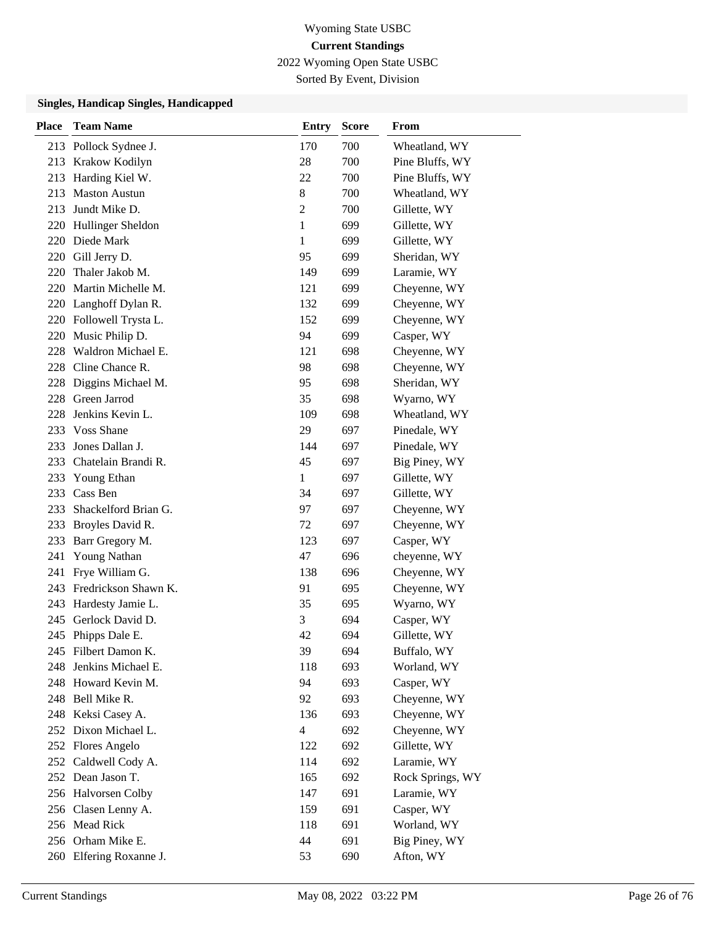2022 Wyoming Open State USBC

Sorted By Event, Division

| <b>Place</b> | <b>Team Name</b>        | <b>Entry</b> | <b>Score</b> | From             |
|--------------|-------------------------|--------------|--------------|------------------|
|              | 213 Pollock Sydnee J.   | 170          | 700          | Wheatland, WY    |
| 213          | Krakow Kodilyn          | 28           | 700          | Pine Bluffs, WY  |
| 213          | Harding Kiel W.         | 22           | 700          | Pine Bluffs, WY  |
| 213          | <b>Maston Austun</b>    | 8            | 700          | Wheatland, WY    |
| 213          | Jundt Mike D.           | 2            | 700          | Gillette, WY     |
| 220          | Hullinger Sheldon       | $\mathbf{1}$ | 699          | Gillette, WY     |
| 220          | Diede Mark              | 1            | 699          | Gillette, WY     |
|              | 220 Gill Jerry D.       | 95           | 699          | Sheridan, WY     |
| 220          | Thaler Jakob M.         | 149          | 699          | Laramie, WY      |
| 220          | Martin Michelle M.      | 121          | 699          | Cheyenne, WY     |
| 220          | Langhoff Dylan R.       | 132          | 699          | Cheyenne, WY     |
| 220          | Followell Trysta L.     | 152          | 699          | Cheyenne, WY     |
| 220          | Music Philip D.         | 94           | 699          | Casper, WY       |
| 228          | Waldron Michael E.      | 121          | 698          | Cheyenne, WY     |
| 228          | Cline Chance R.         | 98           | 698          | Cheyenne, WY     |
| 228          | Diggins Michael M.      | 95           | 698          | Sheridan, WY     |
| 228          | Green Jarrod            | 35           | 698          | Wyarno, WY       |
| 228          | Jenkins Kevin L.        | 109          | 698          | Wheatland, WY    |
| 233          | <b>Voss Shane</b>       | 29           | 697          | Pinedale, WY     |
| 233          | Jones Dallan J.         | 144          | 697          | Pinedale, WY     |
| 233          | Chatelain Brandi R.     | 45           | 697          | Big Piney, WY    |
| 233          | Young Ethan             | $\mathbf{1}$ | 697          | Gillette, WY     |
| 233          | Cass Ben                | 34           | 697          | Gillette, WY     |
| 233          | Shackelford Brian G.    | 97           | 697          | Cheyenne, WY     |
| 233          | Broyles David R.        | 72           | 697          | Cheyenne, WY     |
| 233          | Barr Gregory M.         | 123          | 697          | Casper, WY       |
| 241          | Young Nathan            | 47           | 696          | cheyenne, WY     |
| 241          | Frye William G.         | 138          | 696          | Cheyenne, WY     |
| 243          | Fredrickson Shawn K.    | 91           | 695          | Cheyenne, WY     |
| 243          | Hardesty Jamie L.       | 35           | 695          | Wyarno, WY       |
| 245          | Gerlock David D.        | 3            | 694          | Casper, WY       |
|              | 245 Phipps Dale E.      | 42           | 694          | Gillette, WY     |
|              | 245 Filbert Damon K.    | 39           | 694          | Buffalo, WY      |
| 248          | Jenkins Michael E.      | 118          | 693          | Worland, WY      |
|              | 248 Howard Kevin M.     | 94           | 693          | Casper, WY       |
|              | 248 Bell Mike R.        | 92           | 693          | Cheyenne, WY     |
|              | 248 Keksi Casey A.      | 136          | 693          | Cheyenne, WY     |
| 252          | Dixon Michael L.        | 4            | 692          | Cheyenne, WY     |
| 252          | Flores Angelo           | 122          | 692          | Gillette, WY     |
|              | 252 Caldwell Cody A.    | 114          | 692          | Laramie, WY      |
|              | 252 Dean Jason T.       | 165          | 692          | Rock Springs, WY |
|              | 256 Halvorsen Colby     | 147          | 691          | Laramie, WY      |
|              | 256 Clasen Lenny A.     | 159          | 691          | Casper, WY       |
|              | 256 Mead Rick           | 118          | 691          | Worland, WY      |
|              | 256 Orham Mike E.       | 44           | 691          | Big Piney, WY    |
|              | 260 Elfering Roxanne J. | 53           | 690          | Afton, WY        |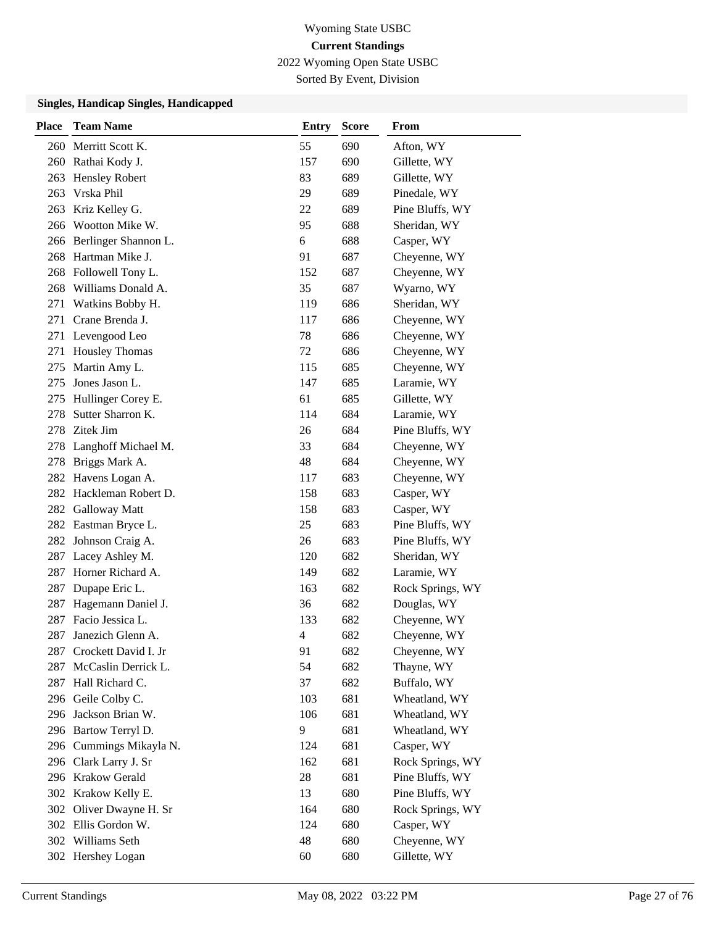2022 Wyoming Open State USBC

Sorted By Event, Division

| <b>Place</b> | <b>Team Name</b>         | Entry | <b>Score</b> | <b>From</b>      |
|--------------|--------------------------|-------|--------------|------------------|
|              | 260 Merritt Scott K.     | 55    | 690          | Afton, WY        |
|              | 260 Rathai Kody J.       | 157   | 690          | Gillette, WY     |
| 263          | <b>Hensley Robert</b>    | 83    | 689          | Gillette, WY     |
| 263          | Vrska Phil               | 29    | 689          | Pinedale, WY     |
|              | 263 Kriz Kelley G.       | 22    | 689          | Pine Bluffs, WY  |
|              | 266 Wootton Mike W.      | 95    | 688          | Sheridan, WY     |
|              | 266 Berlinger Shannon L. | 6     | 688          | Casper, WY       |
|              | 268 Hartman Mike J.      | 91    | 687          | Cheyenne, WY     |
|              | 268 Followell Tony L.    | 152   | 687          | Cheyenne, WY     |
|              | 268 Williams Donald A.   | 35    | 687          | Wyarno, WY       |
| 271          | Watkins Bobby H.         | 119   | 686          | Sheridan, WY     |
| 271          | Crane Brenda J.          | 117   | 686          | Cheyenne, WY     |
| 271          | Levengood Leo            | 78    | 686          | Cheyenne, WY     |
| 271          | <b>Housley Thomas</b>    | 72    | 686          | Cheyenne, WY     |
| 275          | Martin Amy L.            | 115   | 685          | Cheyenne, WY     |
| 275          | Jones Jason L.           | 147   | 685          | Laramie, WY      |
| 275          | Hullinger Corey E.       | 61    | 685          | Gillette, WY     |
| 278          | Sutter Sharron K.        | 114   | 684          | Laramie, WY      |
| 278          | Zitek Jim                | 26    | 684          | Pine Bluffs, WY  |
|              | 278 Langhoff Michael M.  | 33    | 684          | Cheyenne, WY     |
| 278          | Briggs Mark A.           | 48    | 684          | Cheyenne, WY     |
|              | 282 Havens Logan A.      | 117   | 683          | Cheyenne, WY     |
|              | 282 Hackleman Robert D.  | 158   | 683          | Casper, WY       |
|              | 282 Galloway Matt        | 158   | 683          | Casper, WY       |
|              | 282 Eastman Bryce L.     | 25    | 683          | Pine Bluffs, WY  |
|              | 282 Johnson Craig A.     | 26    | 683          | Pine Bluffs, WY  |
|              | 287 Lacey Ashley M.      | 120   | 682          | Sheridan, WY     |
| 287          | Horner Richard A.        | 149   | 682          | Laramie, WY      |
| 287          | Dupape Eric L.           | 163   | 682          | Rock Springs, WY |
| 287          | Hagemann Daniel J.       | 36    | 682          | Douglas, WY      |
| 287          | Facio Jessica L.         | 133   | 682          | Cheyenne, WY     |
| 287          | Janezich Glenn A.        | 4     | 682          | Cheyenne, WY     |
| 287          | Crockett David I. Jr     | 91    | 682          | Cheyenne, WY     |
| 287          | McCaslin Derrick L.      | 54    | 682          | Thayne, WY       |
|              | 287 Hall Richard C.      | 37    | 682          | Buffalo, WY      |
|              | 296 Geile Colby C.       | 103   | 681          | Wheatland, WY    |
|              | 296 Jackson Brian W.     | 106   | 681          | Wheatland, WY    |
|              | 296 Bartow Terryl D.     | 9     | 681          | Wheatland, WY    |
|              | 296 Cummings Mikayla N.  | 124   | 681          | Casper, WY       |
|              | 296 Clark Larry J. Sr    | 162   | 681          | Rock Springs, WY |
|              | 296 Krakow Gerald        | 28    | 681          | Pine Bluffs, WY  |
|              | 302 Krakow Kelly E.      | 13    | 680          | Pine Bluffs, WY  |
| 302          | Oliver Dwayne H. Sr      | 164   | 680          | Rock Springs, WY |
|              | 302 Ellis Gordon W.      | 124   | 680          | Casper, WY       |
|              | 302 Williams Seth        | 48    | 680          | Cheyenne, WY     |
|              | 302 Hershey Logan        | 60    | 680          | Gillette, WY     |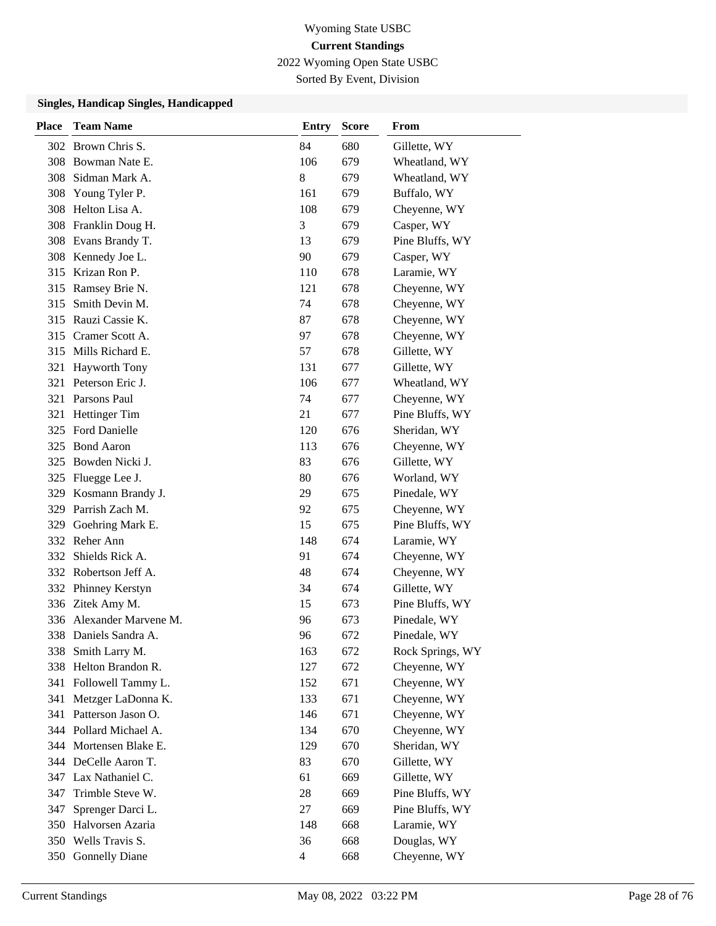2022 Wyoming Open State USBC

Sorted By Event, Division

| Place | <b>Team Name</b>         | <b>Entry</b>   | <b>Score</b> | From             |
|-------|--------------------------|----------------|--------------|------------------|
|       | 302 Brown Chris S.       | 84             | 680          | Gillette, WY     |
|       | 308 Bowman Nate E.       | 106            | 679          | Wheatland, WY    |
| 308   | Sidman Mark A.           | 8              | 679          | Wheatland, WY    |
| 308   | Young Tyler P.           | 161            | 679          | Buffalo, WY      |
| 308   | Helton Lisa A.           | 108            | 679          | Cheyenne, WY     |
|       | 308 Franklin Doug H.     | 3              | 679          | Casper, WY       |
|       | 308 Evans Brandy T.      | 13             | 679          | Pine Bluffs, WY  |
|       | 308 Kennedy Joe L.       | 90             | 679          | Casper, WY       |
| 315   | Krizan Ron P.            | 110            | 678          | Laramie, WY      |
| 315   | Ramsey Brie N.           | 121            | 678          | Cheyenne, WY     |
| 315   | Smith Devin M.           | 74             | 678          | Cheyenne, WY     |
|       | 315 Rauzi Cassie K.      | 87             | 678          | Cheyenne, WY     |
| 315   | Cramer Scott A.          | 97             | 678          | Cheyenne, WY     |
| 315   | Mills Richard E.         | 57             | 678          | Gillette, WY     |
| 321   | <b>Hayworth Tony</b>     | 131            | 677          | Gillette, WY     |
|       | 321 Peterson Eric J.     | 106            | 677          | Wheatland, WY    |
|       | 321 Parsons Paul         | 74             | 677          | Cheyenne, WY     |
| 321   | <b>Hettinger Tim</b>     | 21             | 677          | Pine Bluffs, WY  |
| 325   | <b>Ford Danielle</b>     | 120            | 676          | Sheridan, WY     |
| 325   | <b>Bond Aaron</b>        | 113            | 676          | Cheyenne, WY     |
| 325   | Bowden Nicki J.          | 83             | 676          | Gillette, WY     |
| 325   | Fluegge Lee J.           | 80             | 676          | Worland, WY      |
| 329   | Kosmann Brandy J.        | 29             | 675          | Pinedale, WY     |
|       | 329 Parrish Zach M.      | 92             | 675          | Cheyenne, WY     |
| 329   | Goehring Mark E.         | 15             | 675          | Pine Bluffs, WY  |
| 332   | Reher Ann                | 148            | 674          | Laramie, WY      |
| 332   | Shields Rick A.          | 91             | 674          | Cheyenne, WY     |
|       | 332 Robertson Jeff A.    | 48             | 674          | Cheyenne, WY     |
| 332   | Phinney Kerstyn          | 34             | 674          | Gillette, WY     |
|       | 336 Zitek Amy M.         | 15             | 673          | Pine Bluffs, WY  |
|       | 336 Alexander Marvene M. | 96             | 673          | Pinedale, WY     |
|       | 338 Daniels Sandra A.    | 96             | 672          | Pinedale, WY     |
|       | 338 Smith Larry M.       | 163            | 672          | Rock Springs, WY |
|       | 338 Helton Brandon R.    | 127            | 672          | Cheyenne, WY     |
| 341   | Followell Tammy L.       | 152            | 671          | Cheyenne, WY     |
| 341   | Metzger LaDonna K.       | 133            | 671          | Cheyenne, WY     |
| 341   | Patterson Jason O.       | 146            | 671          | Cheyenne, WY     |
|       | 344 Pollard Michael A.   | 134            | 670          | Cheyenne, WY     |
| 344   | Mortensen Blake E.       | 129            | 670          | Sheridan, WY     |
|       | 344 DeCelle Aaron T.     | 83             | 670          | Gillette, WY     |
| 347   | Lax Nathaniel C.         | 61             | 669          | Gillette, WY     |
| 347   | Trimble Steve W.         | 28             | 669          | Pine Bluffs, WY  |
| 347   | Sprenger Darci L.        | $27\,$         | 669          | Pine Bluffs, WY  |
|       | 350 Halvorsen Azaria     | 148            | 668          | Laramie, WY      |
|       | 350 Wells Travis S.      | 36             | 668          | Douglas, WY      |
|       | 350 Gonnelly Diane       | $\overline{4}$ | 668          | Cheyenne, WY     |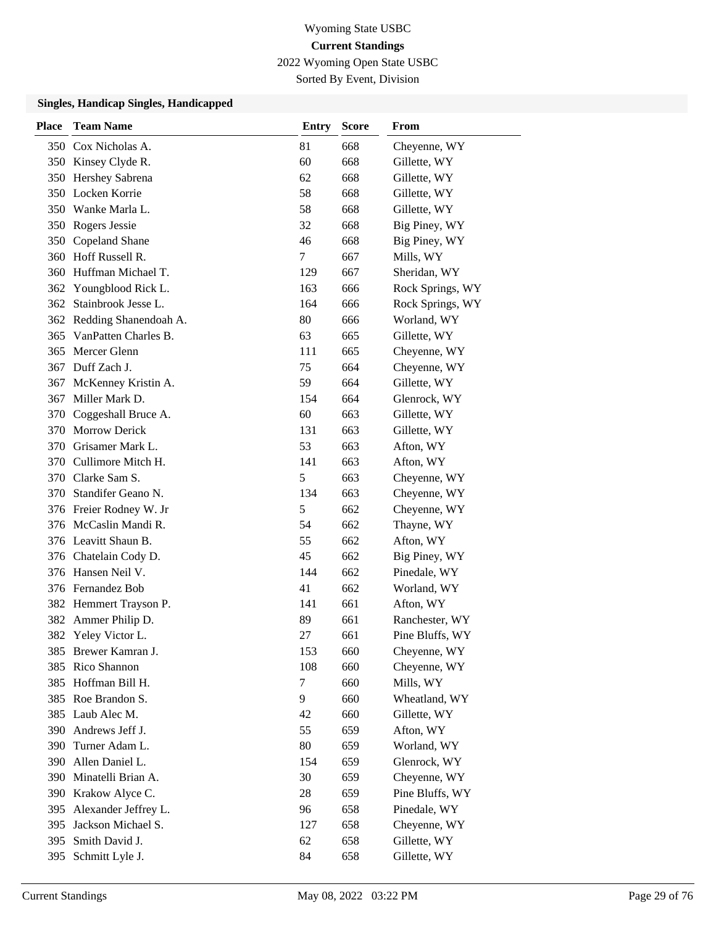2022 Wyoming Open State USBC

Sorted By Event, Division

| <b>Place</b> | <b>Team Name</b>          | <b>Entry</b> | <b>Score</b> | From             |
|--------------|---------------------------|--------------|--------------|------------------|
|              | 350 Cox Nicholas A.       | 81           | 668          | Cheyenne, WY     |
|              | 350 Kinsey Clyde R.       | 60           | 668          | Gillette, WY     |
|              | 350 Hershey Sabrena       | 62           | 668          | Gillette, WY     |
|              | 350 Locken Korrie         | 58           | 668          | Gillette, WY     |
|              | 350 Wanke Marla L.        | 58           | 668          | Gillette, WY     |
|              | 350 Rogers Jessie         | 32           | 668          | Big Piney, WY    |
|              | 350 Copeland Shane        | 46           | 668          | Big Piney, WY    |
|              | 360 Hoff Russell R.       | 7            | 667          | Mills, WY        |
| 360          | Huffman Michael T.        | 129          | 667          | Sheridan, WY     |
| 362          | Youngblood Rick L.        | 163          | 666          | Rock Springs, WY |
| 362          | Stainbrook Jesse L.       | 164          | 666          | Rock Springs, WY |
|              | 362 Redding Shanendoah A. | 80           | 666          | Worland, WY      |
|              | 365 VanPatten Charles B.  | 63           | 665          | Gillette, WY     |
| 365          | Mercer Glenn              | 111          | 665          | Cheyenne, WY     |
|              | 367 Duff Zach J.          | 75           | 664          | Cheyenne, WY     |
| 367          | McKenney Kristin A.       | 59           | 664          | Gillette, WY     |
| 367          | Miller Mark D.            | 154          | 664          | Glenrock, WY     |
| 370          | Coggeshall Bruce A.       | 60           | 663          | Gillette, WY     |
| 370          | <b>Morrow Derick</b>      | 131          | 663          | Gillette, WY     |
|              | 370 Grisamer Mark L.      | 53           | 663          | Afton, WY        |
|              | 370 Cullimore Mitch H.    | 141          | 663          | Afton, WY        |
|              | 370 Clarke Sam S.         | 5            | 663          | Cheyenne, WY     |
|              | 370 Standifer Geano N.    | 134          | 663          | Cheyenne, WY     |
|              | 376 Freier Rodney W. Jr   | 5            | 662          | Cheyenne, WY     |
|              | 376 McCaslin Mandi R.     | 54           | 662          | Thayne, WY       |
|              | 376 Leavitt Shaun B.      | 55           | 662          | Afton, WY        |
|              | 376 Chatelain Cody D.     | 45           | 662          | Big Piney, WY    |
|              | 376 Hansen Neil V.        | 144          | 662          | Pinedale, WY     |
|              | 376 Fernandez Bob         | 41           | 662          | Worland, WY      |
|              | 382 Hemmert Trayson P.    | 141          | 661          | Afton, WY        |
| 382          | Ammer Philip D.           | 89           | 661          | Ranchester, WY   |
| 382          | Yeley Victor L.           | 27           | 661          | Pine Bluffs, WY  |
|              | 385 Brewer Kamran J.      | 153          | 660          | Cheyenne, WY     |
| 385          | Rico Shannon              | 108          | 660          | Cheyenne, WY     |
| 385          | Hoffman Bill H.           | $\tau$       | 660          | Mills, WY        |
| 385          | Roe Brandon S.            | 9            | 660          | Wheatland, WY    |
| 385          | Laub Alec M.              | 42           | 660          | Gillette, WY     |
| 390          | Andrews Jeff J.           | 55           | 659          | Afton, WY        |
| 390          | Turner Adam L.            | 80           | 659          | Worland, WY      |
| 390          | Allen Daniel L.           | 154          | 659          | Glenrock, WY     |
| 390          | Minatelli Brian A.        | 30           | 659          | Cheyenne, WY     |
| 390          | Krakow Alyce C.           | 28           | 659          | Pine Bluffs, WY  |
| 395          | Alexander Jeffrey L.      | 96           | 658          | Pinedale, WY     |
| 395          | Jackson Michael S.        | 127          | 658          | Cheyenne, WY     |
| 395          | Smith David J.            | 62           | 658          | Gillette, WY     |
| 395          | Schmitt Lyle J.           | 84           | 658          | Gillette, WY     |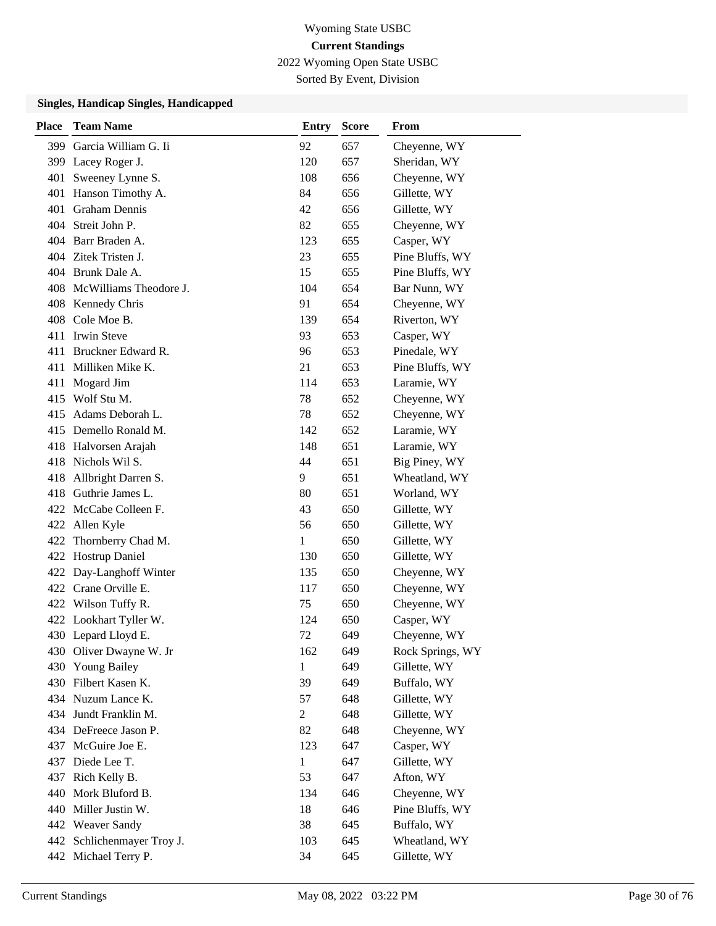2022 Wyoming Open State USBC

Sorted By Event, Division

| <b>Place</b> | <b>Team Name</b>           | <b>Entry</b>   | <b>Score</b> | From             |
|--------------|----------------------------|----------------|--------------|------------------|
| 399          | Garcia William G. Ii       | 92             | 657          | Cheyenne, WY     |
| 399          | Lacey Roger J.             | 120            | 657          | Sheridan, WY     |
| 401          | Sweeney Lynne S.           | 108            | 656          | Cheyenne, WY     |
| 401          | Hanson Timothy A.          | 84             | 656          | Gillette, WY     |
| 401          | <b>Graham Dennis</b>       | 42             | 656          | Gillette, WY     |
| 404          | Streit John P.             | 82             | 655          | Cheyenne, WY     |
|              | 404 Barr Braden A.         | 123            | 655          | Casper, WY       |
|              | 404 Zitek Tristen J.       | 23             | 655          | Pine Bluffs, WY  |
|              | 404 Brunk Dale A.          | 15             | 655          | Pine Bluffs, WY  |
|              | 408 McWilliams Theodore J. | 104            | 654          | Bar Nunn, WY     |
|              | 408 Kennedy Chris          | 91             | 654          | Cheyenne, WY     |
|              | 408 Cole Moe B.            | 139            | 654          | Riverton, WY     |
| 411          | <b>Irwin Steve</b>         | 93             | 653          | Casper, WY       |
|              | 411 Bruckner Edward R.     | 96             | 653          | Pinedale, WY     |
| 411          | Milliken Mike K.           | 21             | 653          | Pine Bluffs, WY  |
| 411          | Mogard Jim                 | 114            | 653          | Laramie, WY      |
|              | 415 Wolf Stu M.            | 78             | 652          | Cheyenne, WY     |
| 415          | Adams Deborah L.           | 78             | 652          | Cheyenne, WY     |
|              | 415 Demello Ronald M.      | 142            | 652          | Laramie, WY      |
|              | 418 Halvorsen Arajah       | 148            | 651          | Laramie, WY      |
| 418          | Nichols Wil S.             | 44             | 651          | Big Piney, WY    |
| 418          | Allbright Darren S.        | 9              | 651          | Wheatland, WY    |
|              | 418 Guthrie James L.       | 80             | 651          | Worland, WY      |
|              | 422 McCabe Colleen F.      | 43             | 650          | Gillette, WY     |
| 422          | Allen Kyle                 | 56             | 650          | Gillette, WY     |
| 422          | Thornberry Chad M.         | 1              | 650          | Gillette, WY     |
| 422          | Hostrup Daniel             | 130            | 650          | Gillette, WY     |
|              | 422 Day-Langhoff Winter    | 135            | 650          | Cheyenne, WY     |
|              | 422 Crane Orville E.       | 117            | 650          | Cheyenne, WY     |
|              | 422 Wilson Tuffy R.        | 75             | 650          | Cheyenne, WY     |
|              | 422 Lookhart Tyller W.     | 124            | 650          | Casper, WY       |
|              | 430 Lepard Lloyd E.        | 72             | 649          | Cheyenne, WY     |
|              | 430 Oliver Dwayne W. Jr    | 162            | 649          | Rock Springs, WY |
| 430          | <b>Young Bailey</b>        | 1              | 649          | Gillette, WY     |
|              | 430 Filbert Kasen K.       | 39             | 649          | Buffalo, WY      |
|              | 434 Nuzum Lance K.         | 57             | 648          | Gillette, WY     |
| 434          | Jundt Franklin M.          | $\overline{c}$ | 648          | Gillette, WY     |
|              | 434 DeFreece Jason P.      | 82             | 648          | Cheyenne, WY     |
| 437          | McGuire Joe E.             | 123            | 647          | Casper, WY       |
| 437          | Diede Lee T.               | 1              | 647          | Gillette, WY     |
| 437          | Rich Kelly B.              | 53             | 647          | Afton, WY        |
| 440          | Mork Bluford B.            | 134            | 646          | Cheyenne, WY     |
| 440          | Miller Justin W.           | 18             | 646          | Pine Bluffs, WY  |
|              | 442 Weaver Sandy           | 38             | 645          | Buffalo, WY      |
| 442          | Schlichenmayer Troy J.     | 103            | 645          | Wheatland, WY    |
| 442          | Michael Terry P.           | 34             | 645          | Gillette, WY     |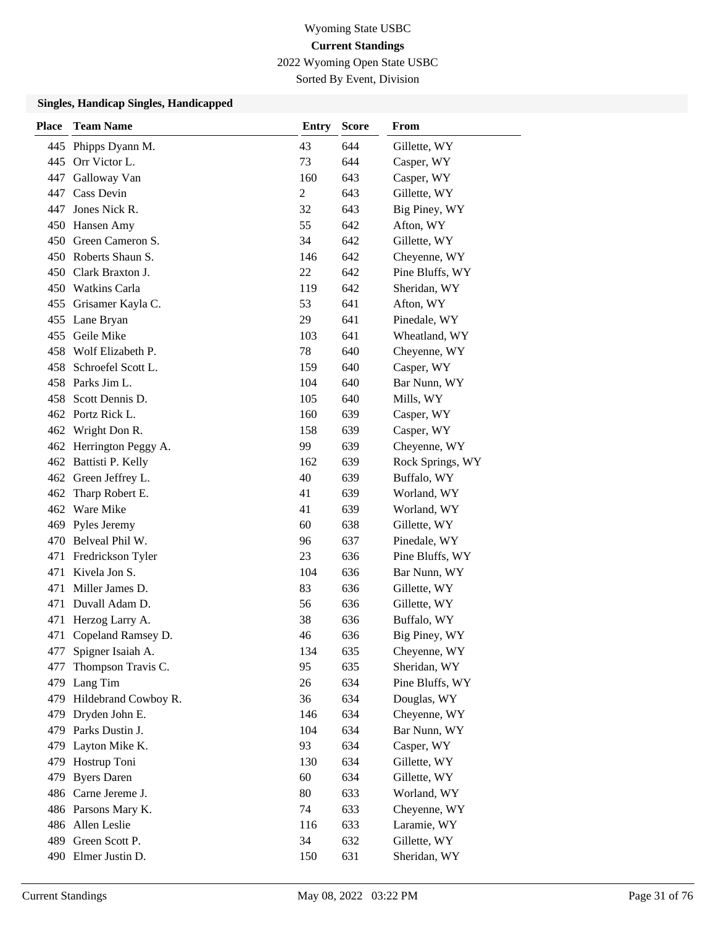2022 Wyoming Open State USBC

Sorted By Event, Division

| <b>Place</b> | <b>Team Name</b>        | <b>Entry</b>   | <b>Score</b> | From             |
|--------------|-------------------------|----------------|--------------|------------------|
| 445          | Phipps Dyann M.         | 43             | 644          | Gillette, WY     |
|              | 445 Orr Victor L.       | 73             | 644          | Casper, WY       |
|              | 447 Galloway Van        | 160            | 643          | Casper, WY       |
| 447          | Cass Devin              | $\overline{2}$ | 643          | Gillette, WY     |
| 447          | Jones Nick R.           | 32             | 643          | Big Piney, WY    |
|              | 450 Hansen Amy          | 55             | 642          | Afton, WY        |
|              | 450 Green Cameron S.    | 34             | 642          | Gillette, WY     |
|              | 450 Roberts Shaun S.    | 146            | 642          | Cheyenne, WY     |
|              | 450 Clark Braxton J.    | 22             | 642          | Pine Bluffs, WY  |
|              | 450 Watkins Carla       | 119            | 642          | Sheridan, WY     |
|              | 455 Grisamer Kayla C.   | 53             | 641          | Afton, WY        |
|              | 455 Lane Bryan          | 29             | 641          | Pinedale, WY     |
|              | 455 Geile Mike          | 103            | 641          | Wheatland, WY    |
|              | 458 Wolf Elizabeth P.   | 78             | 640          | Cheyenne, WY     |
|              | 458 Schroefel Scott L.  | 159            | 640          | Casper, WY       |
|              | 458 Parks Jim L.        | 104            | 640          | Bar Nunn, WY     |
|              | 458 Scott Dennis D.     | 105            | 640          | Mills, WY        |
|              | 462 Portz Rick L.       | 160            | 639          | Casper, WY       |
|              | 462 Wright Don R.       | 158            | 639          | Casper, WY       |
|              | 462 Herrington Peggy A. | 99             | 639          | Cheyenne, WY     |
|              | 462 Battisti P. Kelly   | 162            | 639          | Rock Springs, WY |
|              | 462 Green Jeffrey L.    | 40             | 639          | Buffalo, WY      |
|              | 462 Tharp Robert E.     | 41             | 639          | Worland, WY      |
|              | 462 Ware Mike           | 41             | 639          | Worland, WY      |
| 469          | Pyles Jeremy            | 60             | 638          | Gillette, WY     |
| 470          | Belveal Phil W.         | 96             | 637          | Pinedale, WY     |
| 471          | Fredrickson Tyler       | 23             | 636          | Pine Bluffs, WY  |
| 471          | Kivela Jon S.           | 104            | 636          | Bar Nunn, WY     |
| 471          | Miller James D.         | 83             | 636          | Gillette, WY     |
| 471          | Duvall Adam D.          | 56             | 636          | Gillette, WY     |
| 471          | Herzog Larry A.         | 38             | 636          | Buffalo, WY      |
| 471          | Copeland Ramsey D.      | 46             | 636          | Big Piney, WY    |
| 477          | Spigner Isaiah A.       | 134            | 635          | Cheyenne, WY     |
| 477          | Thompson Travis C.      | 95             | 635          | Sheridan, WY     |
|              | 479 Lang Tim            | 26             | 634          | Pine Bluffs, WY  |
| 479          | Hildebrand Cowboy R.    | 36             | 634          | Douglas, WY      |
| 479          | Dryden John E.          | 146            | 634          | Cheyenne, WY     |
| 479          | Parks Dustin J.         | 104            | 634          | Bar Nunn, WY     |
| 479          | Layton Mike K.          | 93             | 634          | Casper, WY       |
| 479          | Hostrup Toni            | 130            | 634          | Gillette, WY     |
| 479          | <b>Byers Daren</b>      | 60             | 634          | Gillette, WY     |
|              | 486 Carne Jereme J.     | 80             | 633          | Worland, WY      |
|              | 486 Parsons Mary K.     | 74             | 633          | Cheyenne, WY     |
|              | 486 Allen Leslie        | 116            | 633          | Laramie, WY      |
| 489          | Green Scott P.          | 34             | 632          | Gillette, WY     |
|              | 490 Elmer Justin D.     | 150            | 631          | Sheridan, WY     |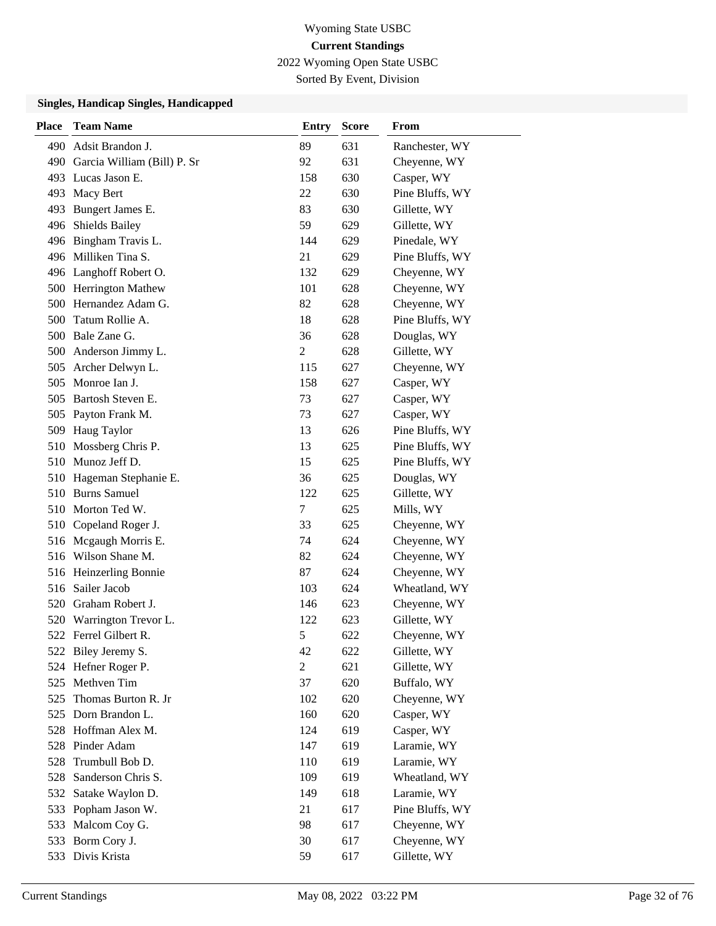2022 Wyoming Open State USBC

Sorted By Event, Division

| <b>Place</b> | <b>Team Name</b>                | <b>Entry</b>   | <b>Score</b> | <b>From</b>     |
|--------------|---------------------------------|----------------|--------------|-----------------|
|              | 490 Adsit Brandon J.            | 89             | 631          | Ranchester, WY  |
|              | 490 Garcia William (Bill) P. Sr | 92             | 631          | Cheyenne, WY    |
|              | 493 Lucas Jason E.              | 158            | 630          | Casper, WY      |
| 493          | Macy Bert                       | 22             | 630          | Pine Bluffs, WY |
| 493          | Bungert James E.                | 83             | 630          | Gillette, WY    |
| 496          | <b>Shields Bailey</b>           | 59             | 629          | Gillette, WY    |
|              | 496 Bingham Travis L.           | 144            | 629          | Pinedale, WY    |
|              | 496 Milliken Tina S.            | 21             | 629          | Pine Bluffs, WY |
|              | 496 Langhoff Robert O.          | 132            | 629          | Cheyenne, WY    |
|              | 500 Herrington Mathew           | 101            | 628          | Cheyenne, WY    |
| 500          | Hernandez Adam G.               | 82             | 628          | Cheyenne, WY    |
|              | 500 Tatum Rollie A.             | 18             | 628          | Pine Bluffs, WY |
|              | 500 Bale Zane G.                | 36             | 628          | Douglas, WY     |
|              | 500 Anderson Jimmy L.           | 2              | 628          | Gillette, WY    |
| 505          | Archer Delwyn L.                | 115            | 627          | Cheyenne, WY    |
|              | 505 Monroe Ian J.               | 158            | 627          | Casper, WY      |
| 505          | Bartosh Steven E.               | 73             | 627          | Casper, WY      |
| 505          | Payton Frank M.                 | 73             | 627          | Casper, WY      |
| 509          | Haug Taylor                     | 13             | 626          | Pine Bluffs, WY |
| 510          | Mossberg Chris P.               | 13             | 625          | Pine Bluffs, WY |
|              | 510 Munoz Jeff D.               | 15             | 625          | Pine Bluffs, WY |
|              | 510 Hageman Stephanie E.        | 36             | 625          | Douglas, WY     |
|              | 510 Burns Samuel                | 122            | 625          | Gillette, WY    |
|              | 510 Morton Ted W.               | 7              | 625          | Mills, WY       |
|              | 510 Copeland Roger J.           | 33             | 625          | Cheyenne, WY    |
|              | 516 Mcgaugh Morris E.           | 74             | 624          | Cheyenne, WY    |
|              | 516 Wilson Shane M.             | 82             | 624          | Cheyenne, WY    |
|              | 516 Heinzerling Bonnie          | 87             | 624          | Cheyenne, WY    |
|              | 516 Sailer Jacob                | 103            | 624          | Wheatland, WY   |
|              | 520 Graham Robert J.            | 146            | 623          | Cheyenne, WY    |
| 520          | Warrington Trevor L.            | 122            | 623          | Gillette, WY    |
|              | 522 Ferrel Gilbert R.           | 5              | 622          | Cheyenne, WY    |
|              | 522 Biley Jeremy S.             | 42             | 622          | Gillette, WY    |
| 524          | Hefner Roger P.                 | $\overline{2}$ | 621          | Gillette, WY    |
| 525          | Methven Tim                     | 37             | 620          | Buffalo, WY     |
| 525          | Thomas Burton R. Jr             | 102            | 620          | Cheyenne, WY    |
| 525          | Dorn Brandon L.                 | 160            | 620          | Casper, WY      |
| 528          | Hoffman Alex M.                 | 124            | 619          | Casper, WY      |
| 528          | Pinder Adam                     | 147            | 619          | Laramie, WY     |
| 528          | Trumbull Bob D.                 | 110            | 619          | Laramie, WY     |
| 528          | Sanderson Chris S.              | 109            | 619          | Wheatland, WY   |
| 532          | Satake Waylon D.                | 149            | 618          | Laramie, WY     |
| 533          | Popham Jason W.                 | 21             | 617          | Pine Bluffs, WY |
| 533          | Malcom Coy G.                   | 98             | 617          | Cheyenne, WY    |
| 533          | Borm Cory J.                    | 30             | 617          | Cheyenne, WY    |
| 533          | Divis Krista                    | 59             | 617          | Gillette, WY    |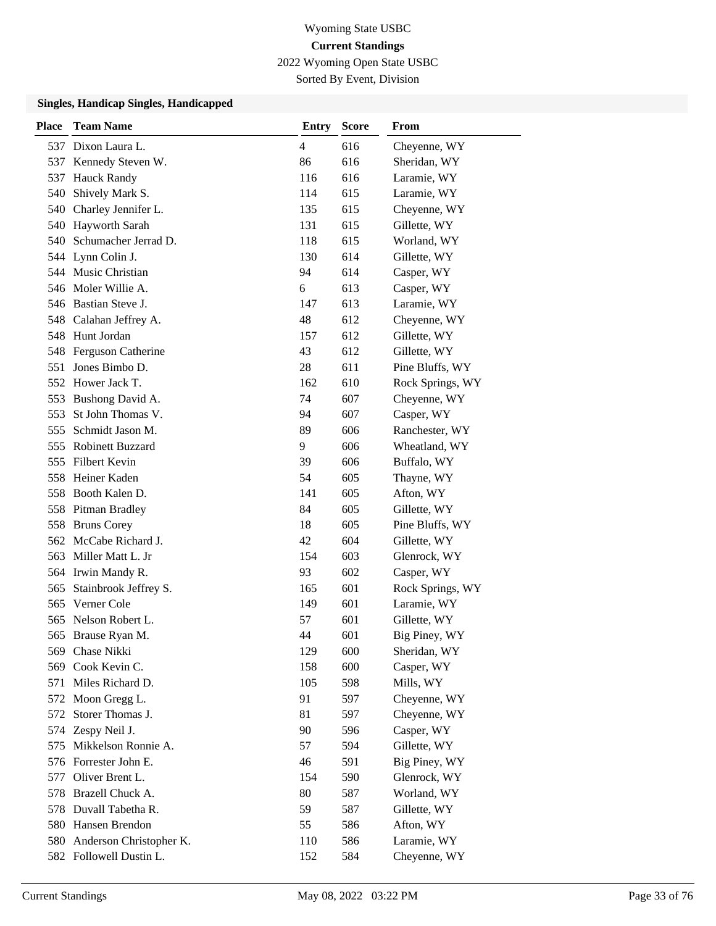2022 Wyoming Open State USBC

Sorted By Event, Division

| <b>Place</b> | <b>Team Name</b>         | <b>Entry</b>   | <b>Score</b> | From             |
|--------------|--------------------------|----------------|--------------|------------------|
|              | 537 Dixon Laura L.       | $\overline{4}$ | 616          | Cheyenne, WY     |
| 537          | Kennedy Steven W.        | 86             | 616          | Sheridan, WY     |
| 537          | <b>Hauck Randy</b>       | 116            | 616          | Laramie, WY      |
| 540          | Shively Mark S.          | 114            | 615          | Laramie, WY      |
| 540          | Charley Jennifer L.      | 135            | 615          | Cheyenne, WY     |
|              | 540 Hayworth Sarah       | 131            | 615          | Gillette, WY     |
|              | 540 Schumacher Jerrad D. | 118            | 615          | Worland, WY      |
|              | 544 Lynn Colin J.        | 130            | 614          | Gillette, WY     |
|              | 544 Music Christian      | 94             | 614          | Casper, WY       |
|              | 546 Moler Willie A.      | 6              | 613          | Casper, WY       |
|              | 546 Bastian Steve J.     | 147            | 613          | Laramie, WY      |
|              | 548 Calahan Jeffrey A.   | 48             | 612          | Cheyenne, WY     |
| 548          | Hunt Jordan              | 157            | 612          | Gillette, WY     |
| 548          | Ferguson Catherine       | 43             | 612          | Gillette, WY     |
| 551          | Jones Bimbo D.           | 28             | 611          | Pine Bluffs, WY  |
|              | 552 Hower Jack T.        | 162            | 610          | Rock Springs, WY |
| 553          | Bushong David A.         | 74             | 607          | Cheyenne, WY     |
| 553          | St John Thomas V.        | 94             | 607          | Casper, WY       |
| 555          | Schmidt Jason M.         | 89             | 606          | Ranchester, WY   |
|              | 555 Robinett Buzzard     | 9              | 606          | Wheatland, WY    |
| 555          | <b>Filbert Kevin</b>     | 39             | 606          | Buffalo, WY      |
|              | 558 Heiner Kaden         | 54             | 605          | Thayne, WY       |
|              | 558 Booth Kalen D.       | 141            | 605          | Afton, WY        |
|              | 558 Pitman Bradley       | 84             | 605          | Gillette, WY     |
| 558          | <b>Bruns Corey</b>       | 18             | 605          | Pine Bluffs, WY  |
| 562          | McCabe Richard J.        | 42             | 604          | Gillette, WY     |
| 563          | Miller Matt L. Jr        | 154            | 603          | Glenrock, WY     |
|              | 564 Irwin Mandy R.       | 93             | 602          | Casper, WY       |
| 565          | Stainbrook Jeffrey S.    | 165            | 601          | Rock Springs, WY |
| 565          | Verner Cole              | 149            | 601          | Laramie, WY      |
| 565          | Nelson Robert L.         | 57             | 601          | Gillette, WY     |
|              | 565 Brause Ryan M.       | 44             | 601          | Big Piney, WY    |
| 569          | Chase Nikki              | 129            | 600          | Sheridan, WY     |
| 569          | Cook Kevin C.            | 158            | 600          | Casper, WY       |
| 571          | Miles Richard D.         | 105            | 598          | Mills, WY        |
|              | 572 Moon Gregg L.        | 91             | 597          | Cheyenne, WY     |
| 572          | Storer Thomas J.         | 81             | 597          | Cheyenne, WY     |
| 574          | Zespy Neil J.            | 90             | 596          | Casper, WY       |
| 575          | Mikkelson Ronnie A.      | 57             | 594          | Gillette, WY     |
|              | 576 Forrester John E.    | 46             | 591          | Big Piney, WY    |
| 577          | Oliver Brent L.          | 154            | 590          | Glenrock, WY     |
| 578          | Brazell Chuck A.         | 80             | 587          | Worland, WY      |
| 578          | Duvall Tabetha R.        | 59             | 587          | Gillette, WY     |
|              | 580 Hansen Brendon       | 55             | 586          | Afton, WY        |
| 580          | Anderson Christopher K.  | 110            | 586          | Laramie, WY      |
| 582          | Followell Dustin L.      | 152            | 584          | Cheyenne, WY     |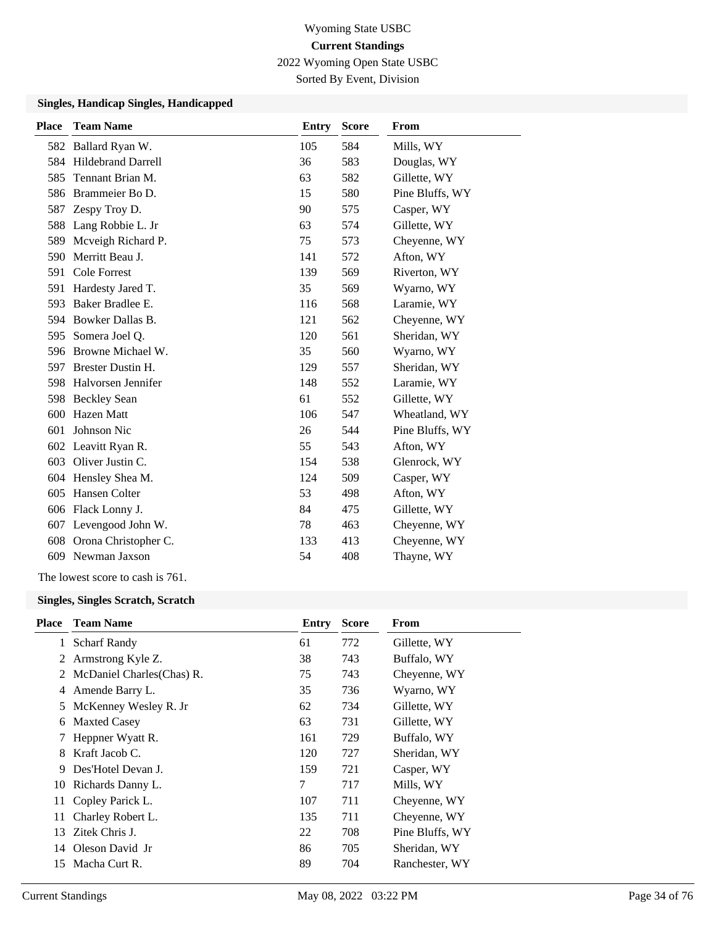2022 Wyoming Open State USBC

Sorted By Event, Division

#### **Singles, Handicap Singles, Handicapped**

| <b>Place</b> | <b>Team Name</b>       | <b>Entry</b> | <b>Score</b> | <b>From</b>     |
|--------------|------------------------|--------------|--------------|-----------------|
|              | 582 Ballard Ryan W.    | 105          | 584          | Mills, WY       |
|              | 584 Hildebrand Darrell | 36           | 583          | Douglas, WY     |
| 585          | Tennant Brian M.       | 63           | 582          | Gillette, WY    |
| 586          | Brammeier Bo D.        | 15           | 580          | Pine Bluffs, WY |
| 587          | Zespy Troy D.          | 90           | 575          | Casper, WY      |
| 588          | Lang Robbie L. Jr      | 63           | 574          | Gillette, WY    |
| 589          | Mcveigh Richard P.     | 75           | 573          | Cheyenne, WY    |
| 590          | Merritt Beau J.        | 141          | 572          | Afton, WY       |
| 591          | Cole Forrest           | 139          | 569          | Riverton, WY    |
| 591          | Hardesty Jared T.      | 35           | 569          | Wyarno, WY      |
| 593          | Baker Bradlee E.       | 116          | 568          | Laramie, WY     |
| 594          | Bowker Dallas B.       | 121          | 562          | Cheyenne, WY    |
| 595          | Somera Joel Q.         | 120          | 561          | Sheridan, WY    |
| 596          | Browne Michael W.      | 35           | 560          | Wyarno, WY      |
| 597          | Brester Dustin H.      | 129          | 557          | Sheridan, WY    |
| 598          | Halvorsen Jennifer     | 148          | 552          | Laramie, WY     |
| 598          | <b>Beckley Sean</b>    | 61           | 552          | Gillette, WY    |
| 600          | <b>Hazen</b> Matt      | 106          | 547          | Wheatland, WY   |
| 601          | Johnson Nic            | 26           | 544          | Pine Bluffs, WY |
|              | 602 Leavitt Ryan R.    | 55           | 543          | Afton, WY       |
| 603          | Oliver Justin C.       | 154          | 538          | Glenrock, WY    |
|              | 604 Hensley Shea M.    | 124          | 509          | Casper, WY      |
| 605          | Hansen Colter          | 53           | 498          | Afton, WY       |
|              | 606 Flack Lonny J.     | 84           | 475          | Gillette, WY    |
| 607          | Levengood John W.      | 78           | 463          | Cheyenne, WY    |
| 608          | Orona Christopher C.   | 133          | 413          | Cheyenne, WY    |
| 609          | Newman Jaxson          | 54           | 408          | Thayne, WY      |
|              |                        |              |              |                 |

The lowest score to cash is 761.

### **Singles, Singles Scratch, Scratch**

| <b>Team Name</b>           | Entry                                      | <b>Score</b> | From            |
|----------------------------|--------------------------------------------|--------------|-----------------|
| <b>Scharf Randy</b>        | 61                                         | 772          | Gillette, WY    |
| Armstrong Kyle Z.          | 38                                         | 743          | Buffalo, WY     |
| McDaniel Charles (Chas) R. | 75                                         | 743          | Cheyenne, WY    |
| Amende Barry L.            | 35                                         | 736          | Wyarno, WY      |
| McKenney Wesley R. Jr      | 62                                         | 734          | Gillette, WY    |
| <b>Maxted Casey</b>        | 63                                         | 731          | Gillette, WY    |
| Heppner Wyatt R.           | 161                                        | 729          | Buffalo, WY     |
| Kraft Jacob C.             | 120                                        | 727          | Sheridan, WY    |
| Des'Hotel Devan J.         | 159                                        | 721          | Casper, WY      |
|                            | 7                                          | 717          | Mills, WY       |
| Copley Parick L.           | 107                                        | 711          | Cheyenne, WY    |
| Charley Robert L.          | 135                                        | 711          | Cheyenne, WY    |
| Zitek Chris J.             | 22                                         | 708          | Pine Bluffs, WY |
|                            | 86                                         | 705          | Sheridan, WY    |
| Macha Curt R.              | 89                                         | 704          | Ranchester, WY  |
|                            | 10 Richards Danny L.<br>14 Oleson David Jr |              |                 |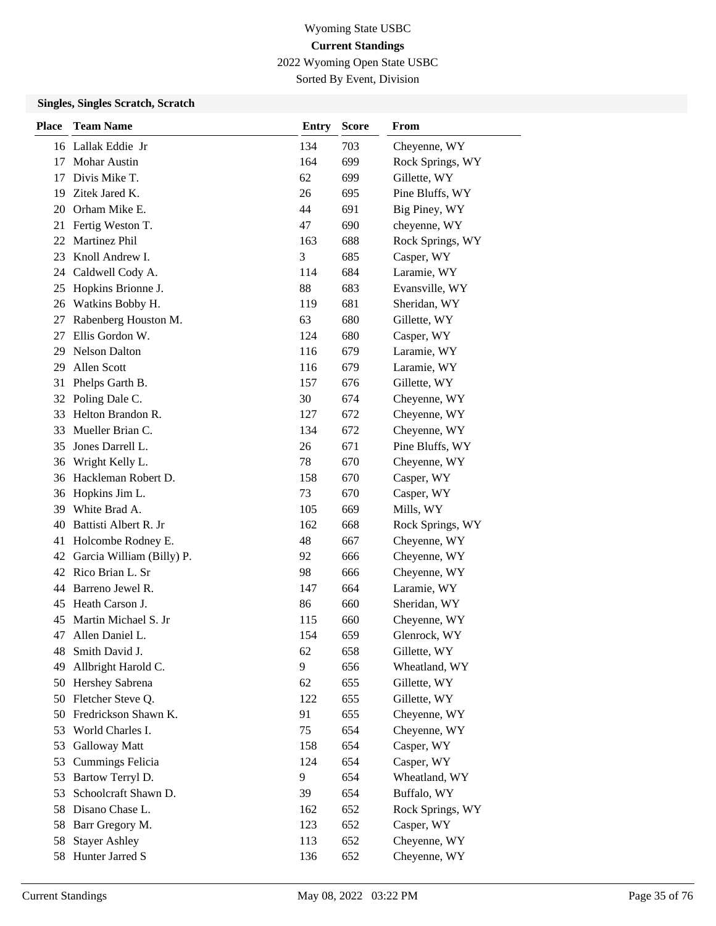2022 Wyoming Open State USBC

Sorted By Event, Division

### **Singles, Singles Scratch, Scratch**

| <b>Place</b> | <b>Team Name</b>          | <b>Entry</b> | <b>Score</b> | From             |
|--------------|---------------------------|--------------|--------------|------------------|
|              | 16 Lallak Eddie Jr        | 134          | 703          | Cheyenne, WY     |
| 17           | <b>Mohar Austin</b>       | 164          | 699          | Rock Springs, WY |
| 17           | Divis Mike T.             | 62           | 699          | Gillette, WY     |
| 19           | Zitek Jared K.            | 26           | 695          | Pine Bluffs, WY  |
| 20           | Orham Mike E.             | 44           | 691          | Big Piney, WY    |
| 21           | Fertig Weston T.          | 47           | 690          | cheyenne, WY     |
| 22           | Martinez Phil             | 163          | 688          | Rock Springs, WY |
| 23           | Knoll Andrew I.           | 3            | 685          | Casper, WY       |
| 24           | Caldwell Cody A.          | 114          | 684          | Laramie, WY      |
| 25           | Hopkins Brionne J.        | 88           | 683          | Evansville, WY   |
| 26           | Watkins Bobby H.          | 119          | 681          | Sheridan, WY     |
| 27           | Rabenberg Houston M.      | 63           | 680          | Gillette, WY     |
| 27           | Ellis Gordon W.           | 124          | 680          | Casper, WY       |
| 29           | <b>Nelson Dalton</b>      | 116          | 679          | Laramie, WY      |
| 29           | Allen Scott               | 116          | 679          | Laramie, WY      |
| 31           | Phelps Garth B.           | 157          | 676          | Gillette, WY     |
| 32           | Poling Dale C.            | 30           | 674          | Cheyenne, WY     |
| 33           | Helton Brandon R.         | 127          | 672          | Cheyenne, WY     |
| 33           | Mueller Brian C.          | 134          | 672          | Cheyenne, WY     |
| 35           | Jones Darrell L.          | 26           | 671          | Pine Bluffs, WY  |
| 36           | Wright Kelly L.           | 78           | 670          | Cheyenne, WY     |
| 36           | Hackleman Robert D.       | 158          | 670          | Casper, WY       |
| 36           | Hopkins Jim L.            | 73           | 670          | Casper, WY       |
| 39           | White Brad A.             | 105          | 669          | Mills, WY        |
| 40           | Battisti Albert R. Jr     | 162          | 668          | Rock Springs, WY |
| 41           | Holcombe Rodney E.        | 48           | 667          | Cheyenne, WY     |
| 42           | Garcia William (Billy) P. | 92           | 666          | Cheyenne, WY     |
| 42           | Rico Brian L. Sr          | 98           | 666          | Cheyenne, WY     |
| 44           | Barreno Jewel R.          | 147          | 664          | Laramie, WY      |
| 45           | Heath Carson J.           | 86           | 660          | Sheridan, WY     |
| 45           | Martin Michael S. Jr      | 115          | 660          | Cheyenne, WY     |
| 47           | Allen Daniel L.           | 154          | 659          | Glenrock, WY     |
| 48           | Smith David J.            | 62           | 658          | Gillette, WY     |
| 49           | Allbright Harold C.       | 9            | 656          | Wheatland, WY    |
| 50           | Hershey Sabrena           | 62           | 655          | Gillette, WY     |
| 50           | Fletcher Steve Q.         | 122          | 655          | Gillette, WY     |
| 50           | Fredrickson Shawn K.      | 91           | 655          | Cheyenne, WY     |
| 53           | World Charles I.          | 75           | 654          | Cheyenne, WY     |
| 53           | Galloway Matt             | 158          | 654          | Casper, WY       |
| 53           | <b>Cummings Felicia</b>   | 124          | 654          | Casper, WY       |
| 53           | Bartow Terryl D.          | 9            | 654          | Wheatland, WY    |
| 53           | Schoolcraft Shawn D.      | 39           | 654          | Buffalo, WY      |
| 58           | Disano Chase L.           | 162          | 652          | Rock Springs, WY |
| 58           | Barr Gregory M.           | 123          | 652          | Casper, WY       |
| 58           | <b>Stayer Ashley</b>      | 113          | 652          | Cheyenne, WY     |
| 58           | Hunter Jarred S           | 136          | 652          | Cheyenne, WY     |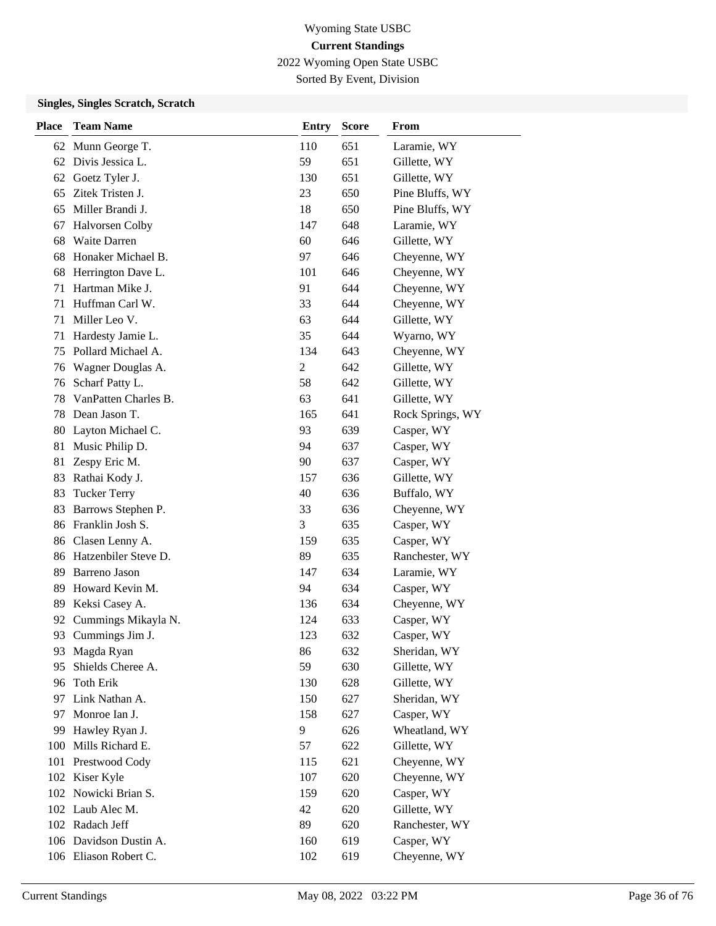2022 Wyoming Open State USBC

Sorted By Event, Division

### **Singles, Singles Scratch, Scratch**

| <b>Place</b> | <b>Team Name</b>        | <b>Entry</b> | <b>Score</b> | From             |
|--------------|-------------------------|--------------|--------------|------------------|
| 62           | Munn George T.          | 110          | 651          | Laramie, WY      |
| 62           | Divis Jessica L.        | 59           | 651          | Gillette, WY     |
| 62           | Goetz Tyler J.          | 130          | 651          | Gillette, WY     |
| 65           | Zitek Tristen J.        | 23           | 650          | Pine Bluffs, WY  |
| 65           | Miller Brandi J.        | 18           | 650          | Pine Bluffs, WY  |
| 67           | <b>Halvorsen Colby</b>  | 147          | 648          | Laramie, WY      |
| 68           | Waite Darren            | 60           | 646          | Gillette, WY     |
| 68           | Honaker Michael B.      | 97           | 646          | Cheyenne, WY     |
| 68           | Herrington Dave L.      | 101          | 646          | Cheyenne, WY     |
| 71           | Hartman Mike J.         | 91           | 644          | Cheyenne, WY     |
| 71           | Huffman Carl W.         | 33           | 644          | Cheyenne, WY     |
| 71           | Miller Leo V.           | 63           | 644          | Gillette, WY     |
| 71           | Hardesty Jamie L.       | 35           | 644          | Wyarno, WY       |
| 75           | Pollard Michael A.      | 134          | 643          | Cheyenne, WY     |
| 76           | Wagner Douglas A.       | 2            | 642          | Gillette, WY     |
| 76           | Scharf Patty L.         | 58           | 642          | Gillette, WY     |
| 78           | VanPatten Charles B.    | 63           | 641          | Gillette, WY     |
| 78           | Dean Jason T.           | 165          | 641          | Rock Springs, WY |
| 80           | Layton Michael C.       | 93           | 639          | Casper, WY       |
| 81           | Music Philip D.         | 94           | 637          | Casper, WY       |
| 81           | Zespy Eric M.           | 90           | 637          | Casper, WY       |
| 83           | Rathai Kody J.          | 157          | 636          | Gillette, WY     |
| 83           | <b>Tucker Terry</b>     | 40           | 636          | Buffalo, WY      |
| 83           | Barrows Stephen P.      | 33           | 636          | Cheyenne, WY     |
|              | 86 Franklin Josh S.     | 3            | 635          | Casper, WY       |
| 86           | Clasen Lenny A.         | 159          | 635          | Casper, WY       |
|              | 86 Hatzenbiler Steve D. | 89           | 635          | Ranchester, WY   |
| 89           | Barreno Jason           | 147          | 634          | Laramie, WY      |
| 89           | Howard Kevin M.         | 94           | 634          | Casper, WY       |
| 89           | Keksi Casey A.          | 136          | 634          | Cheyenne, WY     |
| 92           | Cummings Mikayla N.     | 124          | 633          | Casper, WY       |
|              | 93 Cummings Jim J.      | 123          | 632          | Casper, WY       |
| 93           | Magda Ryan              | 86           | 632          | Sheridan, WY     |
| 95           | Shields Cheree A.       | 59           | 630          | Gillette, WY     |
| 96           | Toth Erik               | 130          | 628          | Gillette, WY     |
|              | 97 Link Nathan A.       | 150          | 627          | Sheridan, WY     |
| 97           | Monroe Ian J.           | 158          | 627          | Casper, WY       |
| 99           | Hawley Ryan J.          | 9            | 626          | Wheatland, WY    |
| 100          | Mills Richard E.        | 57           | 622          | Gillette, WY     |
| 101          | Prestwood Cody          | 115          | 621          | Cheyenne, WY     |
|              | 102 Kiser Kyle          | 107          | 620          | Cheyenne, WY     |
|              | 102 Nowicki Brian S.    | 159          | 620          | Casper, WY       |
|              | 102 Laub Alec M.        | 42           | 620          | Gillette, WY     |
|              | 102 Radach Jeff         | 89           | 620          | Ranchester, WY   |
|              | 106 Davidson Dustin A.  | 160          | 619          | Casper, WY       |
|              | 106 Eliason Robert C.   | 102          | 619          | Cheyenne, WY     |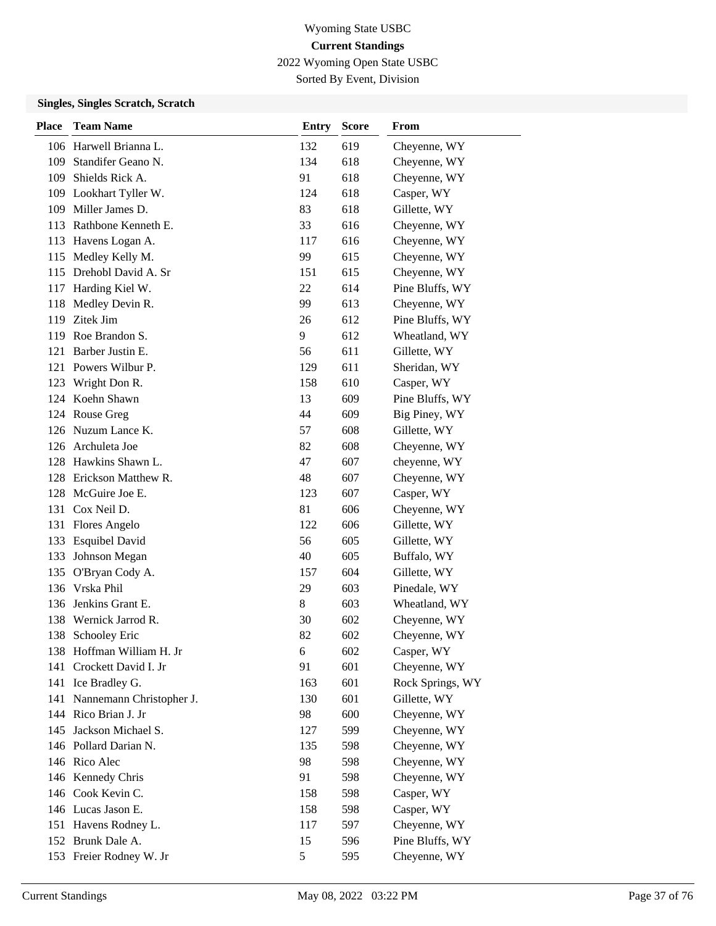2022 Wyoming Open State USBC

Sorted By Event, Division

| <b>Place</b> | <b>Team Name</b>             | Entry | <b>Score</b> | <b>From</b>      |
|--------------|------------------------------|-------|--------------|------------------|
|              | 106 Harwell Brianna L.       | 132   | 619          | Cheyenne, WY     |
| 109          | Standifer Geano N.           | 134   | 618          | Cheyenne, WY     |
| 109          | Shields Rick A.              | 91    | 618          | Cheyenne, WY     |
|              | 109 Lookhart Tyller W.       | 124   | 618          | Casper, WY       |
|              | 109 Miller James D.          | 83    | 618          | Gillette, WY     |
|              | 113 Rathbone Kenneth E.      | 33    | 616          | Cheyenne, WY     |
|              | 113 Havens Logan A.          | 117   | 616          | Cheyenne, WY     |
|              | 115 Medley Kelly M.          | 99    | 615          | Cheyenne, WY     |
|              | 115 Drehobl David A. Sr      | 151   | 615          | Cheyenne, WY     |
|              | 117 Harding Kiel W.          | 22    | 614          | Pine Bluffs, WY  |
| 118          | Medley Devin R.              | 99    | 613          | Cheyenne, WY     |
|              | 119 Zitek Jim                | 26    | 612          | Pine Bluffs, WY  |
|              | 119 Roe Brandon S.           | 9     | 612          | Wheatland, WY    |
| 121          | Barber Justin E.             | 56    | 611          | Gillette, WY     |
|              | 121 Powers Wilbur P.         | 129   | 611          | Sheridan, WY     |
|              | 123 Wright Don R.            | 158   | 610          | Casper, WY       |
|              | 124 Koehn Shawn              | 13    | 609          | Pine Bluffs, WY  |
|              | 124 Rouse Greg               | 44    | 609          | Big Piney, WY    |
|              | 126 Nuzum Lance K.           | 57    | 608          | Gillette, WY     |
|              | 126 Archuleta Joe            | 82    | 608          | Cheyenne, WY     |
|              | 128 Hawkins Shawn L.         | 47    | 607          | cheyenne, WY     |
|              | 128 Erickson Matthew R.      | 48    | 607          | Cheyenne, WY     |
|              | 128 McGuire Joe E.           | 123   | 607          | Casper, WY       |
|              | 131 Cox Neil D.              | 81    | 606          | Cheyenne, WY     |
|              | 131 Flores Angelo            | 122   | 606          | Gillette, WY     |
| 133          | <b>Esquibel David</b>        | 56    | 605          | Gillette, WY     |
| 133          | Johnson Megan                | 40    | 605          | Buffalo, WY      |
|              | 135 O'Bryan Cody A.          | 157   | 604          | Gillette, WY     |
|              | 136 Vrska Phil               | 29    | 603          | Pinedale, WY     |
|              | 136 Jenkins Grant E.         | 8     | 603          | Wheatland, WY    |
|              | 138 Wernick Jarrod R.        | 30    | 602          | Cheyenne, WY     |
| 138          | <b>Schooley Eric</b>         | 82    | 602          | Cheyenne, WY     |
|              | 138 Hoffman William H. Jr    | 6     | 602          | Casper, WY       |
|              | 141 Crockett David I. Jr     | 91    | 601          | Cheyenne, WY     |
|              | 141 Ice Bradley G.           | 163   | 601          | Rock Springs, WY |
|              | 141 Nannemann Christopher J. | 130   | 601          | Gillette, WY     |
|              | 144 Rico Brian J. Jr         | 98    | 600          | Cheyenne, WY     |
| 145          | Jackson Michael S.           | 127   | 599          | Cheyenne, WY     |
|              | 146 Pollard Darian N.        | 135   | 598          | Cheyenne, WY     |
|              | 146 Rico Alec                | 98    | 598          | Cheyenne, WY     |
|              | 146 Kennedy Chris            | 91    | 598          | Cheyenne, WY     |
|              | 146 Cook Kevin C.            | 158   | 598          | Casper, WY       |
|              | 146 Lucas Jason E.           | 158   | 598          | Casper, WY       |
|              | 151 Havens Rodney L.         | 117   | 597          | Cheyenne, WY     |
|              | 152 Brunk Dale A.            | 15    | 596          | Pine Bluffs, WY  |
|              | 153 Freier Rodney W. Jr      | 5     | 595          | Cheyenne, WY     |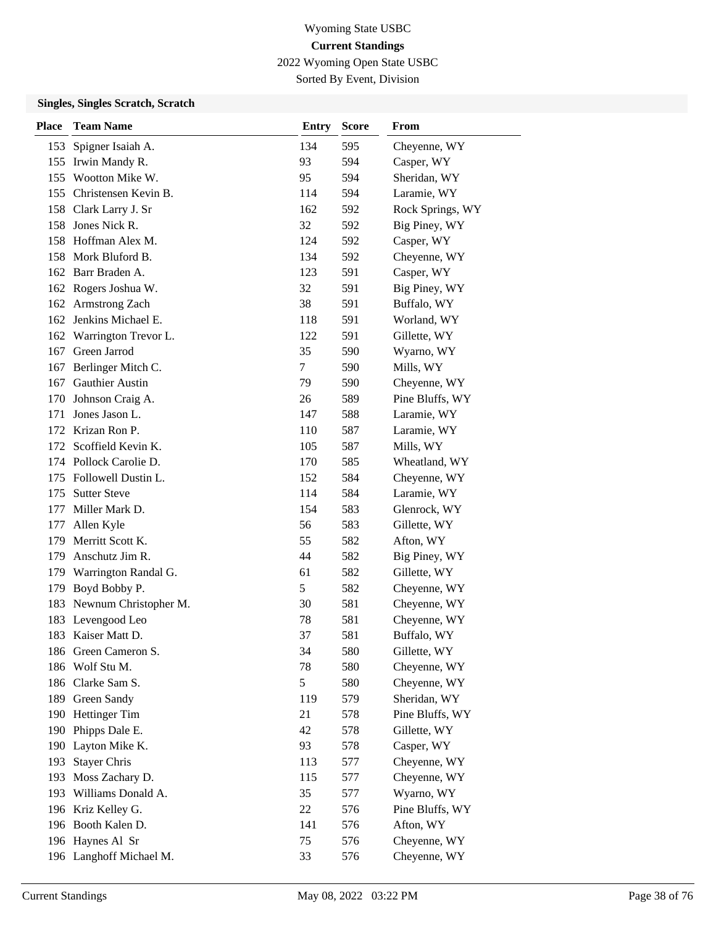2022 Wyoming Open State USBC

Sorted By Event, Division

| <b>Place</b> | <b>Team Name</b>          | <b>Entry</b> | <b>Score</b> | From             |
|--------------|---------------------------|--------------|--------------|------------------|
|              | 153 Spigner Isaiah A.     | 134          | 595          | Cheyenne, WY     |
|              | 155 Irwin Mandy R.        | 93           | 594          | Casper, WY       |
|              | 155 Wootton Mike W.       | 95           | 594          | Sheridan, WY     |
|              | 155 Christensen Kevin B.  | 114          | 594          | Laramie, WY      |
|              | 158 Clark Larry J. Sr     | 162          | 592          | Rock Springs, WY |
|              | 158 Jones Nick R.         | 32           | 592          | Big Piney, WY    |
|              | 158 Hoffman Alex M.       | 124          | 592          | Casper, WY       |
|              | 158 Mork Bluford B.       | 134          | 592          | Cheyenne, WY     |
|              | 162 Barr Braden A.        | 123          | 591          | Casper, WY       |
|              | 162 Rogers Joshua W.      | 32           | 591          | Big Piney, WY    |
|              | 162 Armstrong Zach        | 38           | 591          | Buffalo, WY      |
|              | 162 Jenkins Michael E.    | 118          | 591          | Worland, WY      |
|              | 162 Warrington Trevor L.  | 122          | 591          | Gillette, WY     |
| 167          | Green Jarrod              | 35           | 590          | Wyarno, WY       |
| 167          | Berlinger Mitch C.        | $\tau$       | 590          | Mills, WY        |
|              | 167 Gauthier Austin       | 79           | 590          | Cheyenne, WY     |
| 170          | Johnson Craig A.          | 26           | 589          | Pine Bluffs, WY  |
| 171          | Jones Jason L.            | 147          | 588          | Laramie, WY      |
|              | 172 Krizan Ron P.         | 110          | 587          | Laramie, WY      |
|              | 172 Scoffield Kevin K.    | 105          | 587          | Mills, WY        |
|              | 174 Pollock Carolie D.    | 170          | 585          | Wheatland, WY    |
|              | 175 Followell Dustin L.   | 152          | 584          | Cheyenne, WY     |
|              | 175 Sutter Steve          | 114          | 584          | Laramie, WY      |
|              | 177 Miller Mark D.        | 154          | 583          | Glenrock, WY     |
| 177          | Allen Kyle                | 56           | 583          | Gillette, WY     |
| 179          | Merritt Scott K.          | 55           | 582          | Afton, WY        |
| 179          | Anschutz Jim R.           | 44           | 582          | Big Piney, WY    |
|              | 179 Warrington Randal G.  | 61           | 582          | Gillette, WY     |
| 179          | Boyd Bobby P.             | 5            | 582          | Cheyenne, WY     |
|              | 183 Newnum Christopher M. | 30           | 581          | Cheyenne, WY     |
|              | 183 Levengood Leo         | 78           | 581          | Cheyenne, WY     |
|              | 183 Kaiser Matt D.        | 37           | 581          | Buffalo, WY      |
|              | 186 Green Cameron S.      | 34           | 580          | Gillette, WY     |
|              | 186 Wolf Stu M.           | 78           | 580          | Cheyenne, WY     |
|              | 186 Clarke Sam S.         | 5            | 580          | Cheyenne, WY     |
|              | 189 Green Sandy           | 119          | 579          | Sheridan, WY     |
| 190          | <b>Hettinger Tim</b>      | 21           | 578          | Pine Bluffs, WY  |
| 190          | Phipps Dale E.            | 42           | 578          | Gillette, WY     |
| 190          | Layton Mike K.            | 93           | 578          | Casper, WY       |
| 193          | <b>Stayer Chris</b>       | 113          | 577          | Cheyenne, WY     |
| 193          | Moss Zachary D.           | 115          | 577          | Cheyenne, WY     |
|              | 193 Williams Donald A.    | 35           | 577          | Wyarno, WY       |
|              | 196 Kriz Kelley G.        | 22           | 576          | Pine Bluffs, WY  |
|              | 196 Booth Kalen D.        | 141          | 576          | Afton, WY        |
|              | 196 Haynes Al Sr          | 75           | 576          | Cheyenne, WY     |
|              | 196 Langhoff Michael M.   | 33           | 576          | Cheyenne, WY     |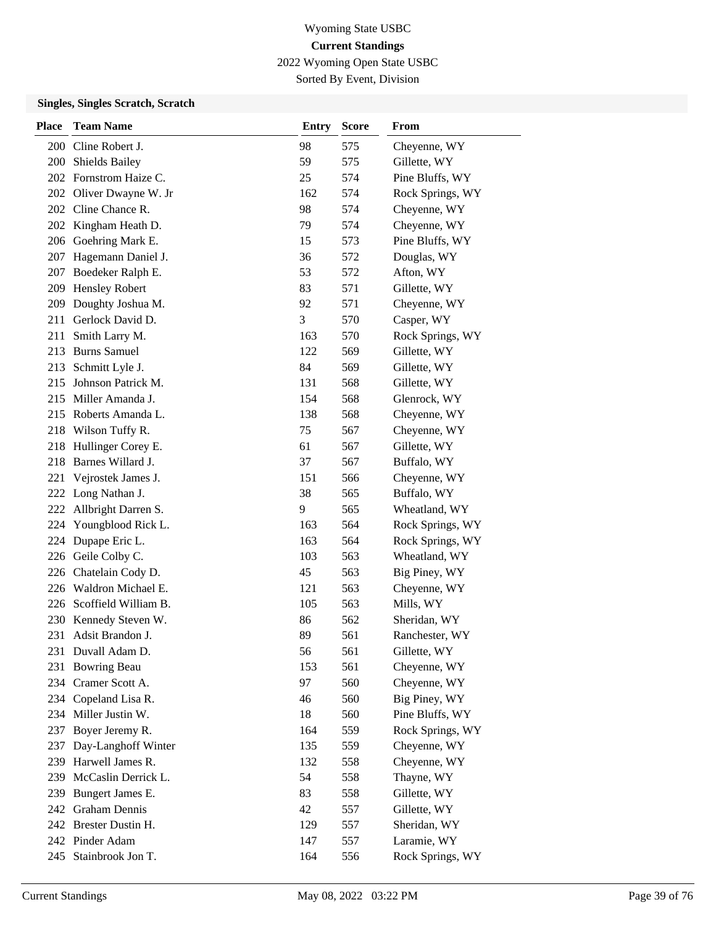2022 Wyoming Open State USBC

Sorted By Event, Division

| <b>Place</b> | <b>Team Name</b>         | <b>Entry</b> | <b>Score</b> | From             |
|--------------|--------------------------|--------------|--------------|------------------|
|              | 200 Cline Robert J.      | 98           | 575          | Cheyenne, WY     |
| 200          | Shields Bailey           | 59           | 575          | Gillette, WY     |
|              | 202 Fornstrom Haize C.   | 25           | 574          | Pine Bluffs, WY  |
|              | 202 Oliver Dwayne W. Jr  | 162          | 574          | Rock Springs, WY |
|              | 202 Cline Chance R.      | 98           | 574          | Cheyenne, WY     |
| 202          | Kingham Heath D.         | 79           | 574          | Cheyenne, WY     |
|              | 206 Goehring Mark E.     | 15           | 573          | Pine Bluffs, WY  |
| 207          | Hagemann Daniel J.       | 36           | 572          | Douglas, WY      |
| 207          | Boedeker Ralph E.        | 53           | 572          | Afton, WY        |
| 209          | Hensley Robert           | 83           | 571          | Gillette, WY     |
| 209          | Doughty Joshua M.        | 92           | 571          | Cheyenne, WY     |
| 211          | Gerlock David D.         | 3            | 570          | Casper, WY       |
| 211          | Smith Larry M.           | 163          | 570          | Rock Springs, WY |
| 213          | <b>Burns Samuel</b>      | 122          | 569          | Gillette, WY     |
| 213          | Schmitt Lyle J.          | 84           | 569          | Gillette, WY     |
| 215          | Johnson Patrick M.       | 131          | 568          | Gillette, WY     |
| 215          | Miller Amanda J.         | 154          | 568          | Glenrock, WY     |
|              | 215 Roberts Amanda L.    | 138          | 568          | Cheyenne, WY     |
|              | 218 Wilson Tuffy R.      | 75           | 567          | Cheyenne, WY     |
| 218          | Hullinger Corey E.       | 61           | 567          | Gillette, WY     |
| 218          | Barnes Willard J.        | 37           | 567          | Buffalo, WY      |
| 221          | Vejrostek James J.       | 151          | 566          | Cheyenne, WY     |
|              | 222 Long Nathan J.       | 38           | 565          | Buffalo, WY      |
|              | 222 Allbright Darren S.  | 9            | 565          | Wheatland, WY    |
|              | 224 Youngblood Rick L.   | 163          | 564          | Rock Springs, WY |
|              | 224 Dupape Eric L.       | 163          | 564          | Rock Springs, WY |
|              | 226 Geile Colby C.       | 103          | 563          | Wheatland, WY    |
|              | 226 Chatelain Cody D.    | 45           | 563          | Big Piney, WY    |
|              | 226 Waldron Michael E.   | 121          | 563          | Cheyenne, WY     |
|              | 226 Scoffield William B. | 105          | 563          | Mills, WY        |
| 230          | Kennedy Steven W.        | 86           | 562          | Sheridan, WY     |
| 231          | Adsit Brandon J.         | 89           | 561          | Ranchester, WY   |
|              | 231 Duvall Adam D.       | 56           | 561          | Gillette, WY     |
|              | 231 Bowring Beau         | 153          | 561          | Cheyenne, WY     |
|              | 234 Cramer Scott A.      | 97           | 560          | Cheyenne, WY     |
|              | 234 Copeland Lisa R.     | 46           | 560          | Big Piney, WY    |
|              | 234 Miller Justin W.     | 18           | 560          | Pine Bluffs, WY  |
| 237          | Boyer Jeremy R.          | 164          | 559          | Rock Springs, WY |
| 237          | Day-Langhoff Winter      | 135          | 559          | Cheyenne, WY     |
| 239          | Harwell James R.         | 132          | 558          | Cheyenne, WY     |
| 239          | McCaslin Derrick L.      | 54           | 558          | Thayne, WY       |
| 239          | Bungert James E.         | 83           | 558          | Gillette, WY     |
|              | 242 Graham Dennis        | 42           | 557          | Gillette, WY     |
|              | 242 Brester Dustin H.    | 129          | 557          | Sheridan, WY     |
|              | 242 Pinder Adam          | 147          | 557          | Laramie, WY      |
| 245          | Stainbrook Jon T.        | 164          | 556          | Rock Springs, WY |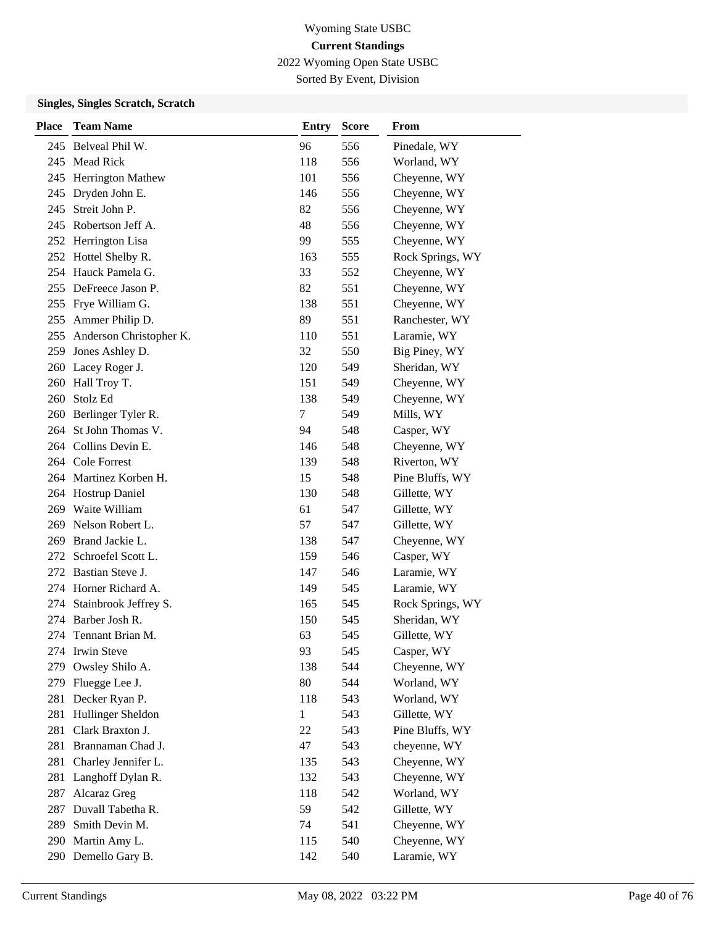2022 Wyoming Open State USBC

Sorted By Event, Division

| <b>Place</b> | <b>Team Name</b>            | <b>Entry</b> | <b>Score</b> | From             |
|--------------|-----------------------------|--------------|--------------|------------------|
|              | 245 Belveal Phil W.         | 96           | 556          | Pinedale, WY     |
| 245          | <b>Mead Rick</b>            | 118          | 556          | Worland, WY      |
| 245          | Herrington Mathew           | 101          | 556          | Cheyenne, WY     |
| 245          | Dryden John E.              | 146          | 556          | Cheyenne, WY     |
| 245          | Streit John P.              | 82           | 556          | Cheyenne, WY     |
|              | 245 Robertson Jeff A.       | 48           | 556          | Cheyenne, WY     |
|              | 252 Herrington Lisa         | 99           | 555          | Cheyenne, WY     |
|              | 252 Hottel Shelby R.        | 163          | 555          | Rock Springs, WY |
|              | 254 Hauck Pamela G.         | 33           | 552          | Cheyenne, WY     |
|              | 255 DeFreece Jason P.       | 82           | 551          | Cheyenne, WY     |
| 255          | Frye William G.             | 138          | 551          | Cheyenne, WY     |
| 255          | Ammer Philip D.             | 89           | 551          | Ranchester, WY   |
|              | 255 Anderson Christopher K. | 110          | 551          | Laramie, WY      |
|              | 259 Jones Ashley D.         | 32           | 550          | Big Piney, WY    |
|              | 260 Lacey Roger J.          | 120          | 549          | Sheridan, WY     |
|              | 260 Hall Troy T.            | 151          | 549          | Cheyenne, WY     |
|              | 260 Stolz Ed                | 138          | 549          | Cheyenne, WY     |
| 260          | Berlinger Tyler R.          | 7            | 549          | Mills, WY        |
| 264          | St John Thomas V.           | 94           | 548          | Casper, WY       |
|              | 264 Collins Devin E.        | 146          | 548          | Cheyenne, WY     |
|              | 264 Cole Forrest            | 139          | 548          | Riverton, WY     |
|              | 264 Martinez Korben H.      | 15           | 548          | Pine Bluffs, WY  |
|              | 264 Hostrup Daniel          | 130          | 548          | Gillette, WY     |
|              | 269 Waite William           | 61           | 547          | Gillette, WY     |
| 269          | Nelson Robert L.            | 57           | 547          | Gillette, WY     |
| 269          | Brand Jackie L.             | 138          | 547          | Cheyenne, WY     |
| 272          | Schroefel Scott L.          | 159          | 546          | Casper, WY       |
| 272          | Bastian Steve J.            | 147          | 546          | Laramie, WY      |
|              | 274 Horner Richard A.       | 149          | 545          | Laramie, WY      |
| 274          | Stainbrook Jeffrey S.       | 165          | 545          | Rock Springs, WY |
|              | 274 Barber Josh R.          | 150          | 545          | Sheridan, WY     |
| 274          | Tennant Brian M.            | 63           | 545          | Gillette, WY     |
|              | 274 Irwin Steve             | 93           | 545          | Casper, WY       |
| 279          | Owsley Shilo A.             | 138          | 544          | Cheyenne, WY     |
| 279          | Fluegge Lee J.              | 80           | 544          | Worland, WY      |
|              | 281 Decker Ryan P.          | 118          | 543          | Worland, WY      |
| 281          | Hullinger Sheldon           | $\mathbf{1}$ | 543          | Gillette, WY     |
| 281          | Clark Braxton J.            | 22           | 543          | Pine Bluffs, WY  |
| 281          | Brannaman Chad J.           | 47           | 543          | cheyenne, WY     |
| 281          | Charley Jennifer L.         | 135          | 543          | Cheyenne, WY     |
| 281          | Langhoff Dylan R.           | 132          | 543          | Cheyenne, WY     |
| 287          | Alcaraz Greg                | 118          | 542          | Worland, WY      |
| 287          | Duvall Tabetha R.           | 59           | 542          | Gillette, WY     |
|              | 289 Smith Devin M.          | 74           | 541          | Cheyenne, WY     |
| 290          | Martin Amy L.               | 115          | 540          | Cheyenne, WY     |
|              | 290 Demello Gary B.         | 142          | 540          | Laramie, WY      |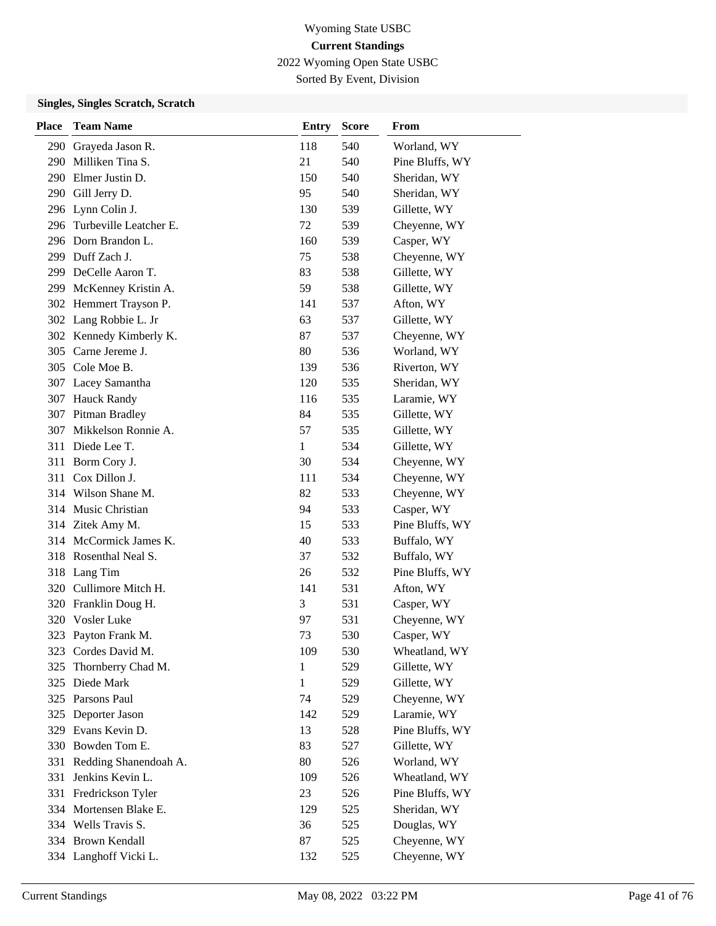2022 Wyoming Open State USBC

Sorted By Event, Division

| <b>Place</b> | <b>Team Name</b>           | <b>Entry</b> | <b>Score</b> | From            |
|--------------|----------------------------|--------------|--------------|-----------------|
| 290          | Grayeda Jason R.           | 118          | 540          | Worland, WY     |
|              | 290 Milliken Tina S.       | 21           | 540          | Pine Bluffs, WY |
|              | 290 Elmer Justin D.        | 150          | 540          | Sheridan, WY    |
|              | 290 Gill Jerry D.          | 95           | 540          | Sheridan, WY    |
|              | 296 Lynn Colin J.          | 130          | 539          | Gillette, WY    |
|              | 296 Turbeville Leatcher E. | 72           | 539          | Cheyenne, WY    |
|              | 296 Dorn Brandon L.        | 160          | 539          | Casper, WY      |
|              | 299 Duff Zach J.           | 75           | 538          | Cheyenne, WY    |
|              | 299 DeCelle Aaron T.       | 83           | 538          | Gillette, WY    |
|              | 299 McKenney Kristin A.    | 59           | 538          | Gillette, WY    |
|              | 302 Hemmert Trayson P.     | 141          | 537          | Afton, WY       |
|              | 302 Lang Robbie L. Jr      | 63           | 537          | Gillette, WY    |
|              | 302 Kennedy Kimberly K.    | 87           | 537          | Cheyenne, WY    |
|              | 305 Carne Jereme J.        | 80           | 536          | Worland, WY     |
|              | 305 Cole Moe B.            | 139          | 536          | Riverton, WY    |
|              | 307 Lacey Samantha         | 120          | 535          | Sheridan, WY    |
|              | 307 Hauck Randy            | 116          | 535          | Laramie, WY     |
|              | 307 Pitman Bradley         | 84           | 535          | Gillette, WY    |
|              | 307 Mikkelson Ronnie A.    | 57           | 535          | Gillette, WY    |
|              | 311 Diede Lee T.           | $\mathbf{1}$ | 534          | Gillette, WY    |
| 311          | Borm Cory J.               | 30           | 534          | Cheyenne, WY    |
|              | 311 Cox Dillon J.          | 111          | 534          | Cheyenne, WY    |
|              | 314 Wilson Shane M.        | 82           | 533          | Cheyenne, WY    |
|              | 314 Music Christian        | 94           | 533          | Casper, WY      |
|              | 314 Zitek Amy M.           | 15           | 533          | Pine Bluffs, WY |
|              | 314 McCormick James K.     | 40           | 533          | Buffalo, WY     |
|              | 318 Rosenthal Neal S.      | 37           | 532          | Buffalo, WY     |
|              | 318 Lang Tim               | 26           | 532          | Pine Bluffs, WY |
|              | 320 Cullimore Mitch H.     | 141          | 531          | Afton, WY       |
|              | 320 Franklin Doug H.       | 3            | 531          | Casper, WY      |
|              | 320 Vosler Luke            | 97           | 531          | Cheyenne, WY    |
|              | 323 Payton Frank M.        | 73           | 530          | Casper, WY      |
|              | 323 Cordes David M.        | 109          | 530          | Wheatland, WY   |
| 325          | Thornberry Chad M.         | 1            | 529          | Gillette, WY    |
|              | 325 Diede Mark             | 1            | 529          | Gillette, WY    |
|              | 325 Parsons Paul           | 74           | 529          | Cheyenne, WY    |
|              | 325 Deporter Jason         | 142          | 529          | Laramie, WY     |
| 329          | Evans Kevin D.             | 13           | 528          | Pine Bluffs, WY |
|              | 330 Bowden Tom E.          | 83           | 527          | Gillette, WY    |
| 331          | Redding Shanendoah A.      | 80           | 526          | Worland, WY     |
| 331          | Jenkins Kevin L.           | 109          | 526          | Wheatland, WY   |
| 331          | Fredrickson Tyler          | 23           | 526          | Pine Bluffs, WY |
|              | 334 Mortensen Blake E.     | 129          | 525          | Sheridan, WY    |
|              | 334 Wells Travis S.        | 36           | 525          | Douglas, WY     |
|              | 334 Brown Kendall          | 87           | 525          | Cheyenne, WY    |
|              | 334 Langhoff Vicki L.      | 132          | 525          | Cheyenne, WY    |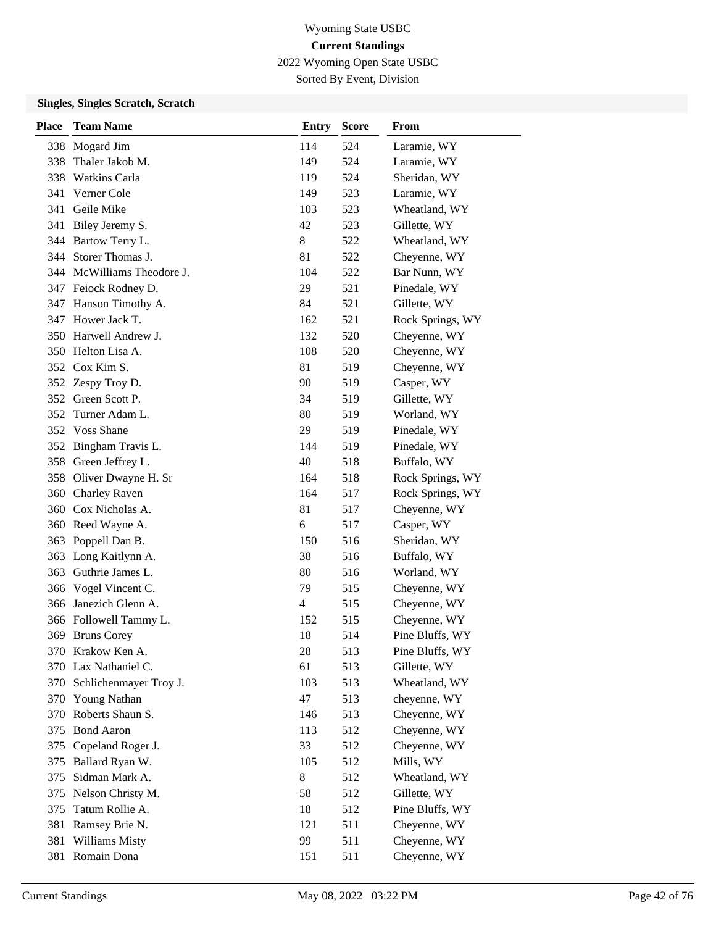2022 Wyoming Open State USBC

Sorted By Event, Division

| <b>Place</b> | <b>Team Name</b>           | <b>Entry</b> | <b>Score</b> | From             |
|--------------|----------------------------|--------------|--------------|------------------|
|              | 338 Mogard Jim             | 114          | 524          | Laramie, WY      |
| 338          | Thaler Jakob M.            | 149          | 524          | Laramie, WY      |
| 338          | <b>Watkins Carla</b>       | 119          | 524          | Sheridan, WY     |
| 341          | Verner Cole                | 149          | 523          | Laramie, WY      |
| 341          | Geile Mike                 | 103          | 523          | Wheatland, WY    |
| 341          | Biley Jeremy S.            | 42           | 523          | Gillette, WY     |
|              | 344 Bartow Terry L.        | 8            | 522          | Wheatland, WY    |
|              | 344 Storer Thomas J.       | 81           | 522          | Cheyenne, WY     |
|              | 344 McWilliams Theodore J. | 104          | 522          | Bar Nunn, WY     |
|              | 347 Feiock Rodney D.       | 29           | 521          | Pinedale, WY     |
| 347          | Hanson Timothy A.          | 84           | 521          | Gillette, WY     |
| 347          | Hower Jack T.              | 162          | 521          | Rock Springs, WY |
|              | 350 Harwell Andrew J.      | 132          | 520          | Cheyenne, WY     |
|              | 350 Helton Lisa A.         | 108          | 520          | Cheyenne, WY     |
|              | 352 Cox Kim S.             | 81           | 519          | Cheyenne, WY     |
|              | 352 Zespy Troy D.          | 90           | 519          | Casper, WY       |
|              | 352 Green Scott P.         | 34           | 519          | Gillette, WY     |
| 352          | Turner Adam L.             | 80           | 519          | Worland, WY      |
|              | 352 Voss Shane             | 29           | 519          | Pinedale, WY     |
|              | 352 Bingham Travis L.      | 144          | 519          | Pinedale, WY     |
| 358          | Green Jeffrey L.           | 40           | 518          | Buffalo, WY      |
| 358          | Oliver Dwayne H. Sr        | 164          | 518          | Rock Springs, WY |
| 360          | Charley Raven              | 164          | 517          | Rock Springs, WY |
|              | 360 Cox Nicholas A.        | 81           | 517          | Cheyenne, WY     |
|              | 360 Reed Wayne A.          | 6            | 517          | Casper, WY       |
| 363          | Poppell Dan B.             | 150          | 516          | Sheridan, WY     |
| 363          | Long Kaitlynn A.           | 38           | 516          | Buffalo, WY      |
|              | 363 Guthrie James L.       | 80           | 516          | Worland, WY      |
|              | 366 Vogel Vincent C.       | 79           | 515          | Cheyenne, WY     |
| 366          | Janezich Glenn A.          | 4            | 515          | Cheyenne, WY     |
|              | 366 Followell Tammy L.     | 152          | 515          | Cheyenne, WY     |
|              | 369 Bruns Corey            | 18           | 514          | Pine Bluffs, WY  |
|              | 370 Krakow Ken A.          | 28           | 513          | Pine Bluffs, WY  |
|              | 370 Lax Nathaniel C.       | 61           | 513          | Gillette, WY     |
| 370          | Schlichenmayer Troy J.     | 103          | 513          | Wheatland, WY    |
|              | 370 Young Nathan           | 47           | 513          | cheyenne, WY     |
| 370          | Roberts Shaun S.           | 146          | 513          | Cheyenne, WY     |
| 375          | <b>Bond Aaron</b>          | 113          | 512          | Cheyenne, WY     |
| 375          | Copeland Roger J.          | 33           | 512          | Cheyenne, WY     |
| 375          | Ballard Ryan W.            | 105          | 512          | Mills, WY        |
| 375          | Sidman Mark A.             | 8            | 512          | Wheatland, WY    |
| 375          | Nelson Christy M.          | 58           | 512          | Gillette, WY     |
| 375          | Tatum Rollie A.            | 18           | 512          | Pine Bluffs, WY  |
| 381          | Ramsey Brie N.             | 121          | 511          | Cheyenne, WY     |
| 381          | Williams Misty             | 99           | 511          | Cheyenne, WY     |
| 381          | Romain Dona                | 151          | 511          | Cheyenne, WY     |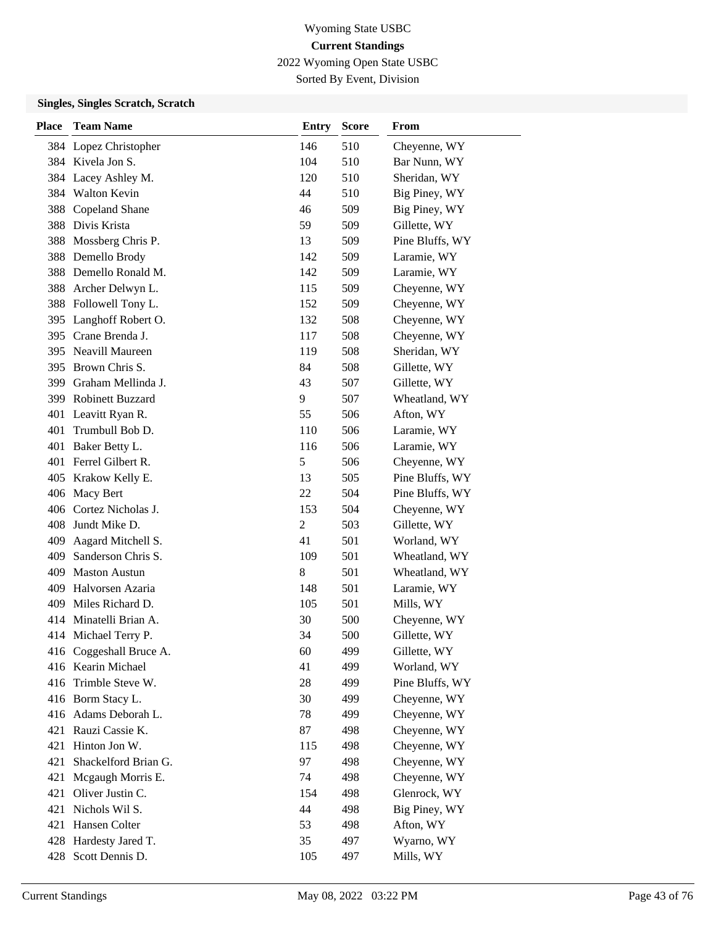2022 Wyoming Open State USBC

Sorted By Event, Division

| <b>Place</b> | <b>Team Name</b>        | <b>Entry</b>   | <b>Score</b> | From            |
|--------------|-------------------------|----------------|--------------|-----------------|
|              | 384 Lopez Christopher   | 146            | 510          | Cheyenne, WY    |
|              | 384 Kivela Jon S.       | 104            | 510          | Bar Nunn, WY    |
|              | 384 Lacey Ashley M.     | 120            | 510          | Sheridan, WY    |
|              | 384 Walton Kevin        | 44             | 510          | Big Piney, WY   |
| 388          | Copeland Shane          | 46             | 509          | Big Piney, WY   |
|              | 388 Divis Krista        | 59             | 509          | Gillette, WY    |
| 388          | Mossberg Chris P.       | 13             | 509          | Pine Bluffs, WY |
|              | 388 Demello Brody       | 142            | 509          | Laramie, WY     |
|              | 388 Demello Ronald M.   | 142            | 509          | Laramie, WY     |
|              | 388 Archer Delwyn L.    | 115            | 509          | Cheyenne, WY    |
| 388          | Followell Tony L.       | 152            | 509          | Cheyenne, WY    |
|              | 395 Langhoff Robert O.  | 132            | 508          | Cheyenne, WY    |
|              | 395 Crane Brenda J.     | 117            | 508          | Cheyenne, WY    |
|              | 395 Neavill Maureen     | 119            | 508          | Sheridan, WY    |
|              | 395 Brown Chris S.      | 84             | 508          | Gillette, WY    |
|              | 399 Graham Mellinda J.  | 43             | 507          | Gillette, WY    |
|              | 399 Robinett Buzzard    | 9              | 507          | Wheatland, WY   |
| 401          | Leavitt Ryan R.         | 55             | 506          | Afton, WY       |
| 401          | Trumbull Bob D.         | 110            | 506          | Laramie, WY     |
| 401          | Baker Betty L.          | 116            | 506          | Laramie, WY     |
| 401          | Ferrel Gilbert R.       | 5              | 506          | Cheyenne, WY    |
|              | 405 Krakow Kelly E.     | 13             | 505          | Pine Bluffs, WY |
|              | 406 Macy Bert           | 22             | 504          | Pine Bluffs, WY |
|              | 406 Cortez Nicholas J.  | 153            | 504          | Cheyenne, WY    |
| 408          | Jundt Mike D.           | $\overline{c}$ | 503          | Gillette, WY    |
| 409          | Aagard Mitchell S.      | 41             | 501          | Worland, WY     |
| 409          | Sanderson Chris S.      | 109            | 501          | Wheatland, WY   |
| 409          | <b>Maston Austun</b>    | 8              | 501          | Wheatland, WY   |
| 409          | Halvorsen Azaria        | 148            | 501          | Laramie, WY     |
| 409          | Miles Richard D.        | 105            | 501          | Mills, WY       |
|              | 414 Minatelli Brian A.  | 30             | 500          | Cheyenne, WY    |
|              | 414 Michael Terry P.    | 34             | 500          | Gillette, WY    |
|              | 416 Coggeshall Bruce A. | 60             | 499          | Gillette, WY    |
|              | 416 Kearin Michael      | 41             | 499          | Worland, WY     |
|              | 416 Trimble Steve W.    | 28             | 499          | Pine Bluffs, WY |
|              | 416 Borm Stacy L.       | 30             | 499          | Cheyenne, WY    |
|              | 416 Adams Deborah L.    | 78             | 499          | Cheyenne, WY    |
| 421          | Rauzi Cassie K.         | 87             | 498          | Cheyenne, WY    |
| 421          | Hinton Jon W.           | 115            | 498          | Cheyenne, WY    |
| 421          | Shackelford Brian G.    | 97             | 498          | Cheyenne, WY    |
| 421          | Mcgaugh Morris E.       | 74             | 498          | Cheyenne, WY    |
| 421          | Oliver Justin C.        | 154            | 498          | Glenrock, WY    |
| 421          | Nichols Wil S.          | 44             | 498          | Big Piney, WY   |
| 421          | Hansen Colter           | 53             | 498          | Afton, WY       |
| 428          | Hardesty Jared T.       | 35             | 497          | Wyarno, WY      |
| 428          | Scott Dennis D.         | 105            | 497          | Mills, WY       |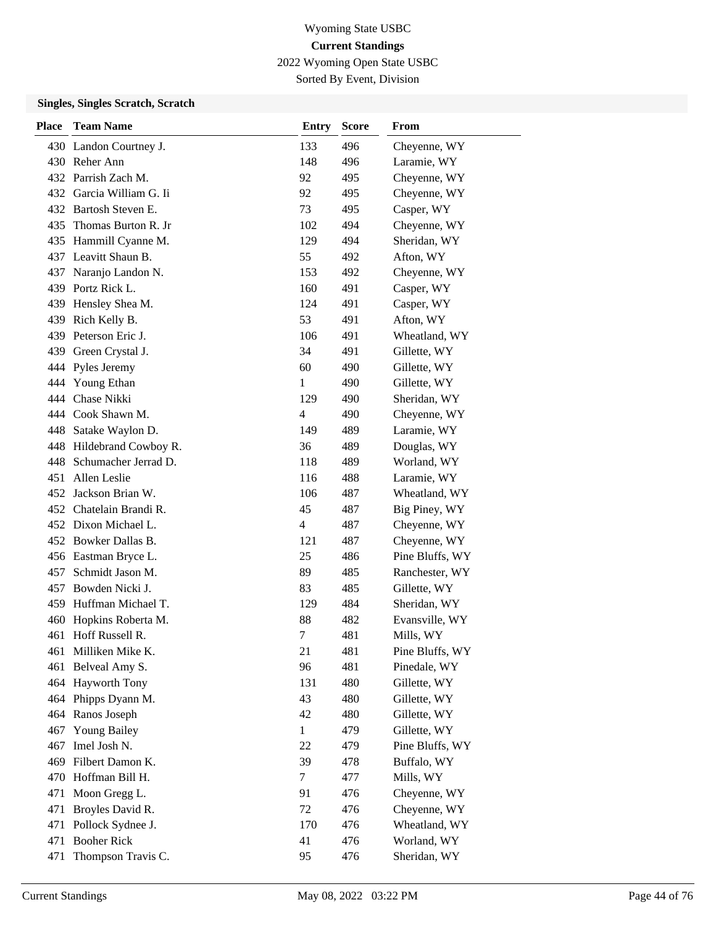2022 Wyoming Open State USBC

Sorted By Event, Division

| <b>Place</b> | <b>Team Name</b>         | <b>Entry</b>   | <b>Score</b> | From            |
|--------------|--------------------------|----------------|--------------|-----------------|
|              | 430 Landon Courtney J.   | 133            | 496          | Cheyenne, WY    |
|              | 430 Reher Ann            | 148            | 496          | Laramie, WY     |
|              | 432 Parrish Zach M.      | 92             | 495          | Cheyenne, WY    |
|              | 432 Garcia William G. Ii | 92             | 495          | Cheyenne, WY    |
|              | 432 Bartosh Steven E.    | 73             | 495          | Casper, WY      |
| 435.         | Thomas Burton R. Jr      | 102            | 494          | Cheyenne, WY    |
|              | 435 Hammill Cyanne M.    | 129            | 494          | Sheridan, WY    |
|              | 437 Leavitt Shaun B.     | 55             | 492          | Afton, WY       |
| 437          | Naranjo Landon N.        | 153            | 492          | Cheyenne, WY    |
|              | 439 Portz Rick L.        | 160            | 491          | Casper, WY      |
| 439          | Hensley Shea M.          | 124            | 491          | Casper, WY      |
|              | 439 Rich Kelly B.        | 53             | 491          | Afton, WY       |
| 439          | Peterson Eric J.         | 106            | 491          | Wheatland, WY   |
| 439          | Green Crystal J.         | 34             | 491          | Gillette, WY    |
| 444          | Pyles Jeremy             | 60             | 490          | Gillette, WY    |
| 444          | Young Ethan              | 1              | 490          | Gillette, WY    |
| 444          | Chase Nikki              | 129            | 490          | Sheridan, WY    |
| 444          | Cook Shawn M.            | 4              | 490          | Cheyenne, WY    |
| 448          | Satake Waylon D.         | 149            | 489          | Laramie, WY     |
|              | 448 Hildebrand Cowboy R. | 36             | 489          | Douglas, WY     |
|              | 448 Schumacher Jerrad D. | 118            | 489          | Worland, WY     |
|              | 451 Allen Leslie         | 116            | 488          | Laramie, WY     |
|              | 452 Jackson Brian W.     | 106            | 487          | Wheatland, WY   |
|              | 452 Chatelain Brandi R.  | 45             | 487          | Big Piney, WY   |
|              | 452 Dixon Michael L.     | $\overline{4}$ | 487          | Cheyenne, WY    |
|              | 452 Bowker Dallas B.     | 121            | 487          | Cheyenne, WY    |
|              | 456 Eastman Bryce L.     | 25             | 486          | Pine Bluffs, WY |
| 457          | Schmidt Jason M.         | 89             | 485          | Ranchester, WY  |
|              | 457 Bowden Nicki J.      | 83             | 485          | Gillette, WY    |
|              | 459 Huffman Michael T.   | 129            | 484          | Sheridan, WY    |
| 460          | Hopkins Roberta M.       | 88             | 482          | Evansville, WY  |
| 461          | Hoff Russell R.          | $\tau$         | 481          | Mills, WY       |
|              | 461 Milliken Mike K.     | 21             | 481          | Pine Bluffs, WY |
| 461          | Belveal Amy S.           | 96             | 481          | Pinedale, WY    |
| 464          | <b>Hayworth Tony</b>     | 131            | 480          | Gillette, WY    |
|              | 464 Phipps Dyann M.      | 43             | 480          | Gillette, WY    |
|              | 464 Ranos Joseph         | 42             | 480          | Gillette, WY    |
| 467          | <b>Young Bailey</b>      | $\mathbf{1}$   | 479          | Gillette, WY    |
| 467          | Imel Josh N.             | 22             | 479          | Pine Bluffs, WY |
| 469          | Filbert Damon K.         | 39             | 478          | Buffalo, WY     |
| 470          | Hoffman Bill H.          | 7              | 477          | Mills, WY       |
| 471          | Moon Gregg L.            | 91             | 476          | Cheyenne, WY    |
| 471          | Broyles David R.         | 72             | 476          | Cheyenne, WY    |
| 471          | Pollock Sydnee J.        | 170            | 476          | Wheatland, WY   |
| 471          | <b>Booher Rick</b>       | 41             | 476          | Worland, WY     |
| 471          | Thompson Travis C.       | 95             | 476          | Sheridan, WY    |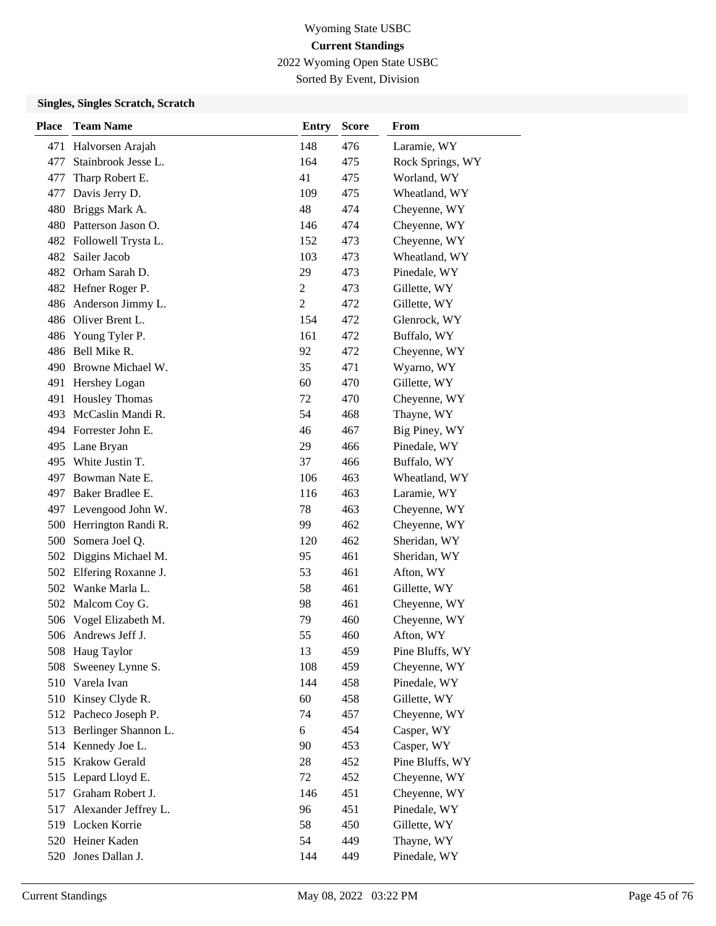2022 Wyoming Open State USBC

Sorted By Event, Division

| <b>Place</b> | <b>Team Name</b>        | <b>Entry</b>   | <b>Score</b> | From             |
|--------------|-------------------------|----------------|--------------|------------------|
| 471          | Halvorsen Arajah        | 148            | 476          | Laramie, WY      |
| 477          | Stainbrook Jesse L.     | 164            | 475          | Rock Springs, WY |
| 477          | Tharp Robert E.         | 41             | 475          | Worland, WY      |
| 477          | Davis Jerry D.          | 109            | 475          | Wheatland, WY    |
| 480          | Briggs Mark A.          | 48             | 474          | Cheyenne, WY     |
|              | 480 Patterson Jason O.  | 146            | 474          | Cheyenne, WY     |
|              | 482 Followell Trysta L. | 152            | 473          | Cheyenne, WY     |
|              | 482 Sailer Jacob        | 103            | 473          | Wheatland, WY    |
|              | 482 Orham Sarah D.      | 29             | 473          | Pinedale, WY     |
|              | 482 Hefner Roger P.     | $\overline{c}$ | 473          | Gillette, WY     |
|              | 486 Anderson Jimmy L.   | $\overline{2}$ | 472          | Gillette, WY     |
|              | 486 Oliver Brent L.     | 154            | 472          | Glenrock, WY     |
| 486          | Young Tyler P.          | 161            | 472          | Buffalo, WY      |
|              | 486 Bell Mike R.        | 92             | 472          | Cheyenne, WY     |
|              | 490 Browne Michael W.   | 35             | 471          | Wyarno, WY       |
|              | 491 Hershey Logan       | 60             | 470          | Gillette, WY     |
| 491          | <b>Housley Thomas</b>   | 72             | 470          | Cheyenne, WY     |
| 493          | McCaslin Mandi R.       | 54             | 468          | Thayne, WY       |
|              | 494 Forrester John E.   | 46             | 467          | Big Piney, WY    |
|              | 495 Lane Bryan          | 29             | 466          | Pinedale, WY     |
|              | 495 White Justin T.     | 37             | 466          | Buffalo, WY      |
| 497          | Bowman Nate E.          | 106            | 463          | Wheatland, WY    |
|              | 497 Baker Bradlee E.    | 116            | 463          | Laramie, WY      |
|              | 497 Levengood John W.   | 78             | 463          | Cheyenne, WY     |
| 500          | Herrington Randi R.     | 99             | 462          | Cheyenne, WY     |
| 500          | Somera Joel Q.          | 120            | 462          | Sheridan, WY     |
| 502          | Diggins Michael M.      | 95             | 461          | Sheridan, WY     |
|              | 502 Elfering Roxanne J. | 53             | 461          | Afton, WY        |
|              | 502 Wanke Marla L.      | 58             | 461          | Gillette, WY     |
| 502          | Malcom Coy G.           | 98             | 461          | Cheyenne, WY     |
|              | 506 Vogel Elizabeth M.  | 79             | 460          | Cheyenne, WY     |
|              | 506 Andrews Jeff J.     | 55             | 460          | Afton, WY        |
|              | 508 Haug Taylor         | 13             | 459          | Pine Bluffs, WY  |
| 508          | Sweeney Lynne S.        | 108            | 459          | Cheyenne, WY     |
| 510          | Varela Ivan             | 144            | 458          | Pinedale, WY     |
|              | 510 Kinsey Clyde R.     | 60             | 458          | Gillette, WY     |
|              | 512 Pacheco Joseph P.   | 74             | 457          | Cheyenne, WY     |
| 513          | Berlinger Shannon L.    | 6              | 454          | Casper, WY       |
|              | 514 Kennedy Joe L.      | 90             | 453          | Casper, WY       |
| 515          | Krakow Gerald           | 28             | 452          | Pine Bluffs, WY  |
| 515          | Lepard Lloyd E.         | 72             | 452          | Cheyenne, WY     |
| 517          | Graham Robert J.        | 146            | 451          | Cheyenne, WY     |
| 517          | Alexander Jeffrey L.    | 96             | 451          | Pinedale, WY     |
|              | 519 Locken Korrie       | 58             | 450          | Gillette, WY     |
|              | 520 Heiner Kaden        | 54             | 449          | Thayne, WY       |
|              | 520 Jones Dallan J.     | 144            | 449          | Pinedale, WY     |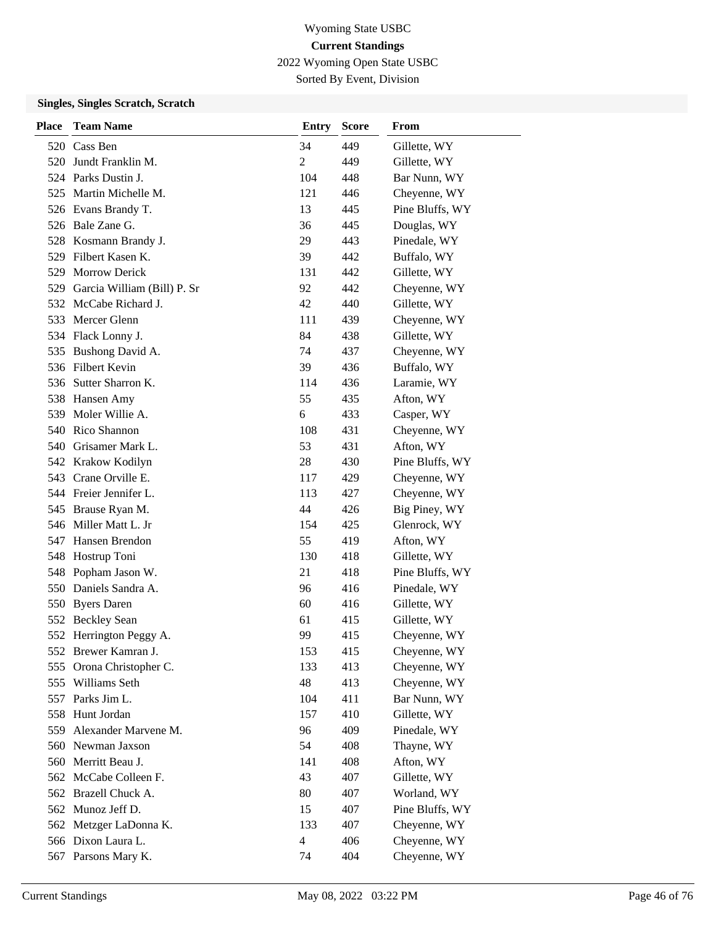2022 Wyoming Open State USBC

Sorted By Event, Division

| <b>Place</b> | <b>Team Name</b>            | <b>Entry</b>   | <b>Score</b> | From            |
|--------------|-----------------------------|----------------|--------------|-----------------|
|              | 520 Cass Ben                | 34             | 449          | Gillette, WY    |
| 520          | Jundt Franklin M.           | 2              | 449          | Gillette, WY    |
|              | 524 Parks Dustin J.         | 104            | 448          | Bar Nunn, WY    |
|              | 525 Martin Michelle M.      | 121            | 446          | Cheyenne, WY    |
|              | 526 Evans Brandy T.         | 13             | 445          | Pine Bluffs, WY |
|              | 526 Bale Zane G.            | 36             | 445          | Douglas, WY     |
|              | 528 Kosmann Brandy J.       | 29             | 443          | Pinedale, WY    |
|              | 529 Filbert Kasen K.        | 39             | 442          | Buffalo, WY     |
| 529          | <b>Morrow Derick</b>        | 131            | 442          | Gillette, WY    |
| 529          | Garcia William (Bill) P. Sr | 92             | 442          | Cheyenne, WY    |
|              | 532 McCabe Richard J.       | 42             | 440          | Gillette, WY    |
|              | 533 Mercer Glenn            | 111            | 439          | Cheyenne, WY    |
|              | 534 Flack Lonny J.          | 84             | 438          | Gillette, WY    |
| 535          | Bushong David A.            | 74             | 437          | Cheyenne, WY    |
|              | 536 Filbert Kevin           | 39             | 436          | Buffalo, WY     |
|              | 536 Sutter Sharron K.       | 114            | 436          | Laramie, WY     |
|              | 538 Hansen Amy              | 55             | 435          | Afton, WY       |
| 539          | Moler Willie A.             | 6              | 433          | Casper, WY      |
| 540          | Rico Shannon                | 108            | 431          | Cheyenne, WY    |
|              | 540 Grisamer Mark L.        | 53             | 431          | Afton, WY       |
|              | 542 Krakow Kodilyn          | 28             | 430          | Pine Bluffs, WY |
|              | 543 Crane Orville E.        | 117            | 429          | Cheyenne, WY    |
|              | 544 Freier Jennifer L.      | 113            | 427          | Cheyenne, WY    |
|              | 545 Brause Ryan M.          | 44             | 426          | Big Piney, WY   |
|              | 546 Miller Matt L. Jr       | 154            | 425          | Glenrock, WY    |
| 547          | Hansen Brendon              | 55             | 419          | Afton, WY       |
| 548          | Hostrup Toni                | 130            | 418          | Gillette, WY    |
|              | 548 Popham Jason W.         | 21             | 418          | Pine Bluffs, WY |
| 550          | Daniels Sandra A.           | 96             | 416          | Pinedale, WY    |
| 550          | <b>Byers Daren</b>          | 60             | 416          | Gillette, WY    |
|              | 552 Beckley Sean            | 61             | 415          | Gillette, WY    |
|              | 552 Herrington Peggy A.     | 99             | 415          | Cheyenne, WY    |
|              | 552 Brewer Kamran J.        | 153            | 415          | Cheyenne, WY    |
|              | 555 Orona Christopher C.    | 133            | 413          | Cheyenne, WY    |
|              | 555 Williams Seth           | 48             | 413          | Cheyenne, WY    |
|              | 557 Parks Jim L.            | 104            | 411          | Bar Nunn, WY    |
| 558          | Hunt Jordan                 | 157            | 410          | Gillette, WY    |
| 559          | Alexander Marvene M.        | 96             | 409          | Pinedale, WY    |
| 560          | Newman Jaxson               | 54             | 408          | Thayne, WY      |
|              | 560 Merritt Beau J.         | 141            | 408          | Afton, WY       |
|              | 562 McCabe Colleen F.       | 43             | 407          | Gillette, WY    |
|              | 562 Brazell Chuck A.        | 80             | 407          | Worland, WY     |
|              | 562 Munoz Jeff D.           | 15             | 407          | Pine Bluffs, WY |
|              | 562 Metzger LaDonna K.      | 133            | 407          | Cheyenne, WY    |
|              | 566 Dixon Laura L.          | $\overline{4}$ | 406          | Cheyenne, WY    |
|              | 567 Parsons Mary K.         | 74             | 404          | Cheyenne, WY    |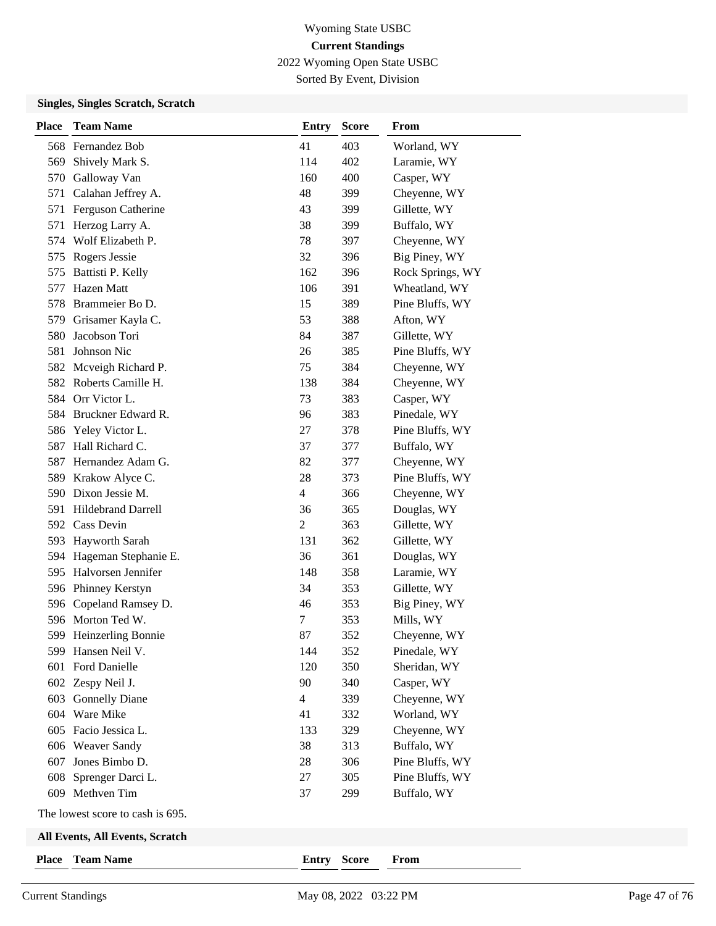2022 Wyoming Open State USBC

Sorted By Event, Division

| <b>Place</b> | <b>Team Name</b>                 | <b>Entry</b>   | <b>Score</b> | From             |
|--------------|----------------------------------|----------------|--------------|------------------|
|              | 568 Fernandez Bob                | 41             | 403          | Worland, WY      |
| 569          | Shively Mark S.                  | 114            | 402          | Laramie, WY      |
| 570          | Galloway Van                     | 160            | 400          | Casper, WY       |
|              | 571 Calahan Jeffrey A.           | 48             | 399          | Cheyenne, WY     |
| 571          | Ferguson Catherine               | 43             | 399          | Gillette, WY     |
| 571          | Herzog Larry A.                  | 38             | 399          | Buffalo, WY      |
|              | 574 Wolf Elizabeth P.            | 78             | 397          | Cheyenne, WY     |
|              | 575 Rogers Jessie                | 32             | 396          | Big Piney, WY    |
|              | 575 Battisti P. Kelly            | 162            | 396          | Rock Springs, WY |
| 577          | Hazen Matt                       | 106            | 391          | Wheatland, WY    |
| 578          | Brammeier Bo D.                  | 15             | 389          | Pine Bluffs, WY  |
|              | 579 Grisamer Kayla C.            | 53             | 388          | Afton, WY        |
| 580          | Jacobson Tori                    | 84             | 387          | Gillette, WY     |
| 581          | Johnson Nic                      | 26             | 385          | Pine Bluffs, WY  |
|              | 582 Mcveigh Richard P.           | 75             | 384          | Cheyenne, WY     |
|              | 582 Roberts Camille H.           | 138            | 384          | Cheyenne, WY     |
|              | 584 Orr Victor L.                | 73             | 383          | Casper, WY       |
|              | 584 Bruckner Edward R.           | 96             | 383          | Pinedale, WY     |
|              | 586 Yeley Victor L.              | 27             | 378          | Pine Bluffs, WY  |
| 587          | Hall Richard C.                  | 37             | 377          | Buffalo, WY      |
| 587          | Hernandez Adam G.                | 82             | 377          | Cheyenne, WY     |
| 589          | Krakow Alyce C.                  | 28             | 373          | Pine Bluffs, WY  |
|              | 590 Dixon Jessie M.              | $\overline{4}$ | 366          | Cheyenne, WY     |
|              | 591 Hildebrand Darrell           | 36             | 365          | Douglas, WY      |
|              | 592 Cass Devin                   | $\overline{c}$ | 363          | Gillette, WY     |
|              | 593 Hayworth Sarah               | 131            | 362          | Gillette, WY     |
|              | 594 Hageman Stephanie E.         | 36             | 361          | Douglas, WY      |
|              | 595 Halvorsen Jennifer           | 148            | 358          | Laramie, WY      |
|              | 596 Phinney Kerstyn              | 34             | 353          | Gillette, WY     |
| 596          | Copeland Ramsey D.               | 46             | 353          | Big Piney, WY    |
|              | 596 Morton Ted W.                | 7              | 353          | Mills, WY        |
|              | 599 Heinzerling Bonnie           | 87             | 352          | Cheyenne, WY     |
|              | 599 Hansen Neil V.               | 144            | 352          | Pinedale, WY     |
|              | 601 Ford Danielle                | 120            | 350          | Sheridan, WY     |
|              | 602 Zespy Neil J.                | 90             | 340          | Casper, WY       |
|              | 603 Gonnelly Diane               | $\overline{4}$ | 339          | Cheyenne, WY     |
|              | 604 Ware Mike                    | 41             | 332          | Worland, WY      |
|              | 605 Facio Jessica L.             | 133            | 329          | Cheyenne, WY     |
|              | 606 Weaver Sandy                 | 38             | 313          | Buffalo, WY      |
| 607          | Jones Bimbo D.                   | 28             | 306          | Pine Bluffs, WY  |
| 608          | Sprenger Darci L.                | 27             | 305          | Pine Bluffs, WY  |
|              | 609 Methven Tim                  | 37             | 299          | Buffalo, WY      |
|              | The lowest score to cash is 695. |                |              |                  |
|              | All Events, All Events, Scratch  |                |              |                  |
| <b>Place</b> | <b>Team Name</b>                 | Entry Score    |              | From             |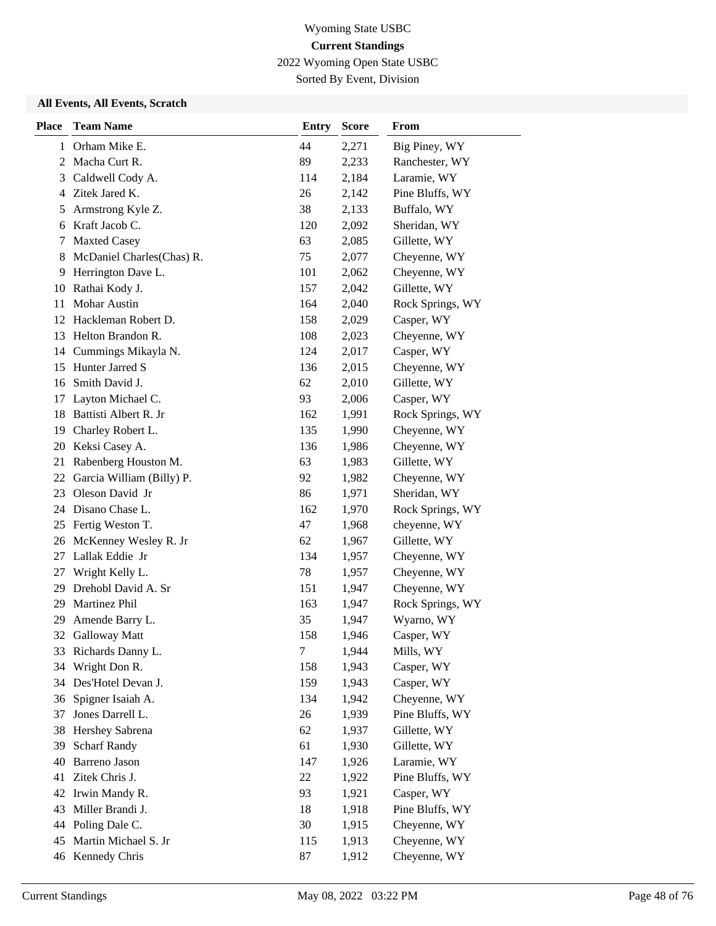2022 Wyoming Open State USBC

Sorted By Event, Division

| <b>Place</b> | <b>Team Name</b>          | <b>Entry</b> | <b>Score</b> | From             |
|--------------|---------------------------|--------------|--------------|------------------|
| 1            | Orham Mike E.             | 44           | 2,271        | Big Piney, WY    |
| 2            | Macha Curt R.             | 89           | 2,233        | Ranchester, WY   |
| 3            | Caldwell Cody A.          | 114          | 2,184        | Laramie, WY      |
| 4            | Zitek Jared K.            | 26           | 2,142        | Pine Bluffs, WY  |
| 5            | Armstrong Kyle Z.         | 38           | 2,133        | Buffalo, WY      |
| 6            | Kraft Jacob C.            | 120          | 2,092        | Sheridan, WY     |
| 7            | <b>Maxted Casey</b>       | 63           | 2,085        | Gillette, WY     |
| 8            | McDaniel Charles(Chas) R. | 75           | 2,077        | Cheyenne, WY     |
| 9            | Herrington Dave L.        | 101          | 2,062        | Cheyenne, WY     |
| 10           | Rathai Kody J.            | 157          | 2,042        | Gillette, WY     |
| 11           | Mohar Austin              | 164          | 2,040        | Rock Springs, WY |
|              | 12 Hackleman Robert D.    | 158          | 2,029        | Casper, WY       |
| 13           | Helton Brandon R.         | 108          | 2,023        | Cheyenne, WY     |
| 14           | Cummings Mikayla N.       | 124          | 2,017        | Casper, WY       |
| 15           | Hunter Jarred S           | 136          | 2,015        | Cheyenne, WY     |
| 16           | Smith David J.            | 62           | 2,010        | Gillette, WY     |
| 17           | Layton Michael C.         | 93           | 2,006        | Casper, WY       |
| 18           | Battisti Albert R. Jr     | 162          | 1,991        | Rock Springs, WY |
| 19           | Charley Robert L.         | 135          | 1,990        | Cheyenne, WY     |
| 20           | Keksi Casey A.            | 136          | 1,986        | Cheyenne, WY     |
| 21           | Rabenberg Houston M.      | 63           | 1,983        | Gillette, WY     |
| 22           | Garcia William (Billy) P. | 92           | 1,982        | Cheyenne, WY     |
| 23           | Oleson David Jr           | 86           | 1,971        | Sheridan, WY     |
|              | 24 Disano Chase L.        | 162          | 1,970        | Rock Springs, WY |
| 25           | Fertig Weston T.          | 47           | 1,968        | cheyenne, WY     |
| 26           | McKenney Wesley R. Jr     | 62           | 1,967        | Gillette, WY     |
| 27           | Lallak Eddie Jr           | 134          | 1,957        | Cheyenne, WY     |
| 27           | Wright Kelly L.           | 78           | 1,957        | Cheyenne, WY     |
| 29           | Drehobl David A. Sr       | 151          | 1,947        | Cheyenne, WY     |
| 29           | Martinez Phil             | 163          | 1,947        | Rock Springs, WY |
| 29           | Amende Barry L.           | 35           | 1,947        | Wyarno, WY       |
| 32           | <b>Galloway Matt</b>      | 158          | 1,946        | Casper, WY       |
| 33           | Richards Danny L.         | $\tau$       | 1,944        | Mills, WY        |
| 34           | Wright Don R.             | 158          | 1,943        | Casper, WY       |
| 34           | Des'Hotel Devan J.        | 159          | 1,943        | Casper, WY       |
| 36           | Spigner Isaiah A.         | 134          | 1,942        | Cheyenne, WY     |
| 37           | Jones Darrell L.          | 26           | 1,939        | Pine Bluffs, WY  |
| 38           | Hershey Sabrena           | 62           | 1,937        | Gillette, WY     |
| 39           | <b>Scharf Randy</b>       | 61           | 1,930        | Gillette, WY     |
| 40           | Barreno Jason             | 147          | 1,926        | Laramie, WY      |
| 41           | Zitek Chris J.            | 22           | 1,922        | Pine Bluffs, WY  |
| 42           | Irwin Mandy R.            | 93           | 1,921        | Casper, WY       |
| 43           | Miller Brandi J.          | 18           | 1,918        | Pine Bluffs, WY  |
| 44           | Poling Dale C.            | 30           | 1,915        | Cheyenne, WY     |
| 45           | Martin Michael S. Jr      | 115          | 1,913        | Cheyenne, WY     |
|              | 46 Kennedy Chris          | 87           | 1,912        | Cheyenne, WY     |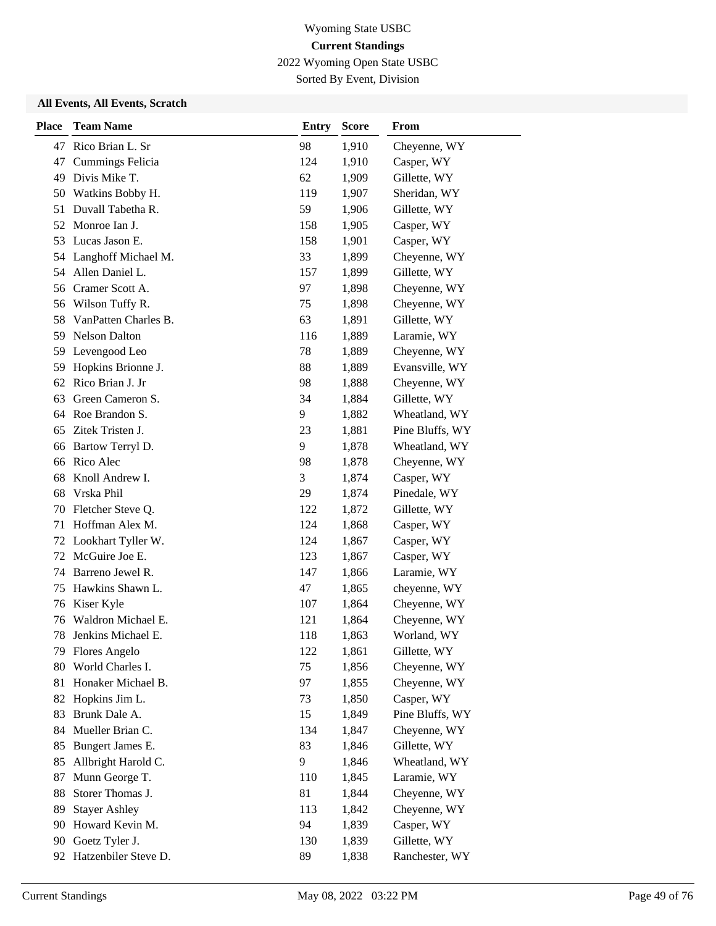2022 Wyoming Open State USBC

Sorted By Event, Division

| <b>Place</b> | <b>Team Name</b>     | <b>Entry</b> | <b>Score</b> | From            |
|--------------|----------------------|--------------|--------------|-----------------|
| 47           | Rico Brian L. Sr     | 98           | 1,910        | Cheyenne, WY    |
| 47           | Cummings Felicia     | 124          | 1,910        | Casper, WY      |
| 49           | Divis Mike T.        | 62           | 1,909        | Gillette, WY    |
| 50           | Watkins Bobby H.     | 119          | 1,907        | Sheridan, WY    |
| 51           | Duvall Tabetha R.    | 59           | 1,906        | Gillette, WY    |
| 52           | Monroe Ian J.        | 158          | 1,905        | Casper, WY      |
| 53           | Lucas Jason E.       | 158          | 1,901        | Casper, WY      |
| 54           | Langhoff Michael M.  | 33           | 1,899        | Cheyenne, WY    |
| 54           | Allen Daniel L.      | 157          | 1,899        | Gillette, WY    |
| 56           | Cramer Scott A.      | 97           | 1,898        | Cheyenne, WY    |
| 56           | Wilson Tuffy R.      | 75           | 1,898        | Cheyenne, WY    |
| 58           | VanPatten Charles B. | 63           | 1,891        | Gillette, WY    |
| 59           | <b>Nelson Dalton</b> | 116          | 1,889        | Laramie, WY     |
| 59           | Levengood Leo        | 78           | 1,889        | Cheyenne, WY    |
| 59           | Hopkins Brionne J.   | 88           | 1,889        | Evansville, WY  |
| 62           | Rico Brian J. Jr     | 98           | 1,888        | Cheyenne, WY    |
| 63           | Green Cameron S.     | 34           | 1,884        | Gillette, WY    |
| 64           | Roe Brandon S.       | 9            | 1,882        | Wheatland, WY   |
| 65           | Zitek Tristen J.     | 23           | 1,881        | Pine Bluffs, WY |
| 66           | Bartow Terryl D.     | 9            | 1,878        | Wheatland, WY   |
| 66           | Rico Alec            | 98           | 1,878        | Cheyenne, WY    |
| 68           | Knoll Andrew I.      | 3            | 1,874        | Casper, WY      |
| 68           | Vrska Phil           | 29           | 1,874        | Pinedale, WY    |
| 70           | Fletcher Steve Q.    | 122          | 1,872        | Gillette, WY    |
| 71           | Hoffman Alex M.      | 124          | 1,868        | Casper, WY      |
| 72           | Lookhart Tyller W.   | 124          | 1,867        | Casper, WY      |
| 72           | McGuire Joe E.       | 123          | 1,867        | Casper, WY      |
| 74           | Barreno Jewel R.     | 147          | 1,866        | Laramie, WY     |
| 75           | Hawkins Shawn L.     | 47           | 1,865        | cheyenne, WY    |
| 76           | Kiser Kyle           | 107          | 1,864        | Cheyenne, WY    |
| 76           | Waldron Michael E.   | 121          | 1,864        | Cheyenne, WY    |
| 78           | Jenkins Michael E.   | 118          | 1,863        | Worland, WY     |
| 79.          | <b>Flores Angelo</b> | 122          | 1,861        | Gillette, WY    |
| 80           | World Charles I.     | 75           | 1,856        | Cheyenne, WY    |
| 81           | Honaker Michael B.   | 97           | 1,855        | Cheyenne, WY    |
| 82           | Hopkins Jim L.       | 73           | 1,850        | Casper, WY      |
| 83           | Brunk Dale A.        | 15           | 1,849        | Pine Bluffs, WY |
| 84           | Mueller Brian C.     | 134          | 1,847        | Cheyenne, WY    |
| 85           | Bungert James E.     | 83           | 1,846        | Gillette, WY    |
| 85           | Allbright Harold C.  | 9            | 1,846        | Wheatland, WY   |
| 87           | Munn George T.       | 110          | 1,845        | Laramie, WY     |
| 88           | Storer Thomas J.     | 81           | 1,844        | Cheyenne, WY    |
| 89           | <b>Stayer Ashley</b> | 113          | 1,842        | Cheyenne, WY    |
| 90           | Howard Kevin M.      | 94           | 1,839        | Casper, WY      |
| 90           | Goetz Tyler J.       | 130          | 1,839        | Gillette, WY    |
| 92           | Hatzenbiler Steve D. | 89           | 1,838        | Ranchester, WY  |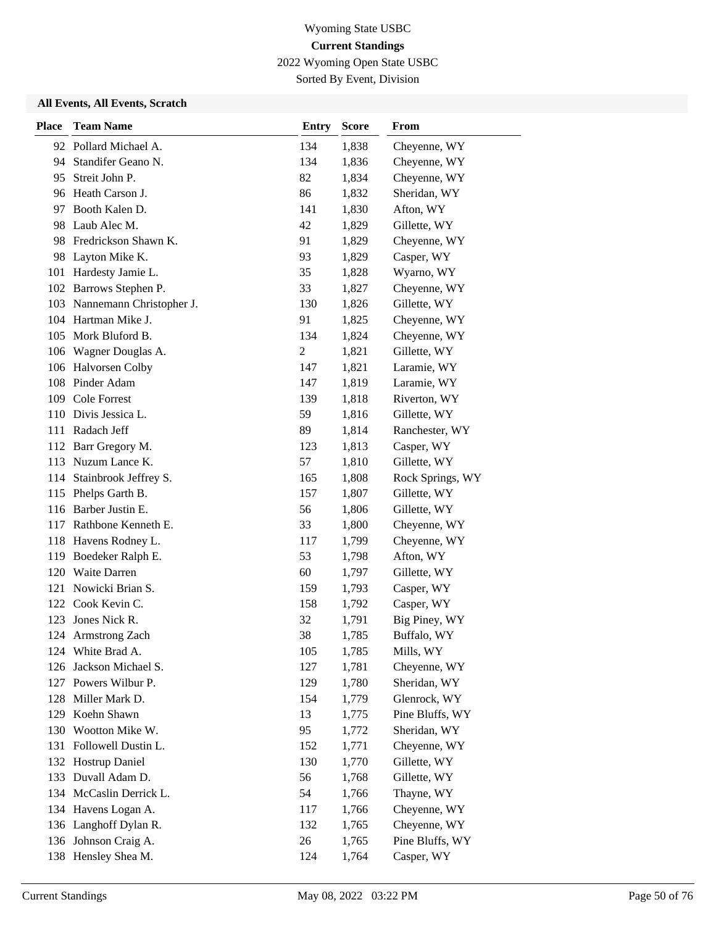2022 Wyoming Open State USBC

Sorted By Event, Division

| <b>Place</b> | <b>Team Name</b>         | <b>Entry</b> | <b>Score</b> | From             |
|--------------|--------------------------|--------------|--------------|------------------|
|              | 92 Pollard Michael A.    | 134          | 1,838        | Cheyenne, WY     |
| 94           | Standifer Geano N.       | 134          | 1,836        | Cheyenne, WY     |
| 95           | Streit John P.           | 82           | 1,834        | Cheyenne, WY     |
|              | 96 Heath Carson J.       | 86           | 1,832        | Sheridan, WY     |
|              | 97 Booth Kalen D.        | 141          | 1,830        | Afton, WY        |
| 98           | Laub Alec M.             | 42           | 1,829        | Gillette, WY     |
|              | 98 Fredrickson Shawn K.  | 91           | 1,829        | Cheyenne, WY     |
|              | 98 Layton Mike K.        | 93           | 1,829        | Casper, WY       |
|              | 101 Hardesty Jamie L.    | 35           | 1,828        | Wyarno, WY       |
| 102          | Barrows Stephen P.       | 33           | 1,827        | Cheyenne, WY     |
| 103          | Nannemann Christopher J. | 130          | 1,826        | Gillette, WY     |
|              | 104 Hartman Mike J.      | 91           | 1,825        | Cheyenne, WY     |
|              | 105 Mork Bluford B.      | 134          | 1,824        | Cheyenne, WY     |
|              | 106 Wagner Douglas A.    | 2            | 1,821        | Gillette, WY     |
|              | 106 Halvorsen Colby      | 147          | 1,821        | Laramie, WY      |
|              | 108 Pinder Adam          | 147          | 1,819        | Laramie, WY      |
|              | 109 Cole Forrest         | 139          | 1,818        | Riverton, WY     |
|              | 110 Divis Jessica L.     | 59           | 1,816        | Gillette, WY     |
|              | 111 Radach Jeff          | 89           | 1,814        | Ranchester, WY   |
| 112          | Barr Gregory M.          | 123          | 1,813        | Casper, WY       |
|              | 113 Nuzum Lance K.       | 57           | 1,810        | Gillette, WY     |
| 114          | Stainbrook Jeffrey S.    | 165          | 1,808        | Rock Springs, WY |
| 115          | Phelps Garth B.          | 157          | 1,807        | Gillette, WY     |
|              | 116 Barber Justin E.     | 56           | 1,806        | Gillette, WY     |
|              | 117 Rathbone Kenneth E.  | 33           | 1,800        | Cheyenne, WY     |
|              | 118 Havens Rodney L.     | 117          | 1,799        | Cheyenne, WY     |
| 119          | Boedeker Ralph E.        | 53           | 1,798        | Afton, WY        |
| 120          | Waite Darren             | 60           | 1,797        | Gillette, WY     |
| 121          | Nowicki Brian S.         | 159          | 1,793        | Casper, WY       |
|              | 122 Cook Kevin C.        | 158          | 1,792        | Casper, WY       |
| 123          | Jones Nick R.            | 32           | 1,791        | Big Piney, WY    |
|              | 124 Armstrong Zach       | 38           | 1,785        | Buffalo, WY      |
|              | 124 White Brad A.        | 105          | 1,785        | Mills, WY        |
| 126          | Jackson Michael S.       | 127          | 1,781        | Cheyenne, WY     |
| 127          | Powers Wilbur P.         | 129          | 1,780        | Sheridan, WY     |
|              | 128 Miller Mark D.       | 154          | 1,779        | Glenrock, WY     |
| 129          | Koehn Shawn              | 13           | 1,775        | Pine Bluffs, WY  |
|              | 130 Wootton Mike W.      | 95           | 1,772        | Sheridan, WY     |
| 131          | Followell Dustin L.      | 152          | 1,771        | Cheyenne, WY     |
| 132          | Hostrup Daniel           | 130          | 1,770        | Gillette, WY     |
| 133          | Duvall Adam D.           | 56           | 1,768        | Gillette, WY     |
| 134          | McCaslin Derrick L.      | 54           | 1,766        | Thayne, WY       |
| 134          | Havens Logan A.          | 117          | 1,766        | Cheyenne, WY     |
|              | 136 Langhoff Dylan R.    | 132          | 1,765        | Cheyenne, WY     |
|              | 136 Johnson Craig A.     | 26           | 1,765        | Pine Bluffs, WY  |
|              | 138 Hensley Shea M.      | 124          | 1,764        | Casper, WY       |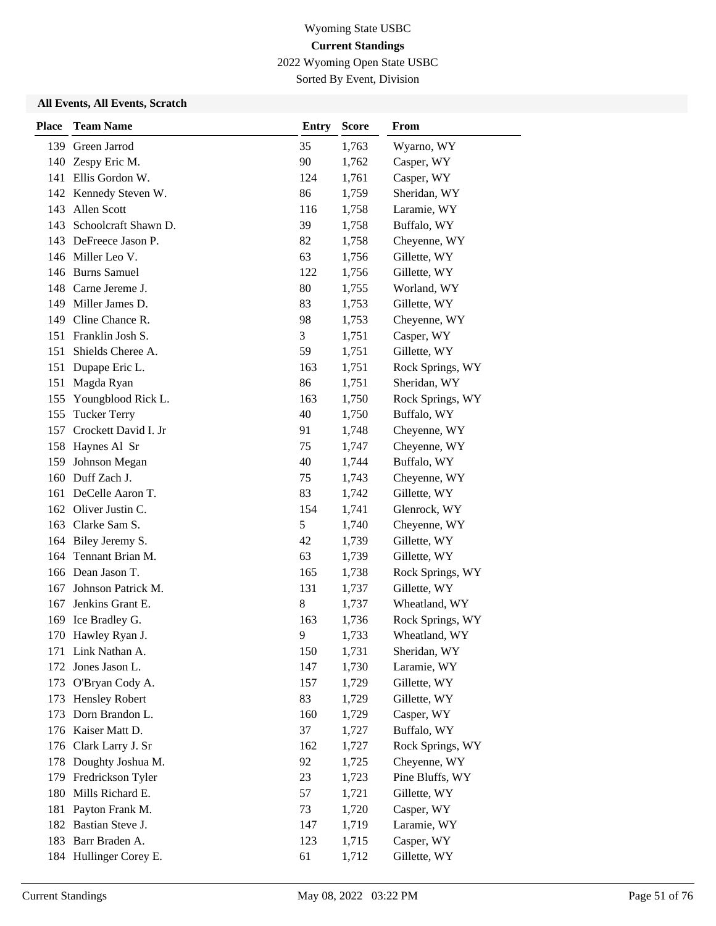2022 Wyoming Open State USBC

Sorted By Event, Division

| <b>Place</b> | <b>Team Name</b>       | <b>Entry</b> | <b>Score</b> | From             |
|--------------|------------------------|--------------|--------------|------------------|
|              | 139 Green Jarrod       | 35           | 1,763        | Wyarno, WY       |
| 140          | Zespy Eric M.          | 90           | 1,762        | Casper, WY       |
|              | 141 Ellis Gordon W.    | 124          | 1,761        | Casper, WY       |
|              | 142 Kennedy Steven W.  | 86           | 1,759        | Sheridan, WY     |
| 143          | Allen Scott            | 116          | 1,758        | Laramie, WY      |
| 143          | Schoolcraft Shawn D.   | 39           | 1,758        | Buffalo, WY      |
|              | 143 DeFreece Jason P.  | 82           | 1,758        | Cheyenne, WY     |
|              | 146 Miller Leo V.      | 63           | 1,756        | Gillette, WY     |
|              | 146 Burns Samuel       | 122          | 1,756        | Gillette, WY     |
|              | 148 Carne Jereme J.    | 80           | 1,755        | Worland, WY      |
|              | 149 Miller James D.    | 83           | 1,753        | Gillette, WY     |
|              | 149 Cline Chance R.    | 98           | 1,753        | Cheyenne, WY     |
|              | 151 Franklin Josh S.   | 3            | 1,751        | Casper, WY       |
| 151          | Shields Cheree A.      | 59           | 1,751        | Gillette, WY     |
| 151          | Dupape Eric L.         | 163          | 1,751        | Rock Springs, WY |
| 151          | Magda Ryan             | 86           | 1,751        | Sheridan, WY     |
| 155          | Youngblood Rick L.     | 163          | 1,750        | Rock Springs, WY |
| 155          | <b>Tucker Terry</b>    | 40           | 1,750        | Buffalo, WY      |
| 157          | Crockett David I. Jr   | 91           | 1,748        | Cheyenne, WY     |
|              | 158 Haynes Al Sr       | 75           | 1,747        | Cheyenne, WY     |
| 159          | Johnson Megan          | 40           | 1,744        | Buffalo, WY      |
|              | 160 Duff Zach J.       | 75           | 1,743        | Cheyenne, WY     |
|              | 161 DeCelle Aaron T.   | 83           | 1,742        | Gillette, WY     |
|              | 162 Oliver Justin C.   | 154          | 1,741        | Glenrock, WY     |
|              | 163 Clarke Sam S.      | 5            | 1,740        | Cheyenne, WY     |
| 164          | Biley Jeremy S.        | 42           | 1,739        | Gillette, WY     |
| 164          | Tennant Brian M.       | 63           | 1,739        | Gillette, WY     |
|              | 166 Dean Jason T.      | 165          | 1,738        | Rock Springs, WY |
| 167          | Johnson Patrick M.     | 131          | 1,737        | Gillette, WY     |
| 167          | Jenkins Grant E.       | $\,$ 8 $\,$  | 1,737        | Wheatland, WY    |
| 169          | Ice Bradley G.         | 163          | 1,736        | Rock Springs, WY |
|              | 170 Hawley Ryan J.     | 9            | 1,733        | Wheatland, WY    |
|              | 171 Link Nathan A.     | 150          | 1,731        | Sheridan, WY     |
| 172          | Jones Jason L.         | 147          | 1,730        | Laramie, WY      |
| 173          | O'Bryan Cody A.        | 157          | 1,729        | Gillette, WY     |
| 173          | <b>Hensley Robert</b>  | 83           | 1,729        | Gillette, WY     |
| 173          | Dorn Brandon L.        | 160          | 1,729        | Casper, WY       |
|              | 176 Kaiser Matt D.     | 37           | 1,727        | Buffalo, WY      |
| 176          | Clark Larry J. Sr      | 162          | 1,727        | Rock Springs, WY |
| 178          | Doughty Joshua M.      | 92           | 1,725        | Cheyenne, WY     |
| 179          | Fredrickson Tyler      | 23           | 1,723        | Pine Bluffs, WY  |
| 180          | Mills Richard E.       | 57           | 1,721        | Gillette, WY     |
| 181          | Payton Frank M.        | 73           | 1,720        | Casper, WY       |
|              | 182 Bastian Steve J.   | 147          | 1,719        | Laramie, WY      |
|              | 183 Barr Braden A.     | 123          | 1,715        | Casper, WY       |
|              | 184 Hullinger Corey E. | 61           | 1,712        | Gillette, WY     |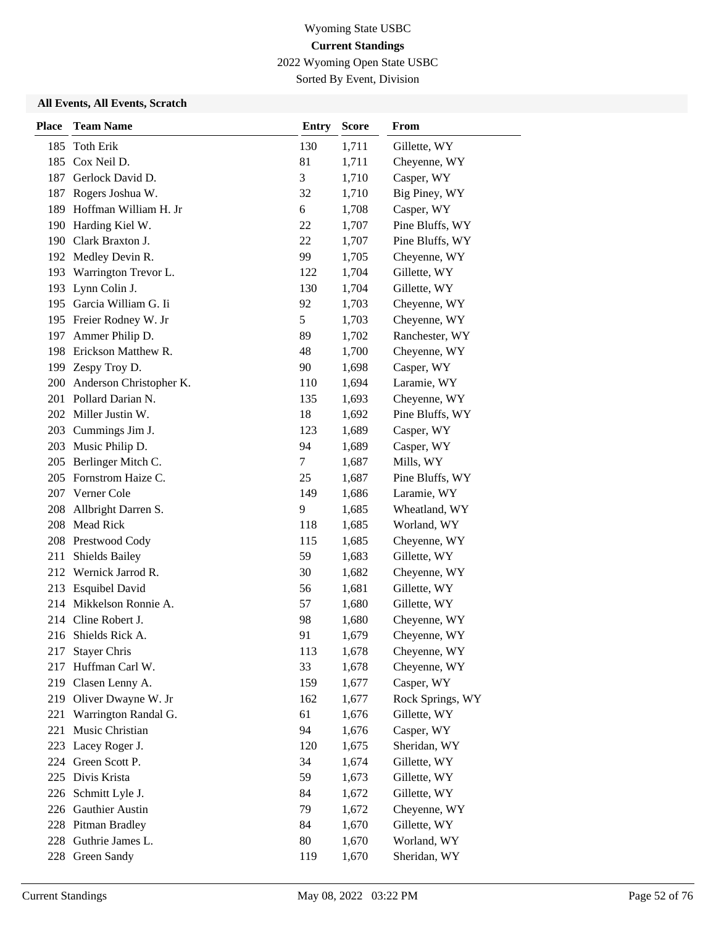2022 Wyoming Open State USBC

Sorted By Event, Division

| <b>Place</b> | <b>Team Name</b>         | <b>Entry</b> | <b>Score</b> | From             |
|--------------|--------------------------|--------------|--------------|------------------|
| 185          | <b>Toth Erik</b>         | 130          | 1,711        | Gillette, WY     |
| 185          | Cox Neil D.              | 81           | 1,711        | Cheyenne, WY     |
|              | 187 Gerlock David D.     | 3            | 1,710        | Casper, WY       |
| 187          | Rogers Joshua W.         | 32           | 1,710        | Big Piney, WY    |
| 189          | Hoffman William H. Jr    | 6            | 1,708        | Casper, WY       |
| 190          | Harding Kiel W.          | 22           | 1,707        | Pine Bluffs, WY  |
|              | 190 Clark Braxton J.     | 22           | 1,707        | Pine Bluffs, WY  |
|              | 192 Medley Devin R.      | 99           | 1,705        | Cheyenne, WY     |
|              | 193 Warrington Trevor L. | 122          | 1,704        | Gillette, WY     |
| 193          | Lynn Colin J.            | 130          | 1,704        | Gillette, WY     |
|              | 195 Garcia William G. Ii | 92           | 1,703        | Cheyenne, WY     |
|              | 195 Freier Rodney W. Jr  | 5            | 1,703        | Cheyenne, WY     |
| 197          | Ammer Philip D.          | 89           | 1,702        | Ranchester, WY   |
| 198          | Erickson Matthew R.      | 48           | 1,700        | Cheyenne, WY     |
|              | 199 Zespy Troy D.        | 90           | 1,698        | Casper, WY       |
| 200          | Anderson Christopher K.  | 110          | 1,694        | Laramie, WY      |
| 201          | Pollard Darian N.        | 135          | 1,693        | Cheyenne, WY     |
|              | 202 Miller Justin W.     | 18           | 1,692        | Pine Bluffs, WY  |
|              | 203 Cummings Jim J.      | 123          | 1,689        | Casper, WY       |
|              | 203 Music Philip D.      | 94           | 1,689        | Casper, WY       |
| 205          | Berlinger Mitch C.       | 7            | 1,687        | Mills, WY        |
|              | 205 Fornstrom Haize C.   | 25           | 1,687        | Pine Bluffs, WY  |
|              | 207 Verner Cole          | 149          | 1,686        | Laramie, WY      |
| 208          | Allbright Darren S.      | 9            | 1,685        | Wheatland, WY    |
| 208          | <b>Mead Rick</b>         | 118          | 1,685        | Worland, WY      |
| 208          | Prestwood Cody           | 115          | 1,685        | Cheyenne, WY     |
| 211          | <b>Shields Bailey</b>    | 59           | 1,683        | Gillette, WY     |
| 212          | Wernick Jarrod R.        | 30           | 1,682        | Cheyenne, WY     |
|              | 213 Esquibel David       | 56           | 1,681        | Gillette, WY     |
|              | 214 Mikkelson Ronnie A.  | 57           | 1,680        | Gillette, WY     |
|              | 214 Cline Robert J.      | 98           | 1,680        | Cheyenne, WY     |
|              | 216 Shields Rick A.      | 91           | 1,679        | Cheyenne, WY     |
| 217          | <b>Stayer Chris</b>      | 113          | 1,678        | Cheyenne, WY     |
| 217          | Huffman Carl W.          | 33           | 1,678        | Cheyenne, WY     |
| 219          | Clasen Lenny A.          | 159          | 1,677        | Casper, WY       |
|              | 219 Oliver Dwayne W. Jr  | 162          | 1,677        | Rock Springs, WY |
| 221          | Warrington Randal G.     | 61           | 1,676        | Gillette, WY     |
| 221          | Music Christian          | 94           | 1,676        | Casper, WY       |
| 223          | Lacey Roger J.           | 120          | 1,675        | Sheridan, WY     |
|              | 224 Green Scott P.       | 34           | 1,674        | Gillette, WY     |
| 225          | Divis Krista             | 59           | 1,673        | Gillette, WY     |
|              | 226 Schmitt Lyle J.      | 84           | 1,672        | Gillette, WY     |
|              | 226 Gauthier Austin      | 79           | 1,672        | Cheyenne, WY     |
|              | 228 Pitman Bradley       | 84           | 1,670        | Gillette, WY     |
|              | 228 Guthrie James L.     | 80           | 1,670        | Worland, WY      |
|              | 228 Green Sandy          | 119          | 1,670        | Sheridan, WY     |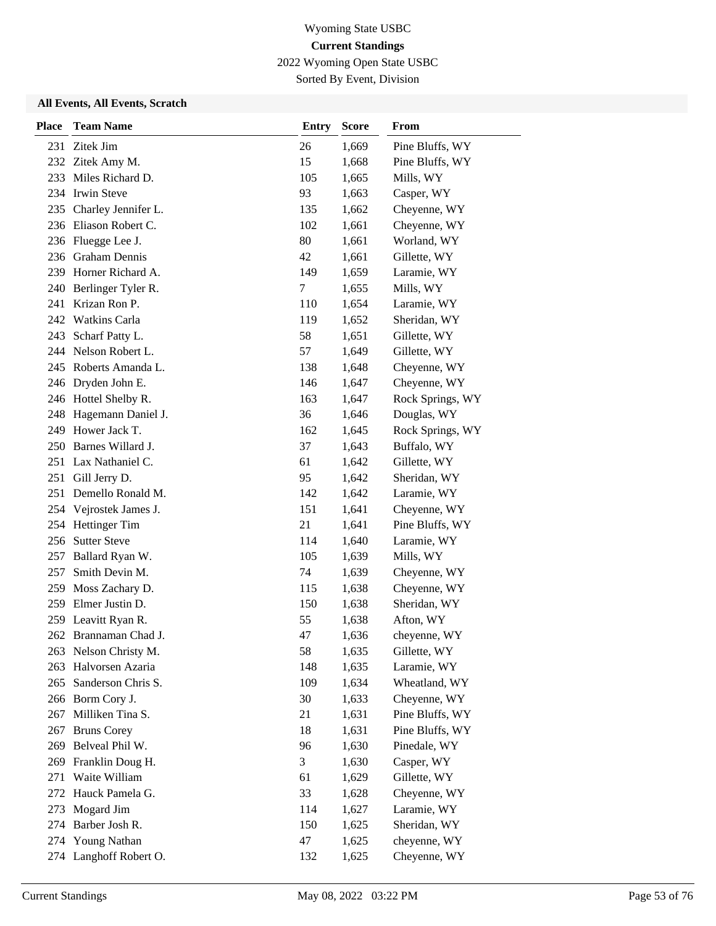2022 Wyoming Open State USBC

Sorted By Event, Division

| <b>Place</b> | <b>Team Name</b>       | <b>Entry</b> | <b>Score</b> | From             |
|--------------|------------------------|--------------|--------------|------------------|
|              | 231 Zitek Jim          | 26           | 1,669        | Pine Bluffs, WY  |
|              | 232 Zitek Amy M.       | 15           | 1,668        | Pine Bluffs, WY  |
|              | 233 Miles Richard D.   | 105          | 1,665        | Mills, WY        |
|              | 234 Irwin Steve        | 93           | 1,663        | Casper, WY       |
| 235          | Charley Jennifer L.    | 135          | 1,662        | Cheyenne, WY     |
|              | 236 Eliason Robert C.  | 102          | 1,661        | Cheyenne, WY     |
|              | 236 Fluegge Lee J.     | 80           | 1,661        | Worland, WY      |
|              | 236 Graham Dennis      | 42           | 1,661        | Gillette, WY     |
| 239          | Horner Richard A.      | 149          | 1,659        | Laramie, WY      |
| 240          | Berlinger Tyler R.     | 7            | 1,655        | Mills, WY        |
| 241          | Krizan Ron P.          | 110          | 1,654        | Laramie, WY      |
|              | 242 Watkins Carla      | 119          | 1,652        | Sheridan, WY     |
| 243          | Scharf Patty L.        | 58           | 1,651        | Gillette, WY     |
|              | 244 Nelson Robert L.   | 57           | 1,649        | Gillette, WY     |
|              | 245 Roberts Amanda L.  | 138          | 1,648        | Cheyenne, WY     |
|              | 246 Dryden John E.     | 146          | 1,647        | Cheyenne, WY     |
|              | 246 Hottel Shelby R.   | 163          | 1,647        | Rock Springs, WY |
| 248          | Hagemann Daniel J.     | 36           | 1,646        | Douglas, WY      |
| 249          | Hower Jack T.          | 162          | 1,645        | Rock Springs, WY |
|              | 250 Barnes Willard J.  | 37           | 1,643        | Buffalo, WY      |
| 251          | Lax Nathaniel C.       | 61           | 1,642        | Gillette, WY     |
| 251          | Gill Jerry D.          | 95           | 1,642        | Sheridan, WY     |
| 251          | Demello Ronald M.      | 142          | 1,642        | Laramie, WY      |
|              | 254 Vejrostek James J. | 151          | 1,641        | Cheyenne, WY     |
| 254          | Hettinger Tim          | 21           | 1,641        | Pine Bluffs, WY  |
| 256          | <b>Sutter Steve</b>    | 114          | 1,640        | Laramie, WY      |
| 257          | Ballard Ryan W.        | 105          | 1,639        | Mills, WY        |
| 257          | Smith Devin M.         | 74           | 1,639        | Cheyenne, WY     |
| 259          | Moss Zachary D.        | 115          | 1,638        | Cheyenne, WY     |
| 259          | Elmer Justin D.        | 150          | 1,638        | Sheridan, WY     |
| 259          | Leavitt Ryan R.        | 55           | 1,638        | Afton, WY        |
|              | 262 Brannaman Chad J.  | 47           | 1,636        | cheyenne, WY     |
|              | 263 Nelson Christy M.  | 58           | 1,635        | Gillette, WY     |
| 263          | Halvorsen Azaria       | 148          | 1,635        | Laramie, WY      |
| 265          | Sanderson Chris S.     | 109          | 1,634        | Wheatland, WY    |
|              | 266 Borm Cory J.       | 30           | 1,633        | Cheyenne, WY     |
| 267          | Milliken Tina S.       | 21           | 1,631        | Pine Bluffs, WY  |
| 267          | <b>Bruns Corey</b>     | 18           | 1,631        | Pine Bluffs, WY  |
| 269          | Belveal Phil W.        | 96           | 1,630        | Pinedale, WY     |
| 269          | Franklin Doug H.       | 3            | 1,630        | Casper, WY       |
| 271          | Waite William          | 61           | 1,629        | Gillette, WY     |
| 272          | Hauck Pamela G.        | 33           | 1,628        | Cheyenne, WY     |
| 273          | Mogard Jim             | 114          | 1,627        | Laramie, WY      |
| 274          | Barber Josh R.         | 150          | 1,625        | Sheridan, WY     |
| 274          | <b>Young Nathan</b>    | 47           | 1,625        | cheyenne, WY     |
|              | 274 Langhoff Robert O. | 132          | 1,625        | Cheyenne, WY     |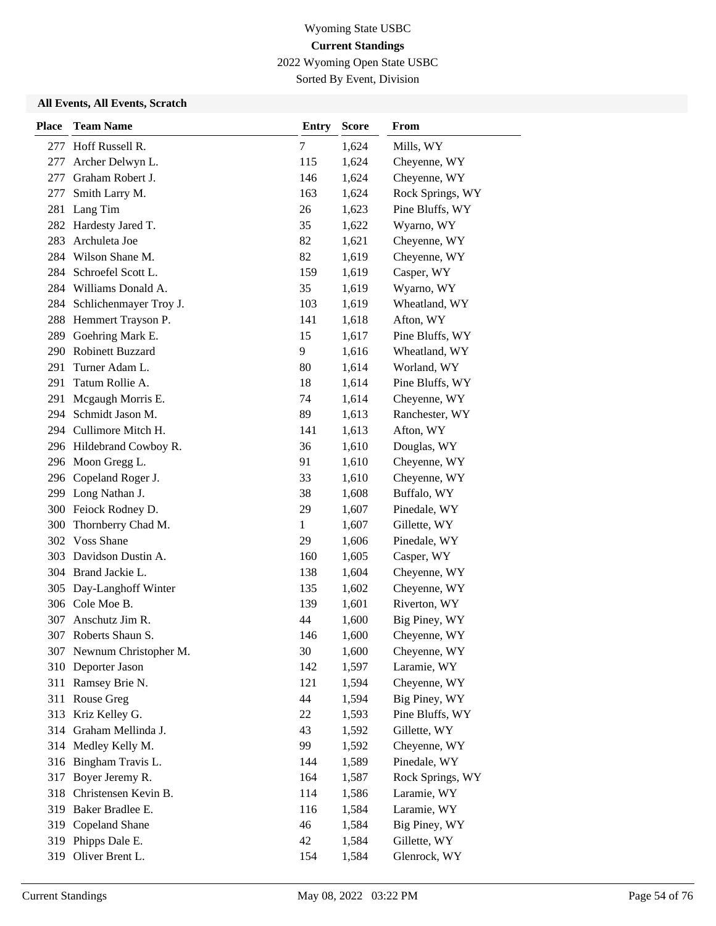2022 Wyoming Open State USBC

Sorted By Event, Division

| <b>Place</b> | <b>Team Name</b>          | <b>Entry</b> | <b>Score</b> | From             |
|--------------|---------------------------|--------------|--------------|------------------|
|              | 277 Hoff Russell R.       | 7            | 1,624        | Mills, WY        |
| 277          | Archer Delwyn L.          | 115          | 1,624        | Cheyenne, WY     |
| 277          | Graham Robert J.          | 146          | 1,624        | Cheyenne, WY     |
| 277          | Smith Larry M.            | 163          | 1,624        | Rock Springs, WY |
| 281          | Lang Tim                  | 26           | 1,623        | Pine Bluffs, WY  |
| 282          | Hardesty Jared T.         | 35           | 1,622        | Wyarno, WY       |
| 283          | Archuleta Joe             | 82           | 1,621        | Cheyenne, WY     |
|              | 284 Wilson Shane M.       | 82           | 1,619        | Cheyenne, WY     |
|              | 284 Schroefel Scott L.    | 159          | 1,619        | Casper, WY       |
|              | 284 Williams Donald A.    | 35           | 1,619        | Wyarno, WY       |
| 284          | Schlichenmayer Troy J.    | 103          | 1,619        | Wheatland, WY    |
|              | 288 Hemmert Trayson P.    | 141          | 1,618        | Afton, WY        |
| 289          | Goehring Mark E.          | 15           | 1,617        | Pine Bluffs, WY  |
|              | 290 Robinett Buzzard      | 9            | 1,616        | Wheatland, WY    |
|              | 291 Turner Adam L.        | 80           | 1,614        | Worland, WY      |
| 291          | Tatum Rollie A.           | 18           | 1,614        | Pine Bluffs, WY  |
| 291          | Mcgaugh Morris E.         | 74           | 1,614        | Cheyenne, WY     |
| 294          | Schmidt Jason M.          | 89           | 1,613        | Ranchester, WY   |
|              | 294 Cullimore Mitch H.    | 141          | 1,613        | Afton, WY        |
|              | 296 Hildebrand Cowboy R.  | 36           | 1,610        | Douglas, WY      |
|              | 296 Moon Gregg L.         | 91           | 1,610        | Cheyenne, WY     |
|              | 296 Copeland Roger J.     | 33           | 1,610        | Cheyenne, WY     |
|              | 299 Long Nathan J.        | 38           | 1,608        | Buffalo, WY      |
|              | 300 Feiock Rodney D.      | 29           | 1,607        | Pinedale, WY     |
| 300          | Thornberry Chad M.        | $\mathbf{1}$ | 1,607        | Gillette, WY     |
|              | 302 Voss Shane            | 29           | 1,606        | Pinedale, WY     |
|              | 303 Davidson Dustin A.    | 160          | 1,605        | Casper, WY       |
|              | 304 Brand Jackie L.       | 138          | 1,604        | Cheyenne, WY     |
| 305          | Day-Langhoff Winter       | 135          | 1,602        | Cheyenne, WY     |
|              | 306 Cole Moe B.           | 139          | 1,601        | Riverton, WY     |
| 307          | Anschutz Jim R.           | 44           | 1,600        | Big Piney, WY    |
|              | 307 Roberts Shaun S.      | 146          | 1,600        | Cheyenne, WY     |
|              | 307 Newnum Christopher M. | 30           | 1,600        | Cheyenne, WY     |
|              | 310 Deporter Jason        | 142          | 1,597        | Laramie, WY      |
|              | 311 Ramsey Brie N.        | 121          | 1,594        | Cheyenne, WY     |
|              | 311 Rouse Greg            | 44           | 1,594        | Big Piney, WY    |
|              | 313 Kriz Kelley G.        | 22           | 1,593        | Pine Bluffs, WY  |
|              | 314 Graham Mellinda J.    | 43           | 1,592        | Gillette, WY     |
| 314          | Medley Kelly M.           | 99           | 1,592        | Cheyenne, WY     |
|              | 316 Bingham Travis L.     | 144          | 1,589        | Pinedale, WY     |
| 317          | Boyer Jeremy R.           | 164          | 1,587        | Rock Springs, WY |
| 318          | Christensen Kevin B.      | 114          | 1,586        | Laramie, WY      |
|              | 319 Baker Bradlee E.      | 116          | 1,584        | Laramie, WY      |
|              | 319 Copeland Shane        | 46           | 1,584        | Big Piney, WY    |
| 319          | Phipps Dale E.            | 42           | 1,584        | Gillette, WY     |
|              | 319 Oliver Brent L.       | 154          | 1,584        | Glenrock, WY     |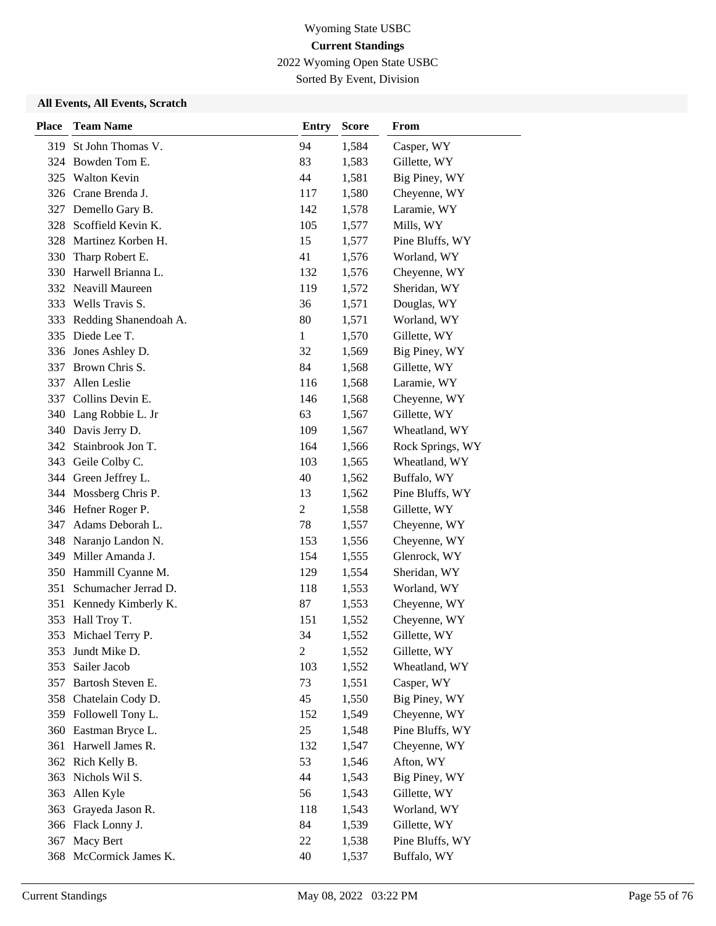2022 Wyoming Open State USBC

Sorted By Event, Division

| <b>Place</b> | <b>Team Name</b>       | <b>Entry</b>   | <b>Score</b> | From             |
|--------------|------------------------|----------------|--------------|------------------|
| 319          | St John Thomas V.      | 94             | 1,584        | Casper, WY       |
| 324          | Bowden Tom E.          | 83             | 1,583        | Gillette, WY     |
| 325          | Walton Kevin           | 44             | 1,581        | Big Piney, WY    |
|              | 326 Crane Brenda J.    | 117            | 1,580        | Cheyenne, WY     |
|              | 327 Demello Gary B.    | 142            | 1,578        | Laramie, WY      |
| 328          | Scoffield Kevin K.     | 105            | 1,577        | Mills, WY        |
|              | 328 Martinez Korben H. | 15             | 1,577        | Pine Bluffs, WY  |
| 330          | Tharp Robert E.        | 41             | 1,576        | Worland, WY      |
|              | 330 Harwell Brianna L. | 132            | 1,576        | Cheyenne, WY     |
| 332          | Neavill Maureen        | 119            | 1,572        | Sheridan, WY     |
| 333          | Wells Travis S.        | 36             | 1,571        | Douglas, WY      |
| 333          | Redding Shanendoah A.  | 80             | 1,571        | Worland, WY      |
| 335          | Diede Lee T.           | $\mathbf{1}$   | 1,570        | Gillette, WY     |
|              | 336 Jones Ashley D.    | 32             | 1,569        | Big Piney, WY    |
| 337          | Brown Chris S.         | 84             | 1,568        | Gillette, WY     |
| 337          | Allen Leslie           | 116            | 1,568        | Laramie, WY      |
|              | 337 Collins Devin E.   | 146            | 1,568        | Cheyenne, WY     |
|              | 340 Lang Robbie L. Jr  | 63             | 1,567        | Gillette, WY     |
| 340          | Davis Jerry D.         | 109            | 1,567        | Wheatland, WY    |
| 342          | Stainbrook Jon T.      | 164            | 1,566        | Rock Springs, WY |
|              | 343 Geile Colby C.     | 103            | 1,565        | Wheatland, WY    |
|              | 344 Green Jeffrey L.   | 40             | 1,562        | Buffalo, WY      |
|              | 344 Mossberg Chris P.  | 13             | 1,562        | Pine Bluffs, WY  |
|              | 346 Hefner Roger P.    | $\overline{c}$ | 1,558        | Gillette, WY     |
| 347          | Adams Deborah L.       | 78             | 1,557        | Cheyenne, WY     |
| 348          | Naranjo Landon N.      | 153            | 1,556        | Cheyenne, WY     |
| 349          | Miller Amanda J.       | 154            | 1,555        | Glenrock, WY     |
|              | 350 Hammill Cyanne M.  | 129            | 1,554        | Sheridan, WY     |
| 351          | Schumacher Jerrad D.   | 118            | 1,553        | Worland, WY      |
| 351          | Kennedy Kimberly K.    | 87             | 1,553        | Cheyenne, WY     |
| 353          | Hall Troy T.           | 151            | 1,552        | Cheyenne, WY     |
| 353          | Michael Terry P.       | 34             | 1,552        | Gillette, WY     |
| 353          | Jundt Mike D.          | $\overline{c}$ | 1,552        | Gillette, WY     |
| 353          | Sailer Jacob           | 103            | 1,552        | Wheatland, WY    |
| 357          | Bartosh Steven E.      | 73             | 1,551        | Casper, WY       |
|              | 358 Chatelain Cody D.  | 45             | 1,550        | Big Piney, WY    |
|              | 359 Followell Tony L.  | 152            | 1,549        | Cheyenne, WY     |
|              | 360 Eastman Bryce L.   | 25             | 1,548        | Pine Bluffs, WY  |
|              | 361 Harwell James R.   | 132            | 1,547        | Cheyenne, WY     |
|              | 362 Rich Kelly B.      | 53             | 1,546        | Afton, WY        |
| 363          | Nichols Wil S.         | 44             | 1,543        | Big Piney, WY    |
| 363          | Allen Kyle             | 56             | 1,543        | Gillette, WY     |
| 363          | Grayeda Jason R.       | 118            | 1,543        | Worland, WY      |
|              | 366 Flack Lonny J.     | 84             | 1,539        | Gillette, WY     |
| 367          | Macy Bert              | 22             | 1,538        | Pine Bluffs, WY  |
| 368          | McCormick James K.     | 40             | 1,537        | Buffalo, WY      |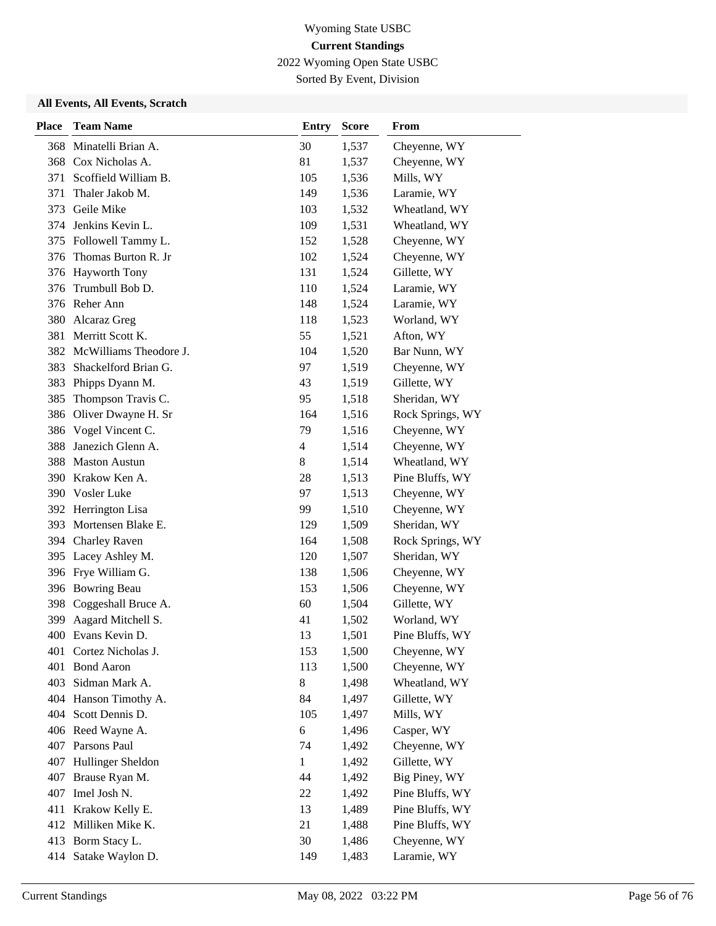2022 Wyoming Open State USBC

Sorted By Event, Division

| <b>Place</b> | <b>Team Name</b>           | <b>Entry</b> | <b>Score</b> | From             |
|--------------|----------------------------|--------------|--------------|------------------|
| 368          | Minatelli Brian A.         | 30           | 1,537        | Cheyenne, WY     |
|              | 368 Cox Nicholas A.        | 81           | 1,537        | Cheyenne, WY     |
| 371          | Scoffield William B.       | 105          | 1,536        | Mills, WY        |
| 371          | Thaler Jakob M.            | 149          | 1,536        | Laramie, WY      |
| 373          | Geile Mike                 | 103          | 1,532        | Wheatland, WY    |
|              | 374 Jenkins Kevin L.       | 109          | 1,531        | Wheatland, WY    |
|              | 375 Followell Tammy L.     | 152          | 1,528        | Cheyenne, WY     |
|              | 376 Thomas Burton R. Jr    | 102          | 1,524        | Cheyenne, WY     |
| 376          | <b>Hayworth Tony</b>       | 131          | 1,524        | Gillette, WY     |
| 376          | Trumbull Bob D.            | 110          | 1,524        | Laramie, WY      |
|              | 376 Reher Ann              | 148          | 1,524        | Laramie, WY      |
| 380          | Alcaraz Greg               | 118          | 1,523        | Worland, WY      |
| 381          | Merritt Scott K.           | 55           | 1,521        | Afton, WY        |
|              | 382 McWilliams Theodore J. | 104          | 1,520        | Bar Nunn, WY     |
|              | 383 Shackelford Brian G.   | 97           | 1,519        | Cheyenne, WY     |
| 383          | Phipps Dyann M.            | 43           | 1,519        | Gillette, WY     |
| 385          | Thompson Travis C.         | 95           | 1,518        | Sheridan, WY     |
| 386          | Oliver Dwayne H. Sr        | 164          | 1,516        | Rock Springs, WY |
| 386          | Vogel Vincent C.           | 79           | 1,516        | Cheyenne, WY     |
| 388          | Janezich Glenn A.          | 4            | 1,514        | Cheyenne, WY     |
| 388          | <b>Maston Austun</b>       | 8            | 1,514        | Wheatland, WY    |
|              | 390 Krakow Ken A.          | 28           | 1,513        | Pine Bluffs, WY  |
|              | 390 Vosler Luke            | 97           | 1,513        | Cheyenne, WY     |
| 392          | Herrington Lisa            | 99           | 1,510        | Cheyenne, WY     |
| 393          | Mortensen Blake E.         | 129          | 1,509        | Sheridan, WY     |
|              | 394 Charley Raven          | 164          | 1,508        | Rock Springs, WY |
|              | 395 Lacey Ashley M.        | 120          | 1,507        | Sheridan, WY     |
|              | 396 Frye William G.        | 138          | 1,506        | Cheyenne, WY     |
|              | 396 Bowring Beau           | 153          | 1,506        | Cheyenne, WY     |
| 398          | Coggeshall Bruce A.        | 60           | 1,504        | Gillette, WY     |
| 399          | Aagard Mitchell S.         | 41           | 1,502        | Worland, WY      |
|              | 400 Evans Kevin D.         | 13           | 1,501        | Pine Bluffs, WY  |
| 401          | Cortez Nicholas J.         | 153          | 1,500        | Cheyenne, WY     |
| 401          | <b>Bond Aaron</b>          | 113          | 1,500        | Cheyenne, WY     |
|              | 403 Sidman Mark A.         | 8            | 1,498        | Wheatland, WY    |
|              | 404 Hanson Timothy A.      | 84           | 1,497        | Gillette, WY     |
|              | 404 Scott Dennis D.        | 105          | 1,497        | Mills, WY        |
|              | 406 Reed Wayne A.          | 6            | 1,496        | Casper, WY       |
| 407          | Parsons Paul               | 74           | 1,492        | Cheyenne, WY     |
| 407          | Hullinger Sheldon          | $\mathbf{1}$ | 1,492        | Gillette, WY     |
| 407          | Brause Ryan M.             | 44           | 1,492        | Big Piney, WY    |
| 407          | Imel Josh N.               | 22           | 1,492        | Pine Bluffs, WY  |
| 411          | Krakow Kelly E.            | 13           | 1,489        | Pine Bluffs, WY  |
|              | 412 Milliken Mike K.       | 21           | 1,488        | Pine Bluffs, WY  |
| 413          | Borm Stacy L.              | 30           | 1,486        | Cheyenne, WY     |
| 414          | Satake Waylon D.           | 149          | 1,483        | Laramie, WY      |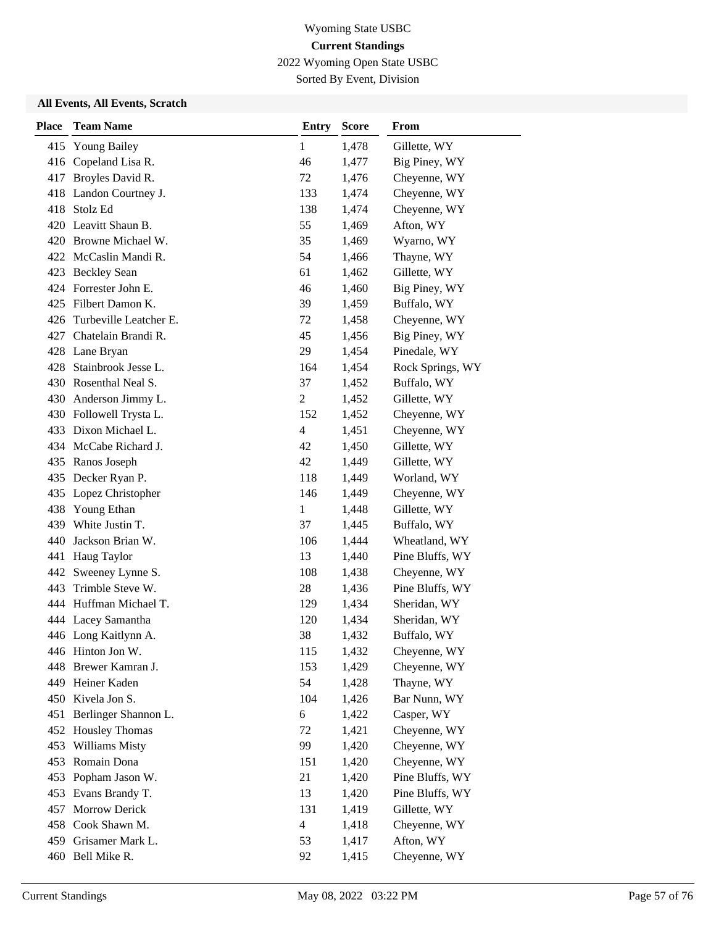2022 Wyoming Open State USBC

Sorted By Event, Division

| <b>Place</b> | <b>Team Name</b>           | <b>Entry</b>   | <b>Score</b> | <b>From</b>      |
|--------------|----------------------------|----------------|--------------|------------------|
| 415          | <b>Young Bailey</b>        | $\mathbf{1}$   | 1,478        | Gillette, WY     |
| 416          | Copeland Lisa R.           | 46             | 1,477        | Big Piney, WY    |
| 417          | Broyles David R.           | 72             | 1,476        | Cheyenne, WY     |
|              | 418 Landon Courtney J.     | 133            | 1,474        | Cheyenne, WY     |
| 418          | Stolz Ed                   | 138            | 1,474        | Cheyenne, WY     |
|              | 420 Leavitt Shaun B.       | 55             | 1,469        | Afton, WY        |
|              | 420 Browne Michael W.      | 35             | 1,469        | Wyarno, WY       |
|              | 422 McCaslin Mandi R.      | 54             | 1,466        | Thayne, WY       |
|              | 423 Beckley Sean           | 61             | 1,462        | Gillette, WY     |
|              | 424 Forrester John E.      | 46             | 1,460        | Big Piney, WY    |
|              | 425 Filbert Damon K.       | 39             | 1,459        | Buffalo, WY      |
|              | 426 Turbeville Leatcher E. | 72             | 1,458        | Cheyenne, WY     |
| 427          | Chatelain Brandi R.        | 45             | 1,456        | Big Piney, WY    |
|              | 428 Lane Bryan             | 29             | 1,454        | Pinedale, WY     |
|              | 428 Stainbrook Jesse L.    | 164            | 1,454        | Rock Springs, WY |
|              | 430 Rosenthal Neal S.      | 37             | 1,452        | Buffalo, WY      |
|              | 430 Anderson Jimmy L.      | $\overline{c}$ | 1,452        | Gillette, WY     |
|              | 430 Followell Trysta L.    | 152            | 1,452        | Cheyenne, WY     |
|              | 433 Dixon Michael L.       | $\overline{4}$ | 1,451        | Cheyenne, WY     |
|              | 434 McCabe Richard J.      | 42             | 1,450        | Gillette, WY     |
|              | 435 Ranos Joseph           | 42             | 1,449        | Gillette, WY     |
|              | 435 Decker Ryan P.         | 118            | 1,449        | Worland, WY      |
|              | 435 Lopez Christopher      | 146            | 1,449        | Cheyenne, WY     |
| 438          | Young Ethan                | $\mathbf{1}$   | 1,448        | Gillette, WY     |
| 439          | White Justin T.            | 37             | 1,445        | Buffalo, WY      |
| 440          | Jackson Brian W.           | 106            | 1,444        | Wheatland, WY    |
| 441          | Haug Taylor                | 13             | 1,440        | Pine Bluffs, WY  |
|              | 442 Sweeney Lynne S.       | 108            | 1,438        | Cheyenne, WY     |
| 443          | Trimble Steve W.           | 28             | 1,436        | Pine Bluffs, WY  |
|              | 444 Huffman Michael T.     | 129            | 1,434        | Sheridan, WY     |
|              | 444 Lacey Samantha         | 120            | 1,434        | Sheridan, WY     |
|              | 446 Long Kaitlynn A.       | 38             | 1,432        | Buffalo, WY      |
|              | 446 Hinton Jon W.          | 115            | 1,432        | Cheyenne, WY     |
| 448          | Brewer Kamran J.           | 153            | 1,429        | Cheyenne, WY     |
|              | 449 Heiner Kaden           | 54             | 1,428        | Thayne, WY       |
|              | 450 Kivela Jon S.          | 104            | 1,426        | Bar Nunn, WY     |
| 451          | Berlinger Shannon L.       | 6              | 1,422        | Casper, WY       |
| 452          | <b>Housley Thomas</b>      | 72             | 1,421        | Cheyenne, WY     |
| 453          | Williams Misty             | 99             | 1,420        | Cheyenne, WY     |
| 453          | Romain Dona                | 151            | 1,420        | Cheyenne, WY     |
| 453          | Popham Jason W.            | 21             | 1,420        | Pine Bluffs, WY  |
| 453          | Evans Brandy T.            | 13             | 1,420        | Pine Bluffs, WY  |
| 457          | Morrow Derick              | 131            | 1,419        | Gillette, WY     |
|              | 458 Cook Shawn M.          | $\overline{4}$ | 1,418        | Cheyenne, WY     |
| 459          | Grisamer Mark L.           | 53             | 1,417        | Afton, WY        |
|              | 460 Bell Mike R.           | 92             | 1,415        | Cheyenne, WY     |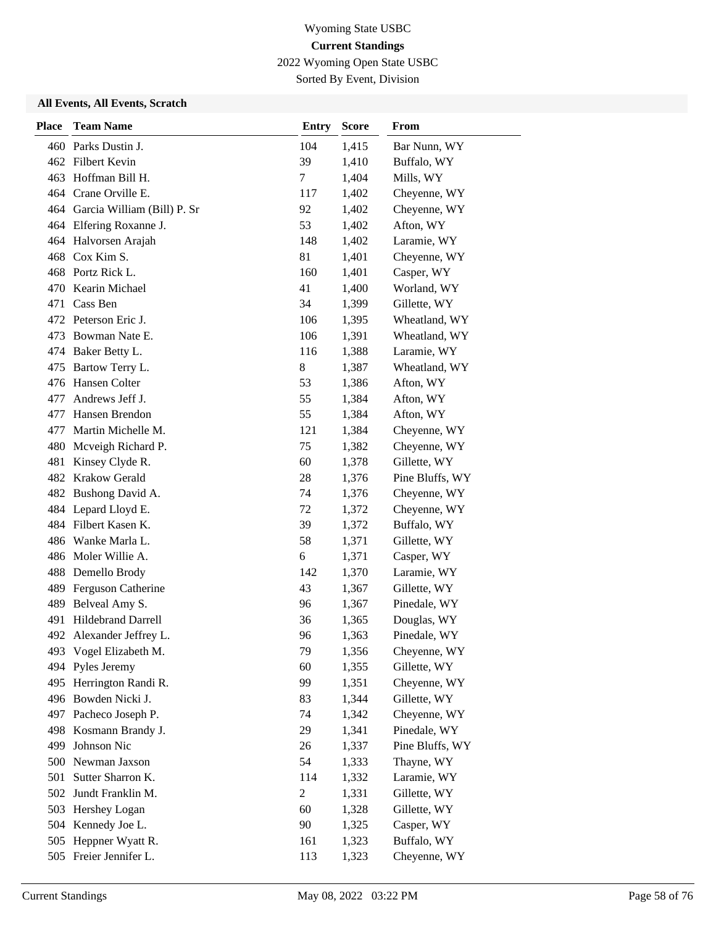2022 Wyoming Open State USBC

Sorted By Event, Division

| <b>Place</b> | <b>Team Name</b>                | <b>Entry</b>   | <b>Score</b> | From            |
|--------------|---------------------------------|----------------|--------------|-----------------|
|              | 460 Parks Dustin J.             | 104            | 1,415        | Bar Nunn, WY    |
|              | 462 Filbert Kevin               | 39             | 1,410        | Buffalo, WY     |
|              | 463 Hoffman Bill H.             | 7              | 1,404        | Mills, WY       |
|              | 464 Crane Orville E.            | 117            | 1,402        | Cheyenne, WY    |
|              | 464 Garcia William (Bill) P. Sr | 92             | 1,402        | Cheyenne, WY    |
|              | 464 Elfering Roxanne J.         | 53             | 1,402        | Afton, WY       |
|              | 464 Halvorsen Arajah            | 148            | 1,402        | Laramie, WY     |
|              | 468 Cox Kim S.                  | 81             | 1,401        | Cheyenne, WY    |
|              | 468 Portz Rick L.               | 160            | 1,401        | Casper, WY      |
| 470          | Kearin Michael                  | 41             | 1,400        | Worland, WY     |
| 471          | Cass Ben                        | 34             | 1,399        | Gillette, WY    |
|              | 472 Peterson Eric J.            | 106            | 1,395        | Wheatland, WY   |
| 473          | Bowman Nate E.                  | 106            | 1,391        | Wheatland, WY   |
|              | 474 Baker Betty L.              | 116            | 1,388        | Laramie, WY     |
| 475          | Bartow Terry L.                 | 8              | 1,387        | Wheatland, WY   |
|              | 476 Hansen Colter               | 53             | 1,386        | Afton, WY       |
| 477          | Andrews Jeff J.                 | 55             | 1,384        | Afton, WY       |
| 477          | Hansen Brendon                  | 55             | 1,384        | Afton, WY       |
| 477          | Martin Michelle M.              | 121            | 1,384        | Cheyenne, WY    |
| 480          | Mcveigh Richard P.              | 75             | 1,382        | Cheyenne, WY    |
| 481          | Kinsey Clyde R.                 | 60             | 1,378        | Gillette, WY    |
| 482          | Krakow Gerald                   | 28             | 1,376        | Pine Bluffs, WY |
|              | 482 Bushong David A.            | 74             | 1,376        | Cheyenne, WY    |
|              | 484 Lepard Lloyd E.             | 72             | 1,372        | Cheyenne, WY    |
|              | 484 Filbert Kasen K.            | 39             | 1,372        | Buffalo, WY     |
|              | 486 Wanke Marla L.              | 58             | 1,371        | Gillette, WY    |
|              | 486 Moler Willie A.             | 6              | 1,371        | Casper, WY      |
|              | 488 Demello Brody               | 142            | 1,370        | Laramie, WY     |
| 489          | Ferguson Catherine              | 43             | 1,367        | Gillette, WY    |
| 489          | Belveal Amy S.                  | 96             | 1,367        | Pinedale, WY    |
| 491          | <b>Hildebrand Darrell</b>       | 36             | 1,365        | Douglas, WY     |
| 492          | Alexander Jeffrey L.            | 96             | 1,363        | Pinedale, WY    |
|              | 493 Vogel Elizabeth M.          | 79             | 1,356        | Cheyenne, WY    |
| 494          | Pyles Jeremy                    | 60             | 1,355        | Gillette, WY    |
| 495          | Herrington Randi R.             | 99             | 1,351        | Cheyenne, WY    |
|              | 496 Bowden Nicki J.             | 83             | 1,344        | Gillette, WY    |
|              | 497 Pacheco Joseph P.           | 74             | 1,342        | Cheyenne, WY    |
| 498          | Kosmann Brandy J.               | 29             | 1,341        | Pinedale, WY    |
| 499          | Johnson Nic                     | 26             | 1,337        | Pine Bluffs, WY |
| 500          | Newman Jaxson                   | 54             | 1,333        | Thayne, WY      |
| 501          | Sutter Sharron K.               | 114            | 1,332        | Laramie, WY     |
| 502          | Jundt Franklin M.               | $\overline{c}$ | 1,331        | Gillette, WY    |
| 503          | Hershey Logan                   | 60             | 1,328        | Gillette, WY    |
|              | 504 Kennedy Joe L.              | 90             | 1,325        | Casper, WY      |
| 505          | Heppner Wyatt R.                | 161            | 1,323        | Buffalo, WY     |
| 505          | Freier Jennifer L.              | 113            | 1,323        | Cheyenne, WY    |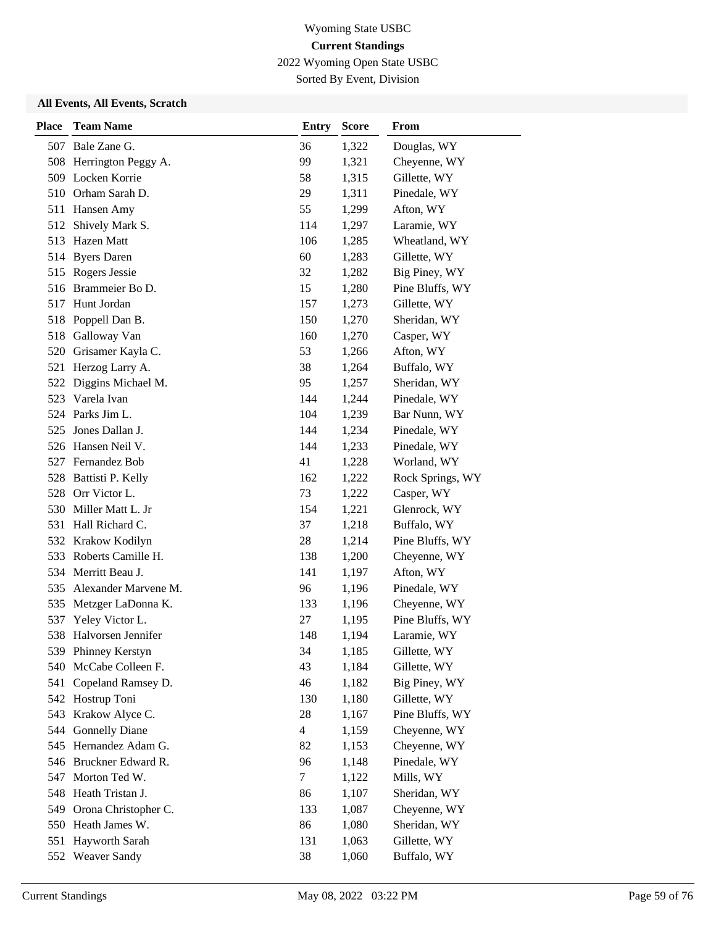2022 Wyoming Open State USBC

Sorted By Event, Division

| <b>Place</b> | <b>Team Name</b>        | <b>Entry</b>   | <b>Score</b> | <b>From</b>      |
|--------------|-------------------------|----------------|--------------|------------------|
|              | 507 Bale Zane G.        | 36             | 1,322        | Douglas, WY      |
|              | 508 Herrington Peggy A. | 99             | 1,321        | Cheyenne, WY     |
|              | 509 Locken Korrie       | 58             | 1,315        | Gillette, WY     |
|              | 510 Orham Sarah D.      | 29             | 1,311        | Pinedale, WY     |
|              | 511 Hansen Amy          | 55             | 1,299        | Afton, WY        |
| 512          | Shively Mark S.         | 114            | 1,297        | Laramie, WY      |
|              | 513 Hazen Matt          | 106            | 1,285        | Wheatland, WY    |
|              | 514 Byers Daren         | 60             | 1,283        | Gillette, WY     |
|              | 515 Rogers Jessie       | 32             | 1,282        | Big Piney, WY    |
| 516          | Brammeier Bo D.         | 15             | 1,280        | Pine Bluffs, WY  |
| 517          | Hunt Jordan             | 157            | 1,273        | Gillette, WY     |
|              | 518 Poppell Dan B.      | 150            | 1,270        | Sheridan, WY     |
|              | 518 Galloway Van        | 160            | 1,270        | Casper, WY       |
| 520          | Grisamer Kayla C.       | 53             | 1,266        | Afton, WY        |
|              | 521 Herzog Larry A.     | 38             | 1,264        | Buffalo, WY      |
|              | 522 Diggins Michael M.  | 95             | 1,257        | Sheridan, WY     |
|              | 523 Varela Ivan         | 144            | 1,244        | Pinedale, WY     |
|              | 524 Parks Jim L.        | 104            | 1,239        | Bar Nunn, WY     |
| 525          | Jones Dallan J.         | 144            | 1,234        | Pinedale, WY     |
|              | 526 Hansen Neil V.      | 144            | 1,233        | Pinedale, WY     |
|              | 527 Fernandez Bob       | 41             | 1,228        | Worland, WY      |
| 528          | Battisti P. Kelly       | 162            | 1,222        | Rock Springs, WY |
|              | 528 Orr Victor L.       | 73             | 1,222        | Casper, WY       |
|              | 530 Miller Matt L. Jr   | 154            | 1,221        | Glenrock, WY     |
|              | 531 Hall Richard C.     | 37             | 1,218        | Buffalo, WY      |
| 532          | Krakow Kodilyn          | 28             | 1,214        | Pine Bluffs, WY  |
| 533          | Roberts Camille H.      | 138            | 1,200        | Cheyenne, WY     |
|              | 534 Merritt Beau J.     | 141            | 1,197        | Afton, WY        |
| 535          | Alexander Marvene M.    | 96             | 1,196        | Pinedale, WY     |
| 535          | Metzger LaDonna K.      | 133            | 1,196        | Cheyenne, WY     |
| 537          | Yeley Victor L.         | 27             | 1,195        | Pine Bluffs, WY  |
| 538          | Halvorsen Jennifer      | 148            | 1,194        | Laramie, WY      |
|              | 539 Phinney Kerstyn     | 34             | 1,185        | Gillette, WY     |
| 540          | McCabe Colleen F.       | 43             | 1,184        | Gillette, WY     |
| 541          | Copeland Ramsey D.      | 46             | 1,182        | Big Piney, WY    |
|              | 542 Hostrup Toni        | 130            | 1,180        | Gillette, WY     |
| 543          | Krakow Alyce C.         | 28             | 1,167        | Pine Bluffs, WY  |
| 544          | <b>Gonnelly Diane</b>   | $\overline{4}$ | 1,159        | Cheyenne, WY     |
| 545          | Hernandez Adam G.       | 82             | 1,153        | Cheyenne, WY     |
| 546          | Bruckner Edward R.      | 96             | 1,148        | Pinedale, WY     |
| 547          | Morton Ted W.           | 7              | 1,122        | Mills, WY        |
| 548          | Heath Tristan J.        | 86             | 1,107        | Sheridan, WY     |
| 549          | Orona Christopher C.    | 133            | 1,087        | Cheyenne, WY     |
| 550          | Heath James W.          | 86             | 1,080        | Sheridan, WY     |
| 551          | Hayworth Sarah          | 131            | 1,063        | Gillette, WY     |
| 552          | <b>Weaver Sandy</b>     | 38             | 1,060        | Buffalo, WY      |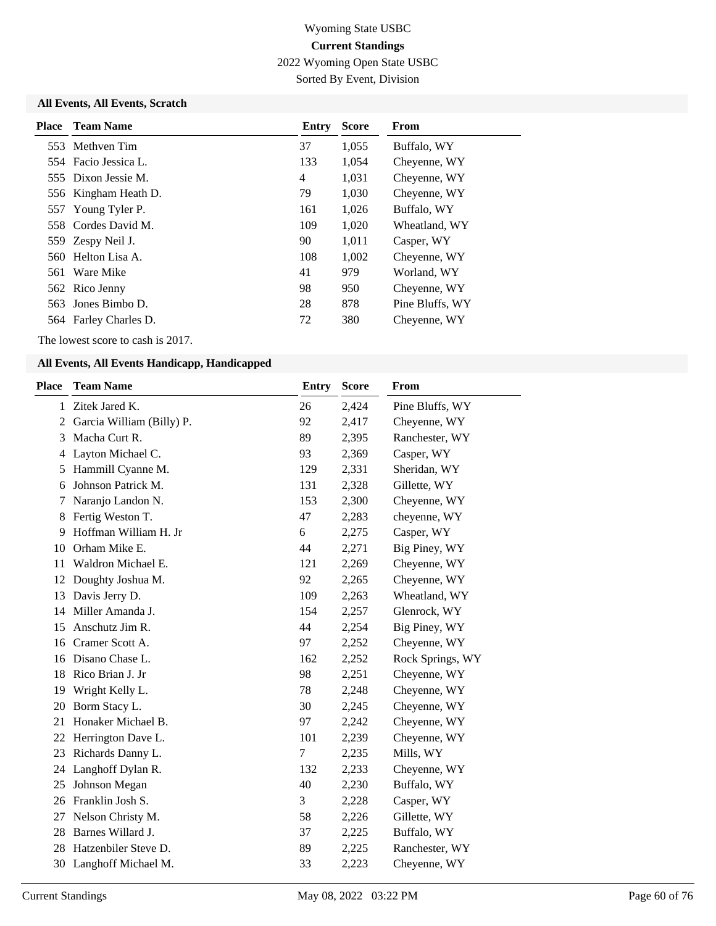2022 Wyoming Open State USBC

Sorted By Event, Division

### **All Events, All Events, Scratch**

| <b>Place</b> Team Name | <b>Entry</b> | <b>Score</b> | From            |
|------------------------|--------------|--------------|-----------------|
| 553 Methyen Tim        | 37           | 1,055        | Buffalo, WY     |
| 554 Facio Jessica L.   | 133          | 1,054        | Cheyenne, WY    |
| 555 Dixon Jessie M.    | 4            | 1,031        | Chevenne, WY    |
| 556 Kingham Heath D.   | 79           | 1,030        | Cheyenne, WY    |
| 557 Young Tyler P.     | 161          | 1,026        | Buffalo, WY     |
| 558 Cordes David M.    | 109          | 1,020        | Wheatland, WY   |
| 559 Zespy Neil J.      | 90           | 1,011        | Casper, WY      |
| 560 Helton Lisa A.     | 108          | 1,002        | Cheyenne, WY    |
| 561 Ware Mike          | 41           | 979          | Worland, WY     |
| 562 Rico Jenny         | 98           | 950          | Chevenne, WY    |
| 563 Jones Bimbo D.     | 28           | 878          | Pine Bluffs, WY |
| 564 Farley Charles D.  | 72           | 380          | Cheyenne, WY    |

The lowest score to cash is 2017.

| Place        | <b>Team Name</b>          | <b>Entry</b> | <b>Score</b> | From             |
|--------------|---------------------------|--------------|--------------|------------------|
| $\mathbf{1}$ | Zitek Jared K.            | 26           | 2,424        | Pine Bluffs, WY  |
| 2            | Garcia William (Billy) P. | 92           | 2,417        | Cheyenne, WY     |
| 3            | Macha Curt R.             | 89           | 2,395        | Ranchester, WY   |
| 4            | Layton Michael C.         | 93           | 2,369        | Casper, WY       |
| 5            | Hammill Cyanne M.         | 129          | 2,331        | Sheridan, WY     |
| 6            | Johnson Patrick M.        | 131          | 2,328        | Gillette, WY     |
| 7            | Naranjo Landon N.         | 153          | 2,300        | Cheyenne, WY     |
| 8            | Fertig Weston T.          | 47           | 2,283        | cheyenne, WY     |
| 9            | Hoffman William H. Jr     | 6            | 2,275        | Casper, WY       |
| 10           | Orham Mike E.             | 44           | 2,271        | Big Piney, WY    |
| 11           | Waldron Michael E.        | 121          | 2,269        | Cheyenne, WY     |
| 12           | Doughty Joshua M.         | 92           | 2,265        | Cheyenne, WY     |
| 13           | Davis Jerry D.            | 109          | 2,263        | Wheatland, WY    |
| 14           | Miller Amanda J.          | 154          | 2,257        | Glenrock, WY     |
| 15           | Anschutz Jim R.           | 44           | 2,254        | Big Piney, WY    |
| 16           | Cramer Scott A.           | 97           | 2,252        | Cheyenne, WY     |
| 16           | Disano Chase L.           | 162          | 2,252        | Rock Springs, WY |
| 18           | Rico Brian J. Jr          | 98           | 2,251        | Cheyenne, WY     |
| 19           | Wright Kelly L.           | 78           | 2,248        | Cheyenne, WY     |
| 20           | Borm Stacy L.             | 30           | 2,245        | Cheyenne, WY     |
| 21           | Honaker Michael B.        | 97           | 2,242        | Cheyenne, WY     |
| 22           | Herrington Dave L.        | 101          | 2,239        | Cheyenne, WY     |
| 23           | Richards Danny L.         | 7            | 2,235        | Mills, WY        |
| 24           | Langhoff Dylan R.         | 132          | 2,233        | Cheyenne, WY     |
| 25           | Johnson Megan             | 40           | 2,230        | Buffalo, WY      |
| 26           | Franklin Josh S.          | 3            | 2,228        | Casper, WY       |
| 27           | Nelson Christy M.         | 58           | 2,226        | Gillette, WY     |
| 28           | Barnes Willard J.         | 37           | 2,225        | Buffalo, WY      |
| 28           | Hatzenbiler Steve D.      | 89           | 2,225        | Ranchester, WY   |
| 30           | Langhoff Michael M.       | 33           | 2,223        | Cheyenne, WY     |
|              |                           |              |              |                  |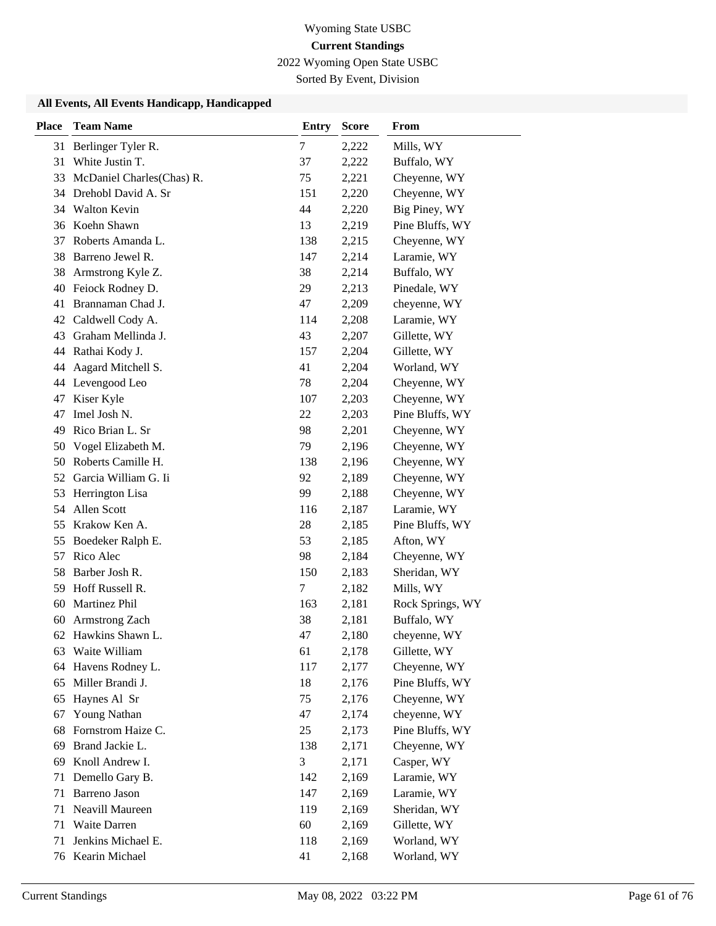2022 Wyoming Open State USBC

Sorted By Event, Division

| <b>Place</b> | <b>Team Name</b>          | <b>Entry</b> | <b>Score</b> | <b>From</b>      |
|--------------|---------------------------|--------------|--------------|------------------|
| 31           | Berlinger Tyler R.        | 7            | 2,222        | Mills, WY        |
| 31           | White Justin T.           | 37           | 2,222        | Buffalo, WY      |
| 33           | McDaniel Charles(Chas) R. | 75           | 2,221        | Cheyenne, WY     |
|              | 34 Drehobl David A. Sr    | 151          | 2,220        | Cheyenne, WY     |
|              | 34 Walton Kevin           | 44           | 2,220        | Big Piney, WY    |
|              | 36 Koehn Shawn            | 13           | 2,219        | Pine Bluffs, WY  |
| 37           | Roberts Amanda L.         | 138          | 2,215        | Cheyenne, WY     |
| 38           | Barreno Jewel R.          | 147          | 2,214        | Laramie, WY      |
| 38           | Armstrong Kyle Z.         | 38           | 2,214        | Buffalo, WY      |
| 40           | Feiock Rodney D.          | 29           | 2,213        | Pinedale, WY     |
| 41           | Brannaman Chad J.         | 47           | 2,209        | cheyenne, WY     |
| 42           | Caldwell Cody A.          | 114          | 2,208        | Laramie, WY      |
| 43           | Graham Mellinda J.        | 43           | 2,207        | Gillette, WY     |
|              | 44 Rathai Kody J.         | 157          | 2,204        | Gillette, WY     |
| 44           | Aagard Mitchell S.        | 41           | 2,204        | Worland, WY      |
|              | 44 Levengood Leo          | 78           | 2,204        | Cheyenne, WY     |
| 47           | Kiser Kyle                | 107          | 2,203        | Cheyenne, WY     |
| 47           | Imel Josh N.              | 22           | 2,203        | Pine Bluffs, WY  |
| 49           | Rico Brian L. Sr          | 98           | 2,201        | Cheyenne, WY     |
| 50           | Vogel Elizabeth M.        | 79           | 2,196        | Cheyenne, WY     |
| 50           | Roberts Camille H.        | 138          | 2,196        | Cheyenne, WY     |
| 52           | Garcia William G. Ii      | 92           | 2,189        | Cheyenne, WY     |
| 53           | Herrington Lisa           | 99           | 2,188        | Cheyenne, WY     |
| 54           | Allen Scott               | 116          | 2,187        | Laramie, WY      |
| 55           | Krakow Ken A.             | 28           | 2,185        | Pine Bluffs, WY  |
| 55           | Boedeker Ralph E.         | 53           | 2,185        | Afton, WY        |
| 57           | Rico Alec                 | 98           | 2,184        | Cheyenne, WY     |
| 58           | Barber Josh R.            | 150          | 2,183        | Sheridan, WY     |
| 59           | Hoff Russell R.           | 7            | 2,182        | Mills, WY        |
| 60           | Martinez Phil             | 163          | 2,181        | Rock Springs, WY |
| 60           | Armstrong Zach            | 38           | 2,181        | Buffalo, WY      |
|              | 62 Hawkins Shawn L.       | 47           | 2,180        | cheyenne, WY     |
| 63           | Waite William             | 61           | 2,178        | Gillette, WY     |
| 64           | Havens Rodney L.          | 117          | 2,177        | Cheyenne, WY     |
| 65           | Miller Brandi J.          | 18           | 2,176        | Pine Bluffs, WY  |
| 65           | Haynes Al Sr              | 75           | 2,176        | Cheyenne, WY     |
| 67           | <b>Young Nathan</b>       | 47           | 2,174        | cheyenne, WY     |
| 68           | Fornstrom Haize C.        | 25           | 2,173        | Pine Bluffs, WY  |
| 69           | Brand Jackie L.           | 138          | 2,171        | Cheyenne, WY     |
| 69           | Knoll Andrew I.           | 3            | 2,171        | Casper, WY       |
| 71           | Demello Gary B.           | 142          | 2,169        | Laramie, WY      |
| 71           | Barreno Jason             | 147          | 2,169        | Laramie, WY      |
| 71           | Neavill Maureen           | 119          | 2,169        | Sheridan, WY     |
| 71           | Waite Darren              | 60           | 2,169        | Gillette, WY     |
| 71           | Jenkins Michael E.        | 118          | 2,169        | Worland, WY      |
|              | 76 Kearin Michael         | 41           | 2,168        | Worland, WY      |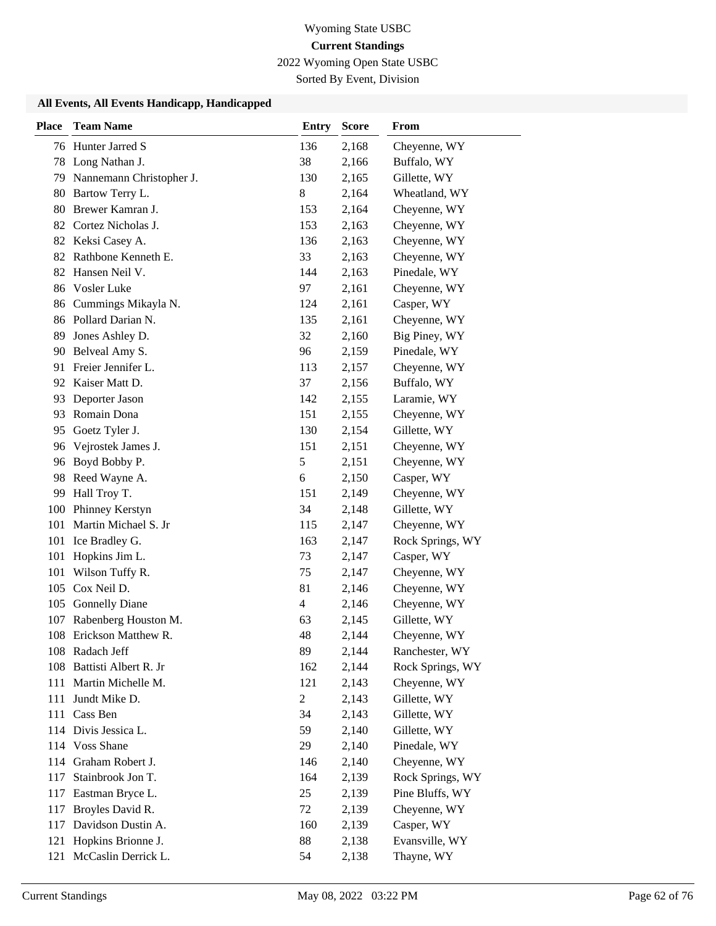2022 Wyoming Open State USBC

Sorted By Event, Division

| <b>Place</b> | <b>Team Name</b>            | <b>Entry</b>   | <b>Score</b> | From             |
|--------------|-----------------------------|----------------|--------------|------------------|
|              | 76 Hunter Jarred S          | 136            | 2,168        | Cheyenne, WY     |
|              | 78 Long Nathan J.           | 38             | 2,166        | Buffalo, WY      |
|              | 79 Nannemann Christopher J. | 130            | 2,165        | Gillette, WY     |
| 80           | Bartow Terry L.             | $8\,$          | 2,164        | Wheatland, WY    |
| 80           | Brewer Kamran J.            | 153            | 2,164        | Cheyenne, WY     |
| 82           | Cortez Nicholas J.          | 153            | 2,163        | Cheyenne, WY     |
|              | 82 Keksi Casey A.           | 136            | 2,163        | Cheyenne, WY     |
|              | 82 Rathbone Kenneth E.      | 33             | 2,163        | Cheyenne, WY     |
| 82           | Hansen Neil V.              | 144            | 2,163        | Pinedale, WY     |
| 86           | Vosler Luke                 | 97             | 2,161        | Cheyenne, WY     |
| 86           | Cummings Mikayla N.         | 124            | 2,161        | Casper, WY       |
|              | 86 Pollard Darian N.        | 135            | 2,161        | Cheyenne, WY     |
| 89           | Jones Ashley D.             | 32             | 2,160        | Big Piney, WY    |
| 90           | Belveal Amy S.              | 96             | 2,159        | Pinedale, WY     |
| 91           | Freier Jennifer L.          | 113            | 2,157        | Cheyenne, WY     |
|              | 92 Kaiser Matt D.           | 37             | 2,156        | Buffalo, WY      |
| 93           | Deporter Jason              | 142            | 2,155        | Laramie, WY      |
| 93           | Romain Dona                 | 151            | 2,155        | Cheyenne, WY     |
| 95           | Goetz Tyler J.              | 130            | 2,154        | Gillette, WY     |
|              | 96 Vejrostek James J.       | 151            | 2,151        | Cheyenne, WY     |
| 96           | Boyd Bobby P.               | 5              | 2,151        | Cheyenne, WY     |
| 98           | Reed Wayne A.               | 6              | 2,150        | Casper, WY       |
|              | 99 Hall Troy T.             | 151            | 2,149        | Cheyenne, WY     |
| 100          | Phinney Kerstyn             | 34             | 2,148        | Gillette, WY     |
| 101          | Martin Michael S. Jr        | 115            | 2,147        | Cheyenne, WY     |
| 101          | Ice Bradley G.              | 163            | 2,147        | Rock Springs, WY |
| 101          | Hopkins Jim L.              | 73             | 2,147        | Casper, WY       |
| 101          | Wilson Tuffy R.             | 75             | 2,147        | Cheyenne, WY     |
| 105          | Cox Neil D.                 | 81             | 2,146        | Cheyenne, WY     |
| 105          | <b>Gonnelly Diane</b>       | 4              | 2,146        | Cheyenne, WY     |
| 107          | Rabenberg Houston M.        | 63             | 2,145        | Gillette, WY     |
|              | 108 Erickson Matthew R.     | 48             | 2,144        | Cheyenne, WY     |
|              | 108 Radach Jeff             | 89             | 2,144        | Ranchester, WY   |
| 108          | Battisti Albert R. Jr       | 162            | 2,144        | Rock Springs, WY |
| 111          | Martin Michelle M.          | 121            | 2,143        | Cheyenne, WY     |
| 111          | Jundt Mike D.               | $\overline{c}$ | 2,143        | Gillette, WY     |
| 111          | Cass Ben                    | 34             | 2,143        | Gillette, WY     |
|              | 114 Divis Jessica L.        | 59             | 2,140        | Gillette, WY     |
|              | 114 Voss Shane              | 29             | 2,140        | Pinedale, WY     |
| 114          | Graham Robert J.            | 146            | 2,140        | Cheyenne, WY     |
| 117          | Stainbrook Jon T.           | 164            | 2,139        | Rock Springs, WY |
| 117          | Eastman Bryce L.            | 25             | 2,139        | Pine Bluffs, WY  |
| 117          | Broyles David R.            | 72             | 2,139        | Cheyenne, WY     |
| 117          | Davidson Dustin A.          | 160            | 2,139        | Casper, WY       |
| 121          | Hopkins Brionne J.          | 88             | 2,138        | Evansville, WY   |
| 121          | McCaslin Derrick L.         | 54             | 2,138        | Thayne, WY       |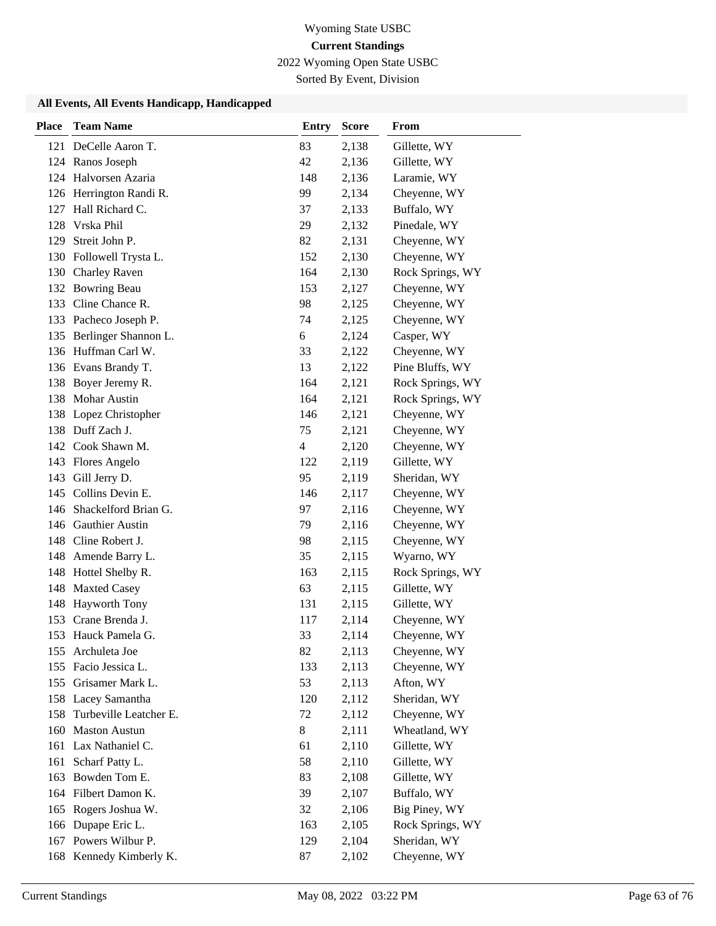2022 Wyoming Open State USBC

Sorted By Event, Division

| <b>Place</b> | <b>Team Name</b>         | <b>Entry</b> | <b>Score</b> | From             |
|--------------|--------------------------|--------------|--------------|------------------|
|              | 121 DeCelle Aaron T.     | 83           | 2,138        | Gillette, WY     |
|              | 124 Ranos Joseph         | 42           | 2,136        | Gillette, WY     |
|              | 124 Halvorsen Azaria     | 148          | 2,136        | Laramie, WY      |
|              | 126 Herrington Randi R.  | 99           | 2,134        | Cheyenne, WY     |
| 127          | Hall Richard C.          | 37           | 2,133        | Buffalo, WY      |
| 128          | Vrska Phil               | 29           | 2,132        | Pinedale, WY     |
| 129          | Streit John P.           | 82           | 2,131        | Cheyenne, WY     |
|              | 130 Followell Trysta L.  | 152          | 2,130        | Cheyenne, WY     |
|              | 130 Charley Raven        | 164          | 2,130        | Rock Springs, WY |
|              | 132 Bowring Beau         | 153          | 2,127        | Cheyenne, WY     |
| 133          | Cline Chance R.          | 98           | 2,125        | Cheyenne, WY     |
|              | 133 Pacheco Joseph P.    | 74           | 2,125        | Cheyenne, WY     |
| 135          | Berlinger Shannon L.     | 6            | 2,124        | Casper, WY       |
|              | 136 Huffman Carl W.      | 33           | 2,122        | Cheyenne, WY     |
|              | 136 Evans Brandy T.      | 13           | 2,122        | Pine Bluffs, WY  |
|              | 138 Boyer Jeremy R.      | 164          | 2,121        | Rock Springs, WY |
|              | 138 Mohar Austin         | 164          | 2,121        | Rock Springs, WY |
|              | 138 Lopez Christopher    | 146          | 2,121        | Cheyenne, WY     |
|              | 138 Duff Zach J.         | 75           | 2,121        | Cheyenne, WY     |
|              | 142 Cook Shawn M.        | 4            | 2,120        | Cheyenne, WY     |
|              | 143 Flores Angelo        | 122          | 2,119        | Gillette, WY     |
| 143          | Gill Jerry D.            | 95           | 2,119        | Sheridan, WY     |
|              | 145 Collins Devin E.     | 146          | 2,117        | Cheyenne, WY     |
|              | 146 Shackelford Brian G. | 97           | 2,116        | Cheyenne, WY     |
|              | 146 Gauthier Austin      | 79           | 2,116        | Cheyenne, WY     |
|              | 148 Cline Robert J.      | 98           | 2,115        | Cheyenne, WY     |
|              | 148 Amende Barry L.      | 35           | 2,115        | Wyarno, WY       |
|              | 148 Hottel Shelby R.     | 163          | 2,115        | Rock Springs, WY |
| 148          | <b>Maxted Casey</b>      | 63           | 2,115        | Gillette, WY     |
| 148          | <b>Hayworth Tony</b>     | 131          | 2,115        | Gillette, WY     |
|              | 153 Crane Brenda J.      | 117          | 2,114        | Cheyenne, WY     |
|              | 153 Hauck Pamela G.      | 33           | 2,114        | Cheyenne, WY     |
| 155          | Archuleta Joe            | 82           | 2,113        | Cheyenne, WY     |
| 155          | Facio Jessica L.         | 133          | 2,113        | Cheyenne, WY     |
| 155          | Grisamer Mark L.         | 53           | 2,113        | Afton, WY        |
|              | 158 Lacey Samantha       | 120          | 2,112        | Sheridan, WY     |
| 158          | Turbeville Leatcher E.   | 72           | 2,112        | Cheyenne, WY     |
| 160          | <b>Maston Austun</b>     | 8            | 2,111        | Wheatland, WY    |
| 161          | Lax Nathaniel C.         | 61           | 2,110        | Gillette, WY     |
| 161          | Scharf Patty L.          | 58           | 2,110        | Gillette, WY     |
| 163          | Bowden Tom E.            | 83           | 2,108        | Gillette, WY     |
|              | 164 Filbert Damon K.     | 39           | 2,107        | Buffalo, WY      |
| 165          | Rogers Joshua W.         | 32           | 2,106        | Big Piney, WY    |
|              | 166 Dupape Eric L.       | 163          | 2,105        | Rock Springs, WY |
|              | 167 Powers Wilbur P.     | 129          | 2,104        | Sheridan, WY     |
|              | 168 Kennedy Kimberly K.  | 87           | 2,102        | Cheyenne, WY     |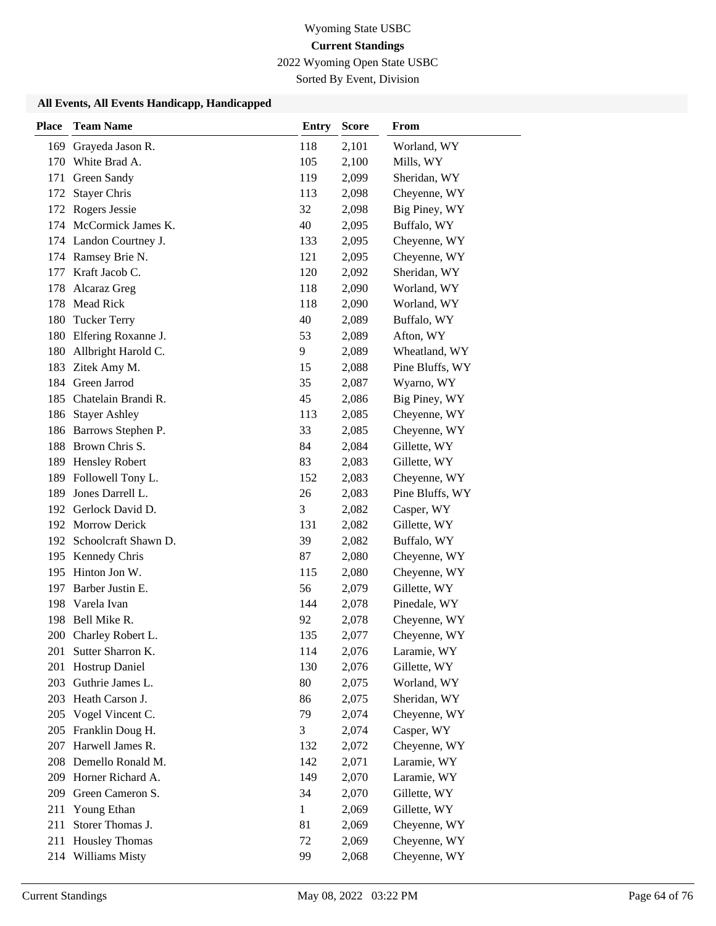2022 Wyoming Open State USBC

Sorted By Event, Division

| <b>Place</b> | <b>Team Name</b>       | <b>Entry</b> | <b>Score</b> | From            |
|--------------|------------------------|--------------|--------------|-----------------|
| 169          | Grayeda Jason R.       | 118          | 2,101        | Worland, WY     |
|              | 170 White Brad A.      | 105          | 2,100        | Mills, WY       |
| 171          | Green Sandy            | 119          | 2,099        | Sheridan, WY    |
| 172          | <b>Stayer Chris</b>    | 113          | 2,098        | Cheyenne, WY    |
| 172          | Rogers Jessie          | 32           | 2,098        | Big Piney, WY   |
|              | 174 McCormick James K. | 40           | 2,095        | Buffalo, WY     |
|              | 174 Landon Courtney J. | 133          | 2,095        | Cheyenne, WY    |
|              | 174 Ramsey Brie N.     | 121          | 2,095        | Cheyenne, WY    |
|              | 177 Kraft Jacob C.     | 120          | 2,092        | Sheridan, WY    |
| 178          | Alcaraz Greg           | 118          | 2,090        | Worland, WY     |
| 178          | Mead Rick              | 118          | 2,090        | Worland, WY     |
| 180          | <b>Tucker Terry</b>    | 40           | 2,089        | Buffalo, WY     |
| 180          | Elfering Roxanne J.    | 53           | 2,089        | Afton, WY       |
| 180          | Allbright Harold C.    | 9            | 2,089        | Wheatland, WY   |
| 183          | Zitek Amy M.           | 15           | 2,088        | Pine Bluffs, WY |
|              | 184 Green Jarrod       | 35           | 2,087        | Wyarno, WY      |
| 185          | Chatelain Brandi R.    | 45           | 2,086        | Big Piney, WY   |
| 186          | <b>Stayer Ashley</b>   | 113          | 2,085        | Cheyenne, WY    |
|              | 186 Barrows Stephen P. | 33           | 2,085        | Cheyenne, WY    |
|              | 188 Brown Chris S.     | 84           | 2,084        | Gillette, WY    |
| 189          | <b>Hensley Robert</b>  | 83           | 2,083        | Gillette, WY    |
| 189          | Followell Tony L.      | 152          | 2,083        | Cheyenne, WY    |
| 189          | Jones Darrell L.       | 26           | 2,083        | Pine Bluffs, WY |
|              | 192 Gerlock David D.   | 3            | 2,082        | Casper, WY      |
|              | 192 Morrow Derick      | 131          | 2,082        | Gillette, WY    |
| 192          | Schoolcraft Shawn D.   | 39           | 2,082        | Buffalo, WY     |
|              | 195 Kennedy Chris      | 87           | 2,080        | Cheyenne, WY    |
|              | 195 Hinton Jon W.      | 115          | 2,080        | Cheyenne, WY    |
| 197          | Barber Justin E.       | 56           | 2,079        | Gillette, WY    |
| 198          | Varela Ivan            | 144          | 2,078        | Pinedale, WY    |
|              | 198 Bell Mike R.       | 92           | 2,078        | Cheyenne, WY    |
| 200          | Charley Robert L.      | 135          | 2,077        | Cheyenne, WY    |
| 201          | Sutter Sharron K.      | 114          | 2,076        | Laramie, WY     |
| 201          | Hostrup Daniel         | 130          | 2,076        | Gillette, WY    |
|              | 203 Guthrie James L.   | 80           | 2,075        | Worland, WY     |
|              | 203 Heath Carson J.    | 86           | 2,075        | Sheridan, WY    |
|              | 205 Vogel Vincent C.   | 79           | 2,074        | Cheyenne, WY    |
|              | 205 Franklin Doug H.   | 3            | 2,074        | Casper, WY      |
| 207          | Harwell James R.       | 132          | 2,072        | Cheyenne, WY    |
| 208          | Demello Ronald M.      | 142          | 2,071        | Laramie, WY     |
| 209          | Horner Richard A.      | 149          | 2,070        | Laramie, WY     |
| 209          | Green Cameron S.       | 34           | 2,070        | Gillette, WY    |
| 211          | Young Ethan            | $\mathbf{1}$ | 2,069        | Gillette, WY    |
| 211          | Storer Thomas J.       | 81           | 2,069        | Cheyenne, WY    |
| 211          | <b>Housley Thomas</b>  | 72           | 2,069        | Cheyenne, WY    |
| 214          | Williams Misty         | 99           | 2,068        | Cheyenne, WY    |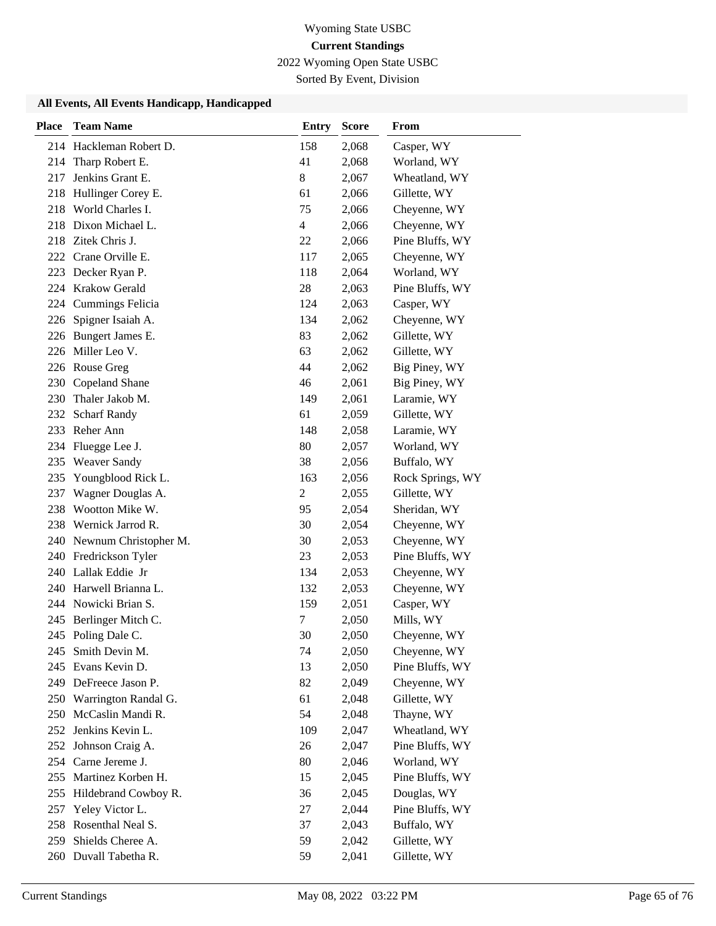2022 Wyoming Open State USBC

Sorted By Event, Division

| <b>Place</b> | <b>Team Name</b>          | <b>Entry</b> | <b>Score</b> | From             |
|--------------|---------------------------|--------------|--------------|------------------|
|              | 214 Hackleman Robert D.   | 158          | 2,068        | Casper, WY       |
| 214          | Tharp Robert E.           | 41           | 2,068        | Worland, WY      |
| 217          | Jenkins Grant E.          | 8            | 2,067        | Wheatland, WY    |
| 218          | Hullinger Corey E.        | 61           | 2,066        | Gillette, WY     |
| 218          | World Charles I.          | 75           | 2,066        | Cheyenne, WY     |
|              | 218 Dixon Michael L.      | 4            | 2,066        | Cheyenne, WY     |
|              | 218 Zitek Chris J.        | 22           | 2,066        | Pine Bluffs, WY  |
|              | 222 Crane Orville E.      | 117          | 2,065        | Cheyenne, WY     |
|              | 223 Decker Ryan P.        | 118          | 2,064        | Worland, WY      |
|              | 224 Krakow Gerald         | 28           | 2,063        | Pine Bluffs, WY  |
|              | 224 Cummings Felicia      | 124          | 2,063        | Casper, WY       |
| 226          | Spigner Isaiah A.         | 134          | 2,062        | Cheyenne, WY     |
|              | 226 Bungert James E.      | 83           | 2,062        | Gillette, WY     |
|              | 226 Miller Leo V.         | 63           | 2,062        | Gillette, WY     |
|              | 226 Rouse Greg            | 44           | 2,062        | Big Piney, WY    |
|              | 230 Copeland Shane        | 46           | 2,061        | Big Piney, WY    |
|              | 230 Thaler Jakob M.       | 149          | 2,061        | Laramie, WY      |
| 232          | <b>Scharf Randy</b>       | 61           | 2,059        | Gillette, WY     |
|              | 233 Reher Ann             | 148          | 2,058        | Laramie, WY      |
| 234          | Fluegge Lee J.            | 80           | 2,057        | Worland, WY      |
| 235          | <b>Weaver Sandy</b>       | 38           | 2,056        | Buffalo, WY      |
| 235          | Youngblood Rick L.        | 163          | 2,056        | Rock Springs, WY |
| 237          | Wagner Douglas A.         | $\mathbf{2}$ | 2,055        | Gillette, WY     |
| 238          | Wootton Mike W.           | 95           | 2,054        | Sheridan, WY     |
|              | 238 Wernick Jarrod R.     | 30           | 2,054        | Cheyenne, WY     |
|              | 240 Newnum Christopher M. | 30           | 2,053        | Cheyenne, WY     |
|              | 240 Fredrickson Tyler     | 23           | 2,053        | Pine Bluffs, WY  |
|              | 240 Lallak Eddie Jr       | 134          | 2,053        | Cheyenne, WY     |
|              | 240 Harwell Brianna L.    | 132          | 2,053        | Cheyenne, WY     |
|              | 244 Nowicki Brian S.      | 159          | 2,051        | Casper, WY       |
|              | 245 Berlinger Mitch C.    | 7            | 2,050        | Mills, WY        |
|              | 245 Poling Dale C.        | 30           | 2,050        | Cheyenne, WY     |
| 245          | Smith Devin M.            | 74           | 2,050        | Cheyenne, WY     |
|              | 245 Evans Kevin D.        | 13           | 2,050        | Pine Bluffs, WY  |
|              | 249 DeFreece Jason P.     | 82           | 2,049        | Cheyenne, WY     |
|              | 250 Warrington Randal G.  | 61           | 2,048        | Gillette, WY     |
|              | 250 McCaslin Mandi R.     | 54           | 2,048        | Thayne, WY       |
| 252          | Jenkins Kevin L.          | 109          | 2,047        | Wheatland, WY    |
| 252          | Johnson Craig A.          | 26           | 2,047        | Pine Bluffs, WY  |
|              | 254 Carne Jereme J.       | 80           | 2,046        | Worland, WY      |
|              | 255 Martinez Korben H.    | 15           | 2,045        | Pine Bluffs, WY  |
| 255          | Hildebrand Cowboy R.      | 36           | 2,045        | Douglas, WY      |
| 257          | Yeley Victor L.           | 27           | 2,044        | Pine Bluffs, WY  |
|              | 258 Rosenthal Neal S.     | 37           | 2,043        | Buffalo, WY      |
| 259          | Shields Cheree A.         | 59           | 2,042        | Gillette, WY     |
|              | 260 Duvall Tabetha R.     | 59           | 2,041        | Gillette, WY     |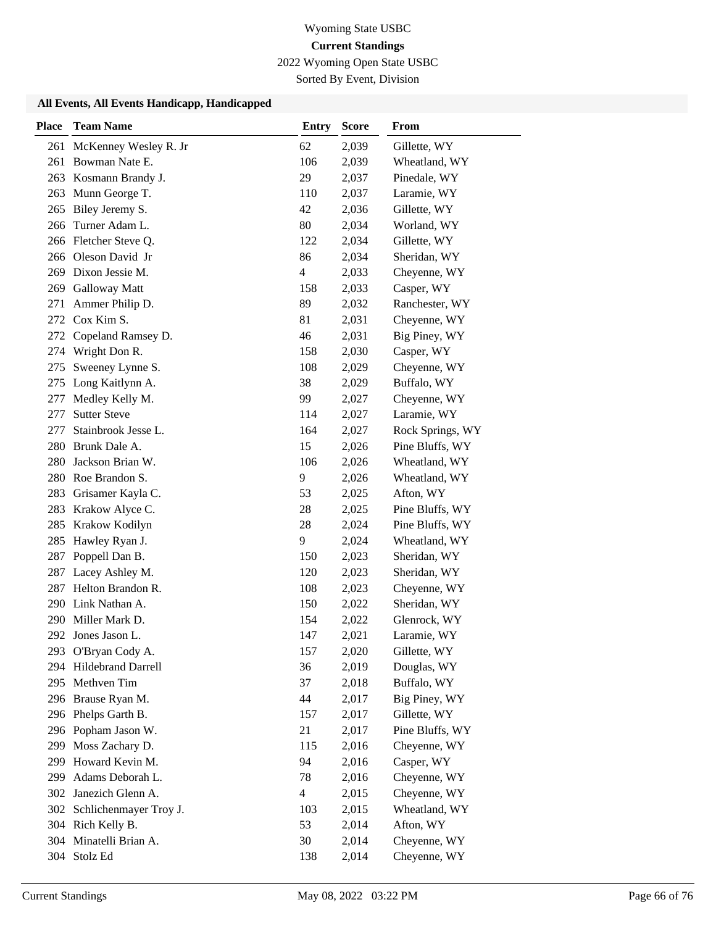2022 Wyoming Open State USBC

Sorted By Event, Division

| <b>Place</b> | <b>Team Name</b>           | <b>Entry</b>            | <b>Score</b> | From             |
|--------------|----------------------------|-------------------------|--------------|------------------|
| 261          | McKenney Wesley R. Jr      | 62                      | 2,039        | Gillette, WY     |
| 261          | Bowman Nate E.             | 106                     | 2,039        | Wheatland, WY    |
| 263          | Kosmann Brandy J.          | 29                      | 2,037        | Pinedale, WY     |
| 263          | Munn George T.             | 110                     | 2,037        | Laramie, WY      |
| 265          | Biley Jeremy S.            | 42                      | 2,036        | Gillette, WY     |
| 266          | Turner Adam L.             | 80                      | 2,034        | Worland, WY      |
|              | 266 Fletcher Steve Q.      | 122                     | 2,034        | Gillette, WY     |
|              | 266 Oleson David Jr        | 86                      | 2,034        | Sheridan, WY     |
| 269          | Dixon Jessie M.            | $\overline{\mathbf{4}}$ | 2,033        | Cheyenne, WY     |
| 269          | <b>Galloway Matt</b>       | 158                     | 2,033        | Casper, WY       |
| 271          | Ammer Philip D.            | 89                      | 2,032        | Ranchester, WY   |
| 272          | Cox Kim S.                 | 81                      | 2,031        | Cheyenne, WY     |
| 272          | Copeland Ramsey D.         | 46                      | 2,031        | Big Piney, WY    |
| 274          | Wright Don R.              | 158                     | 2,030        | Casper, WY       |
| 275          | Sweeney Lynne S.           | 108                     | 2,029        | Cheyenne, WY     |
| 275          | Long Kaitlynn A.           | 38                      | 2,029        | Buffalo, WY      |
| 277          | Medley Kelly M.            | 99                      | 2,027        | Cheyenne, WY     |
| 277          | <b>Sutter Steve</b>        | 114                     | 2,027        | Laramie, WY      |
| 277          | Stainbrook Jesse L.        | 164                     | 2,027        | Rock Springs, WY |
|              | 280 Brunk Dale A.          | 15                      | 2,026        | Pine Bluffs, WY  |
| 280          | Jackson Brian W.           | 106                     | 2,026        | Wheatland, WY    |
|              | 280 Roe Brandon S.         | 9                       | 2,026        | Wheatland, WY    |
| 283          | Grisamer Kayla C.          | 53                      | 2,025        | Afton, WY        |
| 283          | Krakow Alyce C.            | 28                      | 2,025        | Pine Bluffs, WY  |
| 285          | Krakow Kodilyn             | 28                      | 2,024        | Pine Bluffs, WY  |
| 285          | Hawley Ryan J.             | 9                       | 2,024        | Wheatland, WY    |
| 287          | Poppell Dan B.             | 150                     | 2,023        | Sheridan, WY     |
| 287          | Lacey Ashley M.            | 120                     | 2,023        | Sheridan, WY     |
| 287          | Helton Brandon R.          | 108                     | 2,023        | Cheyenne, WY     |
|              | 290 Link Nathan A.         | 150                     | 2,022        | Sheridan, WY     |
|              | 290 Miller Mark D.         | 154                     | 2,022        | Glenrock, WY     |
|              | 292 Jones Jason L.         | 147                     | 2,021        | Laramie, WY      |
|              | 293 O'Bryan Cody A.        | 157                     | 2,020        | Gillette, WY     |
| 294          | Hildebrand Darrell         | 36                      | 2,019        | Douglas, WY      |
|              | 295 Methven Tim            | 37                      | 2,018        | Buffalo, WY      |
|              | 296 Brause Ryan M.         | 44                      | 2,017        | Big Piney, WY    |
|              | 296 Phelps Garth B.        | 157                     | 2,017        | Gillette, WY     |
|              | 296 Popham Jason W.        | 21                      | 2,017        | Pine Bluffs, WY  |
| 299          | Moss Zachary D.            | 115                     | 2,016        | Cheyenne, WY     |
| 299          | Howard Kevin M.            | 94                      | 2,016        | Casper, WY       |
| 299          | Adams Deborah L.           | 78                      | 2,016        | Cheyenne, WY     |
| 302          | Janezich Glenn A.          | $\overline{4}$          | 2,015        | Cheyenne, WY     |
|              | 302 Schlichenmayer Troy J. | 103                     | 2,015        | Wheatland, WY    |
|              | 304 Rich Kelly B.          | 53                      | 2,014        | Afton, WY        |
|              | 304 Minatelli Brian A.     | 30                      | 2,014        | Cheyenne, WY     |
|              | 304 Stolz Ed               | 138                     | 2,014        | Cheyenne, WY     |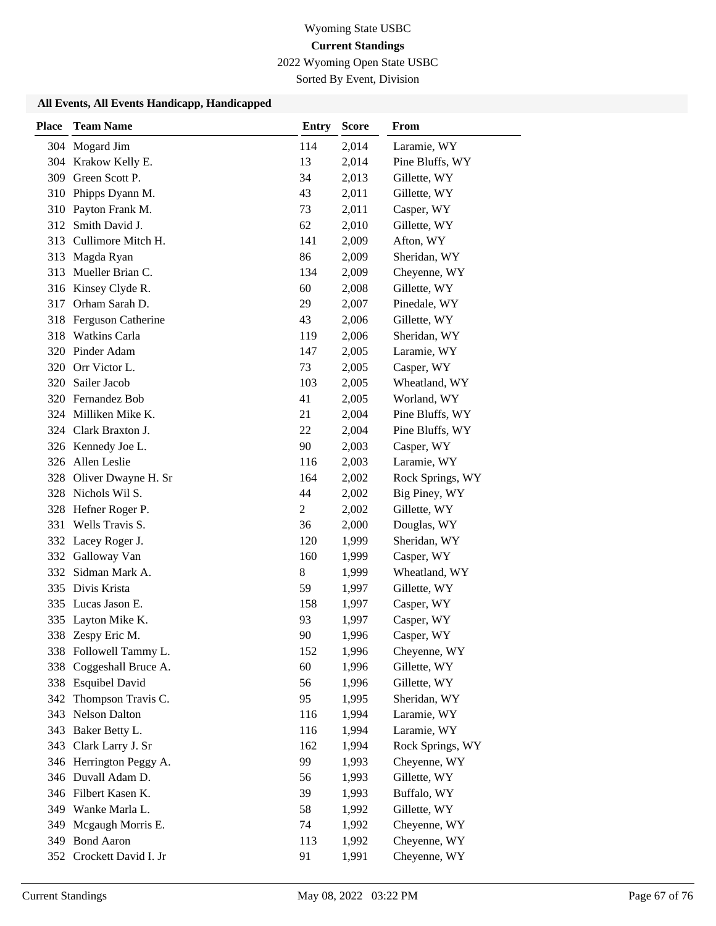2022 Wyoming Open State USBC

Sorted By Event, Division

| <b>Place</b> | <b>Team Name</b>         | <b>Entry</b>   | <b>Score</b> | From             |
|--------------|--------------------------|----------------|--------------|------------------|
|              | 304 Mogard Jim           | 114            | 2,014        | Laramie, WY      |
|              | 304 Krakow Kelly E.      | 13             | 2,014        | Pine Bluffs, WY  |
|              | 309 Green Scott P.       | 34             | 2,013        | Gillette, WY     |
|              | 310 Phipps Dyann M.      | 43             | 2,011        | Gillette, WY     |
|              | 310 Payton Frank M.      | 73             | 2,011        | Casper, WY       |
|              | 312 Smith David J.       | 62             | 2,010        | Gillette, WY     |
|              | 313 Cullimore Mitch H.   | 141            | 2,009        | Afton, WY        |
|              | 313 Magda Ryan           | 86             | 2,009        | Sheridan, WY     |
|              | 313 Mueller Brian C.     | 134            | 2,009        | Cheyenne, WY     |
|              | 316 Kinsey Clyde R.      | 60             | 2,008        | Gillette, WY     |
|              | 317 Orham Sarah D.       | 29             | 2,007        | Pinedale, WY     |
|              | 318 Ferguson Catherine   | 43             | 2,006        | Gillette, WY     |
| 318          | Watkins Carla            | 119            | 2,006        | Sheridan, WY     |
|              | 320 Pinder Adam          | 147            | 2,005        | Laramie, WY      |
|              | 320 Orr Victor L.        | 73             | 2,005        | Casper, WY       |
|              | 320 Sailer Jacob         | 103            | 2,005        | Wheatland, WY    |
|              | 320 Fernandez Bob        | 41             | 2,005        | Worland, WY      |
|              | 324 Milliken Mike K.     | 21             | 2,004        | Pine Bluffs, WY  |
|              | 324 Clark Braxton J.     | 22             | 2,004        | Pine Bluffs, WY  |
|              | 326 Kennedy Joe L.       | 90             | 2,003        | Casper, WY       |
|              | 326 Allen Leslie         | 116            | 2,003        | Laramie, WY      |
|              | 328 Oliver Dwayne H. Sr  | 164            | 2,002        | Rock Springs, WY |
|              | 328 Nichols Wil S.       | 44             | 2,002        | Big Piney, WY    |
|              | 328 Hefner Roger P.      | $\overline{c}$ | 2,002        | Gillette, WY     |
|              | 331 Wells Travis S.      | 36             | 2,000        | Douglas, WY      |
|              | 332 Lacey Roger J.       | 120            | 1,999        | Sheridan, WY     |
|              | 332 Galloway Van         | 160            | 1,999        | Casper, WY       |
|              | 332 Sidman Mark A.       | 8              | 1,999        | Wheatland, WY    |
|              | 335 Divis Krista         | 59             | 1,997        | Gillette, WY     |
|              | 335 Lucas Jason E.       | 158            | 1,997        | Casper, WY       |
|              | 335 Layton Mike K.       | 93             | 1,997        | Casper, WY       |
|              | 338 Zespy Eric M.        | 90             | 1,996        | Casper, WY       |
|              | 338 Followell Tammy L.   | 152            | 1,996        | Cheyenne, WY     |
|              | 338 Coggeshall Bruce A.  | 60             | 1,996        | Gillette, WY     |
|              | 338 Esquibel David       | 56             | 1,996        | Gillette, WY     |
|              | 342 Thompson Travis C.   | 95             | 1,995        | Sheridan, WY     |
|              | 343 Nelson Dalton        | 116            | 1,994        | Laramie, WY      |
|              | 343 Baker Betty L.       | 116            | 1,994        | Laramie, WY      |
|              | 343 Clark Larry J. Sr    | 162            | 1,994        | Rock Springs, WY |
|              | 346 Herrington Peggy A.  | 99             | 1,993        | Cheyenne, WY     |
|              | 346 Duvall Adam D.       | 56             | 1,993        | Gillette, WY     |
|              | 346 Filbert Kasen K.     | 39             | 1,993        | Buffalo, WY      |
|              | 349 Wanke Marla L.       | 58             | 1,992        | Gillette, WY     |
| 349          | Mcgaugh Morris E.        | 74             | 1,992        | Cheyenne, WY     |
|              | 349 Bond Aaron           | 113            | 1,992        | Cheyenne, WY     |
|              | 352 Crockett David I. Jr | 91             | 1,991        | Cheyenne, WY     |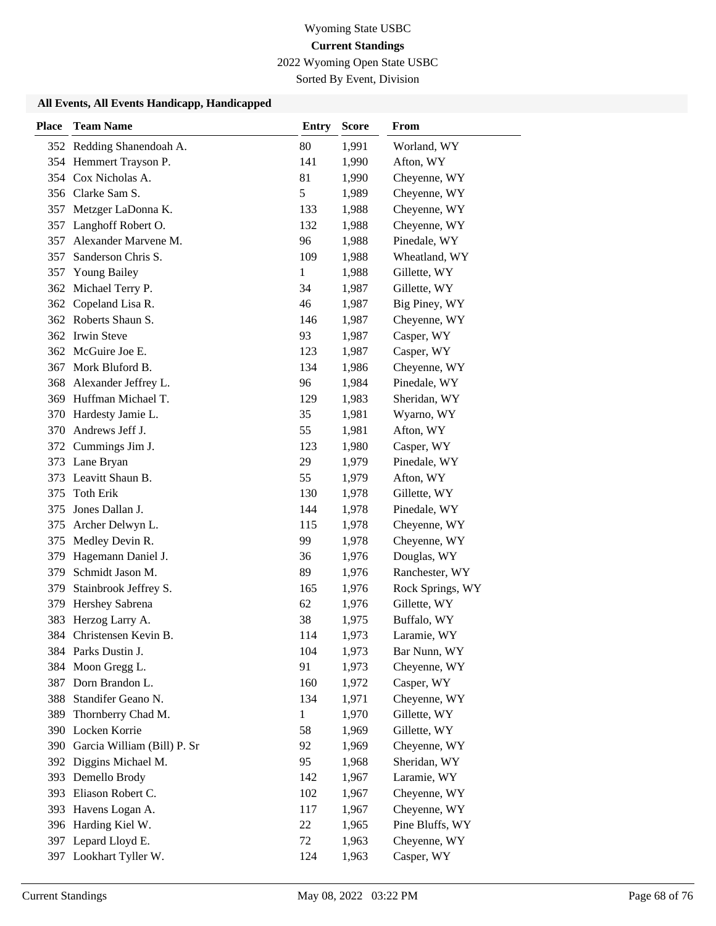2022 Wyoming Open State USBC

Sorted By Event, Division

| <b>Place</b> | <b>Team Name</b>            | <b>Entry</b> | <b>Score</b> | <b>From</b>      |
|--------------|-----------------------------|--------------|--------------|------------------|
|              | 352 Redding Shanendoah A.   | 80           | 1,991        | Worland, WY      |
|              | 354 Hemmert Trayson P.      | 141          | 1,990        | Afton, WY        |
|              | 354 Cox Nicholas A.         | 81           | 1,990        | Cheyenne, WY     |
|              | 356 Clarke Sam S.           | 5            | 1,989        | Cheyenne, WY     |
| 357          | Metzger LaDonna K.          | 133          | 1,988        | Cheyenne, WY     |
| 357          | Langhoff Robert O.          | 132          | 1,988        | Cheyenne, WY     |
| 357          | Alexander Marvene M.        | 96           | 1,988        | Pinedale, WY     |
| 357          | Sanderson Chris S.          | 109          | 1,988        | Wheatland, WY    |
| 357          | <b>Young Bailey</b>         | 1            | 1,988        | Gillette, WY     |
|              | 362 Michael Terry P.        | 34           | 1,987        | Gillette, WY     |
| 362          | Copeland Lisa R.            | 46           | 1,987        | Big Piney, WY    |
|              | 362 Roberts Shaun S.        | 146          | 1,987        | Cheyenne, WY     |
|              | 362 Irwin Steve             | 93           | 1,987        | Casper, WY       |
|              | 362 McGuire Joe E.          | 123          | 1,987        | Casper, WY       |
| 367          | Mork Bluford B.             | 134          | 1,986        | Cheyenne, WY     |
| 368          | Alexander Jeffrey L.        | 96           | 1,984        | Pinedale, WY     |
|              | 369 Huffman Michael T.      | 129          | 1,983        | Sheridan, WY     |
|              | 370 Hardesty Jamie L.       | 35           | 1,981        | Wyarno, WY       |
|              | 370 Andrews Jeff J.         | 55           | 1,981        | Afton, WY        |
|              | 372 Cummings Jim J.         | 123          | 1,980        | Casper, WY       |
| 373          | Lane Bryan                  | 29           | 1,979        | Pinedale, WY     |
| 373          | Leavitt Shaun B.            | 55           | 1,979        | Afton, WY        |
| 375          | <b>Toth Erik</b>            | 130          | 1,978        | Gillette, WY     |
| 375          | Jones Dallan J.             | 144          | 1,978        | Pinedale, WY     |
| 375          | Archer Delwyn L.            | 115          | 1,978        | Cheyenne, WY     |
| 375          | Medley Devin R.             | 99           | 1,978        | Cheyenne, WY     |
| 379          | Hagemann Daniel J.          | 36           | 1,976        | Douglas, WY      |
| 379          | Schmidt Jason M.            | 89           | 1,976        | Ranchester, WY   |
| 379          | Stainbrook Jeffrey S.       | 165          | 1,976        | Rock Springs, WY |
| 379          | Hershey Sabrena             | 62           | 1,976        | Gillette, WY     |
| 383          | Herzog Larry A.             | 38           | 1,975        | Buffalo, WY      |
| 384          | Christensen Kevin B.        | 114          | 1,973        | Laramie, WY      |
|              | 384 Parks Dustin J.         | 104          | 1,973        | Bar Nunn, WY     |
| 384          | Moon Gregg L.               | 91           | 1,973        | Cheyenne, WY     |
| 387          | Dorn Brandon L.             | 160          | 1,972        | Casper, WY       |
| 388          | Standifer Geano N.          | 134          | 1,971        | Cheyenne, WY     |
| 389          | Thornberry Chad M.          | 1            | 1,970        | Gillette, WY     |
|              | 390 Locken Korrie           | 58           | 1,969        | Gillette, WY     |
| 390          | Garcia William (Bill) P. Sr | 92           | 1,969        | Cheyenne, WY     |
|              | 392 Diggins Michael M.      | 95           | 1,968        | Sheridan, WY     |
| 393          | Demello Brody               | 142          | 1,967        | Laramie, WY      |
| 393          | Eliason Robert C.           | 102          | 1,967        | Cheyenne, WY     |
| 393          | Havens Logan A.             | 117          | 1,967        | Cheyenne, WY     |
|              | 396 Harding Kiel W.         | 22           | 1,965        | Pine Bluffs, WY  |
|              | 397 Lepard Lloyd E.         | 72           | 1,963        | Cheyenne, WY     |
|              | 397 Lookhart Tyller W.      | 124          | 1,963        | Casper, WY       |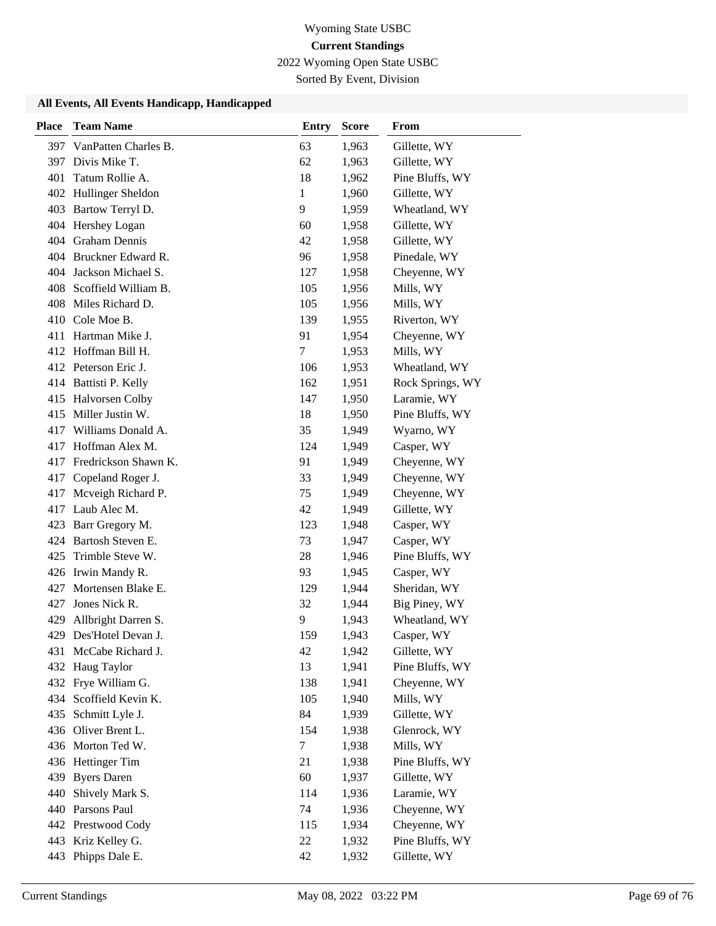2022 Wyoming Open State USBC

Sorted By Event, Division

| <b>Place</b> | <b>Team Name</b>       | <b>Entry</b> | <b>Score</b> | From             |
|--------------|------------------------|--------------|--------------|------------------|
| 397          | VanPatten Charles B.   | 63           | 1,963        | Gillette, WY     |
| 397          | Divis Mike T.          | 62           | 1,963        | Gillette, WY     |
| 401          | Tatum Rollie A.        | 18           | 1,962        | Pine Bluffs, WY  |
|              | 402 Hullinger Sheldon  | 1            | 1,960        | Gillette, WY     |
| 403          | Bartow Terryl D.       | 9            | 1,959        | Wheatland, WY    |
|              | 404 Hershey Logan      | 60           | 1,958        | Gillette, WY     |
|              | 404 Graham Dennis      | 42           | 1,958        | Gillette, WY     |
|              | 404 Bruckner Edward R. | 96           | 1,958        | Pinedale, WY     |
| 404          | Jackson Michael S.     | 127          | 1,958        | Cheyenne, WY     |
| 408          | Scoffield William B.   | 105          | 1,956        | Mills, WY        |
| 408          | Miles Richard D.       | 105          | 1,956        | Mills, WY        |
|              | 410 Cole Moe B.        | 139          | 1,955        | Riverton, WY     |
| 411          | Hartman Mike J.        | 91           | 1,954        | Cheyenne, WY     |
|              | 412 Hoffman Bill H.    | 7            | 1,953        | Mills, WY        |
|              | 412 Peterson Eric J.   | 106          | 1,953        | Wheatland, WY    |
|              | 414 Battisti P. Kelly  | 162          | 1,951        | Rock Springs, WY |
|              | 415 Halvorsen Colby    | 147          | 1,950        | Laramie, WY      |
| 415          | Miller Justin W.       | 18           | 1,950        | Pine Bluffs, WY  |
| 417          | Williams Donald A.     | 35           | 1,949        | Wyarno, WY       |
| 417          | Hoffman Alex M.        | 124          | 1,949        | Casper, WY       |
| 417          | Fredrickson Shawn K.   | 91           | 1,949        | Cheyenne, WY     |
| 417          | Copeland Roger J.      | 33           | 1,949        | Cheyenne, WY     |
| 417          | Mcveigh Richard P.     | 75           | 1,949        | Cheyenne, WY     |
| 417          | Laub Alec M.           | 42           | 1,949        | Gillette, WY     |
| 423          | Barr Gregory M.        | 123          | 1,948        | Casper, WY       |
| 424          | Bartosh Steven E.      | 73           | 1,947        | Casper, WY       |
| 425          | Trimble Steve W.       | 28           | 1,946        | Pine Bluffs, WY  |
|              | 426 Irwin Mandy R.     | 93           | 1,945        | Casper, WY       |
| 427          | Mortensen Blake E.     | 129          | 1,944        | Sheridan, WY     |
| 427          | Jones Nick R.          | 32           | 1,944        | Big Piney, WY    |
| 429          | Allbright Darren S.    | 9            | 1,943        | Wheatland, WY    |
| 429          | Des'Hotel Devan J.     | 159          | 1,943        | Casper, WY       |
|              | 431 McCabe Richard J.  | 42           | 1,942        | Gillette, WY     |
| 432          | Haug Taylor            | 13           | 1,941        | Pine Bluffs, WY  |
|              | 432 Frye William G.    | 138          | 1,941        | Cheyenne, WY     |
| 434          | Scoffield Kevin K.     | 105          | 1,940        | Mills, WY        |
| 435          | Schmitt Lyle J.        | 84           | 1,939        | Gillette, WY     |
| 436          | Oliver Brent L.        | 154          | 1,938        | Glenrock, WY     |
|              | 436 Morton Ted W.      | $\tau$       | 1,938        | Mills, WY        |
|              | 436 Hettinger Tim      | 21           | 1,938        | Pine Bluffs, WY  |
| 439          | <b>Byers Daren</b>     | 60           | 1,937        | Gillette, WY     |
| 440          | Shively Mark S.        | 114          | 1,936        | Laramie, WY      |
|              | 440 Parsons Paul       | 74           | 1,936        | Cheyenne, WY     |
|              | 442 Prestwood Cody     | 115          | 1,934        | Cheyenne, WY     |
|              | 443 Kriz Kelley G.     | 22           | 1,932        | Pine Bluffs, WY  |
|              | 443 Phipps Dale E.     | 42           | 1,932        | Gillette, WY     |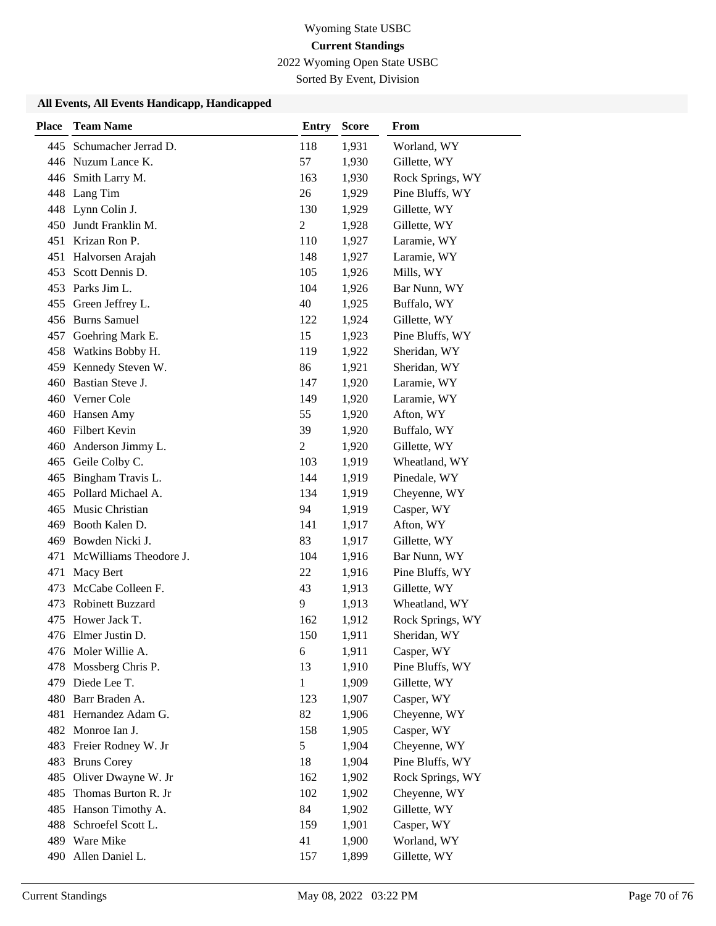2022 Wyoming Open State USBC

Sorted By Event, Division

| <b>Place</b> | <b>Team Name</b>        | <b>Entry</b>   | <b>Score</b> | From             |
|--------------|-------------------------|----------------|--------------|------------------|
| 445          | Schumacher Jerrad D.    | 118            | 1,931        | Worland, WY      |
|              | 446 Nuzum Lance K.      | 57             | 1,930        | Gillette, WY     |
|              | 446 Smith Larry M.      | 163            | 1,930        | Rock Springs, WY |
|              | 448 Lang Tim            | 26             | 1,929        | Pine Bluffs, WY  |
| 448          | Lynn Colin J.           | 130            | 1,929        | Gillette, WY     |
| 450          | Jundt Franklin M.       | 2              | 1,928        | Gillette, WY     |
| 451          | Krizan Ron P.           | 110            | 1,927        | Laramie, WY      |
| 451          | Halvorsen Arajah        | 148            | 1,927        | Laramie, WY      |
| 453          | Scott Dennis D.         | 105            | 1,926        | Mills, WY        |
|              | 453 Parks Jim L.        | 104            | 1,926        | Bar Nunn, WY     |
| 455          | Green Jeffrey L.        | 40             | 1,925        | Buffalo, WY      |
|              | 456 Burns Samuel        | 122            | 1,924        | Gillette, WY     |
| 457          | Goehring Mark E.        | 15             | 1,923        | Pine Bluffs, WY  |
| 458          | Watkins Bobby H.        | 119            | 1,922        | Sheridan, WY     |
|              | 459 Kennedy Steven W.   | 86             | 1,921        | Sheridan, WY     |
|              | 460 Bastian Steve J.    | 147            | 1,920        | Laramie, WY      |
|              | 460 Verner Cole         | 149            | 1,920        | Laramie, WY      |
|              | 460 Hansen Amy          | 55             | 1,920        | Afton, WY        |
|              | 460 Filbert Kevin       | 39             | 1,920        | Buffalo, WY      |
| 460          | Anderson Jimmy L.       | $\overline{c}$ | 1,920        | Gillette, WY     |
| 465          | Geile Colby C.          | 103            | 1,919        | Wheatland, WY    |
| 465          | Bingham Travis L.       | 144            | 1,919        | Pinedale, WY     |
| 465          | Pollard Michael A.      | 134            | 1,919        | Cheyenne, WY     |
| 465          | Music Christian         | 94             | 1,919        | Casper, WY       |
| 469          | Booth Kalen D.          | 141            | 1,917        | Afton, WY        |
| 469          | Bowden Nicki J.         | 83             | 1,917        | Gillette, WY     |
| 471          | McWilliams Theodore J.  | 104            | 1,916        | Bar Nunn, WY     |
| 471          | Macy Bert               | 22             | 1,916        | Pine Bluffs, WY  |
| 473          | McCabe Colleen F.       | 43             | 1,913        | Gillette, WY     |
| 473          | <b>Robinett Buzzard</b> | 9              | 1,913        | Wheatland, WY    |
| 475          | Hower Jack T.           | 162            | 1,912        | Rock Springs, WY |
|              | 476 Elmer Justin D.     | 150            | 1,911        | Sheridan, WY     |
|              | 476 Moler Willie A.     | 6              | 1,911        | Casper, WY       |
| 478          | Mossberg Chris P.       | 13             | 1,910        | Pine Bluffs, WY  |
|              | 479 Diede Lee T.        | 1              | 1,909        | Gillette, WY     |
|              | 480 Barr Braden A.      | 123            | 1,907        | Casper, WY       |
| 481          | Hernandez Adam G.       | 82             | 1,906        | Cheyenne, WY     |
|              | 482 Monroe Ian J.       | 158            | 1,905        | Casper, WY       |
| 483          | Freier Rodney W. Jr     | 5              | 1,904        | Cheyenne, WY     |
| 483          | <b>Bruns Corey</b>      | 18             | 1,904        | Pine Bluffs, WY  |
| 485          | Oliver Dwayne W. Jr     | 162            | 1,902        | Rock Springs, WY |
| 485          | Thomas Burton R. Jr     | 102            | 1,902        | Cheyenne, WY     |
| 485          | Hanson Timothy A.       | 84             | 1,902        | Gillette, WY     |
| 488          | Schroefel Scott L.      | 159            | 1,901        | Casper, WY       |
|              | 489 Ware Mike           | 41             | 1,900        | Worland, WY      |
|              | 490 Allen Daniel L.     | 157            | 1,899        | Gillette, WY     |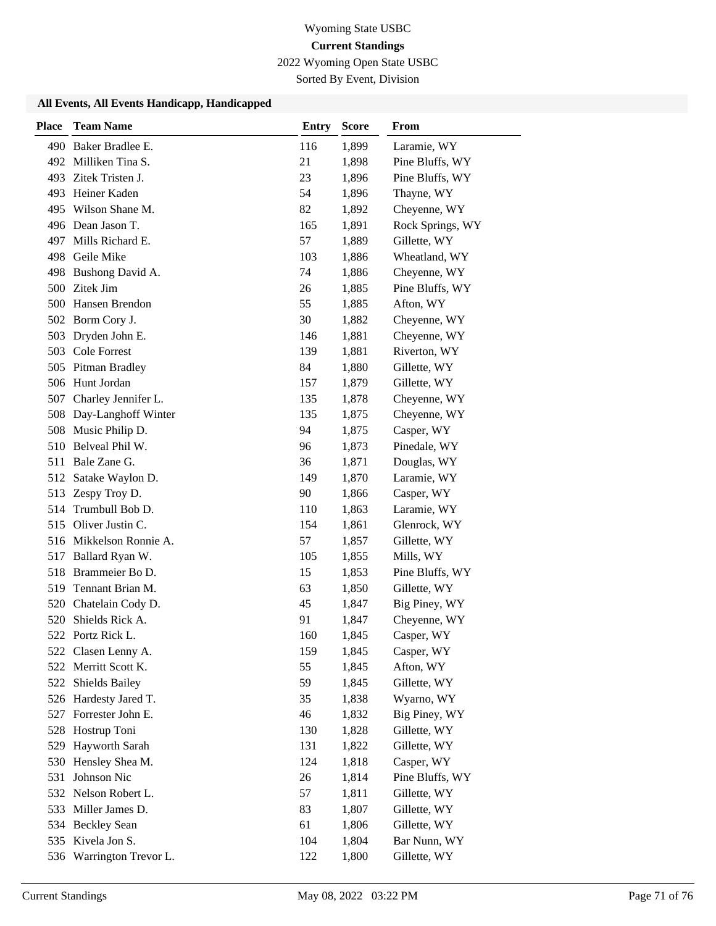2022 Wyoming Open State USBC

Sorted By Event, Division

| <b>Place</b> | <b>Team Name</b>        | <b>Entry</b> | <b>Score</b> | <b>From</b>      |
|--------------|-------------------------|--------------|--------------|------------------|
|              | 490 Baker Bradlee E.    | 116          | 1,899        | Laramie, WY      |
|              | 492 Milliken Tina S.    | 21           | 1,898        | Pine Bluffs, WY  |
|              | 493 Zitek Tristen J.    | 23           | 1,896        | Pine Bluffs, WY  |
|              | 493 Heiner Kaden        | 54           | 1,896        | Thayne, WY       |
| 495          | Wilson Shane M.         | 82           | 1,892        | Cheyenne, WY     |
|              | 496 Dean Jason T.       | 165          | 1,891        | Rock Springs, WY |
|              | 497 Mills Richard E.    | 57           | 1,889        | Gillette, WY     |
|              | 498 Geile Mike          | 103          | 1,886        | Wheatland, WY    |
| 498          | Bushong David A.        | 74           | 1,886        | Cheyenne, WY     |
| 500          | Zitek Jim               | 26           | 1,885        | Pine Bluffs, WY  |
| 500          | Hansen Brendon          | 55           | 1,885        | Afton, WY        |
|              | 502 Borm Cory J.        | 30           | 1,882        | Cheyenne, WY     |
| 503          | Dryden John E.          | 146          | 1,881        | Cheyenne, WY     |
| 503          | <b>Cole Forrest</b>     | 139          | 1,881        | Riverton, WY     |
|              | 505 Pitman Bradley      | 84           | 1,880        | Gillette, WY     |
|              | 506 Hunt Jordan         | 157          | 1,879        | Gillette, WY     |
| 507          | Charley Jennifer L.     | 135          | 1,878        | Cheyenne, WY     |
| 508          | Day-Langhoff Winter     | 135          | 1,875        | Cheyenne, WY     |
| 508          | Music Philip D.         | 94           | 1,875        | Casper, WY       |
|              | 510 Belveal Phil W.     | 96           | 1,873        | Pinedale, WY     |
| 511          | Bale Zane G.            | 36           | 1,871        | Douglas, WY      |
| 512          | Satake Waylon D.        | 149          | 1,870        | Laramie, WY      |
|              | 513 Zespy Troy D.       | 90           | 1,866        | Casper, WY       |
| 514          | Trumbull Bob D.         | 110          | 1,863        | Laramie, WY      |
| 515          | Oliver Justin C.        | 154          | 1,861        | Glenrock, WY     |
|              | 516 Mikkelson Ronnie A. | 57           | 1,857        | Gillette, WY     |
| 517          | Ballard Ryan W.         | 105          | 1,855        | Mills, WY        |
| 518          | Brammeier Bo D.         | 15           | 1,853        | Pine Bluffs, WY  |
| 519          | Tennant Brian M.        | 63           | 1,850        | Gillette, WY     |
| 520          | Chatelain Cody D.       | 45           | 1,847        | Big Piney, WY    |
| 520          | Shields Rick A.         | 91           | 1,847        | Cheyenne, WY     |
|              | 522 Portz Rick L.       | 160          | 1,845        | Casper, WY       |
|              | 522 Clasen Lenny A.     | 159          | 1,845        | Casper, WY       |
| 522          | Merritt Scott K.        | 55           | 1,845        | Afton, WY        |
| 522          | Shields Bailey          | 59           | 1,845        | Gillette, WY     |
|              | 526 Hardesty Jared T.   | 35           | 1,838        | Wyarno, WY       |
|              | 527 Forrester John E.   | 46           | 1,832        | Big Piney, WY    |
| 528          | Hostrup Toni            | 130          | 1,828        | Gillette, WY     |
| 529          | Hayworth Sarah          | 131          | 1,822        | Gillette, WY     |
| 530          | Hensley Shea M.         | 124          | 1,818        | Casper, WY       |
| 531          | Johnson Nic             | 26           | 1,814        | Pine Bluffs, WY  |
|              | 532 Nelson Robert L.    | 57           | 1,811        | Gillette, WY     |
|              | 533 Miller James D.     | 83           | 1,807        | Gillette, WY     |
|              | 534 Beckley Sean        | 61           | 1,806        | Gillette, WY     |
|              | 535 Kivela Jon S.       | 104          | 1,804        | Bar Nunn, WY     |
| 536          | Warrington Trevor L.    | 122          | 1,800        | Gillette, WY     |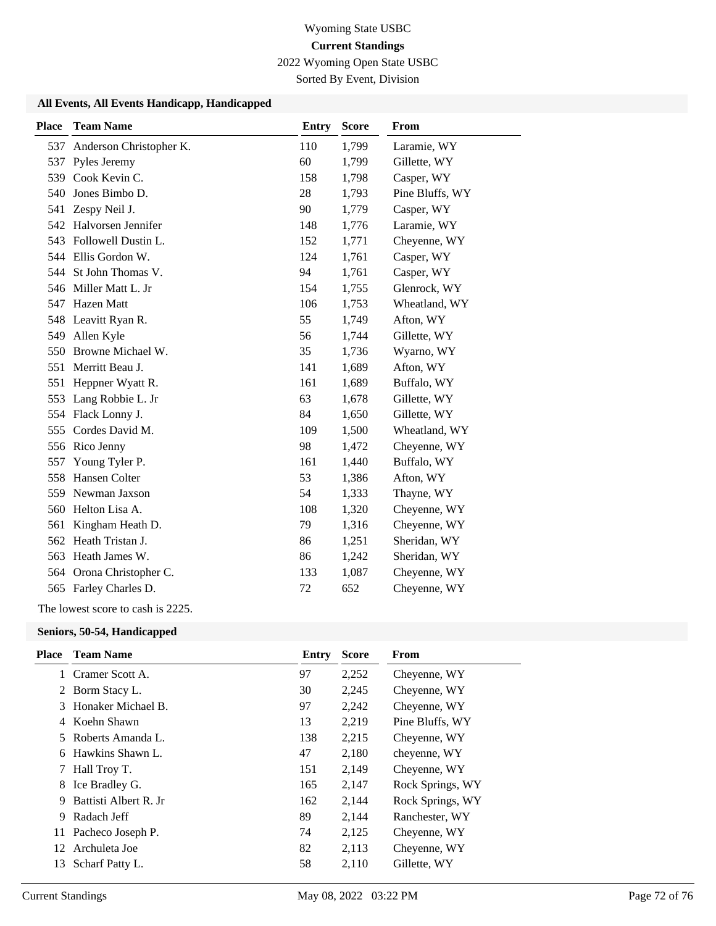2022 Wyoming Open State USBC

Sorted By Event, Division

#### **All Events, All Events Handicapp, Handicapped**

| <b>Place</b> | <b>Team Name</b>        | <b>Entry</b> | <b>Score</b> | <b>From</b>     |
|--------------|-------------------------|--------------|--------------|-----------------|
| 537          | Anderson Christopher K. | 110          | 1,799        | Laramie, WY     |
| 537          | Pyles Jeremy            | 60           | 1,799        | Gillette, WY    |
| 539          | Cook Kevin C.           | 158          | 1,798        | Casper, WY      |
| 540          | Jones Bimbo D.          | 28           | 1,793        | Pine Bluffs, WY |
| 541          | Zespy Neil J.           | 90           | 1,779        | Casper, WY      |
|              | 542 Halvorsen Jennifer  | 148          | 1,776        | Laramie, WY     |
| 543          | Followell Dustin L.     | 152          | 1,771        | Cheyenne, WY    |
|              | 544 Ellis Gordon W.     | 124          | 1,761        | Casper, WY      |
|              | 544 St John Thomas V.   | 94           | 1,761        | Casper, WY      |
|              | 546 Miller Matt L. Jr   | 154          | 1,755        | Glenrock, WY    |
| 547          | Hazen Matt              | 106          | 1,753        | Wheatland, WY   |
| 548          | Leavitt Ryan R.         | 55           | 1,749        | Afton, WY       |
| 549          | Allen Kyle              | 56           | 1,744        | Gillette, WY    |
| 550          | Browne Michael W.       | 35           | 1,736        | Wyarno, WY      |
| 551          | Merritt Beau J.         | 141          | 1,689        | Afton, WY       |
| 551          | Heppner Wyatt R.        | 161          | 1,689        | Buffalo, WY     |
| 553          | Lang Robbie L. Jr       | 63           | 1,678        | Gillette, WY    |
| 554          | Flack Lonny J.          | 84           | 1,650        | Gillette, WY    |
| 555          | Cordes David M.         | 109          | 1,500        | Wheatland, WY   |
|              | 556 Rico Jenny          | 98           | 1,472        | Cheyenne, WY    |
| 557          | Young Tyler P.          | 161          | 1,440        | Buffalo, WY     |
| 558          | Hansen Colter           | 53           | 1,386        | Afton, WY       |
| 559          | Newman Jaxson           | 54           | 1,333        | Thayne, WY      |
| 560          | Helton Lisa A.          | 108          | 1,320        | Cheyenne, WY    |
| 561          | Kingham Heath D.        | 79           | 1,316        | Cheyenne, WY    |
| 562          | Heath Tristan J.        | 86           | 1,251        | Sheridan, WY    |
| 563          | Heath James W.          | 86           | 1,242        | Sheridan, WY    |
| 564          | Orona Christopher C.    | 133          | 1,087        | Cheyenne, WY    |
|              | 565 Farley Charles D.   | 72           | 652          | Cheyenne, WY    |

#### The lowest score to cash is 2225.

#### **Seniors, 50-54, Handicapped**

| Place | <b>Team Name</b>       | Entry | <b>Score</b> | From             |
|-------|------------------------|-------|--------------|------------------|
|       | 1 Cramer Scott A.      | 97    | 2,252        | Cheyenne, WY     |
|       | 2 Borm Stacy L.        | 30    | 2,245        | Cheyenne, WY     |
| 3     | Honaker Michael B.     | 97    | 2,242        | Cheyenne, WY     |
| 4     | Koehn Shawn            | 13    | 2,219        | Pine Bluffs, WY  |
| 5.    | Roberts Amanda L.      | 138   | 2,215        | Cheyenne, WY     |
|       | 6 Hawkins Shawn L.     | 47    | 2,180        | chevenne, WY     |
|       | 7 Hall Troy T.         | 151   | 2,149        | Cheyenne, WY     |
| 8     | Ice Bradley G.         | 165   | 2,147        | Rock Springs, WY |
| 9     | Battisti Albert R. Jr. | 162   | 2,144        | Rock Springs, WY |
| 9     | Radach Jeff            | 89    | 2,144        | Ranchester, WY   |
|       | 11 Pacheco Joseph P.   | 74    | 2,125        | Cheyenne, WY     |
| 12    | Archuleta Joe          | 82    | 2,113        | Chevenne, WY     |
| 13    | Scharf Patty L.        | 58    | 2,110        | Gillette, WY     |
|       |                        |       |              |                  |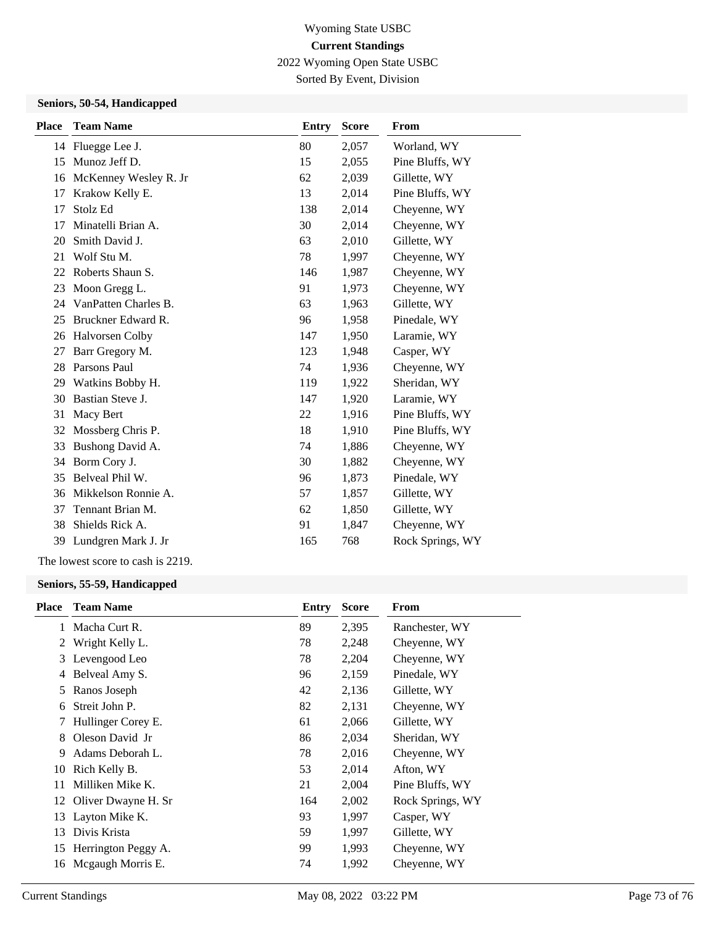2022 Wyoming Open State USBC

Sorted By Event, Division

### **Seniors, 50-54, Handicapped**

| <b>Place</b> | <b>Team Name</b>      | <b>Entry</b> | <b>Score</b> | <b>From</b>      |
|--------------|-----------------------|--------------|--------------|------------------|
|              | 14 Fluegge Lee J.     | 80           | 2,057        | Worland, WY      |
| 15           | Munoz Jeff D.         | 15           | 2,055        | Pine Bluffs, WY  |
| 16           | McKenney Wesley R. Jr | 62           | 2,039        | Gillette, WY     |
| 17           | Krakow Kelly E.       | 13           | 2,014        | Pine Bluffs, WY  |
| 17           | Stolz Ed              | 138          | 2,014        | Cheyenne, WY     |
| 17           | Minatelli Brian A.    | 30           | 2,014        | Cheyenne, WY     |
| 20           | Smith David J.        | 63           | 2,010        | Gillette, WY     |
| 21           | Wolf Stu M.           | 78           | 1,997        | Cheyenne, WY     |
| 22           | Roberts Shaun S.      | 146          | 1,987        | Cheyenne, WY     |
| 23           | Moon Gregg L.         | 91           | 1,973        | Cheyenne, WY     |
| 24           | VanPatten Charles B.  | 63           | 1,963        | Gillette, WY     |
| 25           | Bruckner Edward R.    | 96           | 1,958        | Pinedale, WY     |
| 26           | Halvorsen Colby       | 147          | 1,950        | Laramie, WY      |
| 27           | Barr Gregory M.       | 123          | 1,948        | Casper, WY       |
| 28           | Parsons Paul          | 74           | 1,936        | Cheyenne, WY     |
| 29           | Watkins Bobby H.      | 119          | 1,922        | Sheridan, WY     |
| 30           | Bastian Steve J.      | 147          | 1,920        | Laramie, WY      |
| 31           | Macy Bert             | 22           | 1,916        | Pine Bluffs, WY  |
| 32           | Mossberg Chris P.     | 18           | 1,910        | Pine Bluffs, WY  |
| 33           | Bushong David A.      | 74           | 1,886        | Cheyenne, WY     |
| 34           | Borm Cory J.          | 30           | 1,882        | Cheyenne, WY     |
| 35           | Belveal Phil W.       | 96           | 1,873        | Pinedale, WY     |
| 36           | Mikkelson Ronnie A.   | 57           | 1,857        | Gillette, WY     |
| 37           | Tennant Brian M.      | 62           | 1,850        | Gillette, WY     |
| 38           | Shields Rick A.       | 91           | 1,847        | Cheyenne, WY     |
| 39           | Lundgren Mark J. Jr   | 165          | 768          | Rock Springs, WY |

The lowest score to cash is 2219.

#### **Seniors, 55-59, Handicapped**

| <b>Place</b> | <b>Team Name</b>       | Entry | <b>Score</b> | From             |
|--------------|------------------------|-------|--------------|------------------|
|              | 1 Macha Curt R.        | 89    | 2,395        | Ranchester, WY   |
| 2            | Wright Kelly L.        | 78    | 2,248        | Cheyenne, WY     |
| 3            | Levengood Leo          | 78    | 2,204        | Cheyenne, WY     |
| 4            | Belveal Amy S.         | 96    | 2,159        | Pinedale, WY     |
| 5            | Ranos Joseph           | 42    | 2,136        | Gillette, WY     |
| 6            | Streit John P.         | 82    | 2,131        | Cheyenne, WY     |
| 7            | Hullinger Corey E.     | 61    | 2,066        | Gillette, WY     |
| 8            | Oleson David Jr        | 86    | 2,034        | Sheridan, WY     |
| 9            | Adams Deborah L.       | 78    | 2,016        | Cheyenne, WY     |
| 10           | Rich Kelly B.          | 53    | 2,014        | Afton, WY        |
| 11           | Milliken Mike K.       | 21    | 2,004        | Pine Bluffs, WY  |
|              | 12 Oliver Dwayne H. Sr | 164   | 2,002        | Rock Springs, WY |
| 13           | Layton Mike K.         | 93    | 1,997        | Casper, WY       |
| 13           | Divis Krista           | 59    | 1,997        | Gillette, WY     |
|              | 15 Herrington Peggy A. | 99    | 1,993        | Cheyenne, WY     |
| 16           | Megaugh Morris E.      | 74    | 1,992        | Cheyenne, WY     |
|              |                        |       |              |                  |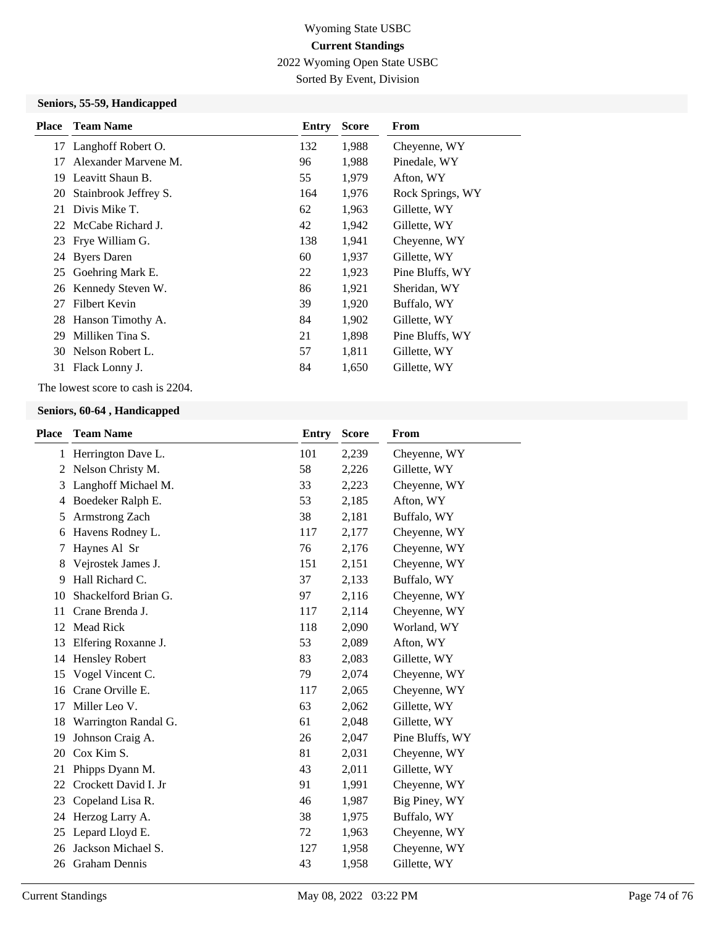2022 Wyoming Open State USBC

Sorted By Event, Division

### **Seniors, 55-59, Handicapped**

| <b>Place</b> | <b>Team Name</b>      | Entry | <b>Score</b> | From             |
|--------------|-----------------------|-------|--------------|------------------|
|              | 17 Langhoff Robert O. | 132   | 1,988        | Cheyenne, WY     |
| 17           | Alexander Marvene M.  | 96    | 1,988        | Pinedale, WY     |
| 19.          | Leavitt Shaun B.      | 55    | 1,979        | Afton, WY        |
| 20           | Stainbrook Jeffrey S. | 164   | 1,976        | Rock Springs, WY |
| 21           | Divis Mike T.         | 62    | 1,963        | Gillette, WY     |
|              | 22 McCabe Richard J.  | 42    | 1,942        | Gillette, WY     |
|              | 23 Frye William G.    | 138   | 1,941        | Cheyenne, WY     |
|              | 24 Byers Daren        | 60    | 1,937        | Gillette, WY     |
|              | 25 Goehring Mark E.   | 22    | 1,923        | Pine Bluffs, WY  |
|              | 26 Kennedy Steven W.  | 86    | 1,921        | Sheridan, WY     |
| 27           | Filbert Kevin         | 39    | 1,920        | Buffalo, WY      |
|              | 28 Hanson Timothy A.  | 84    | 1,902        | Gillette, WY     |
| 29           | Milliken Tina S.      | 21    | 1,898        | Pine Bluffs, WY  |
| 30           | Nelson Robert L.      | 57    | 1,811        | Gillette, WY     |
| 31           | Flack Lonny J.        | 84    | 1,650        | Gillette, WY     |
|              |                       |       |              |                  |

The lowest score to cash is 2204.

#### **Seniors, 60-64 , Handicapped**

| Place | <b>Team Name</b>      | <b>Entry</b> | <b>Score</b> | From            |
|-------|-----------------------|--------------|--------------|-----------------|
|       | 1 Herrington Dave L.  | 101          | 2,239        | Cheyenne, WY    |
| 2     | Nelson Christy M.     | 58           | 2,226        | Gillette, WY    |
| 3     | Langhoff Michael M.   | 33           | 2,223        | Cheyenne, WY    |
| 4     | Boedeker Ralph E.     | 53           | 2,185        | Afton, WY       |
| 5     | Armstrong Zach        | 38           | 2,181        | Buffalo, WY     |
| 6     | Havens Rodney L.      | 117          | 2,177        | Cheyenne, WY    |
| 7     | Haynes Al Sr          | 76           | 2,176        | Cheyenne, WY    |
| 8     | Vejrostek James J.    | 151          | 2,151        | Cheyenne, WY    |
| 9     | Hall Richard C.       | 37           | 2,133        | Buffalo, WY     |
| 10    | Shackelford Brian G.  | 97           | 2,116        | Cheyenne, WY    |
| 11    | Crane Brenda J.       | 117          | 2,114        | Cheyenne, WY    |
| 12    | <b>Mead Rick</b>      | 118          | 2,090        | Worland, WY     |
| 13    | Elfering Roxanne J.   | 53           | 2,089        | Afton, WY       |
| 14    | <b>Hensley Robert</b> | 83           | 2,083        | Gillette, WY    |
| 15    | Vogel Vincent C.      | 79           | 2,074        | Cheyenne, WY    |
| 16    | Crane Orville E.      | 117          | 2,065        | Cheyenne, WY    |
| 17    | Miller Leo V.         | 63           | 2,062        | Gillette, WY    |
| 18    | Warrington Randal G.  | 61           | 2,048        | Gillette, WY    |
| 19    | Johnson Craig A.      | 26           | 2,047        | Pine Bluffs, WY |
| 20    | Cox Kim S.            | 81           | 2,031        | Cheyenne, WY    |
| 21    | Phipps Dyann M.       | 43           | 2,011        | Gillette, WY    |
| 22    | Crockett David I. Jr  | 91           | 1,991        | Cheyenne, WY    |
| 23    | Copeland Lisa R.      | 46           | 1,987        | Big Piney, WY   |
| 24    | Herzog Larry A.       | 38           | 1,975        | Buffalo, WY     |
| 25    | Lepard Lloyd E.       | 72           | 1,963        | Cheyenne, WY    |
| 26    | Jackson Michael S.    | 127          | 1,958        | Cheyenne, WY    |
|       | 26 Graham Dennis      | 43           | 1,958        | Gillette, WY    |
|       |                       |              |              |                 |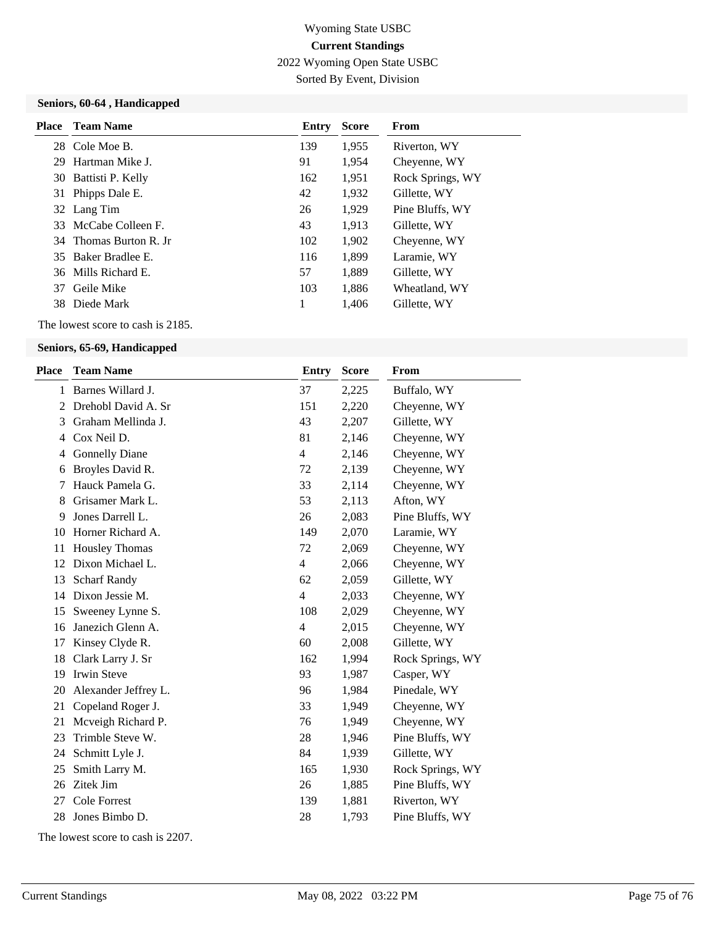2022 Wyoming Open State USBC

Sorted By Event, Division

### **Seniors, 60-64 , Handicapped**

|    | <b>Place</b> Team Name | Entry | <b>Score</b> | From             |
|----|------------------------|-------|--------------|------------------|
|    | 28 Cole Moe B.         | 139   | 1,955        | Riverton, WY     |
|    | 29 Hartman Mike J.     | 91    | 1,954        | Cheyenne, WY     |
|    | 30 Battisti P. Kelly   | 162   | 1,951        | Rock Springs, WY |
|    | 31 Phipps Dale E.      | 42    | 1,932        | Gillette, WY     |
|    | 32 Lang Tim            | 26    | 1,929        | Pine Bluffs, WY  |
|    | 33 McCabe Colleen F.   | 43    | 1,913        | Gillette, WY     |
|    | 34 Thomas Burton R. In | 102   | 1,902        | Cheyenne, WY     |
|    | 35 Baker Bradlee E.    | 116   | 1.899        | Laramie, WY      |
|    | 36 Mills Richard E.    | 57    | 1,889        | Gillette, WY     |
| 37 | Geile Mike             | 103   | 1,886        | Wheatland, WY    |
|    | 38 Diede Mark          | 1     | 1,406        | Gillette, WY     |

The lowest score to cash is 2185.

### **Seniors, 65-69, Handicapped**

| <b>Place</b> | <b>Team Name</b>      | <b>Entry</b>   | <b>Score</b> | From             |
|--------------|-----------------------|----------------|--------------|------------------|
| 1            | Barnes Willard J.     | 37             | 2,225        | Buffalo, WY      |
| 2            | Drehobl David A. Sr   | 151            | 2,220        | Cheyenne, WY     |
| 3            | Graham Mellinda J.    | 43             | 2,207        | Gillette, WY     |
| 4            | Cox Neil D.           | 81             | 2,146        | Cheyenne, WY     |
| 4            | <b>Gonnelly Diane</b> | 4              | 2,146        | Cheyenne, WY     |
| 6            | Broyles David R.      | 72             | 2,139        | Cheyenne, WY     |
| 7            | Hauck Pamela G.       | 33             | 2,114        | Cheyenne, WY     |
| 8            | Grisamer Mark L.      | 53             | 2,113        | Afton, WY        |
| 9            | Jones Darrell L.      | 26             | 2,083        | Pine Bluffs, WY  |
| 10           | Horner Richard A.     | 149            | 2,070        | Laramie, WY      |
| 11           | <b>Housley Thomas</b> | 72             | 2,069        | Cheyenne, WY     |
| 12           | Dixon Michael L.      | $\overline{4}$ | 2,066        | Cheyenne, WY     |
| 13           | <b>Scharf Randy</b>   | 62             | 2,059        | Gillette, WY     |
| 14           | Dixon Jessie M.       | $\overline{4}$ | 2,033        | Cheyenne, WY     |
| 15           | Sweeney Lynne S.      | 108            | 2,029        | Cheyenne, WY     |
| 16           | Janezich Glenn A.     | $\overline{4}$ | 2,015        | Cheyenne, WY     |
| 17           | Kinsey Clyde R.       | 60             | 2,008        | Gillette, WY     |
| 18           | Clark Larry J. Sr     | 162            | 1,994        | Rock Springs, WY |
| 19           | <b>Irwin Steve</b>    | 93             | 1,987        | Casper, WY       |
| 20           | Alexander Jeffrey L.  | 96             | 1,984        | Pinedale, WY     |
| 21           | Copeland Roger J.     | 33             | 1,949        | Cheyenne, WY     |
| 21           | Mcveigh Richard P.    | 76             | 1,949        | Cheyenne, WY     |
| 23           | Trimble Steve W.      | 28             | 1,946        | Pine Bluffs, WY  |
| 24           | Schmitt Lyle J.       | 84             | 1,939        | Gillette, WY     |
| 25           | Smith Larry M.        | 165            | 1,930        | Rock Springs, WY |
| 26           | Zitek Jim             | 26             | 1,885        | Pine Bluffs, WY  |
| 27           | Cole Forrest          | 139            | 1,881        | Riverton, WY     |
| 28           | Jones Bimbo D.        | 28             | 1,793        | Pine Bluffs, WY  |
|              |                       |                |              |                  |

The lowest score to cash is 2207.